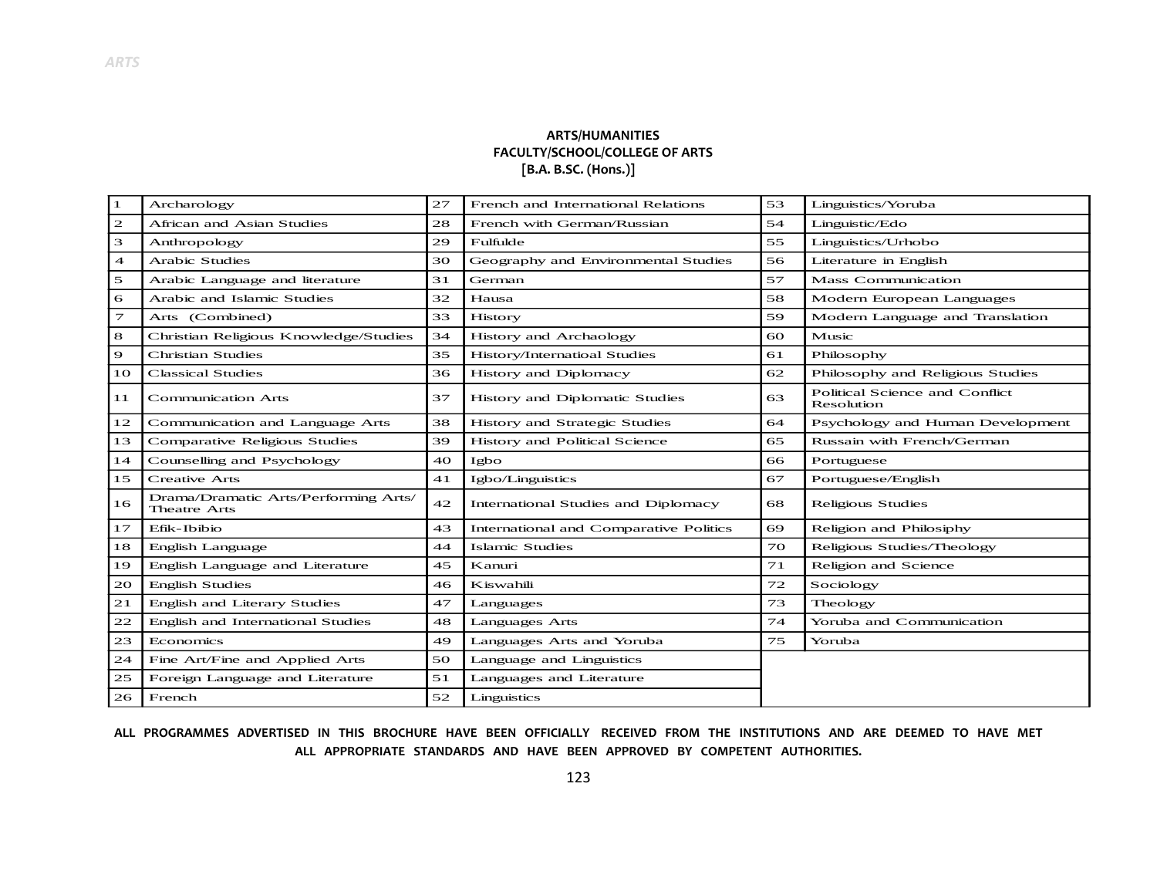## **ARTS/HUMANITIES FACULTY/SCHOOL/COLLEGE OF ARTS [B.A. B.SC. (Hons.)]**

| 1                        | Archarology                                                 | 27 | French and International Relations     | 53 | Linguistics/Yoruba                           |
|--------------------------|-------------------------------------------------------------|----|----------------------------------------|----|----------------------------------------------|
| $\mathbf{z}$             | African and Asian Studies                                   | 28 | French with German/Russian             | 54 | Linguistic/Edo                               |
| 3                        | Anthropology                                                | 29 | Fulfulde                               | 55 | Linguistics/Urhobo                           |
| $\overline{\mathcal{A}}$ | <b>Arabic Studies</b>                                       | 30 | Geography and Environmental Studies    | 56 | Literature in English                        |
| 5                        | Arabic Language and literature                              | 31 | German                                 | 57 | <b>Mass Communication</b>                    |
| 6                        | Arabic and Islamic Studies                                  | 32 | Hausa                                  | 58 | Modern European Languages                    |
| 7                        | Arts (Combined)                                             | 33 | History                                | 59 | Modern Language and Translation              |
| 8                        | Christian Religious Knowledge/Studies                       | 34 | History and Archaology                 | 60 | Music                                        |
| $\mathbf Q$              | <b>Christian Studies</b>                                    | 35 | History/Internatioal Studies           | 61 | Philosophy                                   |
| 10                       | <b>Classical Studies</b>                                    | 36 | History and Diplomacy                  | 62 | Philosophy and Religious Studies             |
| 11                       | <b>Communication Arts</b>                                   | 37 | History and Diplomatic Studies         | 63 | Political Science and Conflict<br>Resolution |
| 12                       | Communication and Language Arts                             | 38 | History and Strategic Studies          | 64 | Psychology and Human Development             |
| 13                       | Comparative Religious Studies                               | 39 | History and Political Science          | 65 | Russain with French/German                   |
|                          |                                                             |    | Igbo                                   | 66 | Portuguese                                   |
| 14                       | Counselling and Psychology                                  | 40 |                                        |    |                                              |
| 15                       | <b>Creative Arts</b>                                        | 41 | Igbo/Linguistics                       | 67 | Portuguese/English                           |
| 16                       | Drama/Dramatic Arts/Performing Arts/<br><b>Theatre Arts</b> | 42 | International Studies and Diplomacy    | 68 | Religious Studies                            |
| 17                       | Efik-Ibibio                                                 | 43 | International and Comparative Politics | 69 | Religion and Philosiphy                      |
| 18                       | English Language                                            | 44 | <b>Islamic Studies</b>                 | 70 | Religious Studies/Theology                   |
| 19                       | English Language and Literature                             | 45 | Kanuri                                 | 71 | Religion and Science                         |
| 20                       | <b>English Studies</b>                                      | 46 | Kiswahili                              | 72 | Sociology                                    |
| 21                       | English and Literary Studies                                | 47 | Languages                              | 73 | Theology                                     |
| 22                       | English and International Studies                           | 48 | <b>Languages Arts</b>                  | 74 | Yoruba and Communication                     |
| 23                       | Economics                                                   | 49 | Languages Arts and Yoruba              | 75 | Yoruba                                       |
| 24                       | Fine Art/Fine and Applied Arts                              | 50 | Language and Linguistics               |    |                                              |
| 25                       | Foreign Language and Literature                             | 51 | Languages and Literature               |    |                                              |

**ALL PROGRAMMES ADVERTISED IN THIS BROCHURE HAVE BEEN OFFICIALLY RECEIVED FROM THE INSTITUTIONS AND ARE DEEMED TO HAVE MET ALL APPROPRIATE STANDARDS AND HAVE BEEN APPROVED BY COMPETENT AUTHORITIES.**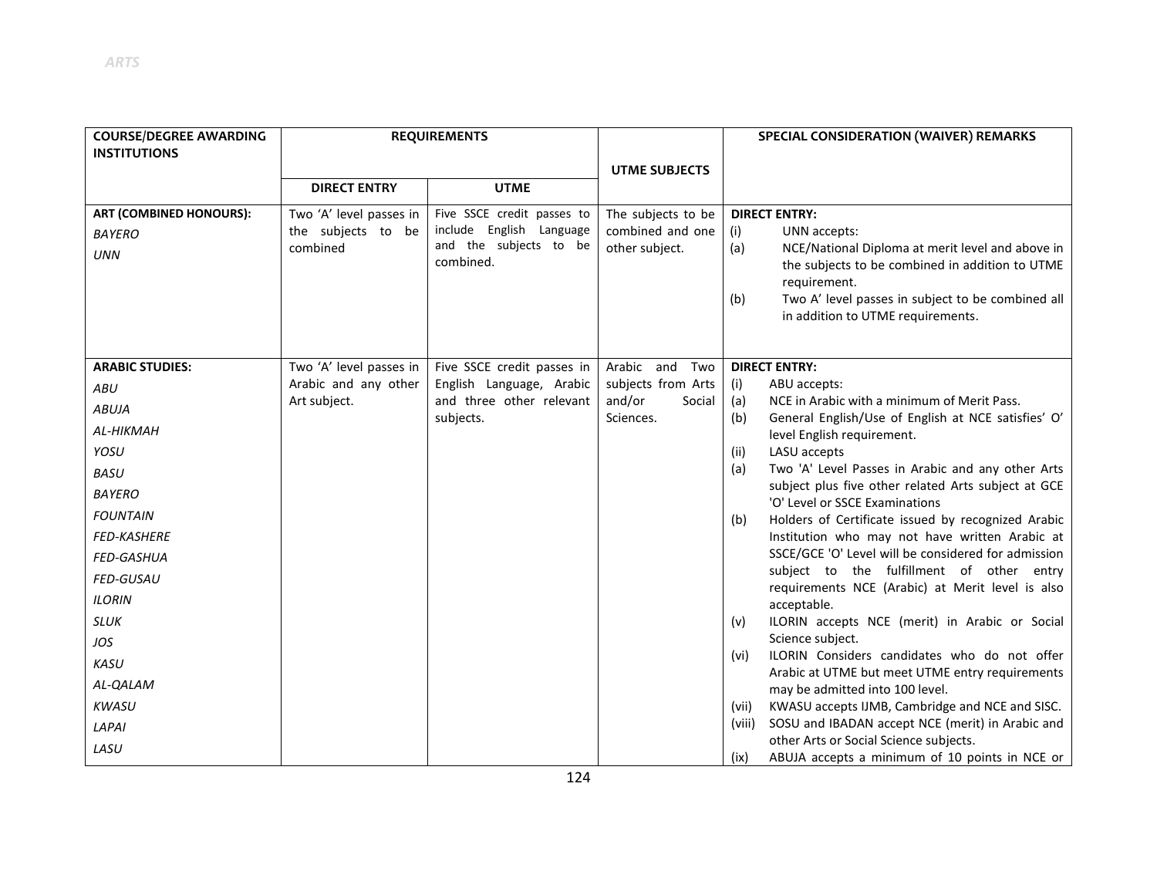| <b>COURSE/DEGREE AWARDING</b>                                 | <b>REQUIREMENTS</b>                                       |                                                                                               |                                                          | SPECIAL CONSIDERATION (WAIVER) REMARKS                                                                                                                                                                                                                                     |  |
|---------------------------------------------------------------|-----------------------------------------------------------|-----------------------------------------------------------------------------------------------|----------------------------------------------------------|----------------------------------------------------------------------------------------------------------------------------------------------------------------------------------------------------------------------------------------------------------------------------|--|
| <b>INSTITUTIONS</b>                                           |                                                           |                                                                                               | <b>UTME SUBJECTS</b>                                     |                                                                                                                                                                                                                                                                            |  |
|                                                               | <b>DIRECT ENTRY</b>                                       | <b>UTME</b>                                                                                   |                                                          |                                                                                                                                                                                                                                                                            |  |
| <b>ART (COMBINED HONOURS):</b><br><b>BAYERO</b><br><b>UNN</b> | Two 'A' level passes in<br>the subjects to be<br>combined | Five SSCE credit passes to<br>include English Language<br>and the subjects to be<br>combined. | The subjects to be<br>combined and one<br>other subject. | <b>DIRECT ENTRY:</b><br>(i)<br>UNN accepts:<br>(a)<br>NCE/National Diploma at merit level and above in<br>the subjects to be combined in addition to UTME<br>requirement.<br>Two A' level passes in subject to be combined all<br>(b)<br>in addition to UTME requirements. |  |
| <b>ARABIC STUDIES:</b>                                        | Two 'A' level passes in                                   | Five SSCE credit passes in                                                                    | Arabic and<br>Two                                        | <b>DIRECT ENTRY:</b>                                                                                                                                                                                                                                                       |  |
| ABU                                                           | Arabic and any other                                      | English Language, Arabic                                                                      | subjects from Arts                                       | (i)<br>ABU accepts:                                                                                                                                                                                                                                                        |  |
| <b>ABUJA</b>                                                  | Art subject.                                              | and three other relevant<br>subjects.                                                         | and/or<br>Social<br>Sciences.                            | (a)<br>NCE in Arabic with a minimum of Merit Pass.<br>General English/Use of English at NCE satisfies' O'<br>(b)                                                                                                                                                           |  |
| AL-HIKMAH                                                     |                                                           |                                                                                               |                                                          | level English requirement.                                                                                                                                                                                                                                                 |  |
| YOSU                                                          |                                                           |                                                                                               |                                                          | LASU accepts<br>(ii)                                                                                                                                                                                                                                                       |  |
| <b>BASU</b>                                                   |                                                           |                                                                                               |                                                          | Two 'A' Level Passes in Arabic and any other Arts<br>(a)                                                                                                                                                                                                                   |  |
| <b>BAYERO</b>                                                 |                                                           |                                                                                               |                                                          | subject plus five other related Arts subject at GCE<br>'O' Level or SSCE Examinations                                                                                                                                                                                      |  |
| <b>FOUNTAIN</b>                                               |                                                           |                                                                                               |                                                          | Holders of Certificate issued by recognized Arabic<br>(b)                                                                                                                                                                                                                  |  |
| <b>FED-KASHERE</b>                                            |                                                           |                                                                                               |                                                          | Institution who may not have written Arabic at                                                                                                                                                                                                                             |  |
| FED-GASHUA                                                    |                                                           |                                                                                               |                                                          | SSCE/GCE 'O' Level will be considered for admission                                                                                                                                                                                                                        |  |
| <b>FED-GUSAU</b>                                              |                                                           |                                                                                               |                                                          | subject to the fulfillment of other entry                                                                                                                                                                                                                                  |  |
| <b>ILORIN</b>                                                 |                                                           |                                                                                               |                                                          | requirements NCE (Arabic) at Merit level is also<br>acceptable.                                                                                                                                                                                                            |  |
| <b>SLUK</b>                                                   |                                                           |                                                                                               |                                                          | ILORIN accepts NCE (merit) in Arabic or Social<br>(v)                                                                                                                                                                                                                      |  |
| JOS                                                           |                                                           |                                                                                               |                                                          | Science subject.                                                                                                                                                                                                                                                           |  |
| KASU                                                          |                                                           |                                                                                               |                                                          | ILORIN Considers candidates who do not offer<br>(vi)                                                                                                                                                                                                                       |  |
| AL-QALAM                                                      |                                                           |                                                                                               |                                                          | Arabic at UTME but meet UTME entry requirements<br>may be admitted into 100 level.                                                                                                                                                                                         |  |
| <b>KWASU</b>                                                  |                                                           |                                                                                               |                                                          | KWASU accepts IJMB, Cambridge and NCE and SISC.<br>(vii)                                                                                                                                                                                                                   |  |
| LAPAI                                                         |                                                           |                                                                                               |                                                          | SOSU and IBADAN accept NCE (merit) in Arabic and<br>(viii)                                                                                                                                                                                                                 |  |
| LASU                                                          |                                                           |                                                                                               |                                                          | other Arts or Social Science subjects.<br>ABUJA accepts a minimum of 10 points in NCE or<br>(ix)                                                                                                                                                                           |  |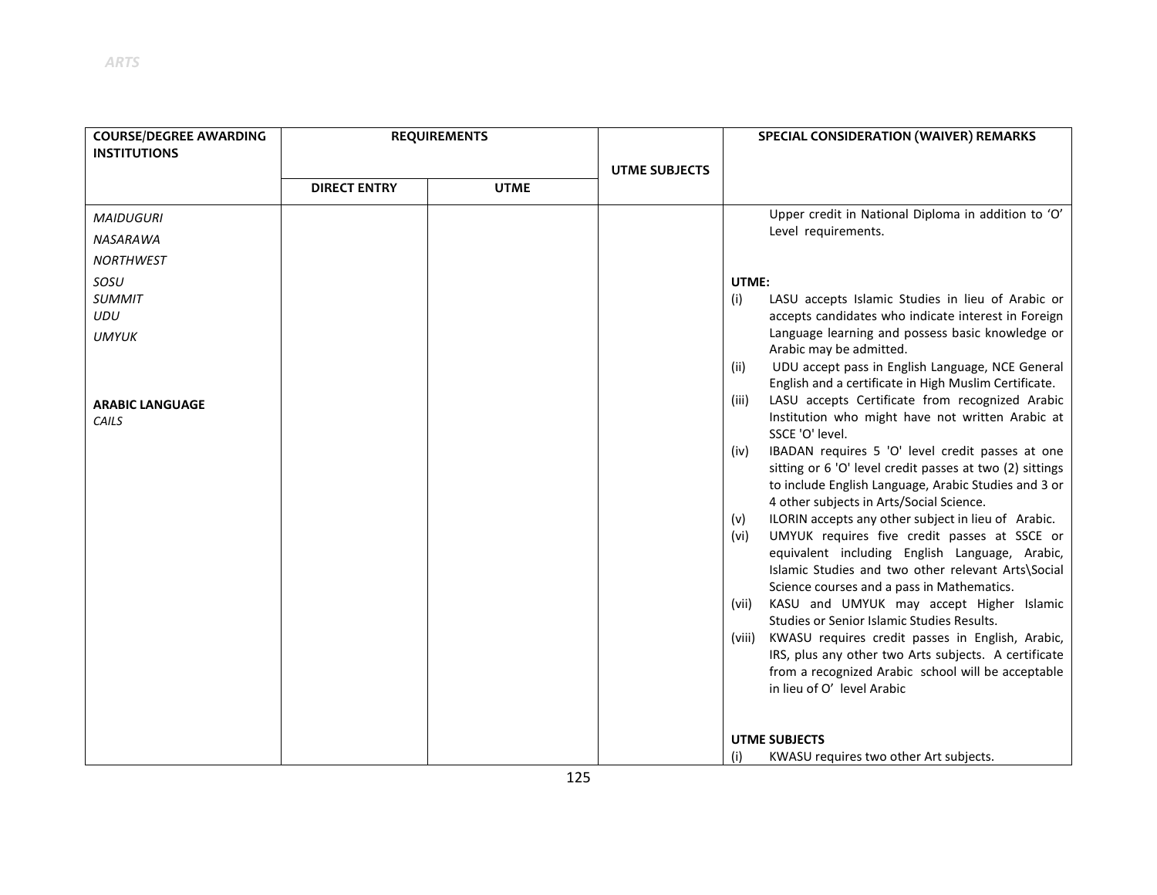| <b>COURSE/DEGREE AWARDING</b>   | <b>REQUIREMENTS</b> |             |                      | SPECIAL CONSIDERATION (WAIVER) REMARKS                                                                                                                                                                                                                                                                                                                                                                                                                                                                                              |  |
|---------------------------------|---------------------|-------------|----------------------|-------------------------------------------------------------------------------------------------------------------------------------------------------------------------------------------------------------------------------------------------------------------------------------------------------------------------------------------------------------------------------------------------------------------------------------------------------------------------------------------------------------------------------------|--|
| <b>INSTITUTIONS</b>             |                     |             |                      |                                                                                                                                                                                                                                                                                                                                                                                                                                                                                                                                     |  |
|                                 |                     |             | <b>UTME SUBJECTS</b> |                                                                                                                                                                                                                                                                                                                                                                                                                                                                                                                                     |  |
|                                 | <b>DIRECT ENTRY</b> | <b>UTME</b> |                      |                                                                                                                                                                                                                                                                                                                                                                                                                                                                                                                                     |  |
| <b>MAIDUGURI</b>                |                     |             |                      | Upper credit in National Diploma in addition to 'O'                                                                                                                                                                                                                                                                                                                                                                                                                                                                                 |  |
| NASARAWA                        |                     |             |                      | Level requirements.                                                                                                                                                                                                                                                                                                                                                                                                                                                                                                                 |  |
| <b>NORTHWEST</b>                |                     |             |                      |                                                                                                                                                                                                                                                                                                                                                                                                                                                                                                                                     |  |
| SOSU                            |                     |             |                      | UTME:                                                                                                                                                                                                                                                                                                                                                                                                                                                                                                                               |  |
| <b>SUMMIT</b><br>UDU            |                     |             |                      | LASU accepts Islamic Studies in lieu of Arabic or<br>(i)<br>accepts candidates who indicate interest in Foreign                                                                                                                                                                                                                                                                                                                                                                                                                     |  |
| <b>UMYUK</b>                    |                     |             |                      | Language learning and possess basic knowledge or<br>Arabic may be admitted.                                                                                                                                                                                                                                                                                                                                                                                                                                                         |  |
|                                 |                     |             |                      | UDU accept pass in English Language, NCE General<br>(ii)<br>English and a certificate in High Muslim Certificate.                                                                                                                                                                                                                                                                                                                                                                                                                   |  |
| <b>ARABIC LANGUAGE</b><br>CAILS |                     |             |                      | LASU accepts Certificate from recognized Arabic<br>(iii)<br>Institution who might have not written Arabic at<br>SSCE 'O' level.<br>IBADAN requires 5 'O' level credit passes at one<br>(iv)<br>sitting or 6 'O' level credit passes at two (2) sittings<br>to include English Language, Arabic Studies and 3 or<br>4 other subjects in Arts/Social Science.<br>ILORIN accepts any other subject in lieu of Arabic.<br>(v)<br>UMYUK requires five credit passes at SSCE or<br>(vi)<br>equivalent including English Language, Arabic, |  |
|                                 |                     |             |                      | Islamic Studies and two other relevant Arts\Social<br>Science courses and a pass in Mathematics.                                                                                                                                                                                                                                                                                                                                                                                                                                    |  |
|                                 |                     |             |                      | KASU and UMYUK may accept Higher Islamic<br>(vii)<br>Studies or Senior Islamic Studies Results.                                                                                                                                                                                                                                                                                                                                                                                                                                     |  |
|                                 |                     |             |                      | KWASU requires credit passes in English, Arabic,<br>(viii)<br>IRS, plus any other two Arts subjects. A certificate<br>from a recognized Arabic school will be acceptable<br>in lieu of O' level Arabic                                                                                                                                                                                                                                                                                                                              |  |
|                                 |                     |             |                      | <b>UTME SUBJECTS</b>                                                                                                                                                                                                                                                                                                                                                                                                                                                                                                                |  |
|                                 |                     |             |                      | (i)<br>KWASU requires two other Art subjects.                                                                                                                                                                                                                                                                                                                                                                                                                                                                                       |  |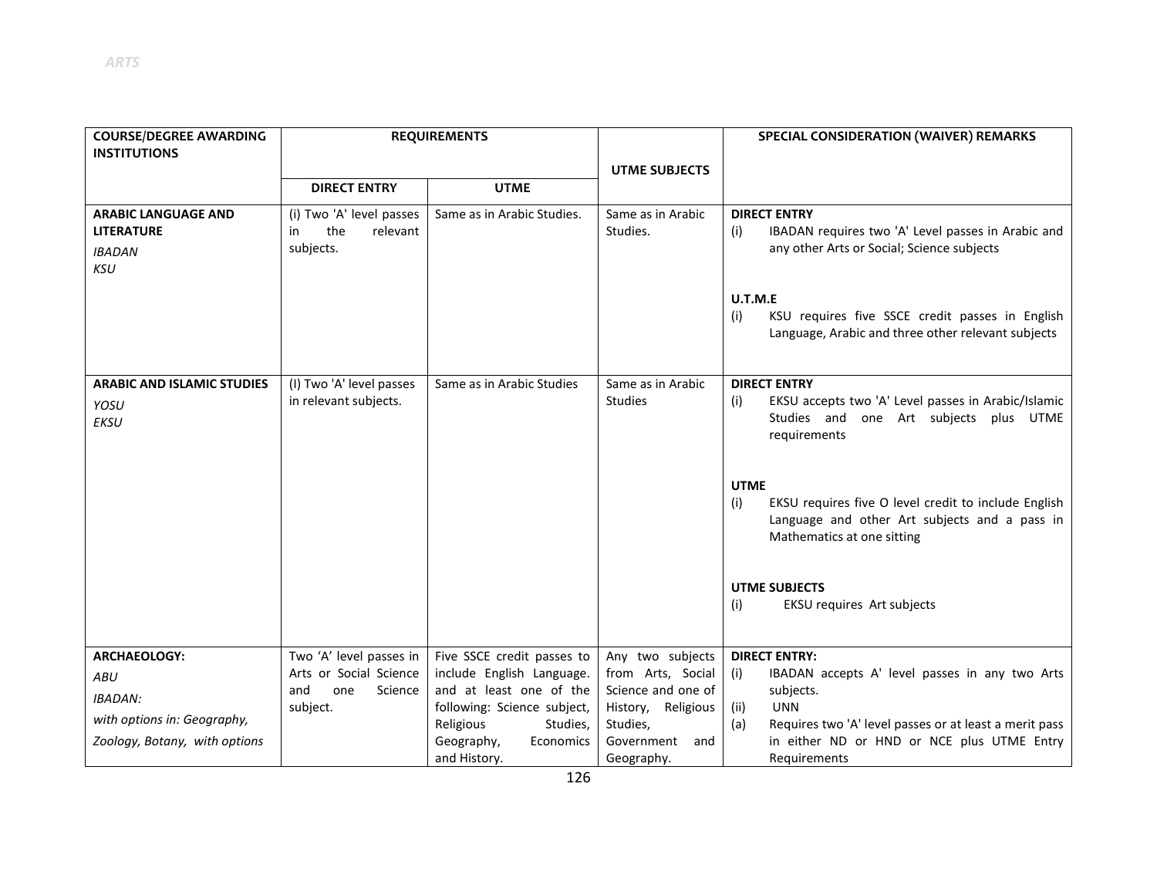| <b>COURSE/DEGREE AWARDING</b><br><b>INSTITUTIONS</b>                           | <b>REQUIREMENTS</b>                                            |                                                      |                                          | SPECIAL CONSIDERATION (WAIVER) REMARKS                                                                                                                    |
|--------------------------------------------------------------------------------|----------------------------------------------------------------|------------------------------------------------------|------------------------------------------|-----------------------------------------------------------------------------------------------------------------------------------------------------------|
|                                                                                |                                                                |                                                      | <b>UTME SUBJECTS</b>                     |                                                                                                                                                           |
|                                                                                | <b>DIRECT ENTRY</b>                                            | <b>UTME</b>                                          |                                          |                                                                                                                                                           |
| <b>ARABIC LANGUAGE AND</b><br><b>LITERATURE</b><br><b>IBADAN</b><br><b>KSU</b> | (i) Two 'A' level passes<br>the<br>relevant<br>in<br>subjects. | Same as in Arabic Studies.                           | Same as in Arabic<br>Studies.            | <b>DIRECT ENTRY</b><br>IBADAN requires two 'A' Level passes in Arabic and<br>(i)<br>any other Arts or Social; Science subjects                            |
|                                                                                |                                                                |                                                      |                                          | U.T.M.E<br>KSU requires five SSCE credit passes in English<br>(i)<br>Language, Arabic and three other relevant subjects                                   |
| <b>ARABIC AND ISLAMIC STUDIES</b><br>YOSU<br><b>EKSU</b>                       | (I) Two 'A' level passes<br>in relevant subjects.              | Same as in Arabic Studies                            | Same as in Arabic<br><b>Studies</b>      | <b>DIRECT ENTRY</b><br>EKSU accepts two 'A' Level passes in Arabic/Islamic<br>(i)<br>Studies and one Art subjects plus UTME<br>requirements               |
|                                                                                |                                                                |                                                      |                                          | <b>UTME</b><br>EKSU requires five O level credit to include English<br>(i)<br>Language and other Art subjects and a pass in<br>Mathematics at one sitting |
|                                                                                |                                                                |                                                      |                                          | <b>UTME SUBJECTS</b><br>EKSU requires Art subjects<br>(i)                                                                                                 |
| <b>ARCHAEOLOGY:</b>                                                            | Two 'A' level passes in                                        | Five SSCE credit passes to                           | Any two subjects                         | <b>DIRECT ENTRY:</b>                                                                                                                                      |
| ABU                                                                            | Arts or Social Science                                         | include English Language.<br>and at least one of the | from Arts, Social                        | IBADAN accepts A' level passes in any two Arts<br>(i)                                                                                                     |
| <b>IBADAN:</b>                                                                 | and<br>one<br>Science<br>subject.                              | following: Science subject,                          | Science and one of<br>History, Religious | subjects.<br><b>UNN</b><br>(ii)                                                                                                                           |
| with options in: Geography,                                                    |                                                                | Religious<br>Studies,                                | Studies,                                 | Requires two 'A' level passes or at least a merit pass<br>(a)                                                                                             |
| Zoology, Botany, with options                                                  |                                                                | Geography,<br>Economics<br>and History.              | Government and<br>Geography.             | in either ND or HND or NCE plus UTME Entry<br>Requirements                                                                                                |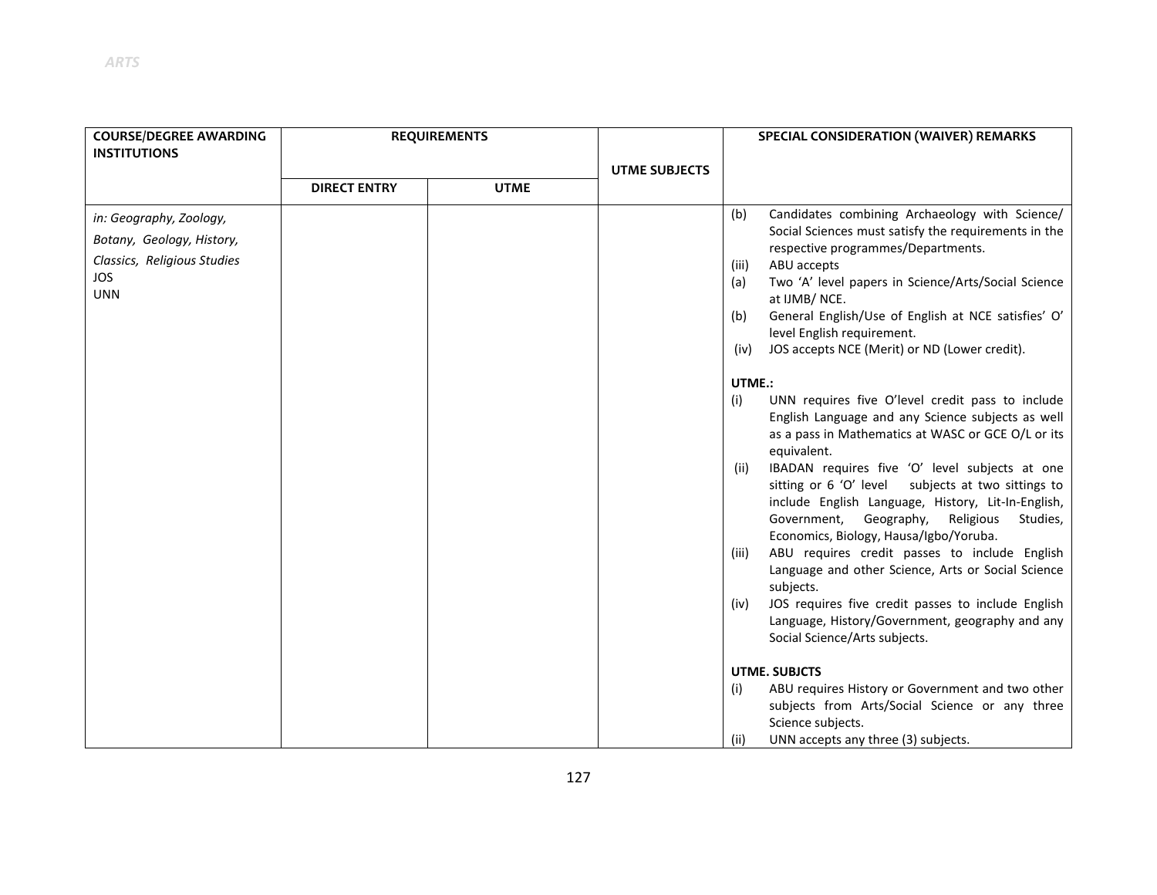| <b>COURSE/DEGREE AWARDING</b>                                                                                   | <b>REQUIREMENTS</b> |             |                      | SPECIAL CONSIDERATION (WAIVER) REMARKS                                                                                                                                                                                                                                                                                                                                                                                                                                                                                                                                                                        |  |
|-----------------------------------------------------------------------------------------------------------------|---------------------|-------------|----------------------|---------------------------------------------------------------------------------------------------------------------------------------------------------------------------------------------------------------------------------------------------------------------------------------------------------------------------------------------------------------------------------------------------------------------------------------------------------------------------------------------------------------------------------------------------------------------------------------------------------------|--|
| <b>INSTITUTIONS</b>                                                                                             |                     |             | <b>UTME SUBJECTS</b> |                                                                                                                                                                                                                                                                                                                                                                                                                                                                                                                                                                                                               |  |
|                                                                                                                 | <b>DIRECT ENTRY</b> | <b>UTME</b> |                      |                                                                                                                                                                                                                                                                                                                                                                                                                                                                                                                                                                                                               |  |
| in: Geography, Zoology,<br>Botany, Geology, History,<br>Classics, Religious Studies<br><b>JOS</b><br><b>UNN</b> |                     |             |                      | Candidates combining Archaeology with Science/<br>(b)<br>Social Sciences must satisfy the requirements in the<br>respective programmes/Departments.<br>ABU accepts<br>(iii)<br>Two 'A' level papers in Science/Arts/Social Science<br>(a)<br>at IJMB/NCE.<br>General English/Use of English at NCE satisfies' O'<br>(b)<br>level English requirement.<br>JOS accepts NCE (Merit) or ND (Lower credit).<br>(iv)<br>UTME.:<br>UNN requires five O'level credit pass to include<br>(i)<br>English Language and any Science subjects as well<br>as a pass in Mathematics at WASC or GCE O/L or its<br>equivalent. |  |
|                                                                                                                 |                     |             |                      | IBADAN requires five 'O' level subjects at one<br>(ii)<br>sitting or 6 'O' level subjects at two sittings to<br>include English Language, History, Lit-In-English,<br>Government, Geography, Religious<br>Studies,<br>Economics, Biology, Hausa/Igbo/Yoruba.<br>ABU requires credit passes to include English<br>(iii)<br>Language and other Science, Arts or Social Science<br>subjects.<br>JOS requires five credit passes to include English<br>(iv)<br>Language, History/Government, geography and any<br>Social Science/Arts subjects.<br><b>UTME. SUBJCTS</b>                                           |  |
|                                                                                                                 |                     |             |                      | ABU requires History or Government and two other                                                                                                                                                                                                                                                                                                                                                                                                                                                                                                                                                              |  |
|                                                                                                                 |                     |             |                      | (i)<br>subjects from Arts/Social Science or any three<br>Science subjects.                                                                                                                                                                                                                                                                                                                                                                                                                                                                                                                                    |  |
|                                                                                                                 |                     |             |                      | (ii)<br>UNN accepts any three (3) subjects.                                                                                                                                                                                                                                                                                                                                                                                                                                                                                                                                                                   |  |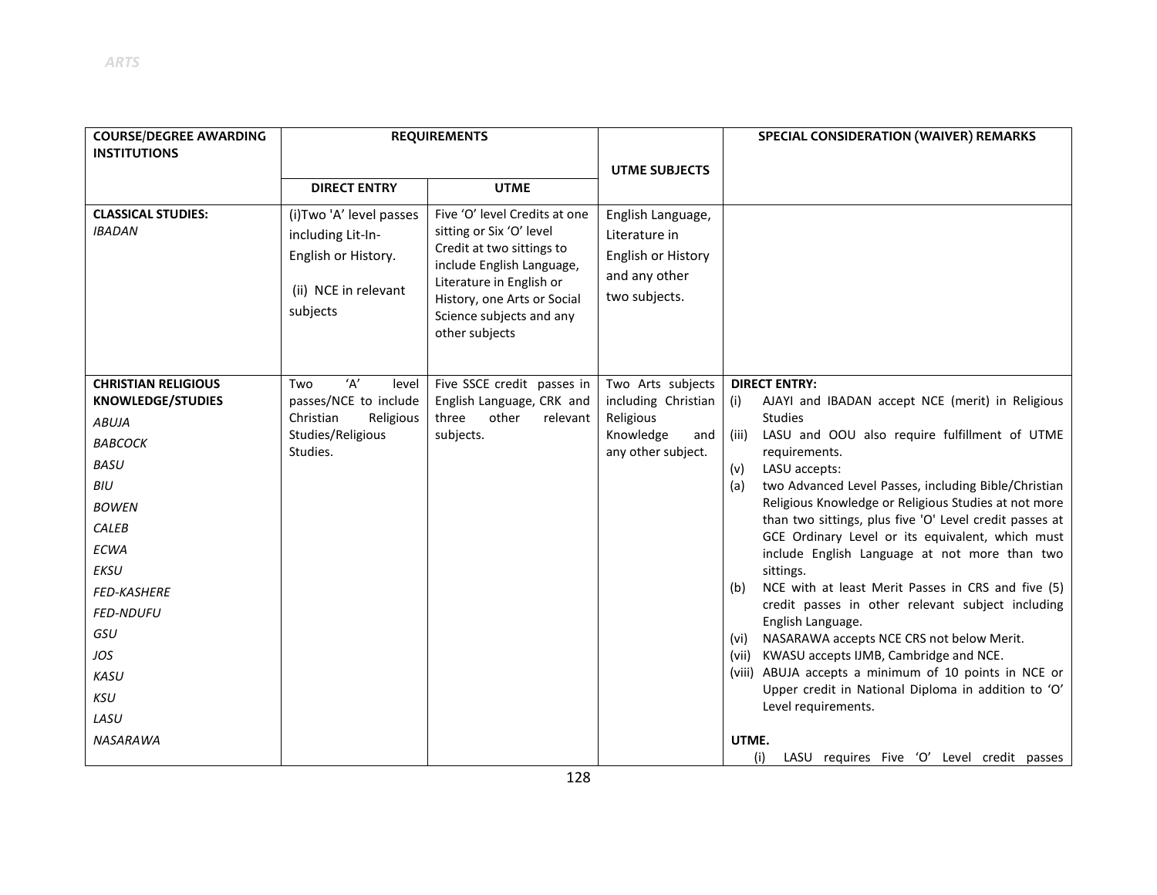| <b>UTME SUBJECTS</b><br><b>UTME</b><br><b>DIRECT ENTRY</b><br><b>CLASSICAL STUDIES:</b><br>(i) Two 'A' level passes<br>Five 'O' level Credits at one<br>English Language,<br><b>IBADAN</b><br>sitting or Six 'O' level<br>including Lit-In-<br>Literature in<br>Credit at two sittings to<br>English or History.<br>English or History<br>include English Language,<br>and any other<br>Literature in English or<br>(ii) NCE in relevant<br>two subjects.<br>History, one Arts or Social<br>subjects<br>Science subjects and any<br>other subjects<br>'А'<br>Five SSCE credit passes in<br>Two Arts subjects<br><b>DIRECT ENTRY:</b><br><b>CHRISTIAN RELIGIOUS</b><br>level<br>Two<br>passes/NCE to include<br>English Language, CRK and<br>including Christian<br><b>KNOWLEDGE/STUDIES</b><br>(i)<br>Christian<br>Religious<br>three<br>other<br>relevant<br>Religious<br><b>Studies</b><br><b>ABUJA</b><br>Studies/Religious<br>subjects.<br>Knowledge<br>(iii)<br>and<br>ВАВСОСК<br>Studies.<br>any other subject.<br>requirements.<br><b>BASU</b><br>(v)<br>LASU accepts:<br>BIU<br>(a)<br><b>BOWEN</b><br>CALEB<br><b>ECWA</b><br>EKSU<br>sittings.<br>(b)<br><b>FED-KASHERE</b><br><b>FED-NDUFU</b><br>English Language.<br>GSU<br>NASARAWA accepts NCE CRS not below Merit.<br>(vi)<br>(vii) KWASU accepts IJMB, Cambridge and NCE.<br>JOS<br><b>KASU</b><br><b>KSU</b> | <b>COURSE/DEGREE AWARDING</b><br><b>INSTITUTIONS</b> | <b>REQUIREMENTS</b> |  | SPECIAL CONSIDERATION (WAIVER) REMARKS                                                                                                                                                                                                                                                                                                                                                                                                                                                                                                                                                                                              |
|--------------------------------------------------------------------------------------------------------------------------------------------------------------------------------------------------------------------------------------------------------------------------------------------------------------------------------------------------------------------------------------------------------------------------------------------------------------------------------------------------------------------------------------------------------------------------------------------------------------------------------------------------------------------------------------------------------------------------------------------------------------------------------------------------------------------------------------------------------------------------------------------------------------------------------------------------------------------------------------------------------------------------------------------------------------------------------------------------------------------------------------------------------------------------------------------------------------------------------------------------------------------------------------------------------------------------------------------------------------------------------|------------------------------------------------------|---------------------|--|-------------------------------------------------------------------------------------------------------------------------------------------------------------------------------------------------------------------------------------------------------------------------------------------------------------------------------------------------------------------------------------------------------------------------------------------------------------------------------------------------------------------------------------------------------------------------------------------------------------------------------------|
|                                                                                                                                                                                                                                                                                                                                                                                                                                                                                                                                                                                                                                                                                                                                                                                                                                                                                                                                                                                                                                                                                                                                                                                                                                                                                                                                                                                |                                                      |                     |  |                                                                                                                                                                                                                                                                                                                                                                                                                                                                                                                                                                                                                                     |
|                                                                                                                                                                                                                                                                                                                                                                                                                                                                                                                                                                                                                                                                                                                                                                                                                                                                                                                                                                                                                                                                                                                                                                                                                                                                                                                                                                                |                                                      |                     |  |                                                                                                                                                                                                                                                                                                                                                                                                                                                                                                                                                                                                                                     |
|                                                                                                                                                                                                                                                                                                                                                                                                                                                                                                                                                                                                                                                                                                                                                                                                                                                                                                                                                                                                                                                                                                                                                                                                                                                                                                                                                                                |                                                      |                     |  |                                                                                                                                                                                                                                                                                                                                                                                                                                                                                                                                                                                                                                     |
| LASU<br><b>NASARAWA</b><br>UTME.                                                                                                                                                                                                                                                                                                                                                                                                                                                                                                                                                                                                                                                                                                                                                                                                                                                                                                                                                                                                                                                                                                                                                                                                                                                                                                                                               |                                                      |                     |  | AJAYI and IBADAN accept NCE (merit) in Religious<br>LASU and OOU also require fulfillment of UTME<br>two Advanced Level Passes, including Bible/Christian<br>Religious Knowledge or Religious Studies at not more<br>than two sittings, plus five 'O' Level credit passes at<br>GCE Ordinary Level or its equivalent, which must<br>include English Language at not more than two<br>NCE with at least Merit Passes in CRS and five (5)<br>credit passes in other relevant subject including<br>(viii) ABUJA accepts a minimum of 10 points in NCE or<br>Upper credit in National Diploma in addition to 'O'<br>Level requirements. |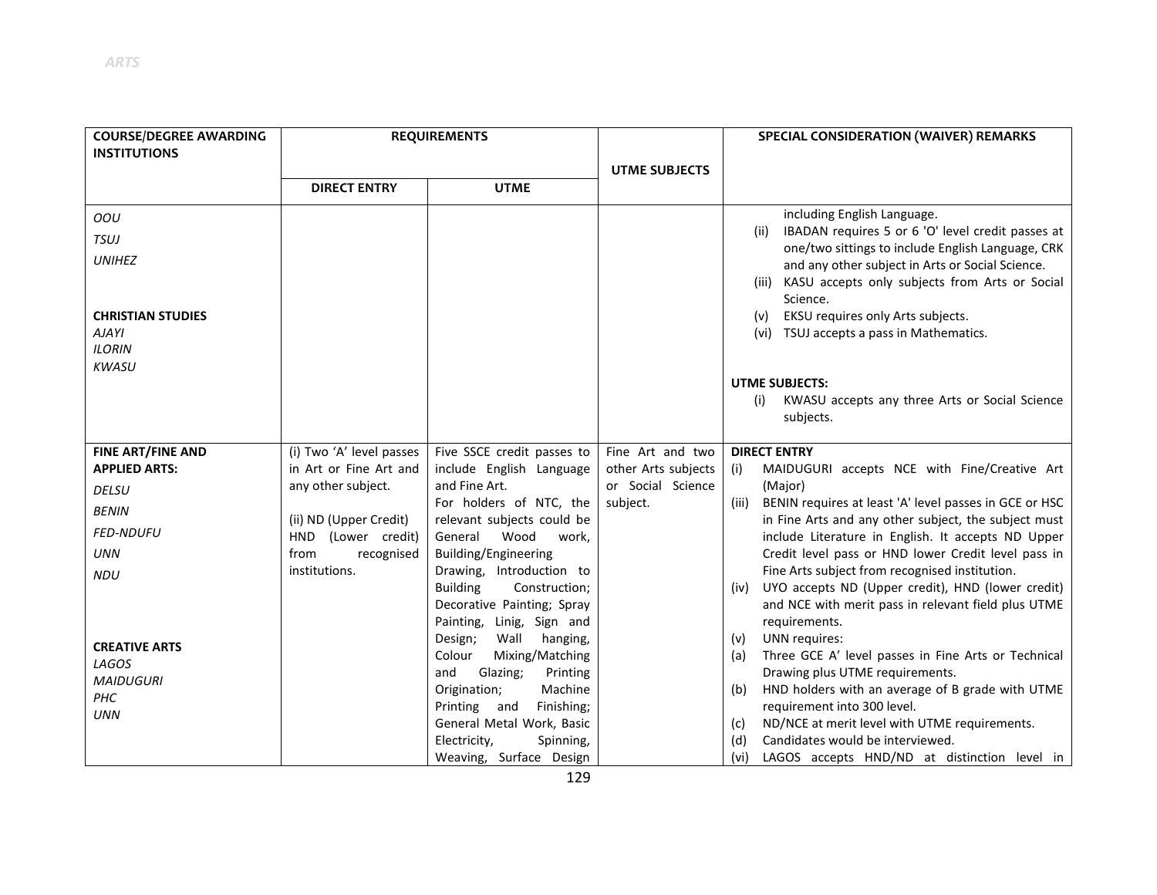| <b>COURSE/DEGREE AWARDING</b><br><b>REQUIREMENTS</b><br><b>INSTITUTIONS</b> |                          |                                                          |                      | SPECIAL CONSIDERATION (WAIVER) REMARKS                                                                                  |
|-----------------------------------------------------------------------------|--------------------------|----------------------------------------------------------|----------------------|-------------------------------------------------------------------------------------------------------------------------|
|                                                                             |                          |                                                          | <b>UTME SUBJECTS</b> |                                                                                                                         |
|                                                                             | <b>DIRECT ENTRY</b>      | <b>UTME</b>                                              |                      |                                                                                                                         |
| OOU                                                                         |                          |                                                          |                      | including English Language.                                                                                             |
| <b>TSUJ</b>                                                                 |                          |                                                          |                      | IBADAN requires 5 or 6 'O' level credit passes at<br>(ii)<br>one/two sittings to include English Language, CRK          |
| <b>UNIHEZ</b>                                                               |                          |                                                          |                      | and any other subject in Arts or Social Science.                                                                        |
|                                                                             |                          |                                                          |                      | KASU accepts only subjects from Arts or Social<br>(iii)                                                                 |
|                                                                             |                          |                                                          |                      | Science.                                                                                                                |
| <b>CHRISTIAN STUDIES</b>                                                    |                          |                                                          |                      | EKSU requires only Arts subjects.<br>(v)                                                                                |
| <b>AJAYI</b><br><b>ILORIN</b>                                               |                          |                                                          |                      | (vi) TSUJ accepts a pass in Mathematics.                                                                                |
| <b>KWASU</b>                                                                |                          |                                                          |                      |                                                                                                                         |
|                                                                             |                          |                                                          |                      | <b>UTME SUBJECTS:</b>                                                                                                   |
|                                                                             |                          |                                                          |                      | KWASU accepts any three Arts or Social Science<br>(i)                                                                   |
|                                                                             |                          |                                                          |                      | subjects.                                                                                                               |
| <b>FINE ART/FINE AND</b>                                                    | (i) Two 'A' level passes | Five SSCE credit passes to                               | Fine Art and two     | <b>DIRECT ENTRY</b>                                                                                                     |
| <b>APPLIED ARTS:</b>                                                        | in Art or Fine Art and   | include English Language                                 | other Arts subjects  | (i)<br>MAIDUGURI accepts NCE with Fine/Creative Art                                                                     |
| <b>DELSU</b>                                                                | any other subject.       | and Fine Art.                                            | or Social Science    | (Major)                                                                                                                 |
| <b>BENIN</b>                                                                | (ii) ND (Upper Credit)   | For holders of NTC, the<br>relevant subjects could be    | subject.             | BENIN requires at least 'A' level passes in GCE or HSC<br>(iii)<br>in Fine Arts and any other subject, the subject must |
| <b>FED-NDUFU</b>                                                            | HND (Lower credit)       | Wood<br>General<br>work,                                 |                      | include Literature in English. It accepts ND Upper                                                                      |
| <b>UNN</b>                                                                  | from<br>recognised       | Building/Engineering                                     |                      | Credit level pass or HND lower Credit level pass in                                                                     |
| <b>NDU</b>                                                                  | institutions.            | Drawing, Introduction to                                 |                      | Fine Arts subject from recognised institution.                                                                          |
|                                                                             |                          | <b>Building</b><br>Construction;                         |                      | (iv) UYO accepts ND (Upper credit), HND (lower credit)                                                                  |
|                                                                             |                          | Decorative Painting; Spray                               |                      | and NCE with merit pass in relevant field plus UTME                                                                     |
|                                                                             |                          | Painting, Linig, Sign and<br>Design;<br>Wall<br>hanging, |                      | requirements.<br>UNN requires:<br>(v)                                                                                   |
| <b>CREATIVE ARTS</b>                                                        |                          | Colour<br>Mixing/Matching                                |                      | Three GCE A' level passes in Fine Arts or Technical<br>(a)                                                              |
| LAGOS                                                                       |                          | and<br>Glazing;<br>Printing                              |                      | Drawing plus UTME requirements.                                                                                         |
| <b>MAIDUGURI</b><br>PHC                                                     |                          | Machine<br>Origination;                                  |                      | HND holders with an average of B grade with UTME<br>(b)                                                                 |
| <b>UNN</b>                                                                  |                          | Finishing;<br>Printing and                               |                      | requirement into 300 level.                                                                                             |
|                                                                             |                          | General Metal Work, Basic                                |                      | ND/NCE at merit level with UTME requirements.<br>(c)                                                                    |
|                                                                             |                          | Electricity,<br>Spinning,                                |                      | Candidates would be interviewed.<br>(d)                                                                                 |
|                                                                             |                          | Weaving, Surface Design                                  |                      | LAGOS accepts HND/ND at distinction level in<br>(vi)                                                                    |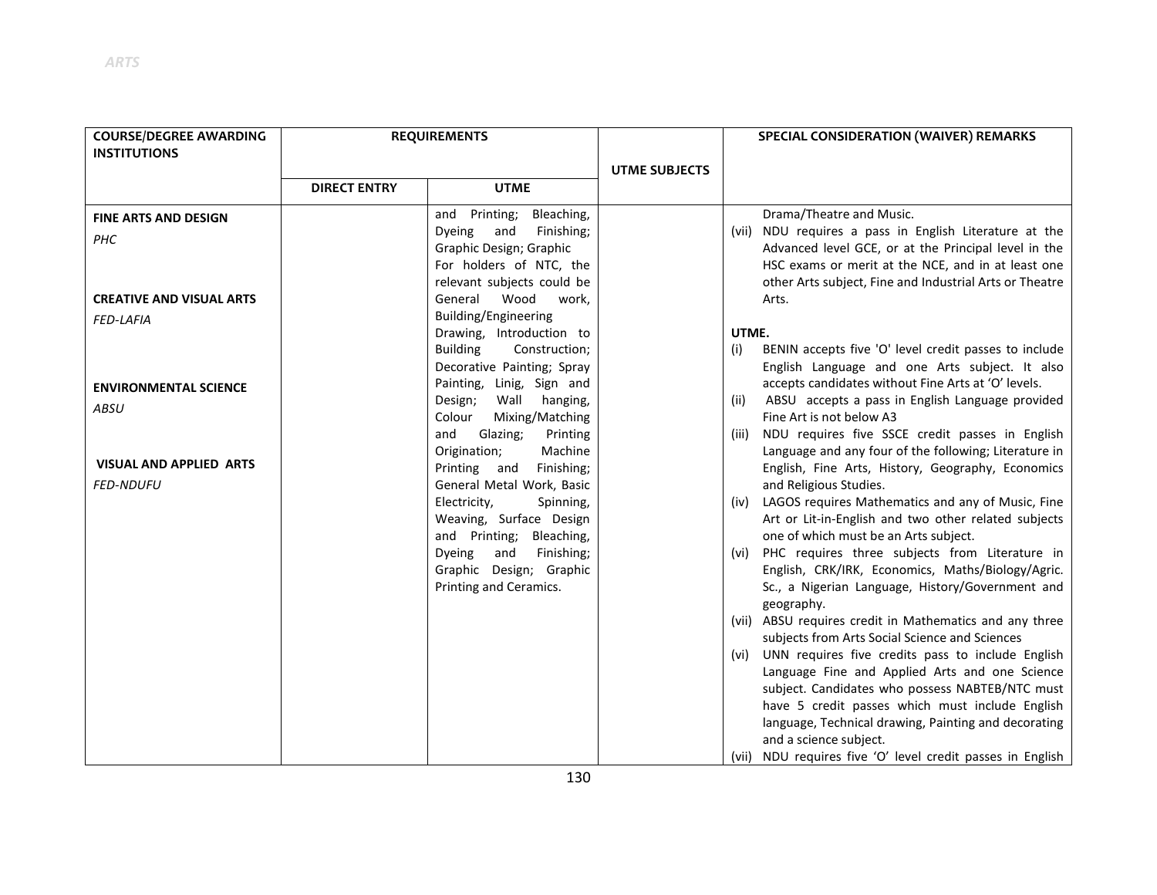| <b>COURSE/DEGREE AWARDING</b>   |                     | <b>REQUIREMENTS</b>                |                      |       | SPECIAL CONSIDERATION (WAIVER) REMARKS                     |
|---------------------------------|---------------------|------------------------------------|----------------------|-------|------------------------------------------------------------|
| <b>INSTITUTIONS</b>             |                     |                                    |                      |       |                                                            |
|                                 |                     |                                    | <b>UTME SUBJECTS</b> |       |                                                            |
|                                 | <b>DIRECT ENTRY</b> | <b>UTME</b>                        |                      |       |                                                            |
| <b>FINE ARTS AND DESIGN</b>     |                     | and Printing;<br>Bleaching,        |                      |       | Drama/Theatre and Music.                                   |
| PHC                             |                     | Finishing;<br><b>Dyeing</b><br>and |                      |       | (vii) NDU requires a pass in English Literature at the     |
|                                 |                     | Graphic Design; Graphic            |                      |       | Advanced level GCE, or at the Principal level in the       |
|                                 |                     | For holders of NTC, the            |                      |       | HSC exams or merit at the NCE, and in at least one         |
|                                 |                     | relevant subjects could be         |                      |       | other Arts subject, Fine and Industrial Arts or Theatre    |
| <b>CREATIVE AND VISUAL ARTS</b> |                     | Wood<br>General<br>work,           |                      |       | Arts.                                                      |
| <b>FED-LAFIA</b>                |                     | Building/Engineering               |                      |       |                                                            |
|                                 |                     | Drawing, Introduction to           |                      | UTME. |                                                            |
|                                 |                     | <b>Building</b><br>Construction;   |                      | (i)   | BENIN accepts five 'O' level credit passes to include      |
|                                 |                     | Decorative Painting; Spray         |                      |       | English Language and one Arts subject. It also             |
| <b>ENVIRONMENTAL SCIENCE</b>    |                     | Painting, Linig, Sign and          |                      |       | accepts candidates without Fine Arts at 'O' levels.        |
| ABSU                            |                     | Design;<br>Wall<br>hanging,        |                      | (ii)  | ABSU accepts a pass in English Language provided           |
|                                 |                     | Colour<br>Mixing/Matching          |                      |       | Fine Art is not below A3                                   |
|                                 |                     | and<br>Glazing;<br>Printing        |                      | (iii) | NDU requires five SSCE credit passes in English            |
|                                 |                     | Origination;<br>Machine            |                      |       | Language and any four of the following; Literature in      |
| <b>VISUAL AND APPLIED ARTS</b>  |                     | Printing and<br>Finishing;         |                      |       | English, Fine Arts, History, Geography, Economics          |
| <b>FED-NDUFU</b>                |                     | General Metal Work, Basic          |                      |       | and Religious Studies.                                     |
|                                 |                     | Electricity,<br>Spinning,          |                      |       | (iv) LAGOS requires Mathematics and any of Music, Fine     |
|                                 |                     | Weaving, Surface Design            |                      |       | Art or Lit-in-English and two other related subjects       |
|                                 |                     | and Printing;<br>Bleaching,        |                      |       | one of which must be an Arts subject.                      |
|                                 |                     | <b>Dyeing</b><br>and<br>Finishing; |                      |       | (vi) PHC requires three subjects from Literature in        |
|                                 |                     | Graphic Design; Graphic            |                      |       | English, CRK/IRK, Economics, Maths/Biology/Agric.          |
|                                 |                     | Printing and Ceramics.             |                      |       | Sc., a Nigerian Language, History/Government and           |
|                                 |                     |                                    |                      |       | geography.                                                 |
|                                 |                     |                                    |                      |       | (vii) ABSU requires credit in Mathematics and any three    |
|                                 |                     |                                    |                      |       | subjects from Arts Social Science and Sciences             |
|                                 |                     |                                    |                      |       | (vi) UNN requires five credits pass to include English     |
|                                 |                     |                                    |                      |       | Language Fine and Applied Arts and one Science             |
|                                 |                     |                                    |                      |       | subject. Candidates who possess NABTEB/NTC must            |
|                                 |                     |                                    |                      |       | have 5 credit passes which must include English            |
|                                 |                     |                                    |                      |       | language, Technical drawing, Painting and decorating       |
|                                 |                     |                                    |                      |       | and a science subject.                                     |
|                                 |                     |                                    |                      |       | (vii) NDU requires five 'O' level credit passes in English |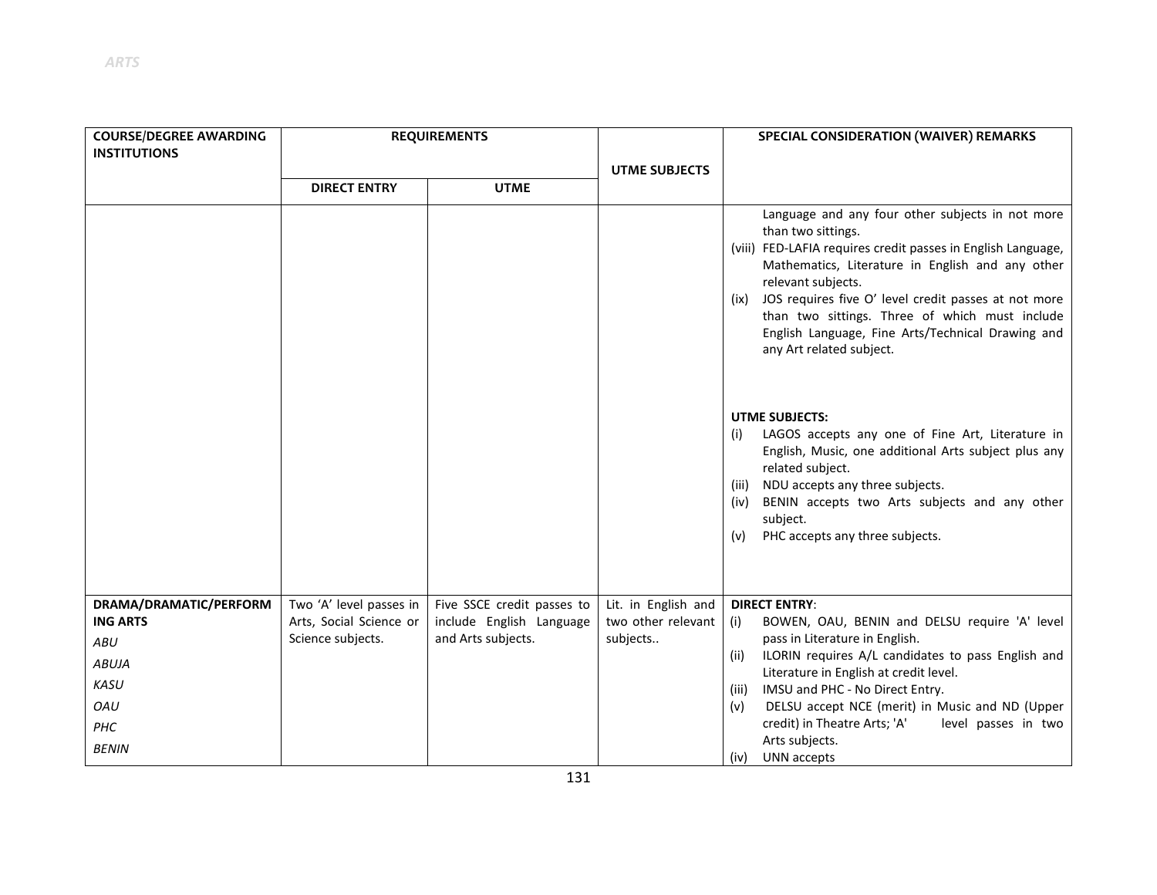| <b>COURSE/DEGREE AWARDING</b> | <b>REQUIREMENTS</b>                          |                                                |                                | SPECIAL CONSIDERATION (WAIVER) REMARKS                                                                                                                                                                                                                                                                                                                                                                              |  |
|-------------------------------|----------------------------------------------|------------------------------------------------|--------------------------------|---------------------------------------------------------------------------------------------------------------------------------------------------------------------------------------------------------------------------------------------------------------------------------------------------------------------------------------------------------------------------------------------------------------------|--|
| <b>INSTITUTIONS</b>           |                                              |                                                |                                |                                                                                                                                                                                                                                                                                                                                                                                                                     |  |
|                               | <b>DIRECT ENTRY</b>                          | <b>UTME</b>                                    | <b>UTME SUBJECTS</b>           |                                                                                                                                                                                                                                                                                                                                                                                                                     |  |
|                               |                                              |                                                |                                |                                                                                                                                                                                                                                                                                                                                                                                                                     |  |
|                               |                                              |                                                |                                | Language and any four other subjects in not more<br>than two sittings.<br>(viii) FED-LAFIA requires credit passes in English Language,<br>Mathematics, Literature in English and any other<br>relevant subjects.<br>JOS requires five O' level credit passes at not more<br>(ix)<br>than two sittings. Three of which must include<br>English Language, Fine Arts/Technical Drawing and<br>any Art related subject. |  |
|                               |                                              |                                                |                                | <b>UTME SUBJECTS:</b><br>LAGOS accepts any one of Fine Art, Literature in<br>(i)<br>English, Music, one additional Arts subject plus any<br>related subject.<br>NDU accepts any three subjects.<br>(iii)<br>BENIN accepts two Arts subjects and any other<br>(iv)<br>subject.<br>PHC accepts any three subjects.<br>(v)                                                                                             |  |
| DRAMA/DRAMATIC/PERFORM        | Two 'A' level passes in                      | Five SSCE credit passes to                     | Lit. in English and            | <b>DIRECT ENTRY:</b>                                                                                                                                                                                                                                                                                                                                                                                                |  |
| <b>ING ARTS</b>               | Arts, Social Science or<br>Science subjects. | include English Language<br>and Arts subjects. | two other relevant<br>subjects | BOWEN, OAU, BENIN and DELSU require 'A' level<br>(i)<br>pass in Literature in English.                                                                                                                                                                                                                                                                                                                              |  |
| ABU                           |                                              |                                                |                                | ILORIN requires A/L candidates to pass English and<br>(ii)                                                                                                                                                                                                                                                                                                                                                          |  |
| <b>ABUJA</b>                  |                                              |                                                |                                | Literature in English at credit level.                                                                                                                                                                                                                                                                                                                                                                              |  |
| <b>KASU</b>                   |                                              |                                                |                                | IMSU and PHC - No Direct Entry.<br>(iii)                                                                                                                                                                                                                                                                                                                                                                            |  |
| OAU                           |                                              |                                                |                                | DELSU accept NCE (merit) in Music and ND (Upper<br>(v)                                                                                                                                                                                                                                                                                                                                                              |  |
| PHC                           |                                              |                                                |                                | credit) in Theatre Arts; 'A'<br>level passes in two                                                                                                                                                                                                                                                                                                                                                                 |  |
| <b>BENIN</b>                  |                                              |                                                |                                | Arts subjects.<br>UNN accepts<br>(iv)                                                                                                                                                                                                                                                                                                                                                                               |  |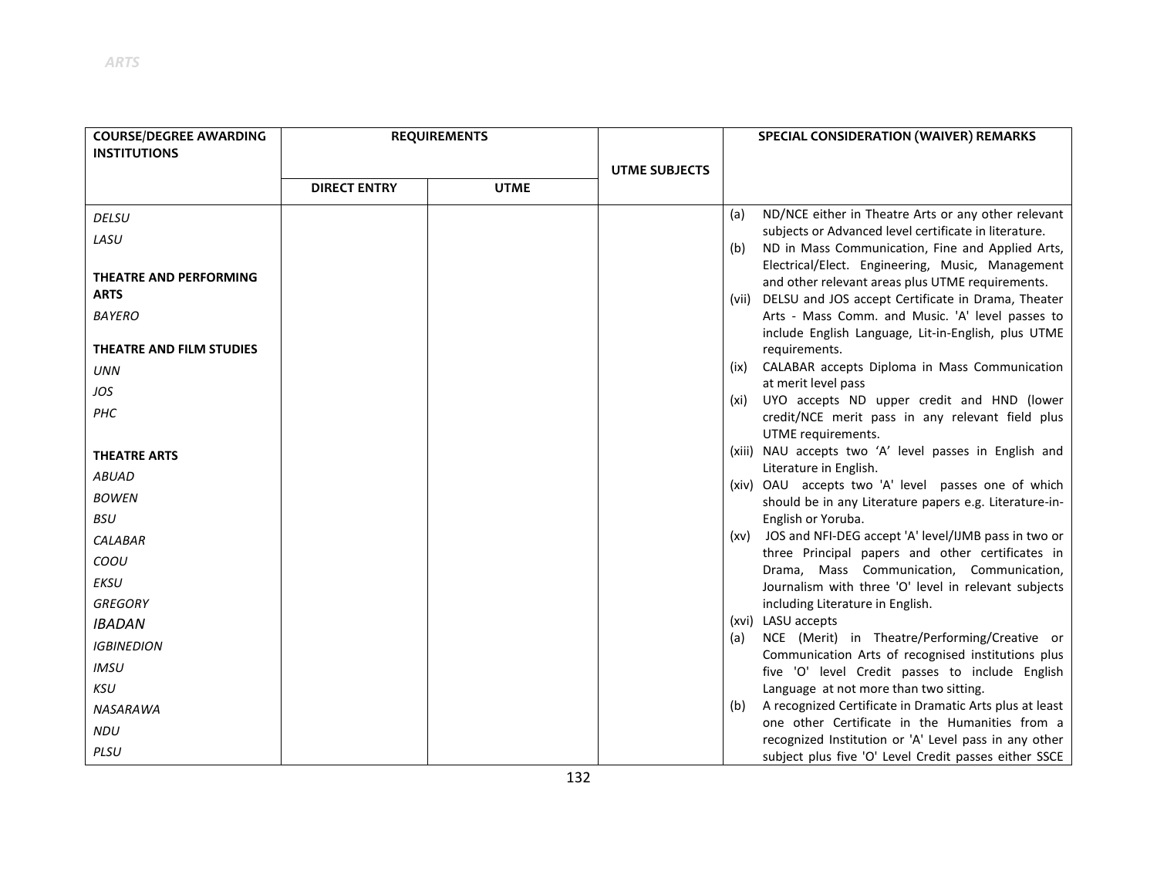| <b>COURSE/DEGREE AWARDING</b> | <b>REQUIREMENTS</b> |             |                      |      | SPECIAL CONSIDERATION (WAIVER) REMARKS                                                                |
|-------------------------------|---------------------|-------------|----------------------|------|-------------------------------------------------------------------------------------------------------|
| <b>INSTITUTIONS</b>           |                     |             |                      |      |                                                                                                       |
|                               |                     |             | <b>UTME SUBJECTS</b> |      |                                                                                                       |
|                               | <b>DIRECT ENTRY</b> | <b>UTME</b> |                      |      |                                                                                                       |
| <b>DELSU</b>                  |                     |             |                      | (a)  | ND/NCE either in Theatre Arts or any other relevant                                                   |
| LASU                          |                     |             |                      |      | subjects or Advanced level certificate in literature.                                                 |
|                               |                     |             |                      | (b)  | ND in Mass Communication, Fine and Applied Arts,                                                      |
| <b>THEATRE AND PERFORMING</b> |                     |             |                      |      | Electrical/Elect. Engineering, Music, Management<br>and other relevant areas plus UTME requirements.  |
| <b>ARTS</b>                   |                     |             |                      |      | (vii) DELSU and JOS accept Certificate in Drama, Theater                                              |
| <b>BAYERO</b>                 |                     |             |                      |      | Arts - Mass Comm. and Music. 'A' level passes to                                                      |
|                               |                     |             |                      |      | include English Language, Lit-in-English, plus UTME                                                   |
| THEATRE AND FILM STUDIES      |                     |             |                      |      | requirements.                                                                                         |
| UNN                           |                     |             |                      | (ix) | CALABAR accepts Diploma in Mass Communication                                                         |
| JOS                           |                     |             |                      | (xi) | at merit level pass<br>UYO accepts ND upper credit and HND (lower                                     |
| PHC                           |                     |             |                      |      | credit/NCE merit pass in any relevant field plus                                                      |
|                               |                     |             |                      |      | UTME requirements.                                                                                    |
| <b>THEATRE ARTS</b>           |                     |             |                      |      | (xiii) NAU accepts two 'A' level passes in English and                                                |
| <b>ABUAD</b>                  |                     |             |                      |      | Literature in English.<br>(xiv) OAU accepts two 'A' level passes one of which                         |
| <b>BOWEN</b>                  |                     |             |                      |      | should be in any Literature papers e.g. Literature-in-                                                |
| <b>BSU</b>                    |                     |             |                      |      | English or Yoruba.                                                                                    |
| <b>CALABAR</b>                |                     |             |                      |      | (xv) JOS and NFI-DEG accept 'A' level/IJMB pass in two or                                             |
| COOU                          |                     |             |                      |      | three Principal papers and other certificates in                                                      |
| <b>EKSU</b>                   |                     |             |                      |      | Drama, Mass Communication, Communication,<br>Journalism with three 'O' level in relevant subjects     |
| <b>GREGORY</b>                |                     |             |                      |      | including Literature in English.                                                                      |
| <b>IBADAN</b>                 |                     |             |                      |      | (xvi) LASU accepts                                                                                    |
| <b>IGBINEDION</b>             |                     |             |                      | (a)  | NCE (Merit) in Theatre/Performing/Creative or                                                         |
| <b>IMSU</b>                   |                     |             |                      |      | Communication Arts of recognised institutions plus<br>five 'O' level Credit passes to include English |
| <b>KSU</b>                    |                     |             |                      |      | Language at not more than two sitting.                                                                |
| <b>NASARAWA</b>               |                     |             |                      | (b)  | A recognized Certificate in Dramatic Arts plus at least                                               |
| <b>NDU</b>                    |                     |             |                      |      | one other Certificate in the Humanities from a                                                        |
|                               |                     |             |                      |      | recognized Institution or 'A' Level pass in any other                                                 |
| PLSU                          |                     |             |                      |      | subject plus five 'O' Level Credit passes either SSCE                                                 |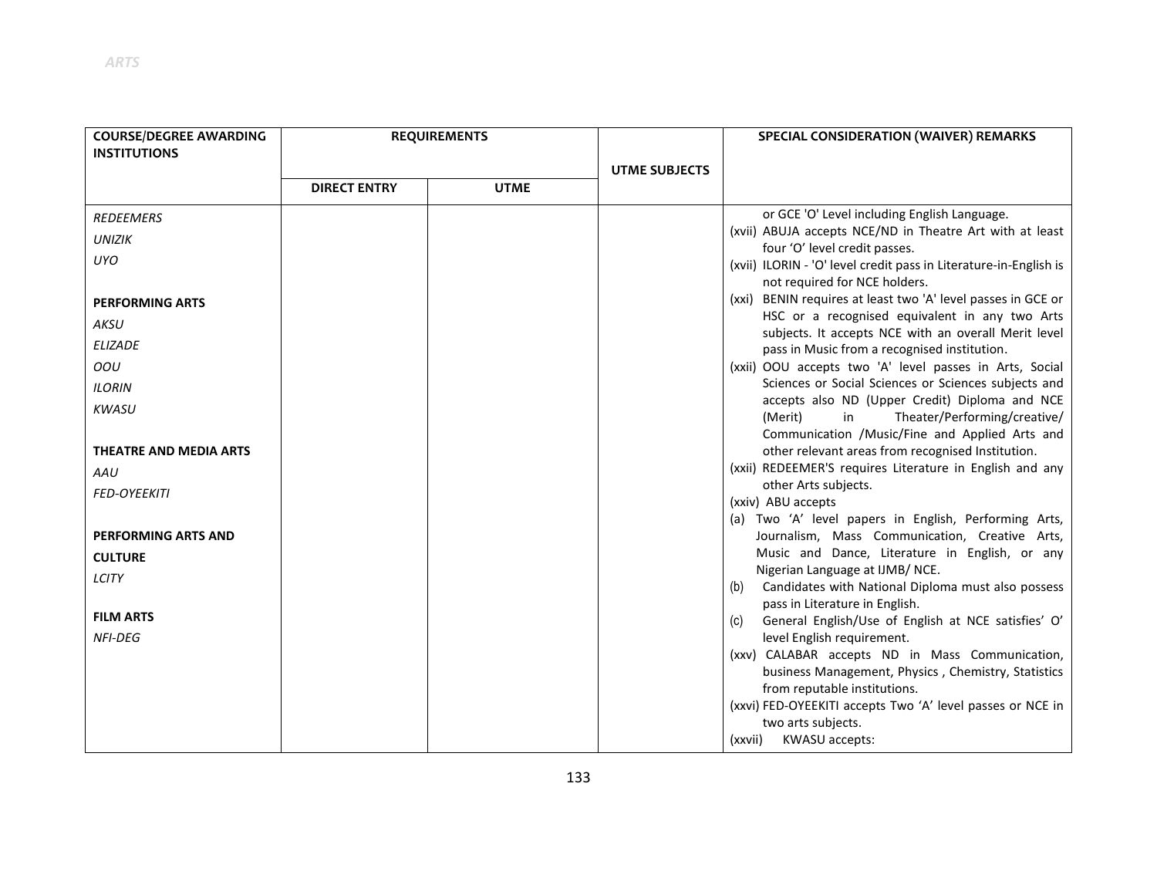| <b>COURSE/DEGREE AWARDING</b> | <b>REQUIREMENTS</b> |             |                      | SPECIAL CONSIDERATION (WAIVER) REMARKS                                                                  |  |
|-------------------------------|---------------------|-------------|----------------------|---------------------------------------------------------------------------------------------------------|--|
| <b>INSTITUTIONS</b>           |                     |             |                      |                                                                                                         |  |
|                               |                     |             | <b>UTME SUBJECTS</b> |                                                                                                         |  |
|                               | <b>DIRECT ENTRY</b> | <b>UTME</b> |                      |                                                                                                         |  |
| <b>REDEEMERS</b>              |                     |             |                      | or GCE 'O' Level including English Language.                                                            |  |
| <b>UNIZIK</b>                 |                     |             |                      | (xvii) ABUJA accepts NCE/ND in Theatre Art with at least<br>four 'O' level credit passes.               |  |
| <b>UYO</b>                    |                     |             |                      | (xvii) ILORIN - 'O' level credit pass in Literature-in-English is                                       |  |
|                               |                     |             |                      | not required for NCE holders.                                                                           |  |
| <b>PERFORMING ARTS</b>        |                     |             |                      | (xxi) BENIN requires at least two 'A' level passes in GCE or                                            |  |
| AKSU                          |                     |             |                      | HSC or a recognised equivalent in any two Arts<br>subjects. It accepts NCE with an overall Merit level  |  |
| <b>ELIZADE</b>                |                     |             |                      | pass in Music from a recognised institution.                                                            |  |
| OOU                           |                     |             |                      | (xxii) OOU accepts two 'A' level passes in Arts, Social                                                 |  |
| <b>ILORIN</b>                 |                     |             |                      | Sciences or Social Sciences or Sciences subjects and                                                    |  |
| <b>KWASU</b>                  |                     |             |                      | accepts also ND (Upper Credit) Diploma and NCE<br>(Merit)<br>Theater/Performing/creative/<br>in         |  |
|                               |                     |             |                      | Communication /Music/Fine and Applied Arts and                                                          |  |
| THEATRE AND MEDIA ARTS        |                     |             |                      | other relevant areas from recognised Institution.                                                       |  |
| AAU                           |                     |             |                      | (xxii) REDEEMER'S requires Literature in English and any                                                |  |
| <b>FED-OYEEKITI</b>           |                     |             |                      | other Arts subjects.                                                                                    |  |
|                               |                     |             |                      | (xxiv) ABU accepts                                                                                      |  |
| <b>PERFORMING ARTS AND</b>    |                     |             |                      | (a) Two 'A' level papers in English, Performing Arts,<br>Journalism, Mass Communication, Creative Arts, |  |
| <b>CULTURE</b>                |                     |             |                      | Music and Dance, Literature in English, or any                                                          |  |
| <b>LCITY</b>                  |                     |             |                      | Nigerian Language at IJMB/NCE.                                                                          |  |
|                               |                     |             |                      | Candidates with National Diploma must also possess<br>(b)                                               |  |
| <b>FILM ARTS</b>              |                     |             |                      | pass in Literature in English.<br>General English/Use of English at NCE satisfies' O'<br>(c)            |  |
| <b>NFI-DEG</b>                |                     |             |                      | level English requirement.                                                                              |  |
|                               |                     |             |                      | (xxv) CALABAR accepts ND in Mass Communication,                                                         |  |
|                               |                     |             |                      | business Management, Physics, Chemistry, Statistics<br>from reputable institutions.                     |  |
|                               |                     |             |                      | (xxvi) FED-OYEEKITI accepts Two 'A' level passes or NCE in                                              |  |
|                               |                     |             |                      | two arts subjects.                                                                                      |  |
|                               |                     |             |                      | <b>KWASU accepts:</b><br>(xxvii)                                                                        |  |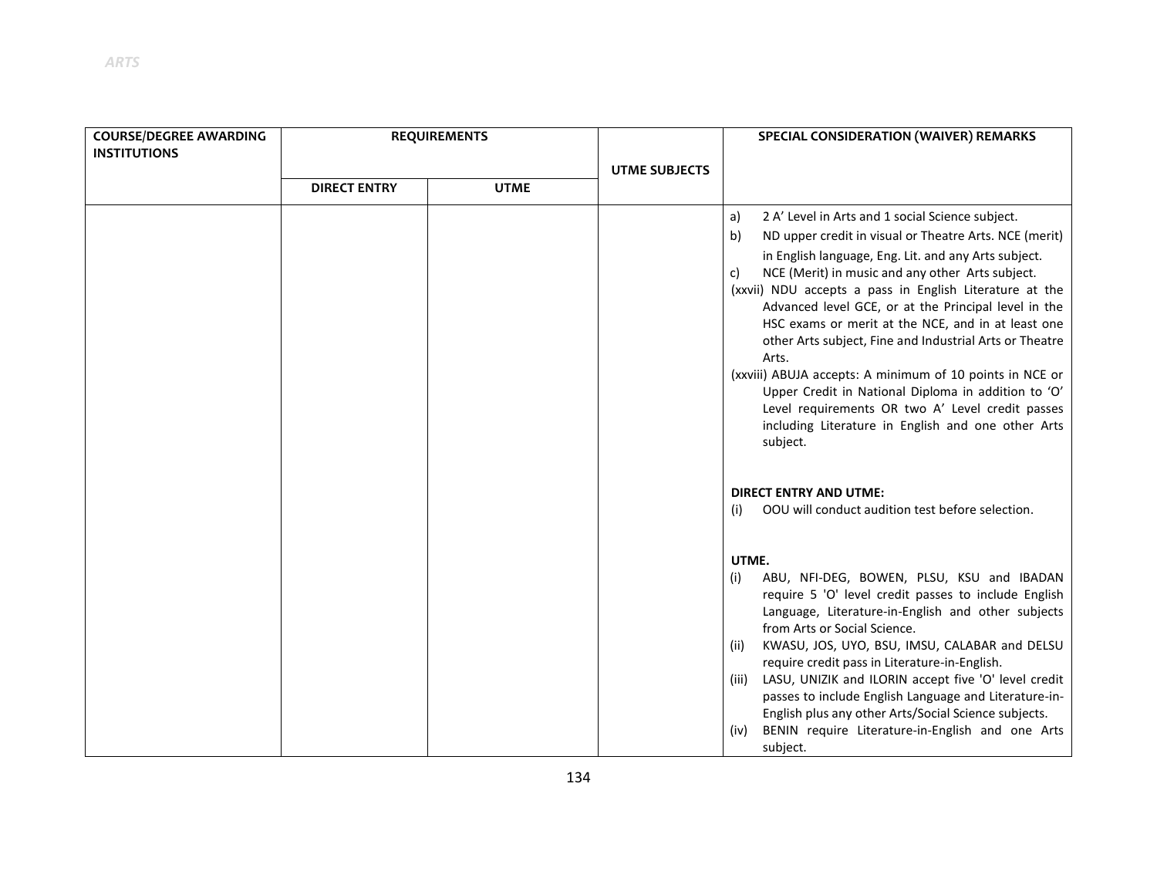| <b>COURSE/DEGREE AWARDING</b> | <b>REQUIREMENTS</b> |             |                      | <b>SPECIAL CONSIDERATION (WAIVER) REMARKS</b>                                                                                                                                                                                                                                                                                                                                                                                                                                                                                                                                                                                                                                                                                  |
|-------------------------------|---------------------|-------------|----------------------|--------------------------------------------------------------------------------------------------------------------------------------------------------------------------------------------------------------------------------------------------------------------------------------------------------------------------------------------------------------------------------------------------------------------------------------------------------------------------------------------------------------------------------------------------------------------------------------------------------------------------------------------------------------------------------------------------------------------------------|
| <b>INSTITUTIONS</b>           |                     |             |                      |                                                                                                                                                                                                                                                                                                                                                                                                                                                                                                                                                                                                                                                                                                                                |
|                               | <b>DIRECT ENTRY</b> | <b>UTME</b> | <b>UTME SUBJECTS</b> |                                                                                                                                                                                                                                                                                                                                                                                                                                                                                                                                                                                                                                                                                                                                |
|                               |                     |             |                      | 2 A' Level in Arts and 1 social Science subject.<br>a)<br>ND upper credit in visual or Theatre Arts. NCE (merit)<br>b)<br>in English language, Eng. Lit. and any Arts subject.<br>NCE (Merit) in music and any other Arts subject.<br>C)<br>(xxvii) NDU accepts a pass in English Literature at the<br>Advanced level GCE, or at the Principal level in the<br>HSC exams or merit at the NCE, and in at least one<br>other Arts subject, Fine and Industrial Arts or Theatre<br>Arts.<br>(xxviii) ABUJA accepts: A minimum of 10 points in NCE or<br>Upper Credit in National Diploma in addition to 'O'<br>Level requirements OR two A' Level credit passes<br>including Literature in English and one other Arts<br>subject. |
|                               |                     |             |                      | <b>DIRECT ENTRY AND UTME:</b><br>OOU will conduct audition test before selection.<br>(i)                                                                                                                                                                                                                                                                                                                                                                                                                                                                                                                                                                                                                                       |
|                               |                     |             |                      | UTME.<br>ABU, NFI-DEG, BOWEN, PLSU, KSU and IBADAN<br>(i)<br>require 5 'O' level credit passes to include English<br>Language, Literature-in-English and other subjects<br>from Arts or Social Science.<br>KWASU, JOS, UYO, BSU, IMSU, CALABAR and DELSU<br>(ii)<br>require credit pass in Literature-in-English.<br>LASU, UNIZIK and ILORIN accept five 'O' level credit<br>(iii)<br>passes to include English Language and Literature-in-<br>English plus any other Arts/Social Science subjects.<br>BENIN require Literature-in-English and one Arts<br>(iv)<br>subject.                                                                                                                                                    |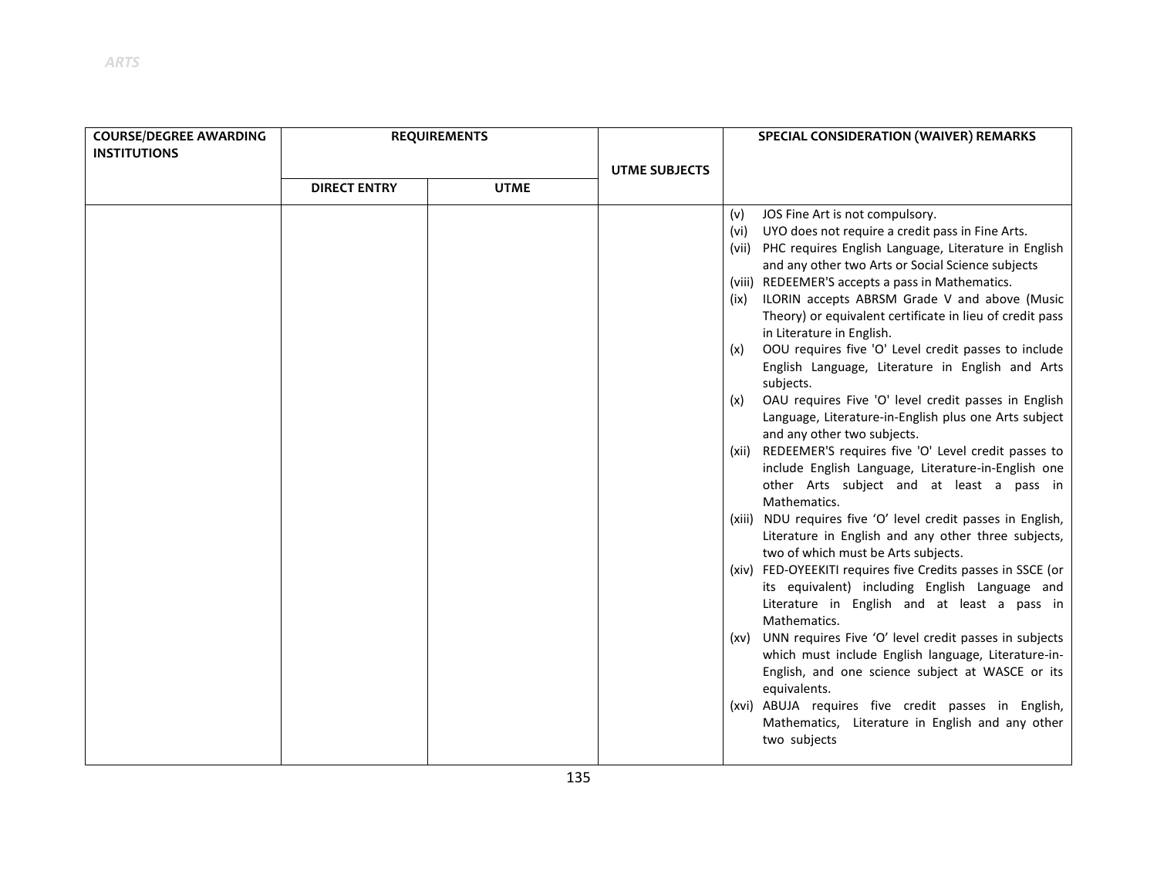| <b>COURSE/DEGREE AWARDING</b> |                     | <b>REQUIREMENTS</b> |                      | SPECIAL CONSIDERATION (WAIVER) REMARKS                                                                                                                                                                                                                                                                                                                                                                                                                                                                                                                                                                                                                                                                                                                                                                                                                                                                                                                                                                                                                                                                                                                                                                                                                                                                                                                               |
|-------------------------------|---------------------|---------------------|----------------------|----------------------------------------------------------------------------------------------------------------------------------------------------------------------------------------------------------------------------------------------------------------------------------------------------------------------------------------------------------------------------------------------------------------------------------------------------------------------------------------------------------------------------------------------------------------------------------------------------------------------------------------------------------------------------------------------------------------------------------------------------------------------------------------------------------------------------------------------------------------------------------------------------------------------------------------------------------------------------------------------------------------------------------------------------------------------------------------------------------------------------------------------------------------------------------------------------------------------------------------------------------------------------------------------------------------------------------------------------------------------|
| <b>INSTITUTIONS</b>           |                     |                     |                      |                                                                                                                                                                                                                                                                                                                                                                                                                                                                                                                                                                                                                                                                                                                                                                                                                                                                                                                                                                                                                                                                                                                                                                                                                                                                                                                                                                      |
|                               |                     |                     |                      |                                                                                                                                                                                                                                                                                                                                                                                                                                                                                                                                                                                                                                                                                                                                                                                                                                                                                                                                                                                                                                                                                                                                                                                                                                                                                                                                                                      |
|                               |                     |                     |                      |                                                                                                                                                                                                                                                                                                                                                                                                                                                                                                                                                                                                                                                                                                                                                                                                                                                                                                                                                                                                                                                                                                                                                                                                                                                                                                                                                                      |
|                               | <b>DIRECT ENTRY</b> | <b>UTME</b>         | <b>UTME SUBJECTS</b> | JOS Fine Art is not compulsory.<br>(v)<br>UYO does not require a credit pass in Fine Arts.<br>(vi)<br>(vii) PHC requires English Language, Literature in English<br>and any other two Arts or Social Science subjects<br>(viii) REDEEMER'S accepts a pass in Mathematics.<br>(ix) ILORIN accepts ABRSM Grade V and above (Music<br>Theory) or equivalent certificate in lieu of credit pass<br>in Literature in English.<br>OOU requires five 'O' Level credit passes to include<br>(x)<br>English Language, Literature in English and Arts<br>subjects.<br>OAU requires Five 'O' level credit passes in English<br>(x)<br>Language, Literature-in-English plus one Arts subject<br>and any other two subjects.<br>(xii) REDEEMER'S requires five 'O' Level credit passes to<br>include English Language, Literature-in-English one<br>other Arts subject and at least a pass in<br>Mathematics.<br>(xiii) NDU requires five 'O' level credit passes in English,<br>Literature in English and any other three subjects,<br>two of which must be Arts subjects.<br>(xiv) FED-OYEEKITI requires five Credits passes in SSCE (or<br>its equivalent) including English Language and<br>Literature in English and at least a pass in<br>Mathematics.<br>(xv) UNN requires Five 'O' level credit passes in subjects<br>which must include English language, Literature-in- |
|                               |                     |                     |                      | English, and one science subject at WASCE or its<br>equivalents.                                                                                                                                                                                                                                                                                                                                                                                                                                                                                                                                                                                                                                                                                                                                                                                                                                                                                                                                                                                                                                                                                                                                                                                                                                                                                                     |
|                               |                     |                     |                      | (xvi) ABUJA requires five credit passes in English,<br>Mathematics, Literature in English and any other<br>two subjects                                                                                                                                                                                                                                                                                                                                                                                                                                                                                                                                                                                                                                                                                                                                                                                                                                                                                                                                                                                                                                                                                                                                                                                                                                              |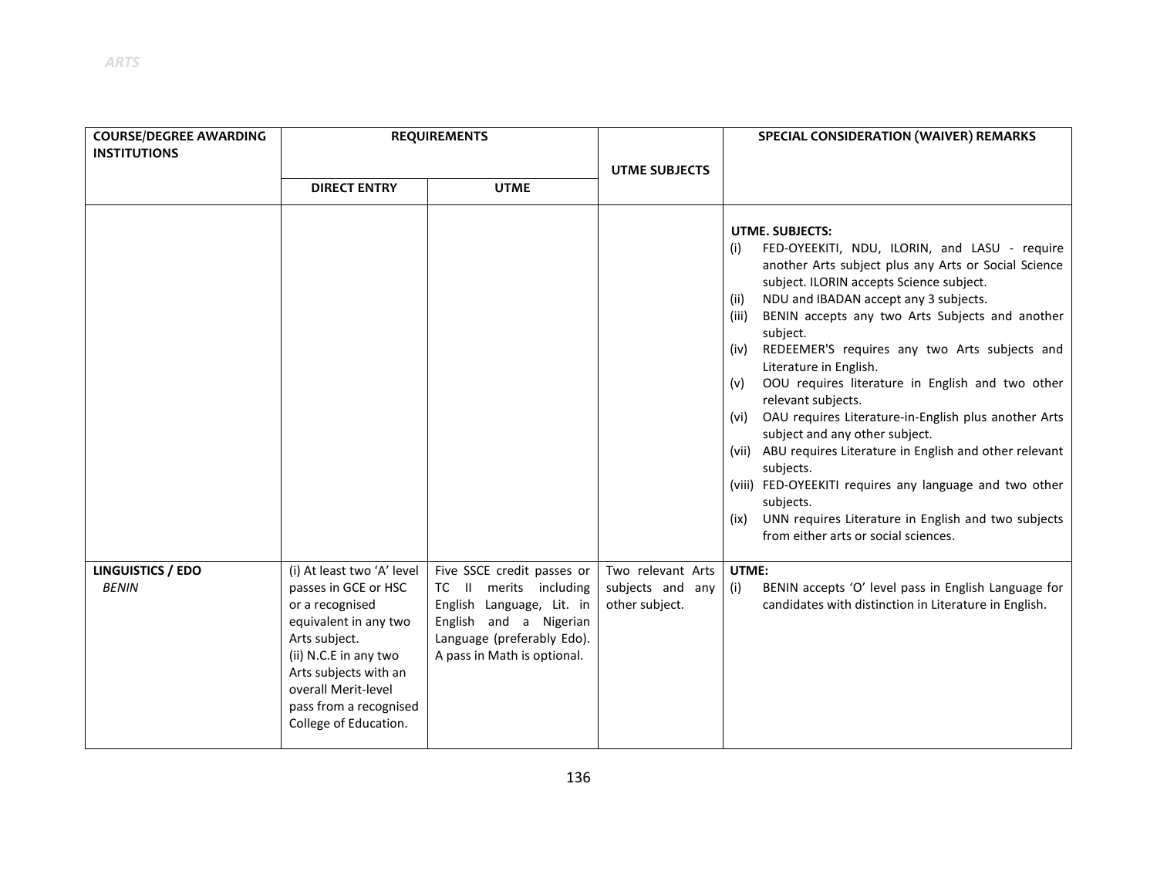| <b>COURSE/DEGREE AWARDING</b><br><b>INSTITUTIONS</b> | <b>REQUIREMENTS</b>                                                                                                                                                                                                                         |                                                                                                                                                                          |                                                         | SPECIAL CONSIDERATION (WAIVER) REMARKS                                                                                                                                                                                                                                                                                                                                                                                                                                                                                                                                                                                                                                                                                                                                                                                                       |
|------------------------------------------------------|---------------------------------------------------------------------------------------------------------------------------------------------------------------------------------------------------------------------------------------------|--------------------------------------------------------------------------------------------------------------------------------------------------------------------------|---------------------------------------------------------|----------------------------------------------------------------------------------------------------------------------------------------------------------------------------------------------------------------------------------------------------------------------------------------------------------------------------------------------------------------------------------------------------------------------------------------------------------------------------------------------------------------------------------------------------------------------------------------------------------------------------------------------------------------------------------------------------------------------------------------------------------------------------------------------------------------------------------------------|
|                                                      |                                                                                                                                                                                                                                             |                                                                                                                                                                          | <b>UTME SUBJECTS</b>                                    |                                                                                                                                                                                                                                                                                                                                                                                                                                                                                                                                                                                                                                                                                                                                                                                                                                              |
|                                                      | <b>DIRECT ENTRY</b>                                                                                                                                                                                                                         | <b>UTME</b>                                                                                                                                                              |                                                         |                                                                                                                                                                                                                                                                                                                                                                                                                                                                                                                                                                                                                                                                                                                                                                                                                                              |
|                                                      |                                                                                                                                                                                                                                             |                                                                                                                                                                          |                                                         | <b>UTME. SUBJECTS:</b><br>FED-OYEEKITI, NDU, ILORIN, and LASU - require<br>(i)<br>another Arts subject plus any Arts or Social Science<br>subject. ILORIN accepts Science subject.<br>NDU and IBADAN accept any 3 subjects.<br>(ii)<br>BENIN accepts any two Arts Subjects and another<br>(iii)<br>subject.<br>REDEEMER'S requires any two Arts subjects and<br>(iv)<br>Literature in English.<br>OOU requires literature in English and two other<br>(v)<br>relevant subjects.<br>OAU requires Literature-in-English plus another Arts<br>(vi)<br>subject and any other subject.<br>(vii) ABU requires Literature in English and other relevant<br>subjects.<br>(viii) FED-OYEEKITI requires any language and two other<br>subjects.<br>UNN requires Literature in English and two subjects<br>(ix)<br>from either arts or social sciences. |
| <b>LINGUISTICS / EDO</b><br><b>BENIN</b>             | (i) At least two 'A' level<br>passes in GCE or HSC<br>or a recognised<br>equivalent in any two<br>Arts subject.<br>(ii) N.C.E in any two<br>Arts subjects with an<br>overall Merit-level<br>pass from a recognised<br>College of Education. | Five SSCE credit passes or<br>TC II merits including<br>English Language, Lit. in<br>English and a Nigerian<br>Language (preferably Edo).<br>A pass in Math is optional. | Two relevant Arts<br>subjects and any<br>other subject. | UTME:<br>BENIN accepts 'O' level pass in English Language for<br>(i)<br>candidates with distinction in Literature in English.                                                                                                                                                                                                                                                                                                                                                                                                                                                                                                                                                                                                                                                                                                                |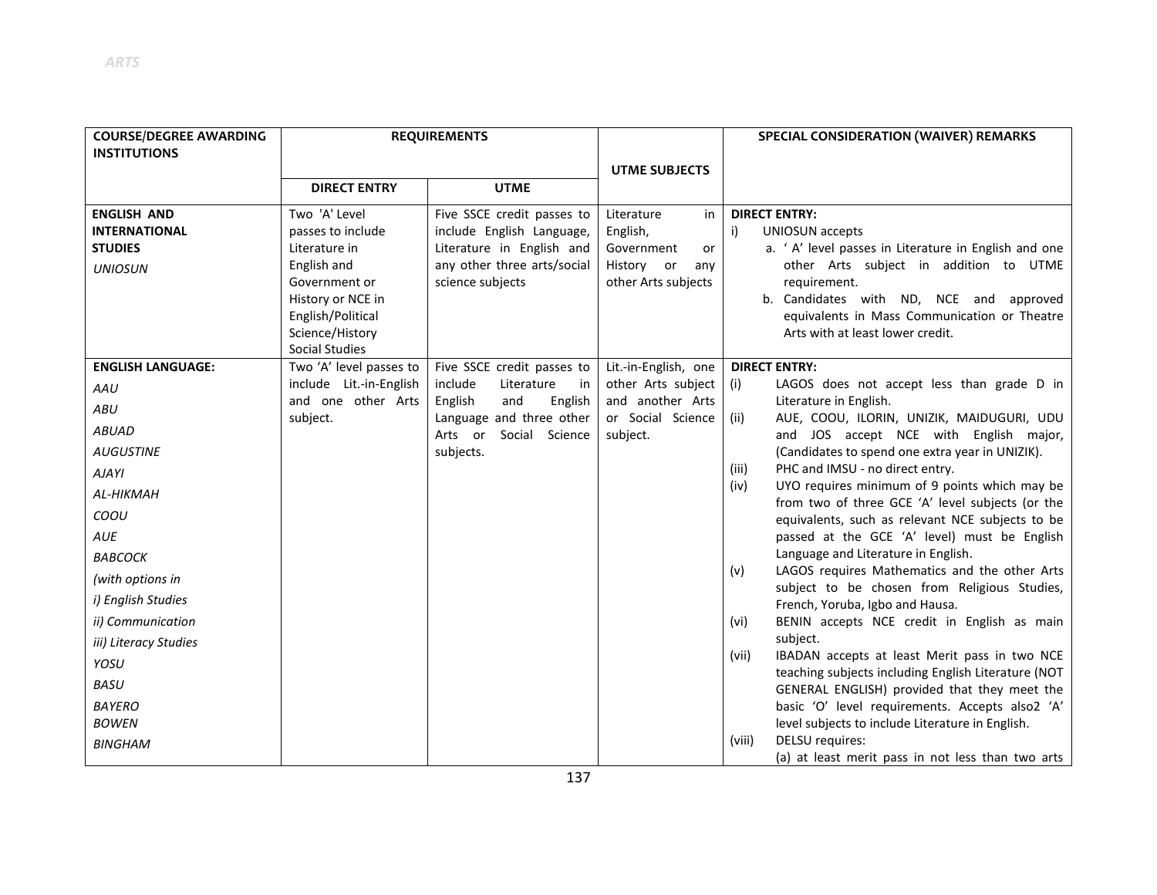| <b>COURSE/DEGREE AWARDING</b><br><b>INSTITUTIONS</b>                           | <b>REQUIREMENTS</b>                                                                                                                                                       |                                                                                                                                         |                                                                                              | SPECIAL CONSIDERATION (WAIVER) REMARKS                                                                                                                                                                                                                                                                 |
|--------------------------------------------------------------------------------|---------------------------------------------------------------------------------------------------------------------------------------------------------------------------|-----------------------------------------------------------------------------------------------------------------------------------------|----------------------------------------------------------------------------------------------|--------------------------------------------------------------------------------------------------------------------------------------------------------------------------------------------------------------------------------------------------------------------------------------------------------|
|                                                                                |                                                                                                                                                                           |                                                                                                                                         | <b>UTME SUBJECTS</b>                                                                         |                                                                                                                                                                                                                                                                                                        |
|                                                                                | <b>DIRECT ENTRY</b>                                                                                                                                                       | <b>UTME</b>                                                                                                                             |                                                                                              |                                                                                                                                                                                                                                                                                                        |
| <b>ENGLISH AND</b><br><b>INTERNATIONAL</b><br><b>STUDIES</b><br><b>UNIOSUN</b> | Two 'A' Level<br>passes to include<br>Literature in<br>English and<br>Government or<br>History or NCE in<br>English/Political<br>Science/History<br><b>Social Studies</b> | Five SSCE credit passes to<br>include English Language,<br>Literature in English and<br>any other three arts/social<br>science subjects | Literature<br>in<br>English,<br>Government<br>or<br>History or<br>any<br>other Arts subjects | <b>DIRECT ENTRY:</b><br>i)<br><b>UNIOSUN</b> accepts<br>a. ' A' level passes in Literature in English and one<br>other Arts subject in addition to UTME<br>requirement.<br>b. Candidates with ND, NCE and approved<br>equivalents in Mass Communication or Theatre<br>Arts with at least lower credit. |
| <b>ENGLISH LANGUAGE:</b>                                                       | Two 'A' level passes to                                                                                                                                                   | Five SSCE credit passes to                                                                                                              | Lit.-in-English, one                                                                         | <b>DIRECT ENTRY:</b>                                                                                                                                                                                                                                                                                   |
| AAU                                                                            | include Lit.-in-English                                                                                                                                                   | include<br>Literature<br>in                                                                                                             | other Arts subject                                                                           | LAGOS does not accept less than grade D in<br>(i)                                                                                                                                                                                                                                                      |
| ABU                                                                            | and one other Arts<br>subject.                                                                                                                                            | English<br>and<br>English<br>Language and three other                                                                                   | and another Arts<br>or Social Science                                                        | Literature in English.<br>AUE, COOU, ILORIN, UNIZIK, MAIDUGURI, UDU<br>(ii)                                                                                                                                                                                                                            |
| <b>ABUAD</b>                                                                   |                                                                                                                                                                           | Arts or Social Science                                                                                                                  | subject.                                                                                     | and JOS accept NCE with English major,                                                                                                                                                                                                                                                                 |
| <b>AUGUSTINE</b>                                                               |                                                                                                                                                                           | subjects.                                                                                                                               |                                                                                              | (Candidates to spend one extra year in UNIZIK).                                                                                                                                                                                                                                                        |
| <b>AJAYI</b>                                                                   |                                                                                                                                                                           |                                                                                                                                         |                                                                                              | PHC and IMSU - no direct entry.<br>(iii)                                                                                                                                                                                                                                                               |
| AL-HIKMAH                                                                      |                                                                                                                                                                           |                                                                                                                                         |                                                                                              | UYO requires minimum of 9 points which may be<br>(iv)                                                                                                                                                                                                                                                  |
| COOU                                                                           |                                                                                                                                                                           |                                                                                                                                         |                                                                                              | from two of three GCE 'A' level subjects (or the<br>equivalents, such as relevant NCE subjects to be                                                                                                                                                                                                   |
| AUE                                                                            |                                                                                                                                                                           |                                                                                                                                         |                                                                                              | passed at the GCE 'A' level) must be English                                                                                                                                                                                                                                                           |
| ВАВСОСК                                                                        |                                                                                                                                                                           |                                                                                                                                         |                                                                                              | Language and Literature in English.                                                                                                                                                                                                                                                                    |
| (with options in                                                               |                                                                                                                                                                           |                                                                                                                                         |                                                                                              | LAGOS requires Mathematics and the other Arts<br>(v)                                                                                                                                                                                                                                                   |
| i) English Studies                                                             |                                                                                                                                                                           |                                                                                                                                         |                                                                                              | subject to be chosen from Religious Studies,                                                                                                                                                                                                                                                           |
| ii) Communication                                                              |                                                                                                                                                                           |                                                                                                                                         |                                                                                              | French, Yoruba, Igbo and Hausa.<br>BENIN accepts NCE credit in English as main<br>(vi)                                                                                                                                                                                                                 |
| iii) Literacy Studies                                                          |                                                                                                                                                                           |                                                                                                                                         |                                                                                              | subject.                                                                                                                                                                                                                                                                                               |
| YOSU                                                                           |                                                                                                                                                                           |                                                                                                                                         |                                                                                              | IBADAN accepts at least Merit pass in two NCE<br>(vii)                                                                                                                                                                                                                                                 |
| <b>BASU</b>                                                                    |                                                                                                                                                                           |                                                                                                                                         |                                                                                              | teaching subjects including English Literature (NOT                                                                                                                                                                                                                                                    |
| <b>BAYERO</b>                                                                  |                                                                                                                                                                           |                                                                                                                                         |                                                                                              | GENERAL ENGLISH) provided that they meet the<br>basic 'O' level requirements. Accepts also2 'A'                                                                                                                                                                                                        |
| <b>BOWEN</b>                                                                   |                                                                                                                                                                           |                                                                                                                                         |                                                                                              | level subjects to include Literature in English.                                                                                                                                                                                                                                                       |
| <b>BINGHAM</b>                                                                 |                                                                                                                                                                           |                                                                                                                                         |                                                                                              | DELSU requires:<br>(viii)<br>(a) at least merit pass in not less than two arts                                                                                                                                                                                                                         |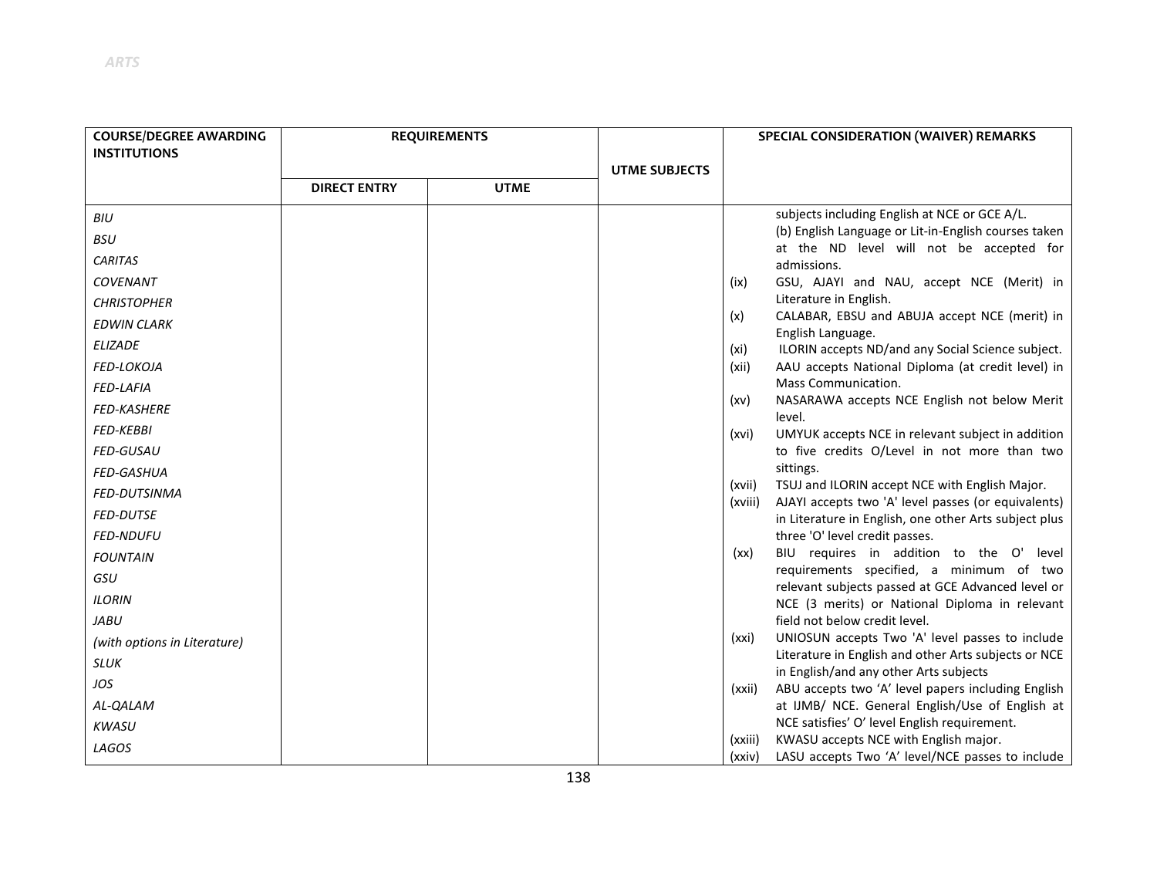| <b>COURSE/DEGREE AWARDING</b> | <b>REQUIREMENTS</b> |             |                      |         | SPECIAL CONSIDERATION (WAIVER) REMARKS                                                                       |
|-------------------------------|---------------------|-------------|----------------------|---------|--------------------------------------------------------------------------------------------------------------|
| <b>INSTITUTIONS</b>           |                     |             |                      |         |                                                                                                              |
|                               |                     |             | <b>UTME SUBJECTS</b> |         |                                                                                                              |
|                               | <b>DIRECT ENTRY</b> | <b>UTME</b> |                      |         |                                                                                                              |
| BIU                           |                     |             |                      |         | subjects including English at NCE or GCE A/L.                                                                |
| <b>BSU</b>                    |                     |             |                      |         | (b) English Language or Lit-in-English courses taken<br>at the ND level will not be accepted for             |
| <b>CARITAS</b>                |                     |             |                      |         | admissions.                                                                                                  |
| COVENANT                      |                     |             |                      | (ix)    | GSU, AJAYI and NAU, accept NCE (Merit) in                                                                    |
| <b>CHRISTOPHER</b>            |                     |             |                      |         | Literature in English.                                                                                       |
| <b>EDWIN CLARK</b>            |                     |             |                      | (x)     | CALABAR, EBSU and ABUJA accept NCE (merit) in<br>English Language.                                           |
| <b>ELIZADE</b>                |                     |             |                      | (xi)    | ILORIN accepts ND/and any Social Science subject.                                                            |
| FED-LOKOJA                    |                     |             |                      | (xii)   | AAU accepts National Diploma (at credit level) in                                                            |
| <b>FED-LAFIA</b>              |                     |             |                      |         | Mass Communication.                                                                                          |
| <b>FED-KASHERE</b>            |                     |             |                      | (xv)    | NASARAWA accepts NCE English not below Merit<br>level.                                                       |
| <b>FED-KEBBI</b>              |                     |             |                      | (xvi)   | UMYUK accepts NCE in relevant subject in addition                                                            |
| <b>FED-GUSAU</b>              |                     |             |                      |         | to five credits O/Level in not more than two                                                                 |
| <b>FED-GASHUA</b>             |                     |             |                      |         | sittings.                                                                                                    |
| <b>FED-DUTSINMA</b>           |                     |             |                      | (xvii)  | TSUJ and ILORIN accept NCE with English Major.                                                               |
| <b>FED-DUTSE</b>              |                     |             |                      | (xviii) | AJAYI accepts two 'A' level passes (or equivalents)<br>in Literature in English, one other Arts subject plus |
| <b>FED-NDUFU</b>              |                     |             |                      |         | three 'O' level credit passes.                                                                               |
| <b>FOUNTAIN</b>               |                     |             |                      | (xx)    | BIU requires in addition to the O'<br>level                                                                  |
| GSU                           |                     |             |                      |         | requirements specified, a minimum of two<br>relevant subjects passed at GCE Advanced level or                |
| <b>ILORIN</b>                 |                     |             |                      |         | NCE (3 merits) or National Diploma in relevant                                                               |
| <b>JABU</b>                   |                     |             |                      |         | field not below credit level.                                                                                |
| (with options in Literature)  |                     |             |                      | (xxi)   | UNIOSUN accepts Two 'A' level passes to include                                                              |
| <b>SLUK</b>                   |                     |             |                      |         | Literature in English and other Arts subjects or NCE<br>in English/and any other Arts subjects               |
| JOS                           |                     |             |                      | (xxii)  | ABU accepts two 'A' level papers including English                                                           |
| AL-QALAM                      |                     |             |                      |         | at IJMB/ NCE. General English/Use of English at                                                              |
| <b>KWASU</b>                  |                     |             |                      |         | NCE satisfies' O' level English requirement.                                                                 |
| LAGOS                         |                     |             |                      | (xxiii) | KWASU accepts NCE with English major.                                                                        |
|                               |                     |             |                      | (xxiv)  | LASU accepts Two 'A' level/NCE passes to include                                                             |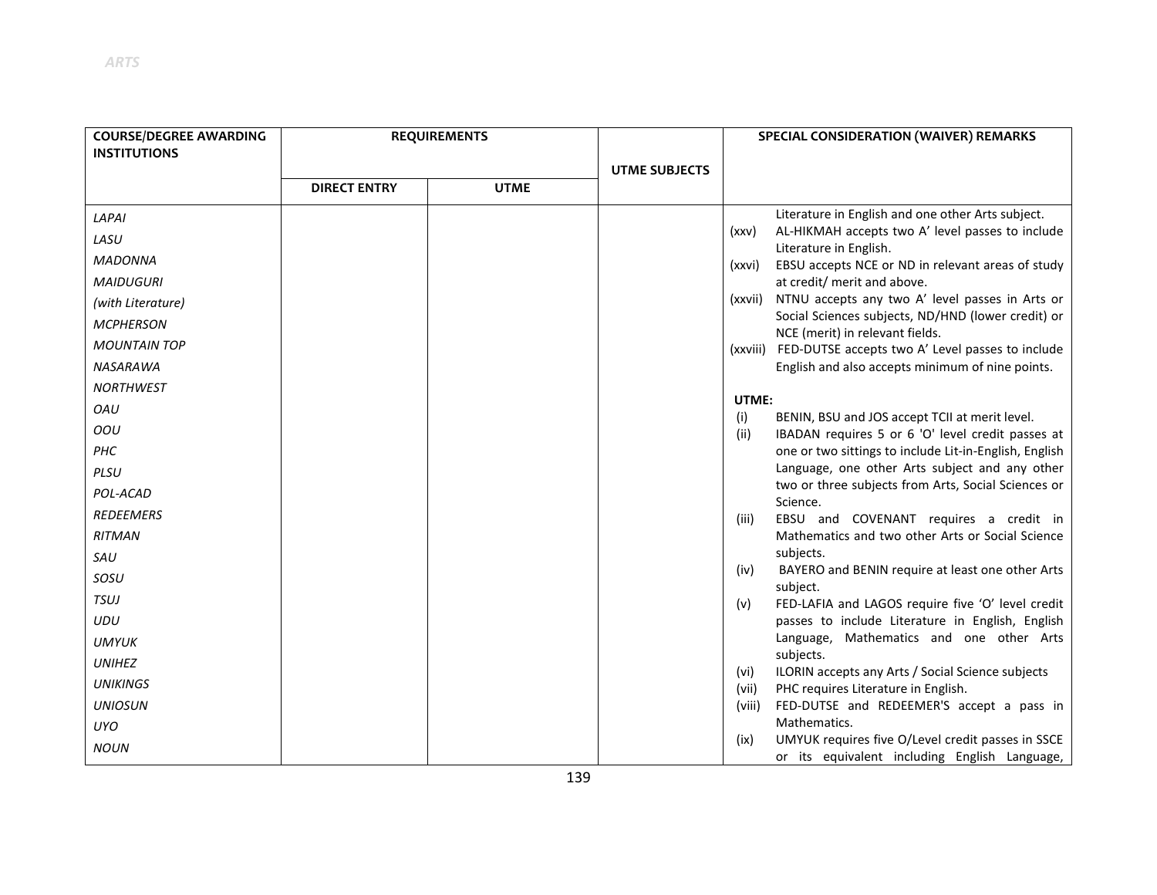| <b>COURSE/DEGREE AWARDING</b> |                     | <b>REQUIREMENTS</b> |                      | SPECIAL CONSIDERATION (WAIVER) REMARKS                                                                             |
|-------------------------------|---------------------|---------------------|----------------------|--------------------------------------------------------------------------------------------------------------------|
| <b>INSTITUTIONS</b>           |                     |                     |                      |                                                                                                                    |
|                               | <b>DIRECT ENTRY</b> | <b>UTME</b>         | <b>UTME SUBJECTS</b> |                                                                                                                    |
|                               |                     |                     |                      | Literature in English and one other Arts subject.                                                                  |
| LAPAI                         |                     |                     |                      | AL-HIKMAH accepts two A' level passes to include<br>(xxv)                                                          |
| LASU                          |                     |                     |                      | Literature in English.                                                                                             |
| <b>MADONNA</b>                |                     |                     |                      | EBSU accepts NCE or ND in relevant areas of study<br>(xxvi)                                                        |
| <b>MAIDUGURI</b>              |                     |                     |                      | at credit/ merit and above.                                                                                        |
| (with Literature)             |                     |                     |                      | NTNU accepts any two A' level passes in Arts or<br>(xxvii)                                                         |
| <b>MCPHERSON</b>              |                     |                     |                      | Social Sciences subjects, ND/HND (lower credit) or<br>NCE (merit) in relevant fields.                              |
| <b>MOUNTAIN TOP</b>           |                     |                     |                      | (xxviii) FED-DUTSE accepts two A' Level passes to include                                                          |
| NASARAWA                      |                     |                     |                      | English and also accepts minimum of nine points.                                                                   |
| <b>NORTHWEST</b>              |                     |                     |                      |                                                                                                                    |
| OAU                           |                     |                     |                      | UTME:                                                                                                              |
| OOU                           |                     |                     |                      | BENIN, BSU and JOS accept TCII at merit level.<br>(i)<br>(ii)<br>IBADAN requires 5 or 6 'O' level credit passes at |
| PHC                           |                     |                     |                      | one or two sittings to include Lit-in-English, English                                                             |
| PLSU                          |                     |                     |                      | Language, one other Arts subject and any other                                                                     |
| POL-ACAD                      |                     |                     |                      | two or three subjects from Arts, Social Sciences or                                                                |
| <b>REDEEMERS</b>              |                     |                     |                      | Science.                                                                                                           |
| <b>RITMAN</b>                 |                     |                     |                      | EBSU and COVENANT requires a credit in<br>(iii)<br>Mathematics and two other Arts or Social Science                |
| SAU                           |                     |                     |                      | subjects.                                                                                                          |
| SOSU                          |                     |                     |                      | BAYERO and BENIN require at least one other Arts<br>(iv)                                                           |
|                               |                     |                     |                      | subject.                                                                                                           |
| TSUJ                          |                     |                     |                      | FED-LAFIA and LAGOS require five 'O' level credit<br>(v)                                                           |
| UDU                           |                     |                     |                      | passes to include Literature in English, English<br>Language, Mathematics and one other Arts                       |
| <b>UMYUK</b>                  |                     |                     |                      | subjects.                                                                                                          |
| <b>UNIHEZ</b>                 |                     |                     |                      | ILORIN accepts any Arts / Social Science subjects<br>(vi)                                                          |
| <b>UNIKINGS</b>               |                     |                     |                      | PHC requires Literature in English.<br>(vii)                                                                       |
| <b>UNIOSUN</b>                |                     |                     |                      | (viii)<br>FED-DUTSE and REDEEMER'S accept a pass in                                                                |
| <b>UYO</b>                    |                     |                     |                      | Mathematics.                                                                                                       |
| <b>NOUN</b>                   |                     |                     |                      | UMYUK requires five O/Level credit passes in SSCE<br>(ix)<br>or its equivalent including English Language,         |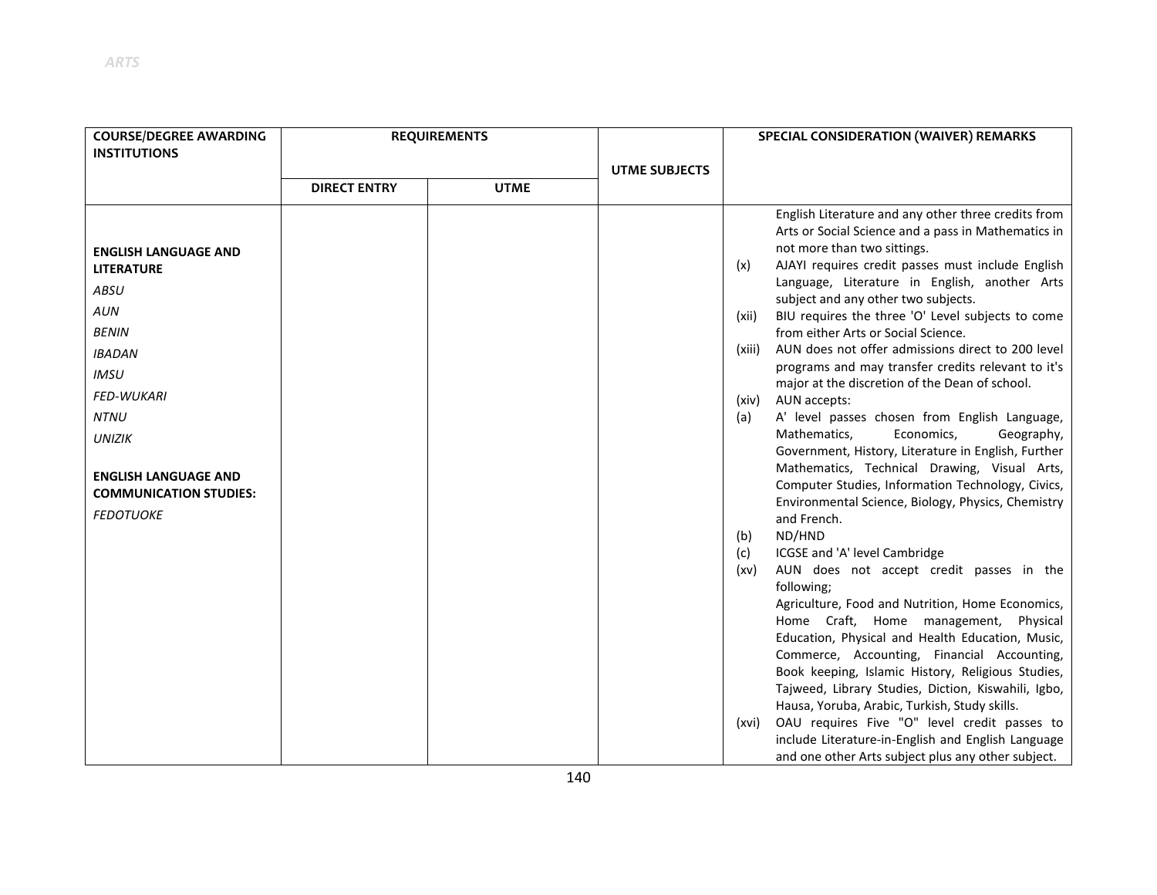| <b>COURSE/DEGREE AWARDING</b><br><b>INSTITUTIONS</b>         | <b>REQUIREMENTS</b> |             |                      | SPECIAL CONSIDERATION (WAIVER) REMARKS                                                                                                                                                                                                                                                                      |  |
|--------------------------------------------------------------|---------------------|-------------|----------------------|-------------------------------------------------------------------------------------------------------------------------------------------------------------------------------------------------------------------------------------------------------------------------------------------------------------|--|
|                                                              |                     |             | <b>UTME SUBJECTS</b> |                                                                                                                                                                                                                                                                                                             |  |
|                                                              | <b>DIRECT ENTRY</b> | <b>UTME</b> |                      |                                                                                                                                                                                                                                                                                                             |  |
| <b>ENGLISH LANGUAGE AND</b><br><b>LITERATURE</b>             |                     |             |                      | English Literature and any other three credits from<br>Arts or Social Science and a pass in Mathematics in<br>not more than two sittings.<br>AJAYI requires credit passes must include English<br>(x)                                                                                                       |  |
| ABSU                                                         |                     |             |                      | Language, Literature in English, another Arts<br>subject and any other two subjects.                                                                                                                                                                                                                        |  |
| <b>AUN</b>                                                   |                     |             |                      | BIU requires the three 'O' Level subjects to come<br>(xii)                                                                                                                                                                                                                                                  |  |
| <b>BENIN</b>                                                 |                     |             |                      | from either Arts or Social Science.                                                                                                                                                                                                                                                                         |  |
| <b>IBADAN</b>                                                |                     |             |                      | AUN does not offer admissions direct to 200 level<br>(xiii)<br>programs and may transfer credits relevant to it's                                                                                                                                                                                           |  |
| <b>IMSU</b>                                                  |                     |             |                      | major at the discretion of the Dean of school.                                                                                                                                                                                                                                                              |  |
| <b>FED-WUKARI</b>                                            |                     |             |                      | AUN accepts:<br>(xiv)                                                                                                                                                                                                                                                                                       |  |
| <b>NTNU</b>                                                  |                     |             |                      | A' level passes chosen from English Language,<br>(a)                                                                                                                                                                                                                                                        |  |
| <b>UNIZIK</b>                                                |                     |             |                      | Mathematics,<br>Economics,<br>Geography,<br>Government, History, Literature in English, Further                                                                                                                                                                                                             |  |
| <b>ENGLISH LANGUAGE AND</b><br><b>COMMUNICATION STUDIES:</b> |                     |             |                      | Mathematics, Technical Drawing, Visual Arts,<br>Computer Studies, Information Technology, Civics,<br>Environmental Science, Biology, Physics, Chemistry                                                                                                                                                     |  |
| <b>FEDOTUOKE</b>                                             |                     |             |                      | and French.                                                                                                                                                                                                                                                                                                 |  |
|                                                              |                     |             |                      | ND/HND<br>(b)                                                                                                                                                                                                                                                                                               |  |
|                                                              |                     |             |                      | ICGSE and 'A' level Cambridge<br>(c)                                                                                                                                                                                                                                                                        |  |
|                                                              |                     |             |                      | AUN does not accept credit passes in the<br>(xv)<br>following;                                                                                                                                                                                                                                              |  |
|                                                              |                     |             |                      | Agriculture, Food and Nutrition, Home Economics,<br>Home Craft, Home management,<br>Physical<br>Education, Physical and Health Education, Music,<br>Commerce, Accounting, Financial Accounting,<br>Book keeping, Islamic History, Religious Studies,<br>Tajweed, Library Studies, Diction, Kiswahili, Igbo, |  |
|                                                              |                     |             |                      | Hausa, Yoruba, Arabic, Turkish, Study skills.<br>OAU requires Five "O" level credit passes to<br>(xvi)<br>include Literature-in-English and English Language<br>and one other Arts subject plus any other subject.                                                                                          |  |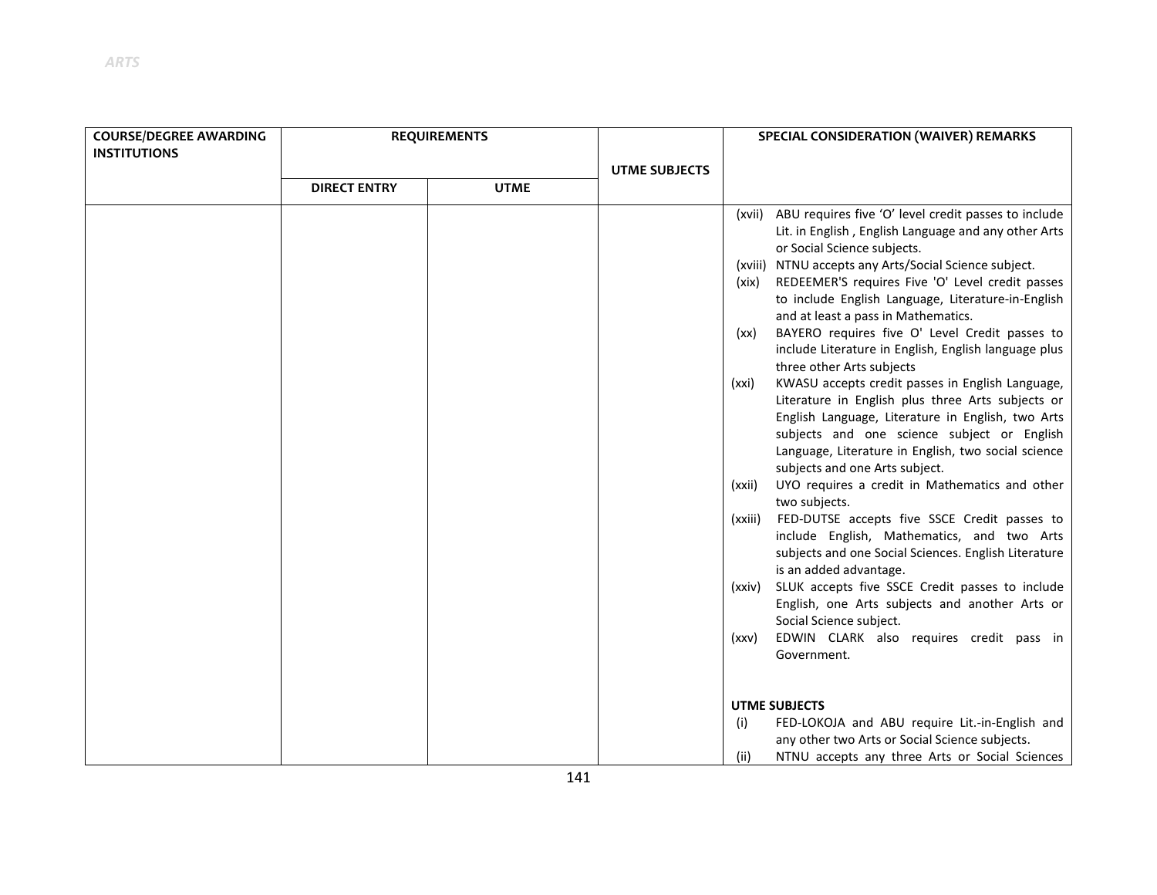| <b>COURSE/DEGREE AWARDING</b> | <b>REQUIREMENTS</b> |             |                      | SPECIAL CONSIDERATION (WAIVER) REMARKS                                                                                                                                                                                                                                                                                                                                                                                                                                                                                                                                                                                                                                                                                                                                                                                                                                                                                                                                                                                                                                                                                                                                                                                                                                                                                    |
|-------------------------------|---------------------|-------------|----------------------|---------------------------------------------------------------------------------------------------------------------------------------------------------------------------------------------------------------------------------------------------------------------------------------------------------------------------------------------------------------------------------------------------------------------------------------------------------------------------------------------------------------------------------------------------------------------------------------------------------------------------------------------------------------------------------------------------------------------------------------------------------------------------------------------------------------------------------------------------------------------------------------------------------------------------------------------------------------------------------------------------------------------------------------------------------------------------------------------------------------------------------------------------------------------------------------------------------------------------------------------------------------------------------------------------------------------------|
| <b>INSTITUTIONS</b>           |                     |             |                      |                                                                                                                                                                                                                                                                                                                                                                                                                                                                                                                                                                                                                                                                                                                                                                                                                                                                                                                                                                                                                                                                                                                                                                                                                                                                                                                           |
|                               |                     |             | <b>UTME SUBJECTS</b> |                                                                                                                                                                                                                                                                                                                                                                                                                                                                                                                                                                                                                                                                                                                                                                                                                                                                                                                                                                                                                                                                                                                                                                                                                                                                                                                           |
|                               | <b>DIRECT ENTRY</b> | <b>UTME</b> |                      |                                                                                                                                                                                                                                                                                                                                                                                                                                                                                                                                                                                                                                                                                                                                                                                                                                                                                                                                                                                                                                                                                                                                                                                                                                                                                                                           |
|                               |                     |             |                      | (xvii) ABU requires five 'O' level credit passes to include<br>Lit. in English, English Language and any other Arts<br>or Social Science subjects.<br>(xviii) NTNU accepts any Arts/Social Science subject.<br>REDEEMER'S requires Five 'O' Level credit passes<br>(xix)<br>to include English Language, Literature-in-English<br>and at least a pass in Mathematics.<br>BAYERO requires five O' Level Credit passes to<br>(xx)<br>include Literature in English, English language plus<br>three other Arts subjects<br>KWASU accepts credit passes in English Language,<br>(xxi)<br>Literature in English plus three Arts subjects or<br>English Language, Literature in English, two Arts<br>subjects and one science subject or English<br>Language, Literature in English, two social science<br>subjects and one Arts subject.<br>UYO requires a credit in Mathematics and other<br>(xxii)<br>two subjects.<br>FED-DUTSE accepts five SSCE Credit passes to<br>(xxiii)<br>include English, Mathematics, and two Arts<br>subjects and one Social Sciences. English Literature<br>is an added advantage.<br>SLUK accepts five SSCE Credit passes to include<br>(xxiv)<br>English, one Arts subjects and another Arts or<br>Social Science subject.<br>EDWIN CLARK also requires credit pass in<br>(xxy)<br>Government. |
|                               |                     |             |                      | <b>UTME SUBJECTS</b>                                                                                                                                                                                                                                                                                                                                                                                                                                                                                                                                                                                                                                                                                                                                                                                                                                                                                                                                                                                                                                                                                                                                                                                                                                                                                                      |
|                               |                     |             |                      | FED-LOKOJA and ABU require Lit.-in-English and<br>(i)<br>any other two Arts or Social Science subjects.                                                                                                                                                                                                                                                                                                                                                                                                                                                                                                                                                                                                                                                                                                                                                                                                                                                                                                                                                                                                                                                                                                                                                                                                                   |
|                               |                     |             |                      | NTNU accepts any three Arts or Social Sciences<br>(ii)                                                                                                                                                                                                                                                                                                                                                                                                                                                                                                                                                                                                                                                                                                                                                                                                                                                                                                                                                                                                                                                                                                                                                                                                                                                                    |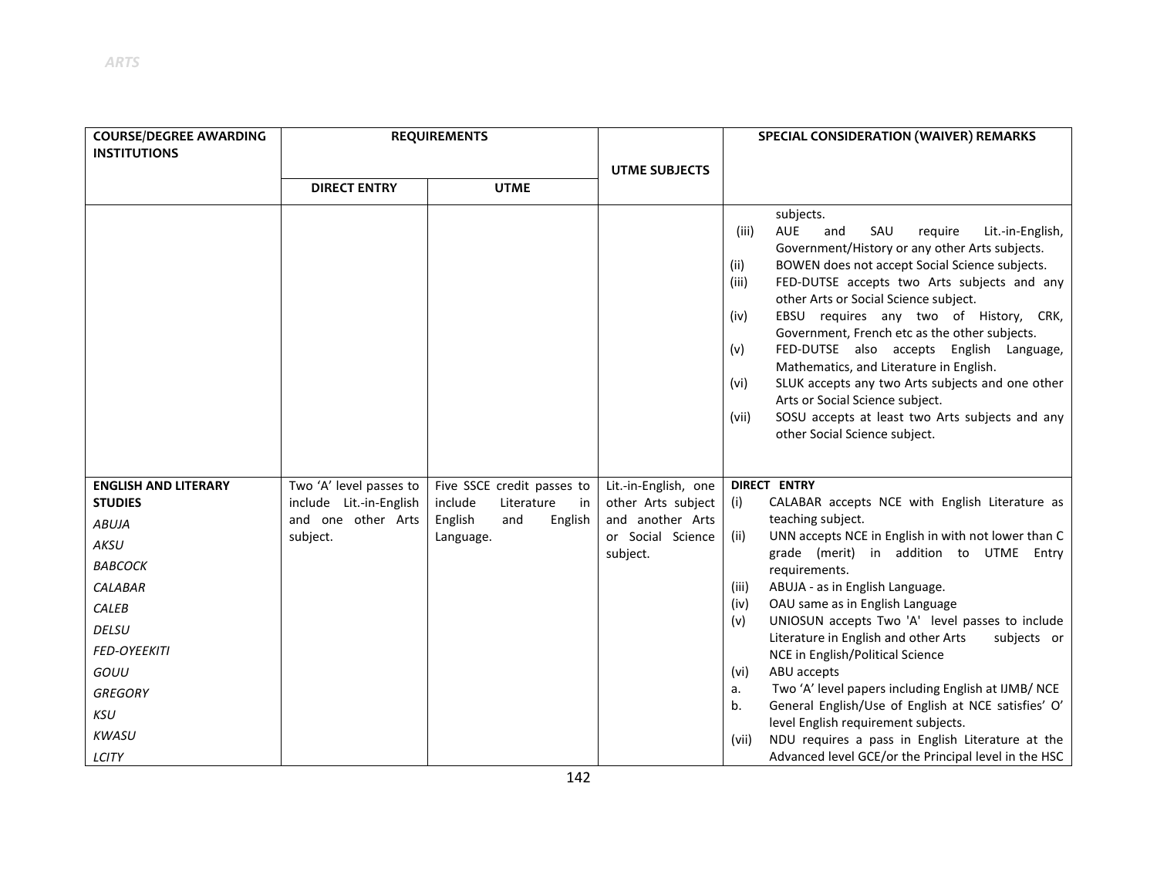| <b>COURSE/DEGREE AWARDING</b> | <b>REQUIREMENTS</b>     |                             |                      | SPECIAL CONSIDERATION (WAIVER) REMARKS                                                                                                                                                                                                                                                                                                                                                                                                                                                                                                                                                                                                                                                  |
|-------------------------------|-------------------------|-----------------------------|----------------------|-----------------------------------------------------------------------------------------------------------------------------------------------------------------------------------------------------------------------------------------------------------------------------------------------------------------------------------------------------------------------------------------------------------------------------------------------------------------------------------------------------------------------------------------------------------------------------------------------------------------------------------------------------------------------------------------|
| <b>INSTITUTIONS</b>           |                         |                             |                      |                                                                                                                                                                                                                                                                                                                                                                                                                                                                                                                                                                                                                                                                                         |
|                               | <b>DIRECT ENTRY</b>     | <b>UTME</b>                 | <b>UTME SUBJECTS</b> |                                                                                                                                                                                                                                                                                                                                                                                                                                                                                                                                                                                                                                                                                         |
|                               |                         |                             |                      |                                                                                                                                                                                                                                                                                                                                                                                                                                                                                                                                                                                                                                                                                         |
|                               |                         |                             |                      | subjects.<br><b>AUE</b><br>SAU<br>require<br>Lit.-in-English,<br>(iii)<br>and<br>Government/History or any other Arts subjects.<br>BOWEN does not accept Social Science subjects.<br>(ii)<br>FED-DUTSE accepts two Arts subjects and any<br>(iii)<br>other Arts or Social Science subject.<br>EBSU requires any two of History, CRK,<br>(iv)<br>Government, French etc as the other subjects.<br>FED-DUTSE also accepts English Language,<br>(v)<br>Mathematics, and Literature in English.<br>SLUK accepts any two Arts subjects and one other<br>(vi)<br>Arts or Social Science subject.<br>SOSU accepts at least two Arts subjects and any<br>(vii)<br>other Social Science subject. |
| <b>ENGLISH AND LITERARY</b>   | Two 'A' level passes to | Five SSCE credit passes to  | Lit.-in-English, one | <b>DIRECT ENTRY</b>                                                                                                                                                                                                                                                                                                                                                                                                                                                                                                                                                                                                                                                                     |
| <b>STUDIES</b>                | include Lit.-in-English | include<br>Literature<br>in | other Arts subject   | CALABAR accepts NCE with English Literature as<br>(i)                                                                                                                                                                                                                                                                                                                                                                                                                                                                                                                                                                                                                                   |
| <b>ABUJA</b>                  | and one other Arts      | English<br>and<br>English   | and another Arts     | teaching subject.                                                                                                                                                                                                                                                                                                                                                                                                                                                                                                                                                                                                                                                                       |
| AKSU                          | subject.                | Language.                   | or Social Science    | UNN accepts NCE in English in with not lower than C<br>(ii)<br>grade (merit) in addition to UTME Entry                                                                                                                                                                                                                                                                                                                                                                                                                                                                                                                                                                                  |
| <b>BABCOCK</b>                |                         |                             | subject.             | requirements.                                                                                                                                                                                                                                                                                                                                                                                                                                                                                                                                                                                                                                                                           |
| CALABAR                       |                         |                             |                      | ABUJA - as in English Language.<br>(iii)                                                                                                                                                                                                                                                                                                                                                                                                                                                                                                                                                                                                                                                |
| CALEB                         |                         |                             |                      | OAU same as in English Language<br>(iv)                                                                                                                                                                                                                                                                                                                                                                                                                                                                                                                                                                                                                                                 |
| DELSU                         |                         |                             |                      | UNIOSUN accepts Two 'A' level passes to include<br>(v)<br>Literature in English and other Arts<br>subjects or                                                                                                                                                                                                                                                                                                                                                                                                                                                                                                                                                                           |
| <b>FED-OYEEKITI</b>           |                         |                             |                      | NCE in English/Political Science                                                                                                                                                                                                                                                                                                                                                                                                                                                                                                                                                                                                                                                        |
| GOUU                          |                         |                             |                      | ABU accepts<br>(vi)                                                                                                                                                                                                                                                                                                                                                                                                                                                                                                                                                                                                                                                                     |
| <b>GREGORY</b>                |                         |                             |                      | Two 'A' level papers including English at IJMB/ NCE<br>a.                                                                                                                                                                                                                                                                                                                                                                                                                                                                                                                                                                                                                               |
| <b>KSU</b>                    |                         |                             |                      | General English/Use of English at NCE satisfies' O'<br>b <sub>1</sub><br>level English requirement subjects.                                                                                                                                                                                                                                                                                                                                                                                                                                                                                                                                                                            |
| <b>KWASU</b>                  |                         |                             |                      | NDU requires a pass in English Literature at the<br>(vii)                                                                                                                                                                                                                                                                                                                                                                                                                                                                                                                                                                                                                               |
| LCITY                         |                         |                             |                      | Advanced level GCE/or the Principal level in the HSC                                                                                                                                                                                                                                                                                                                                                                                                                                                                                                                                                                                                                                    |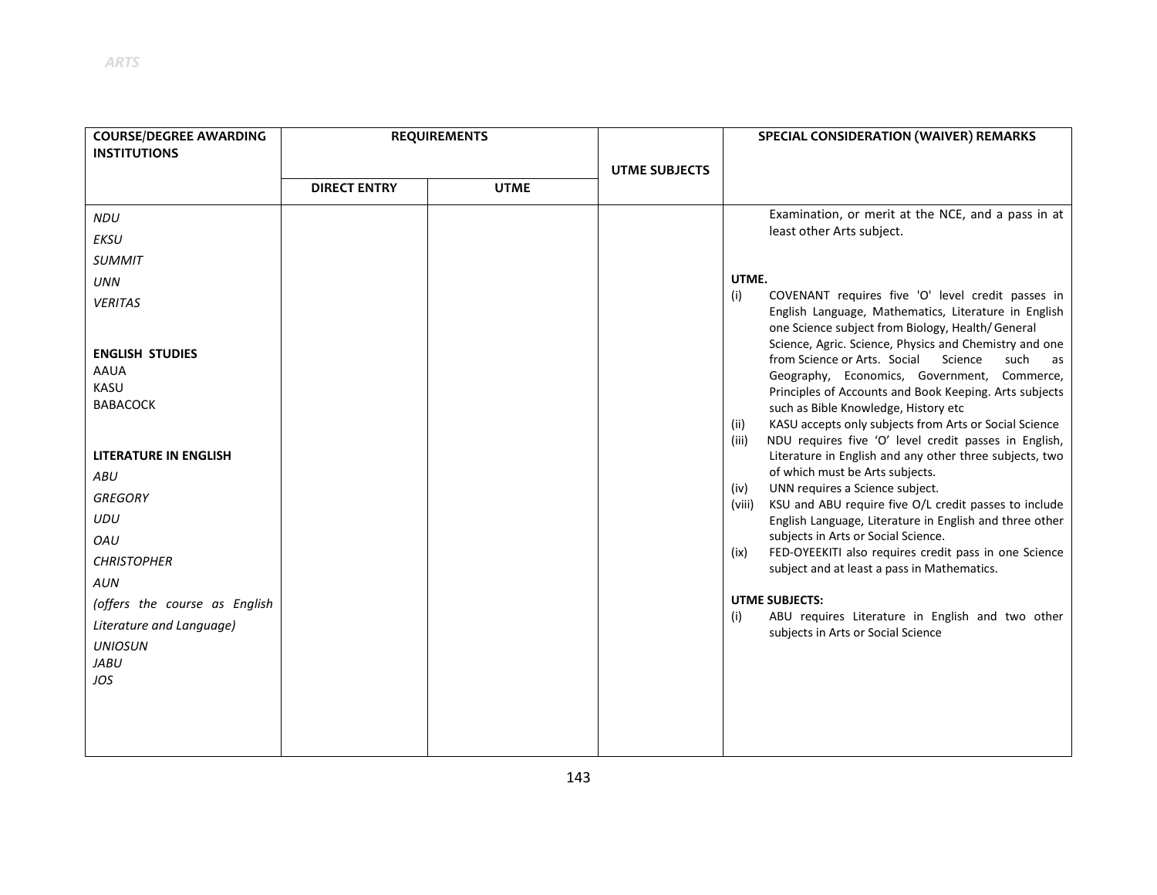| <b>COURSE/DEGREE AWARDING</b> | <b>REQUIREMENTS</b> |             | <b>SPECIAL CONSIDERATION (WAIVER) REMARKS</b> |                                                                                                                                                                                                                                |  |
|-------------------------------|---------------------|-------------|-----------------------------------------------|--------------------------------------------------------------------------------------------------------------------------------------------------------------------------------------------------------------------------------|--|
| <b>INSTITUTIONS</b>           |                     |             |                                               |                                                                                                                                                                                                                                |  |
|                               |                     |             | <b>UTME SUBJECTS</b>                          |                                                                                                                                                                                                                                |  |
|                               | <b>DIRECT ENTRY</b> | <b>UTME</b> |                                               |                                                                                                                                                                                                                                |  |
| <b>NDU</b>                    |                     |             |                                               | Examination, or merit at the NCE, and a pass in at                                                                                                                                                                             |  |
| EKSU                          |                     |             |                                               | least other Arts subject.                                                                                                                                                                                                      |  |
| <b>SUMMIT</b>                 |                     |             |                                               |                                                                                                                                                                                                                                |  |
| <b>UNN</b>                    |                     |             |                                               | UTME.                                                                                                                                                                                                                          |  |
| <b>VERITAS</b>                |                     |             |                                               | COVENANT requires five 'O' level credit passes in<br>(i)<br>English Language, Mathematics, Literature in English<br>one Science subject from Biology, Health/General<br>Science, Agric. Science, Physics and Chemistry and one |  |
| <b>ENGLISH STUDIES</b>        |                     |             |                                               | from Science or Arts. Social<br>Science<br>such<br>as                                                                                                                                                                          |  |
| <b>AAUA</b>                   |                     |             |                                               | Geography, Economics, Government, Commerce,                                                                                                                                                                                    |  |
| KASU<br><b>BABACOCK</b>       |                     |             |                                               | Principles of Accounts and Book Keeping. Arts subjects                                                                                                                                                                         |  |
|                               |                     |             |                                               | such as Bible Knowledge, History etc<br>KASU accepts only subjects from Arts or Social Science<br>(ii)                                                                                                                         |  |
| <b>LITERATURE IN ENGLISH</b>  |                     |             |                                               | NDU requires five 'O' level credit passes in English,<br>(iii)<br>Literature in English and any other three subjects, two                                                                                                      |  |
| ABU                           |                     |             |                                               | of which must be Arts subjects.                                                                                                                                                                                                |  |
| <b>GREGORY</b>                |                     |             |                                               | UNN requires a Science subject.<br>(iv)<br>KSU and ABU require five O/L credit passes to include<br>(viii)                                                                                                                     |  |
| UDU                           |                     |             |                                               | English Language, Literature in English and three other                                                                                                                                                                        |  |
| OAU                           |                     |             |                                               | subjects in Arts or Social Science.                                                                                                                                                                                            |  |
| <b>CHRISTOPHER</b>            |                     |             |                                               | FED-OYEEKITI also requires credit pass in one Science<br>(ix)<br>subject and at least a pass in Mathematics.                                                                                                                   |  |
| AUN                           |                     |             |                                               |                                                                                                                                                                                                                                |  |
| (offers the course as English |                     |             |                                               | <b>UTME SUBJECTS:</b>                                                                                                                                                                                                          |  |
| Literature and Language)      |                     |             |                                               | ABU requires Literature in English and two other<br>(i)<br>subjects in Arts or Social Science                                                                                                                                  |  |
| <b>UNIOSUN</b>                |                     |             |                                               |                                                                                                                                                                                                                                |  |
| <b>JABU</b>                   |                     |             |                                               |                                                                                                                                                                                                                                |  |
| JOS                           |                     |             |                                               |                                                                                                                                                                                                                                |  |
|                               |                     |             |                                               |                                                                                                                                                                                                                                |  |
|                               |                     |             |                                               |                                                                                                                                                                                                                                |  |
|                               |                     |             |                                               |                                                                                                                                                                                                                                |  |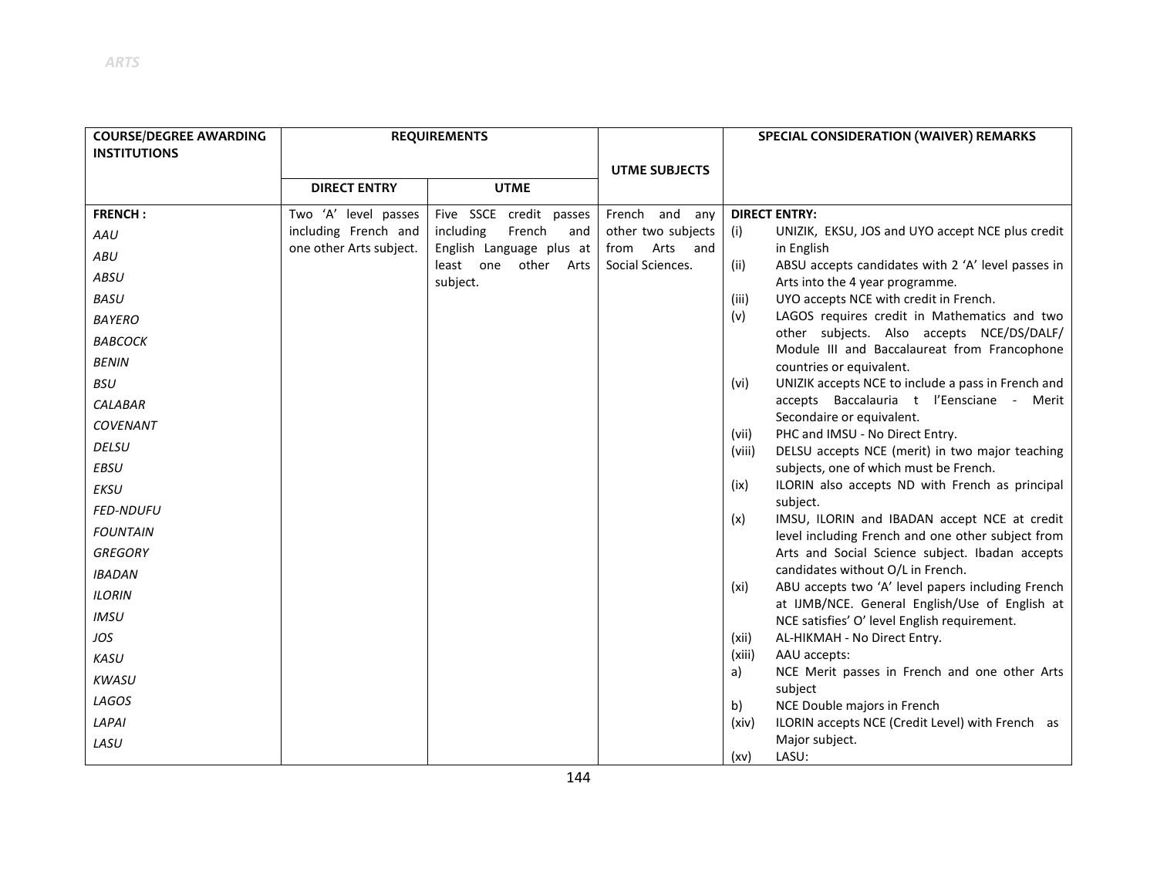| <b>COURSE/DEGREE AWARDING</b> | <b>REQUIREMENTS</b>     |                                        |                                         | SPECIAL CONSIDERATION (WAIVER) REMARKS                                                                      |
|-------------------------------|-------------------------|----------------------------------------|-----------------------------------------|-------------------------------------------------------------------------------------------------------------|
| <b>INSTITUTIONS</b>           |                         |                                        |                                         |                                                                                                             |
|                               |                         |                                        | <b>UTME SUBJECTS</b>                    |                                                                                                             |
|                               | <b>DIRECT ENTRY</b>     | <b>UTME</b>                            |                                         |                                                                                                             |
| <b>FRENCH:</b>                | Two 'A' level passes    | Five SSCE credit passes                | French and any                          | <b>DIRECT ENTRY:</b>                                                                                        |
| AAU                           | including French and    | including<br>French<br>and             | other two subjects                      | UNIZIK, EKSU, JOS and UYO accept NCE plus credit<br>(i)                                                     |
| ABU                           | one other Arts subject. | English Language plus at               | Arts<br>from<br>and<br>Social Sciences. | in English                                                                                                  |
| ABSU                          |                         | least one<br>other<br>Arts<br>subject. |                                         | (ii)<br>ABSU accepts candidates with 2 'A' level passes in<br>Arts into the 4 year programme.               |
| <b>BASU</b>                   |                         |                                        |                                         | UYO accepts NCE with credit in French.<br>(iii)                                                             |
| <b>BAYERO</b>                 |                         |                                        |                                         | LAGOS requires credit in Mathematics and two<br>(v)                                                         |
| <b>BABCOCK</b>                |                         |                                        |                                         | other subjects. Also accepts NCE/DS/DALF/<br>Module III and Baccalaureat from Francophone                   |
| <b>BENIN</b>                  |                         |                                        |                                         | countries or equivalent.                                                                                    |
| <b>BSU</b>                    |                         |                                        |                                         | UNIZIK accepts NCE to include a pass in French and<br>(vi)                                                  |
| <b>CALABAR</b>                |                         |                                        |                                         | accepts Baccalauria t l'Eensciane - Merit                                                                   |
| <b>COVENANT</b>               |                         |                                        |                                         | Secondaire or equivalent.                                                                                   |
| <b>DELSU</b>                  |                         |                                        |                                         | PHC and IMSU - No Direct Entry.<br>(vii)<br>DELSU accepts NCE (merit) in two major teaching<br>(viii)       |
| <b>EBSU</b>                   |                         |                                        |                                         | subjects, one of which must be French.                                                                      |
| EKSU                          |                         |                                        |                                         | ILORIN also accepts ND with French as principal<br>(ix)                                                     |
| <b>FED-NDUFU</b>              |                         |                                        |                                         | subject.                                                                                                    |
| <b>FOUNTAIN</b>               |                         |                                        |                                         | IMSU, ILORIN and IBADAN accept NCE at credit<br>(x)<br>level including French and one other subject from    |
| <b>GREGORY</b>                |                         |                                        |                                         | Arts and Social Science subject. Ibadan accepts                                                             |
| <b>IBADAN</b>                 |                         |                                        |                                         | candidates without O/L in French.                                                                           |
| <b>ILORIN</b>                 |                         |                                        |                                         | ABU accepts two 'A' level papers including French<br>(xi)<br>at IJMB/NCE. General English/Use of English at |
| <b>IMSU</b>                   |                         |                                        |                                         | NCE satisfies' O' level English requirement.                                                                |
| JOS                           |                         |                                        |                                         | AL-HIKMAH - No Direct Entry.<br>(xii)                                                                       |
| KASU                          |                         |                                        |                                         | (xiii)<br>AAU accepts:                                                                                      |
| <b>KWASU</b>                  |                         |                                        |                                         | a)<br>NCE Merit passes in French and one other Arts<br>subject                                              |
| LAGOS                         |                         |                                        |                                         | NCE Double majors in French<br>b)                                                                           |
| LAPAI                         |                         |                                        |                                         | ILORIN accepts NCE (Credit Level) with French as<br>(xiv)                                                   |
| LASU                          |                         |                                        |                                         | Major subject.                                                                                              |
|                               |                         |                                        |                                         | LASU:<br>(xv)                                                                                               |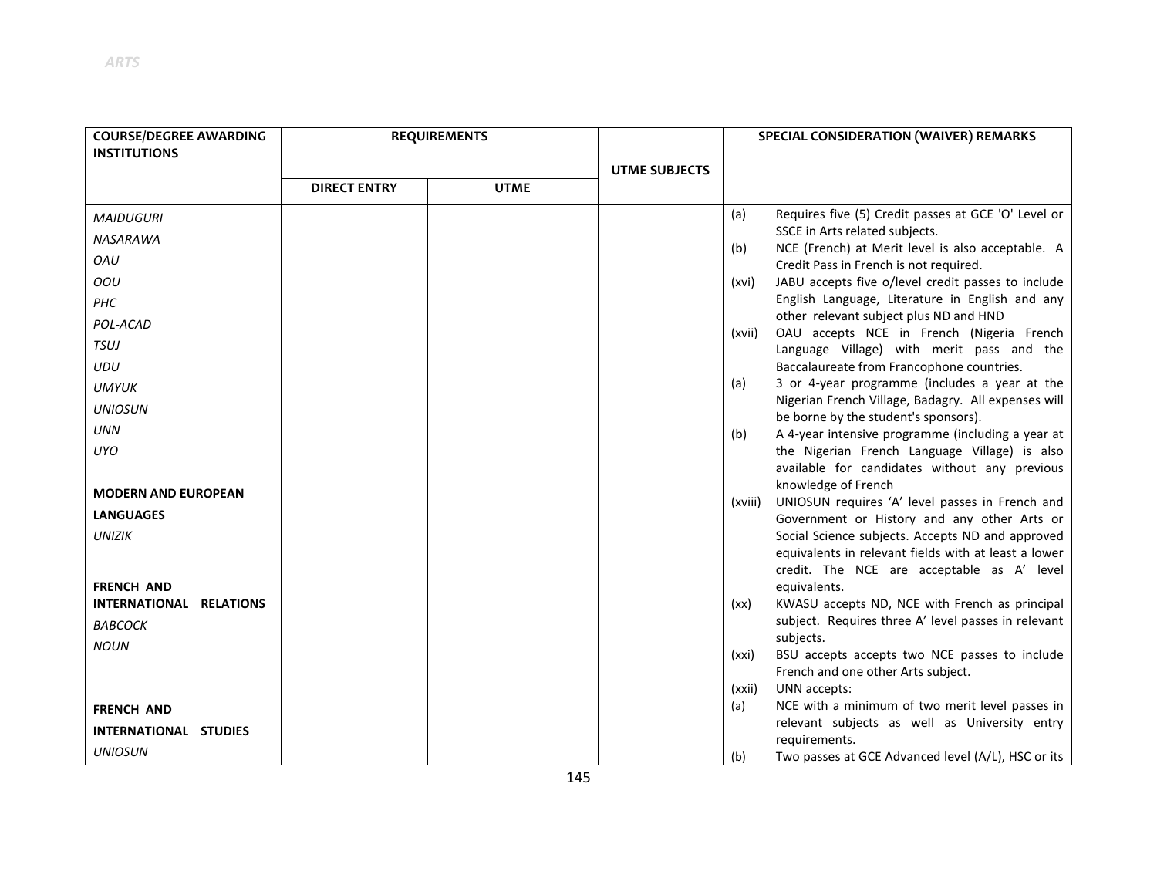| <b>COURSE/DEGREE AWARDING</b>                | <b>REQUIREMENTS</b> |             |                      | SPECIAL CONSIDERATION (WAIVER) REMARKS |                                                                                                |
|----------------------------------------------|---------------------|-------------|----------------------|----------------------------------------|------------------------------------------------------------------------------------------------|
| <b>INSTITUTIONS</b>                          |                     |             |                      |                                        |                                                                                                |
|                                              |                     |             | <b>UTME SUBJECTS</b> |                                        |                                                                                                |
|                                              | <b>DIRECT ENTRY</b> | <b>UTME</b> |                      |                                        |                                                                                                |
| <b>MAIDUGURI</b>                             |                     |             |                      | (a)                                    | Requires five (5) Credit passes at GCE 'O' Level or                                            |
| NASARAWA                                     |                     |             |                      |                                        | SSCE in Arts related subjects.                                                                 |
| OAU                                          |                     |             |                      | (b)                                    | NCE (French) at Merit level is also acceptable. A<br>Credit Pass in French is not required.    |
| OOU                                          |                     |             |                      | (xvi)                                  | JABU accepts five o/level credit passes to include                                             |
| PHC                                          |                     |             |                      |                                        | English Language, Literature in English and any                                                |
| POL-ACAD                                     |                     |             |                      |                                        | other relevant subject plus ND and HND<br>OAU accepts NCE in French (Nigeria French            |
| TSUJ                                         |                     |             |                      | (xvii)                                 | Language Village) with merit pass and the                                                      |
| UDU                                          |                     |             |                      |                                        | Baccalaureate from Francophone countries.                                                      |
| <b>UMYUK</b>                                 |                     |             |                      | (a)                                    | 3 or 4-year programme (includes a year at the                                                  |
| <b>UNIOSUN</b>                               |                     |             |                      |                                        | Nigerian French Village, Badagry. All expenses will<br>be borne by the student's sponsors).    |
| <b>UNN</b>                                   |                     |             |                      | (b)                                    | A 4-year intensive programme (including a year at                                              |
| <b>UYO</b>                                   |                     |             |                      |                                        | the Nigerian French Language Village) is also                                                  |
|                                              |                     |             |                      |                                        | available for candidates without any previous                                                  |
| <b>MODERN AND EUROPEAN</b>                   |                     |             |                      |                                        | knowledge of French                                                                            |
| <b>LANGUAGES</b>                             |                     |             |                      | (xviii)                                | UNIOSUN requires 'A' level passes in French and<br>Government or History and any other Arts or |
| <b>UNIZIK</b>                                |                     |             |                      |                                        | Social Science subjects. Accepts ND and approved                                               |
|                                              |                     |             |                      |                                        | equivalents in relevant fields with at least a lower                                           |
|                                              |                     |             |                      |                                        | credit. The NCE are acceptable as A' level                                                     |
| <b>FRENCH AND</b><br>INTERNATIONAL RELATIONS |                     |             |                      | (xx)                                   | equivalents.<br>KWASU accepts ND, NCE with French as principal                                 |
| <b>BABCOCK</b>                               |                     |             |                      |                                        | subject. Requires three A' level passes in relevant                                            |
| <b>NOUN</b>                                  |                     |             |                      |                                        | subjects.                                                                                      |
|                                              |                     |             |                      | (xxi)                                  | BSU accepts accepts two NCE passes to include                                                  |
|                                              |                     |             |                      |                                        | French and one other Arts subject.                                                             |
| <b>FRENCH AND</b>                            |                     |             |                      | (xxii)<br>(a)                          | UNN accepts:<br>NCE with a minimum of two merit level passes in                                |
|                                              |                     |             |                      |                                        | relevant subjects as well as University entry                                                  |
| INTERNATIONAL STUDIES                        |                     |             |                      |                                        | requirements.                                                                                  |
| <b>UNIOSUN</b>                               |                     |             |                      | (b)                                    | Two passes at GCE Advanced level (A/L), HSC or its                                             |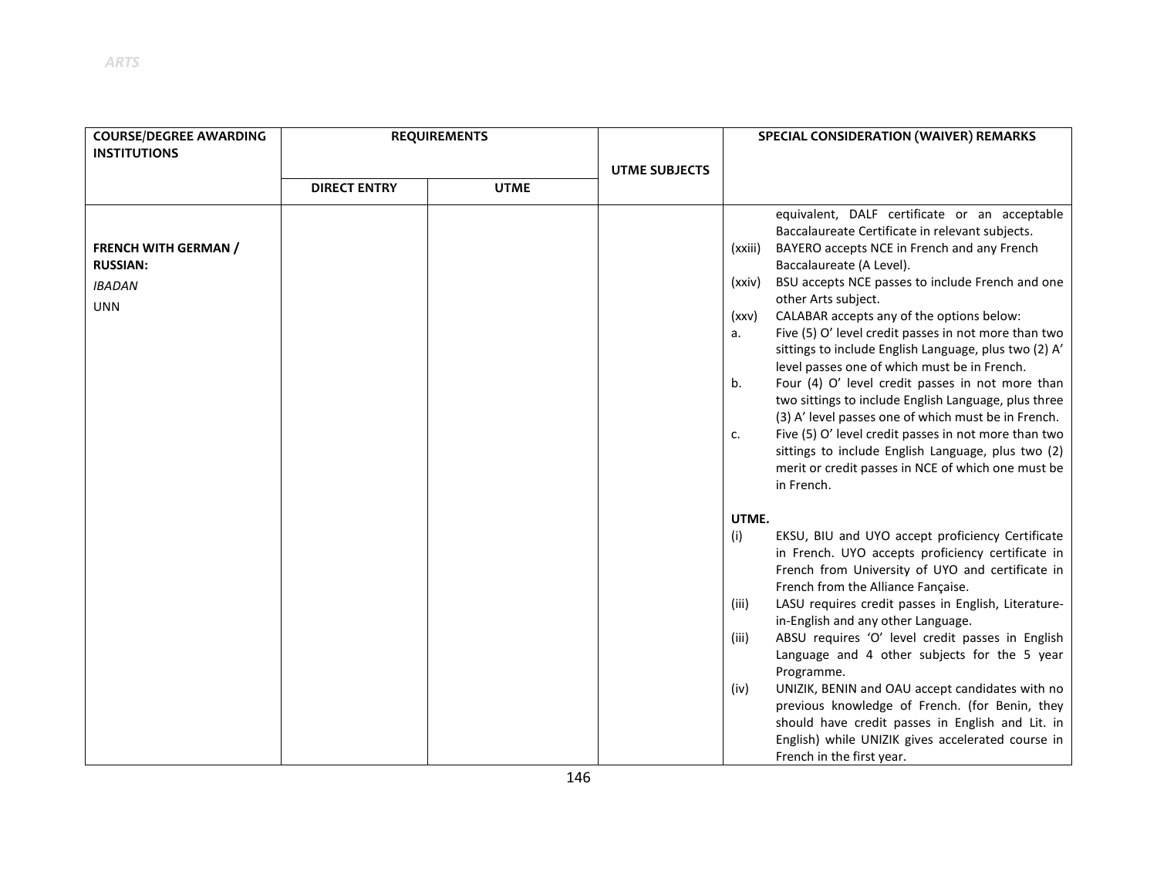| <b>COURSE/DEGREE AWARDING</b><br><b>INSTITUTIONS</b>                          | <b>REQUIREMENTS</b> |             |                      | SPECIAL CONSIDERATION (WAIVER) REMARKS                                                                                                                                                                                                                                                                                                                                                                                                                                                                                                                                                                                                                                                                                                                                                                                                                                    |
|-------------------------------------------------------------------------------|---------------------|-------------|----------------------|---------------------------------------------------------------------------------------------------------------------------------------------------------------------------------------------------------------------------------------------------------------------------------------------------------------------------------------------------------------------------------------------------------------------------------------------------------------------------------------------------------------------------------------------------------------------------------------------------------------------------------------------------------------------------------------------------------------------------------------------------------------------------------------------------------------------------------------------------------------------------|
|                                                                               |                     |             | <b>UTME SUBJECTS</b> |                                                                                                                                                                                                                                                                                                                                                                                                                                                                                                                                                                                                                                                                                                                                                                                                                                                                           |
|                                                                               | <b>DIRECT ENTRY</b> | <b>UTME</b> |                      |                                                                                                                                                                                                                                                                                                                                                                                                                                                                                                                                                                                                                                                                                                                                                                                                                                                                           |
| <b>FRENCH WITH GERMAN /</b><br><b>RUSSIAN:</b><br><b>IBADAN</b><br><b>UNN</b> |                     |             |                      | equivalent, DALF certificate or an acceptable<br>Baccalaureate Certificate in relevant subjects.<br>BAYERO accepts NCE in French and any French<br>(xxiii)<br>Baccalaureate (A Level).<br>BSU accepts NCE passes to include French and one<br>(xxiv)<br>other Arts subject.<br>CALABAR accepts any of the options below:<br>(xxv)<br>Five (5) O' level credit passes in not more than two<br>а.<br>sittings to include English Language, plus two (2) A'<br>level passes one of which must be in French.<br>Four (4) O' level credit passes in not more than<br>b.<br>two sittings to include English Language, plus three<br>(3) A' level passes one of which must be in French.<br>Five (5) O' level credit passes in not more than two<br>c.<br>sittings to include English Language, plus two (2)<br>merit or credit passes in NCE of which one must be<br>in French. |
|                                                                               |                     |             |                      | UTME.<br>EKSU, BIU and UYO accept proficiency Certificate<br>(i)<br>in French. UYO accepts proficiency certificate in<br>French from University of UYO and certificate in<br>French from the Alliance Fançaise.<br>LASU requires credit passes in English, Literature-<br>(iii)<br>in-English and any other Language.<br>ABSU requires 'O' level credit passes in English<br>(iii)<br>Language and 4 other subjects for the 5 year<br>Programme.<br>UNIZIK, BENIN and OAU accept candidates with no<br>(iv)<br>previous knowledge of French. (for Benin, they<br>should have credit passes in English and Lit. in<br>English) while UNIZIK gives accelerated course in<br>French in the first year.                                                                                                                                                                       |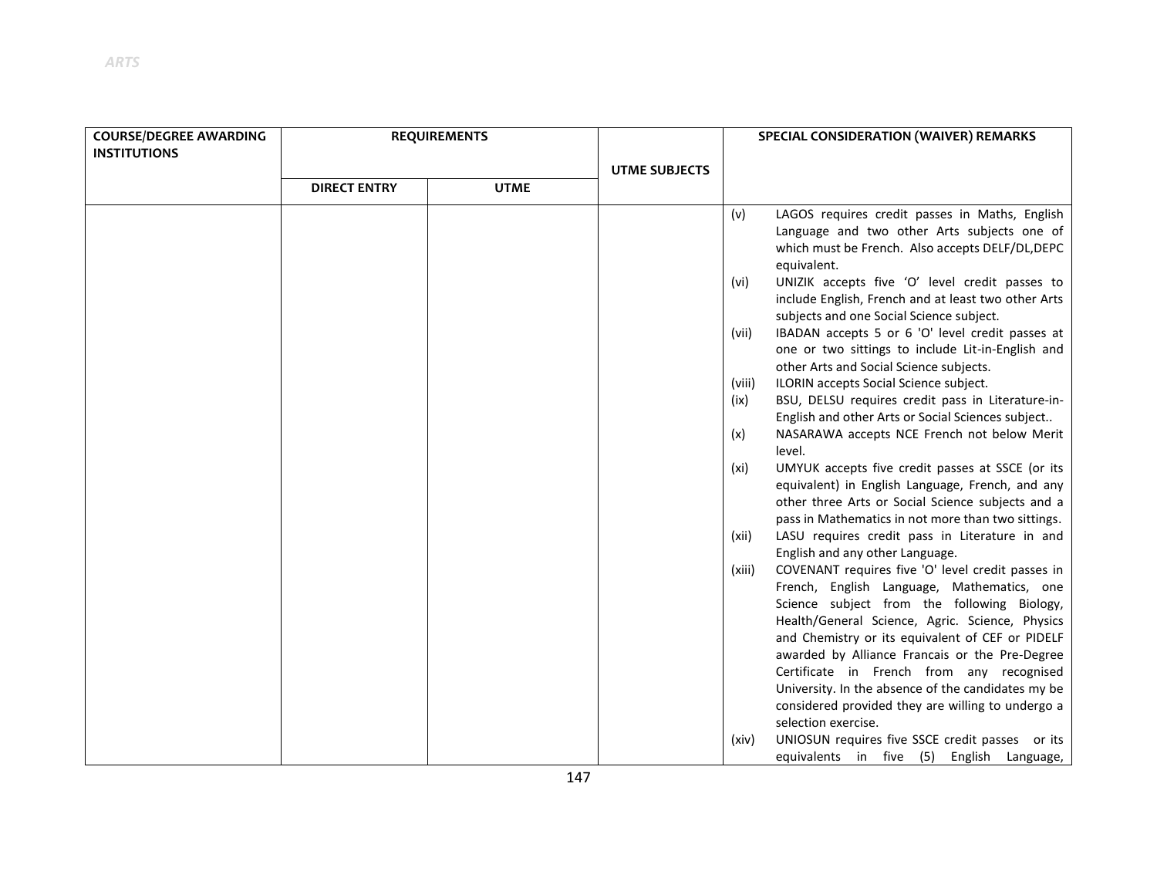| <b>COURSE/DEGREE AWARDING</b><br><b>INSTITUTIONS</b> | <b>REQUIREMENTS</b> | <b>UTME SUI</b> |  |
|------------------------------------------------------|---------------------|-----------------|--|
|                                                      | <b>DIRECT ENTRY</b> | <b>UTME</b>     |  |
|                                                      |                     |                 |  |

|                     |             | <b>UTME SUBJECTS</b> |        |                                                                                                                                                                                                                                                                                                                                                      |
|---------------------|-------------|----------------------|--------|------------------------------------------------------------------------------------------------------------------------------------------------------------------------------------------------------------------------------------------------------------------------------------------------------------------------------------------------------|
| <b>DIRECT ENTRY</b> | <b>UTME</b> |                      |        |                                                                                                                                                                                                                                                                                                                                                      |
|                     |             |                      | (v)    | LAGOS requires credit passes in Maths, English<br>Language and two other Arts subjects one of<br>which must be French. Also accepts DELF/DL, DEPC<br>equivalent.                                                                                                                                                                                     |
|                     |             |                      | (vi)   | UNIZIK accepts five 'O' level credit passes to<br>include English, French and at least two other Arts<br>subjects and one Social Science subject.                                                                                                                                                                                                    |
|                     |             |                      | (vii)  | IBADAN accepts 5 or 6 'O' level credit passes at<br>one or two sittings to include Lit-in-English and<br>other Arts and Social Science subjects.                                                                                                                                                                                                     |
|                     |             |                      | (viii) | ILORIN accepts Social Science subject.                                                                                                                                                                                                                                                                                                               |
|                     |             |                      | (ix)   | BSU, DELSU requires credit pass in Literature-in-<br>English and other Arts or Social Sciences subject                                                                                                                                                                                                                                               |
|                     |             |                      | (x)    | NASARAWA accepts NCE French not below Merit<br>level.                                                                                                                                                                                                                                                                                                |
|                     |             |                      | (xi)   | UMYUK accepts five credit passes at SSCE (or its<br>equivalent) in English Language, French, and any<br>other three Arts or Social Science subjects and a<br>pass in Mathematics in not more than two sittings.                                                                                                                                      |
|                     |             |                      | (xii)  | LASU requires credit pass in Literature in and<br>English and any other Language.                                                                                                                                                                                                                                                                    |
|                     |             |                      | (xiii) | COVENANT requires five 'O' level credit passes in<br>French, English Language, Mathematics, one<br>Science subject from the following Biology,<br>Health/General Science, Agric. Science, Physics<br>and Chemistry or its equivalent of CEF or PIDELF<br>awarded by Alliance Francais or the Pre-Degree<br>Certificate in French from any recognised |
|                     |             |                      |        | University. In the absence of the candidates my be<br>considered provided they are willing to undergo a                                                                                                                                                                                                                                              |
|                     |             |                      |        | selection exercise.                                                                                                                                                                                                                                                                                                                                  |
|                     |             |                      | (xiv)  | UNIOSUN requires five SSCE credit passes or its<br>equivalents in five (5) English Language,                                                                                                                                                                                                                                                         |

**SPECIAL CONSIDERATION (WAIVER) REMARKS**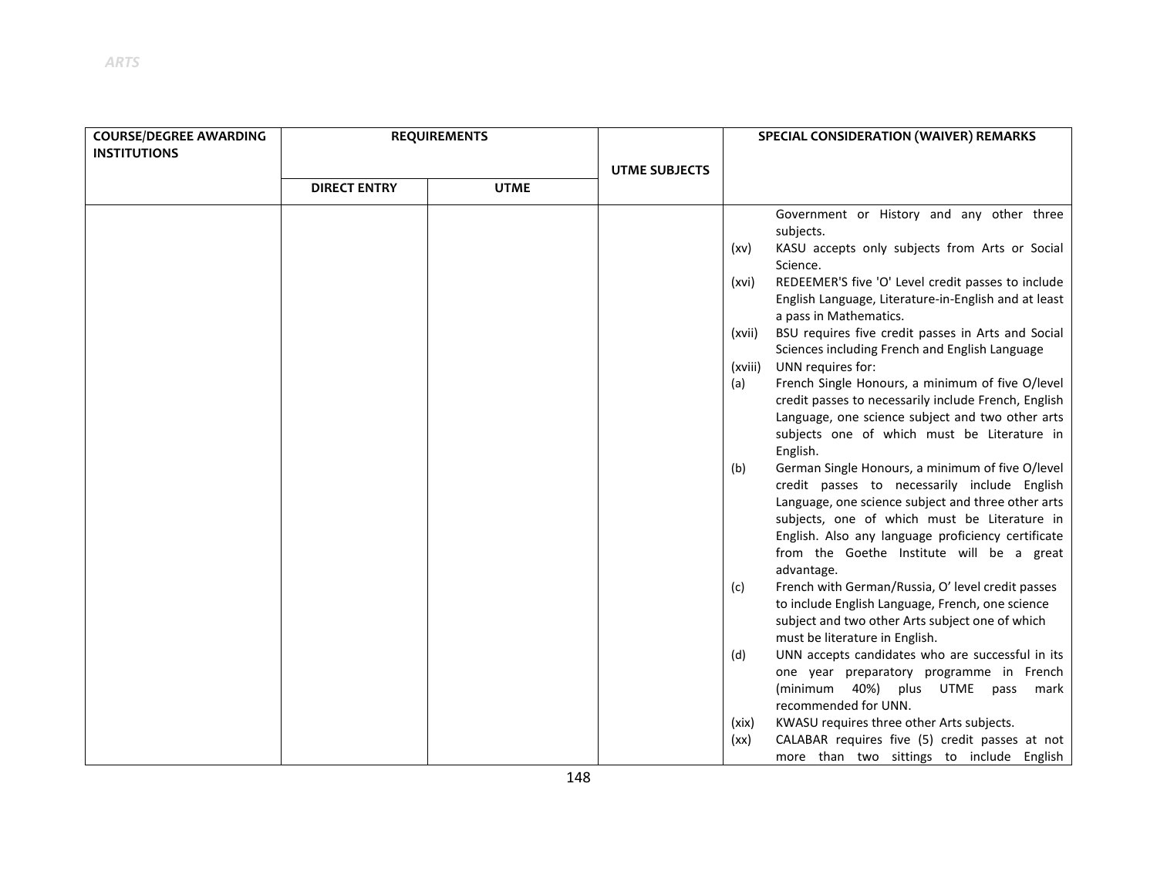| <b>COURSE/DEGREE AWARDING</b><br><b>INSTITUTIONS</b> |                     | <b>REQUIREMENTS</b> |                      | SPECIAL CONSIDERATION (WAIVER) REMARKS                                                                                                                                                                                                                                                                                                                                                                                                                                                                                                                                                                                                                                                                                                                                                                                                                                                                                                                                                                                                                                                                                                                                                                                                                                                                                                                                                                                             |  |
|------------------------------------------------------|---------------------|---------------------|----------------------|------------------------------------------------------------------------------------------------------------------------------------------------------------------------------------------------------------------------------------------------------------------------------------------------------------------------------------------------------------------------------------------------------------------------------------------------------------------------------------------------------------------------------------------------------------------------------------------------------------------------------------------------------------------------------------------------------------------------------------------------------------------------------------------------------------------------------------------------------------------------------------------------------------------------------------------------------------------------------------------------------------------------------------------------------------------------------------------------------------------------------------------------------------------------------------------------------------------------------------------------------------------------------------------------------------------------------------------------------------------------------------------------------------------------------------|--|
|                                                      | <b>DIRECT ENTRY</b> | <b>UTME</b>         | <b>UTME SUBJECTS</b> |                                                                                                                                                                                                                                                                                                                                                                                                                                                                                                                                                                                                                                                                                                                                                                                                                                                                                                                                                                                                                                                                                                                                                                                                                                                                                                                                                                                                                                    |  |
|                                                      |                     |                     |                      | Government or History and any other three<br>subjects.<br>KASU accepts only subjects from Arts or Social<br>(xv)<br>Science.<br>REDEEMER'S five 'O' Level credit passes to include<br>(xvi)<br>English Language, Literature-in-English and at least<br>a pass in Mathematics.<br>BSU requires five credit passes in Arts and Social<br>(xvii)<br>Sciences including French and English Language<br>UNN requires for:<br>(xviii)<br>French Single Honours, a minimum of five O/level<br>(a)<br>credit passes to necessarily include French, English<br>Language, one science subject and two other arts<br>subjects one of which must be Literature in<br>English.<br>German Single Honours, a minimum of five O/level<br>(b)<br>credit passes to necessarily include English<br>Language, one science subject and three other arts<br>subjects, one of which must be Literature in<br>English. Also any language proficiency certificate<br>from the Goethe Institute will be a great<br>advantage.<br>French with German/Russia, O' level credit passes<br>(c)<br>to include English Language, French, one science<br>subject and two other Arts subject one of which<br>must be literature in English.<br>UNN accepts candidates who are successful in its<br>(d)<br>one year preparatory programme in French<br>(minimum 40%) plus UTME pass mark<br>recommended for UNN.<br>KWASU requires three other Arts subjects.<br>(xix) |  |
|                                                      |                     |                     |                      | $CALADAD$ securities $f(x)$ and $f(x)$ are $f(x)$ as $f(x)$                                                                                                                                                                                                                                                                                                                                                                                                                                                                                                                                                                                                                                                                                                                                                                                                                                                                                                                                                                                                                                                                                                                                                                                                                                                                                                                                                                        |  |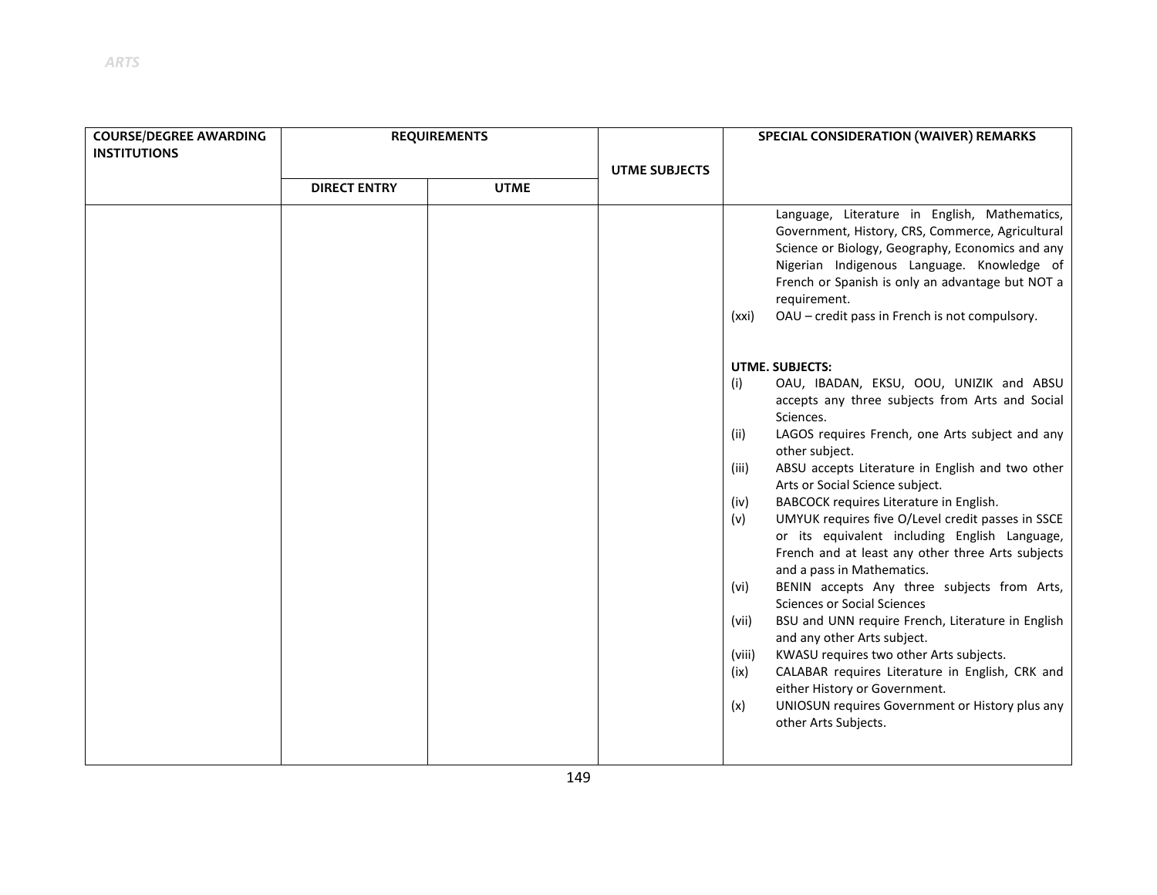| <b>COURSE/DEGREE AWARDING</b> |                     | <b>REQUIREMENTS</b> |                      | SPECIAL CONSIDERATION (WAIVER) REMARKS                                                                                                                                                                                                                                                                                                                                                                                                                                                                                                                                                                                                                                                                                                                                                                                                                                                                                                                                                                                                                                                                                                                                                                                                                                                                                                      |
|-------------------------------|---------------------|---------------------|----------------------|---------------------------------------------------------------------------------------------------------------------------------------------------------------------------------------------------------------------------------------------------------------------------------------------------------------------------------------------------------------------------------------------------------------------------------------------------------------------------------------------------------------------------------------------------------------------------------------------------------------------------------------------------------------------------------------------------------------------------------------------------------------------------------------------------------------------------------------------------------------------------------------------------------------------------------------------------------------------------------------------------------------------------------------------------------------------------------------------------------------------------------------------------------------------------------------------------------------------------------------------------------------------------------------------------------------------------------------------|
| <b>INSTITUTIONS</b>           |                     |                     |                      |                                                                                                                                                                                                                                                                                                                                                                                                                                                                                                                                                                                                                                                                                                                                                                                                                                                                                                                                                                                                                                                                                                                                                                                                                                                                                                                                             |
|                               |                     |                     | <b>UTME SUBJECTS</b> |                                                                                                                                                                                                                                                                                                                                                                                                                                                                                                                                                                                                                                                                                                                                                                                                                                                                                                                                                                                                                                                                                                                                                                                                                                                                                                                                             |
|                               | <b>DIRECT ENTRY</b> | <b>UTME</b>         |                      |                                                                                                                                                                                                                                                                                                                                                                                                                                                                                                                                                                                                                                                                                                                                                                                                                                                                                                                                                                                                                                                                                                                                                                                                                                                                                                                                             |
|                               |                     |                     |                      | Language, Literature in English, Mathematics,<br>Government, History, CRS, Commerce, Agricultural<br>Science or Biology, Geography, Economics and any<br>Nigerian Indigenous Language. Knowledge of<br>French or Spanish is only an advantage but NOT a<br>requirement.<br>OAU - credit pass in French is not compulsory.<br>(xxi)<br><b>UTME. SUBJECTS:</b><br>OAU, IBADAN, EKSU, OOU, UNIZIK and ABSU<br>(i)<br>accepts any three subjects from Arts and Social<br>Sciences.<br>LAGOS requires French, one Arts subject and any<br>(ii)<br>other subject.<br>ABSU accepts Literature in English and two other<br>(iii)<br>Arts or Social Science subject.<br>BABCOCK requires Literature in English.<br>(iv)<br>UMYUK requires five O/Level credit passes in SSCE<br>(v)<br>or its equivalent including English Language,<br>French and at least any other three Arts subjects<br>and a pass in Mathematics.<br>BENIN accepts Any three subjects from Arts,<br>(vi)<br><b>Sciences or Social Sciences</b><br>BSU and UNN require French, Literature in English<br>(vii)<br>and any other Arts subject.<br>KWASU requires two other Arts subjects.<br>(viii)<br>CALABAR requires Literature in English, CRK and<br>(ix)<br>either History or Government.<br>UNIOSUN requires Government or History plus any<br>(x)<br>other Arts Subjects. |
|                               |                     |                     |                      |                                                                                                                                                                                                                                                                                                                                                                                                                                                                                                                                                                                                                                                                                                                                                                                                                                                                                                                                                                                                                                                                                                                                                                                                                                                                                                                                             |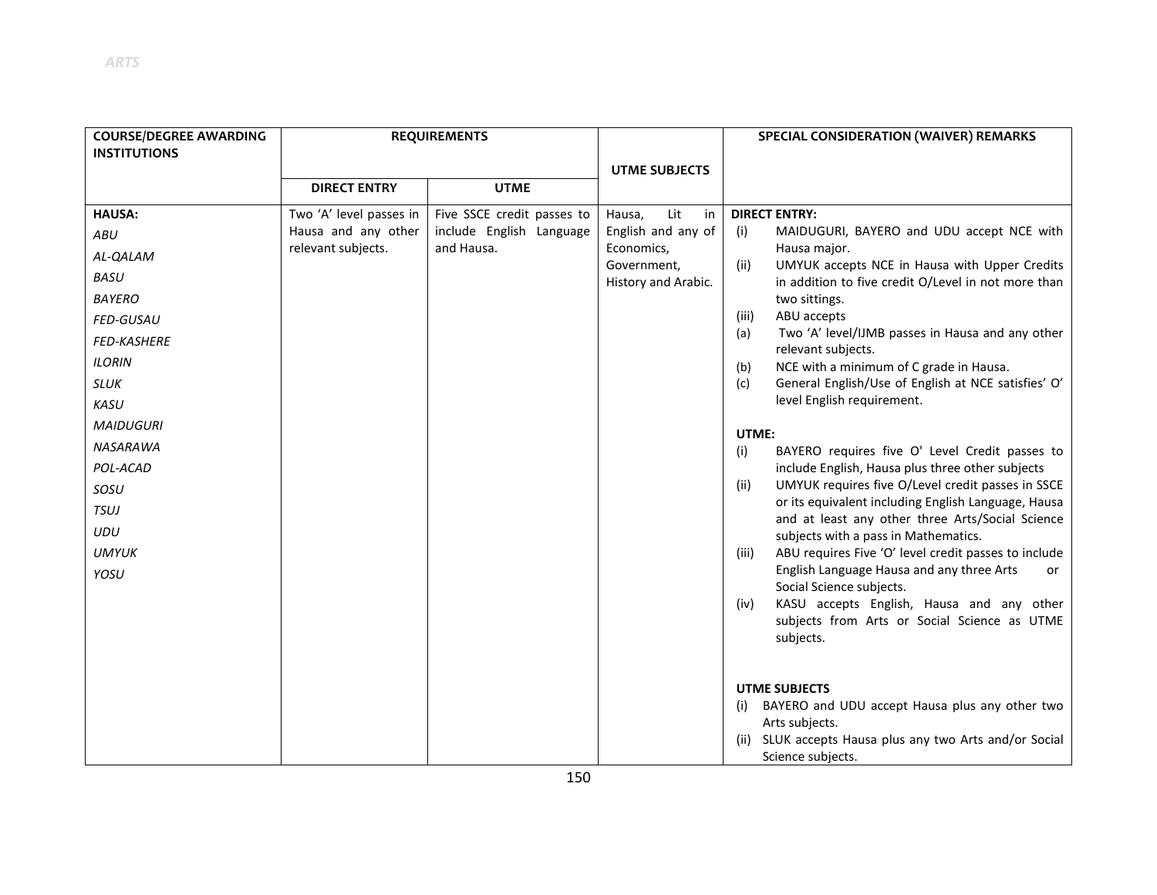| <b>COURSE/DEGREE AWARDING</b> |                                           | <b>REQUIREMENTS</b>                    |                                  | SPECIAL CONSIDERATION (WAIVER) REMARKS                                                                  |
|-------------------------------|-------------------------------------------|----------------------------------------|----------------------------------|---------------------------------------------------------------------------------------------------------|
| <b>INSTITUTIONS</b>           |                                           |                                        |                                  |                                                                                                         |
|                               | <b>DIRECT ENTRY</b>                       | <b>UTME</b>                            | <b>UTME SUBJECTS</b>             |                                                                                                         |
|                               |                                           |                                        |                                  |                                                                                                         |
| <b>HAUSA:</b>                 | Two 'A' level passes in                   | Five SSCE credit passes to             | Lit<br>Hausa,<br>in              | <b>DIRECT ENTRY:</b>                                                                                    |
| ABU                           | Hausa and any other<br>relevant subjects. | include English Language<br>and Hausa. | English and any of<br>Economics, | MAIDUGURI, BAYERO and UDU accept NCE with<br>(i)<br>Hausa major.                                        |
| AL-QALAM                      |                                           |                                        | Government,                      | UMYUK accepts NCE in Hausa with Upper Credits<br>(ii)                                                   |
| <b>BASU</b>                   |                                           |                                        | History and Arabic.              | in addition to five credit O/Level in not more than                                                     |
| <b>BAYERO</b>                 |                                           |                                        |                                  | two sittings.                                                                                           |
| FED-GUSAU                     |                                           |                                        |                                  | ABU accepts<br>(iii)                                                                                    |
| <b>FED-KASHERE</b>            |                                           |                                        |                                  | Two 'A' level/IJMB passes in Hausa and any other<br>(a)<br>relevant subjects.                           |
| <b>ILORIN</b>                 |                                           |                                        |                                  | NCE with a minimum of C grade in Hausa.<br>(b)                                                          |
| SLUK                          |                                           |                                        |                                  | General English/Use of English at NCE satisfies' O'<br>(c)                                              |
| KASU                          |                                           |                                        |                                  | level English requirement.                                                                              |
| <b>MAIDUGURI</b>              |                                           |                                        |                                  | UTME:                                                                                                   |
| NASARAWA                      |                                           |                                        |                                  | BAYERO requires five O' Level Credit passes to<br>(i)                                                   |
| POL-ACAD                      |                                           |                                        |                                  | include English, Hausa plus three other subjects                                                        |
| SOSU                          |                                           |                                        |                                  | UMYUK requires five O/Level credit passes in SSCE<br>(ii)                                               |
| TSUJ                          |                                           |                                        |                                  | or its equivalent including English Language, Hausa<br>and at least any other three Arts/Social Science |
| UDU                           |                                           |                                        |                                  | subjects with a pass in Mathematics.                                                                    |
| <b>UMYUK</b>                  |                                           |                                        |                                  | ABU requires Five 'O' level credit passes to include<br>(iii)                                           |
| YOSU                          |                                           |                                        |                                  | English Language Hausa and any three Arts<br>or                                                         |
|                               |                                           |                                        |                                  | Social Science subjects.<br>KASU accepts English, Hausa and any other<br>(iv)                           |
|                               |                                           |                                        |                                  | subjects from Arts or Social Science as UTME                                                            |
|                               |                                           |                                        |                                  | subjects.                                                                                               |
|                               |                                           |                                        |                                  |                                                                                                         |
|                               |                                           |                                        |                                  | <b>UTME SUBJECTS</b>                                                                                    |
|                               |                                           |                                        |                                  | BAYERO and UDU accept Hausa plus any other two                                                          |
|                               |                                           |                                        |                                  | Arts subjects.                                                                                          |
|                               |                                           |                                        |                                  | (ii) SLUK accepts Hausa plus any two Arts and/or Social<br>Science subjects.                            |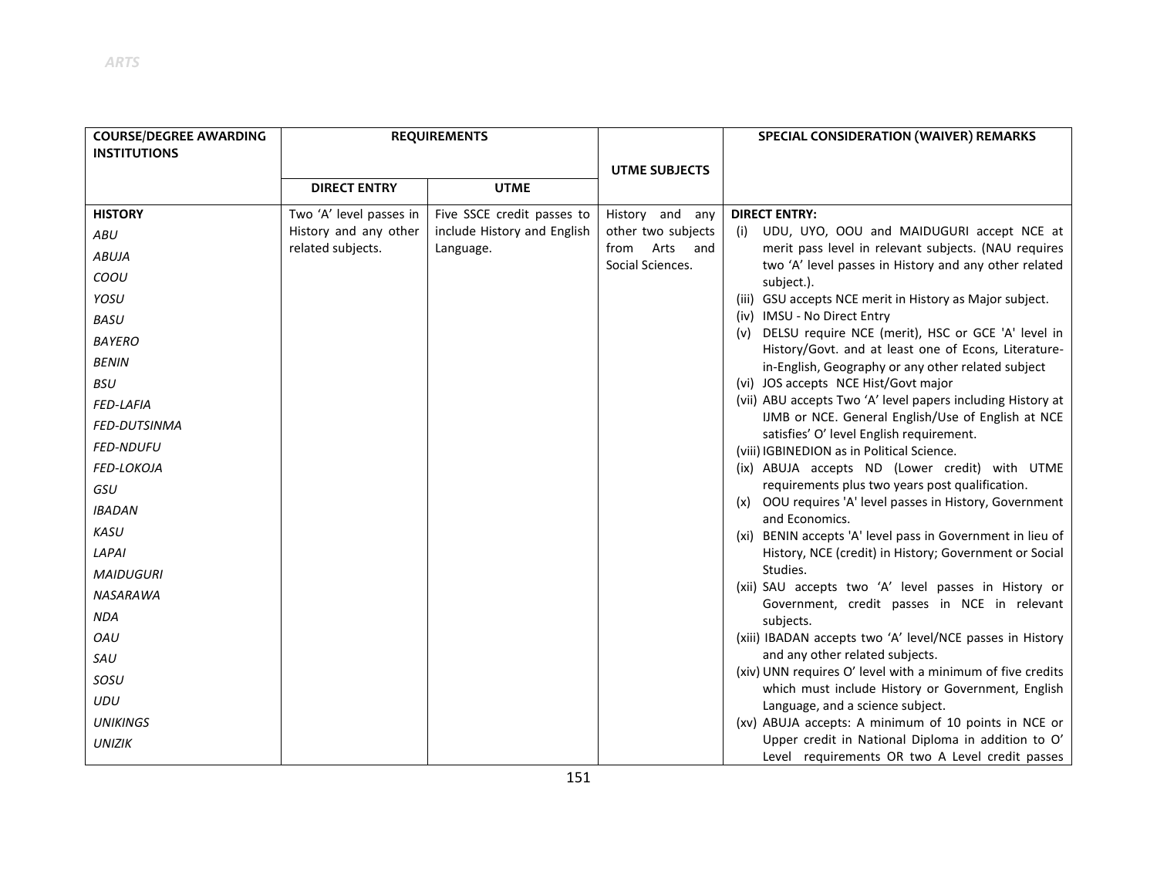| <b>COURSE/DEGREE AWARDING</b> |                                            | <b>REQUIREMENTS</b>                      |                                           | SPECIAL CONSIDERATION (WAIVER) REMARKS                                                                          |
|-------------------------------|--------------------------------------------|------------------------------------------|-------------------------------------------|-----------------------------------------------------------------------------------------------------------------|
| <b>INSTITUTIONS</b>           |                                            |                                          |                                           |                                                                                                                 |
|                               | <b>DIRECT ENTRY</b>                        | <b>UTME</b>                              | <b>UTME SUBJECTS</b>                      |                                                                                                                 |
|                               |                                            |                                          |                                           |                                                                                                                 |
| <b>HISTORY</b>                | Two 'A' level passes in                    | Five SSCE credit passes to               | History and any                           | <b>DIRECT ENTRY:</b>                                                                                            |
| ABU                           | History and any other<br>related subjects. | include History and English<br>Language. | other two subjects<br>Arts<br>from<br>and | UDU, UYO, OOU and MAIDUGURI accept NCE at<br>(i)<br>merit pass level in relevant subjects. (NAU requires        |
| <b>ABUJA</b>                  |                                            |                                          | Social Sciences.                          | two 'A' level passes in History and any other related                                                           |
| COOU                          |                                            |                                          |                                           | subject.).                                                                                                      |
| YOSU                          |                                            |                                          |                                           | (iii) GSU accepts NCE merit in History as Major subject.                                                        |
| <b>BASU</b>                   |                                            |                                          |                                           | (iv) IMSU - No Direct Entry                                                                                     |
| <b>BAYERO</b>                 |                                            |                                          |                                           | (v) DELSU require NCE (merit), HSC or GCE 'A' level in<br>History/Govt. and at least one of Econs, Literature-  |
| <b>BENIN</b>                  |                                            |                                          |                                           | in-English, Geography or any other related subject                                                              |
| <b>BSU</b>                    |                                            |                                          |                                           | (vi) JOS accepts NCE Hist/Govt major                                                                            |
| FED-LAFIA                     |                                            |                                          |                                           | (vii) ABU accepts Two 'A' level papers including History at                                                     |
| <b>FED-DUTSINMA</b>           |                                            |                                          |                                           | IJMB or NCE. General English/Use of English at NCE<br>satisfies' O' level English requirement.                  |
| <b>FED-NDUFU</b>              |                                            |                                          |                                           | (viii) IGBINEDION as in Political Science.                                                                      |
| FED-LOKOJA                    |                                            |                                          |                                           | (ix) ABUJA accepts ND (Lower credit) with UTME                                                                  |
| GSU                           |                                            |                                          |                                           | requirements plus two years post qualification.                                                                 |
| <b>IBADAN</b>                 |                                            |                                          |                                           | (x) OOU requires 'A' level passes in History, Government<br>and Economics.                                      |
| <b>KASU</b>                   |                                            |                                          |                                           | (xi) BENIN accepts 'A' level pass in Government in lieu of                                                      |
| LAPAI                         |                                            |                                          |                                           | History, NCE (credit) in History; Government or Social                                                          |
| <b>MAIDUGURI</b>              |                                            |                                          |                                           | Studies.                                                                                                        |
| <b>NASARAWA</b>               |                                            |                                          |                                           | (xii) SAU accepts two 'A' level passes in History or<br>Government, credit passes in NCE in relevant            |
| <b>NDA</b>                    |                                            |                                          |                                           | subjects.                                                                                                       |
| OAU                           |                                            |                                          |                                           | (xiii) IBADAN accepts two 'A' level/NCE passes in History                                                       |
| SAU                           |                                            |                                          |                                           | and any other related subjects.                                                                                 |
| SOSU                          |                                            |                                          |                                           | (xiv) UNN requires O' level with a minimum of five credits<br>which must include History or Government, English |
| <b>UDU</b>                    |                                            |                                          |                                           | Language, and a science subject.                                                                                |
| <b>UNIKINGS</b>               |                                            |                                          |                                           | (xv) ABUJA accepts: A minimum of 10 points in NCE or                                                            |
| <b>UNIZIK</b>                 |                                            |                                          |                                           | Upper credit in National Diploma in addition to O'<br>Level requirements OR two A Level credit passes           |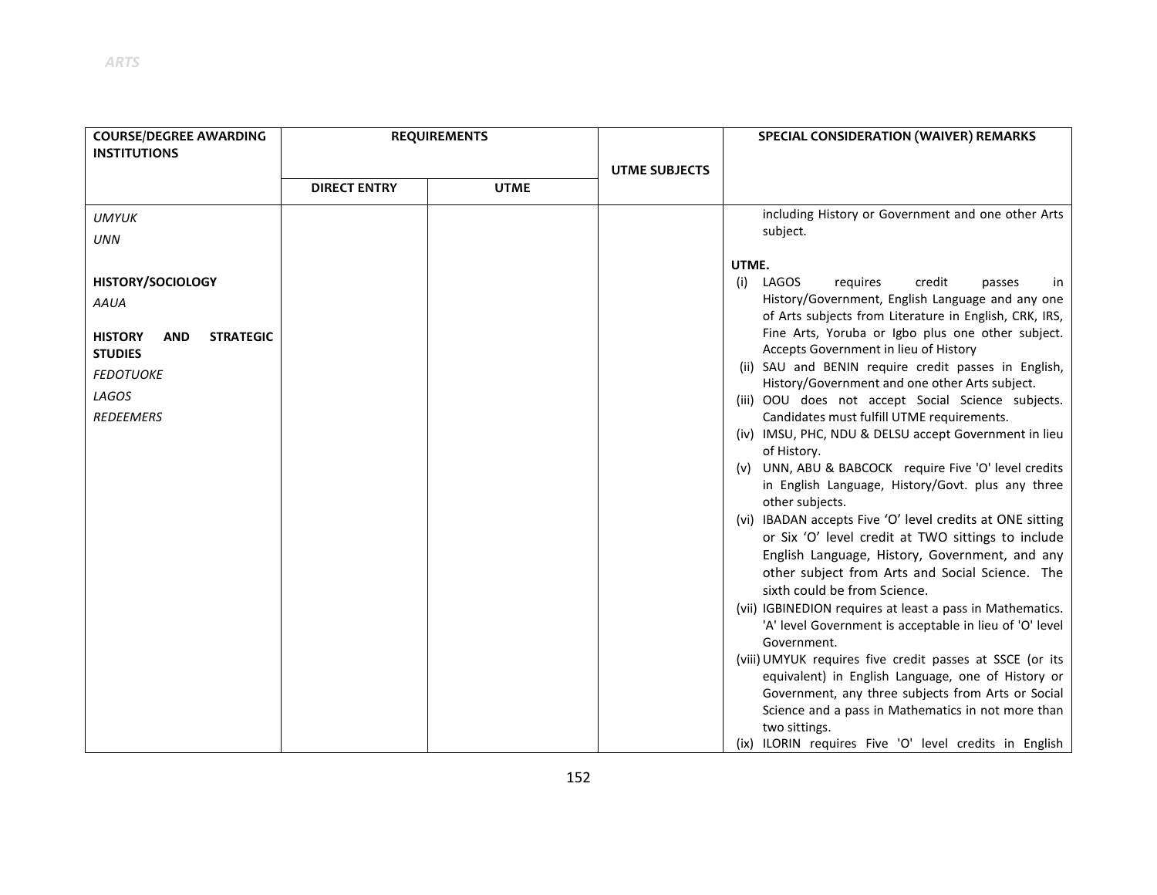| <b>COURSE/DEGREE AWARDING</b>                    |                     | <b>REQUIREMENTS</b> |                      | <b>SPECIAL CONSIDERATION (WAIVER) REMARKS</b>                                                            |
|--------------------------------------------------|---------------------|---------------------|----------------------|----------------------------------------------------------------------------------------------------------|
| <b>INSTITUTIONS</b>                              |                     |                     |                      |                                                                                                          |
|                                                  |                     |                     | <b>UTME SUBJECTS</b> |                                                                                                          |
|                                                  | <b>DIRECT ENTRY</b> | <b>UTME</b>         |                      |                                                                                                          |
| UMYUK                                            |                     |                     |                      | including History or Government and one other Arts                                                       |
| <b>UNN</b>                                       |                     |                     |                      | subject.                                                                                                 |
|                                                  |                     |                     |                      | UTME.                                                                                                    |
| <b>HISTORY/SOCIOLOGY</b>                         |                     |                     |                      | LAGOS<br>credit<br>(i)<br>requires<br>passes<br>in                                                       |
| <b>AAUA</b>                                      |                     |                     |                      | History/Government, English Language and any one                                                         |
|                                                  |                     |                     |                      | of Arts subjects from Literature in English, CRK, IRS,                                                   |
| <b>STRATEGIC</b><br><b>HISTORY</b><br><b>AND</b> |                     |                     |                      | Fine Arts, Yoruba or Igbo plus one other subject.<br>Accepts Government in lieu of History               |
| <b>STUDIES</b>                                   |                     |                     |                      | (ii) SAU and BENIN require credit passes in English,                                                     |
| <b>FEDOTUOKE</b>                                 |                     |                     |                      | History/Government and one other Arts subject.                                                           |
| LAGOS                                            |                     |                     |                      | (iii) OOU does not accept Social Science subjects.                                                       |
| <b>REDEEMERS</b>                                 |                     |                     |                      | Candidates must fulfill UTME requirements.                                                               |
|                                                  |                     |                     |                      | (iv) IMSU, PHC, NDU & DELSU accept Government in lieu                                                    |
|                                                  |                     |                     |                      | of History.<br>(v) UNN, ABU & BABCOCK require Five 'O' level credits                                     |
|                                                  |                     |                     |                      | in English Language, History/Govt. plus any three                                                        |
|                                                  |                     |                     |                      | other subjects.                                                                                          |
|                                                  |                     |                     |                      | (vi) IBADAN accepts Five 'O' level credits at ONE sitting                                                |
|                                                  |                     |                     |                      | or Six 'O' level credit at TWO sittings to include                                                       |
|                                                  |                     |                     |                      | English Language, History, Government, and any<br>other subject from Arts and Social Science. The        |
|                                                  |                     |                     |                      | sixth could be from Science.                                                                             |
|                                                  |                     |                     |                      | (vii) IGBINEDION requires at least a pass in Mathematics.                                                |
|                                                  |                     |                     |                      | 'A' level Government is acceptable in lieu of 'O' level                                                  |
|                                                  |                     |                     |                      | Government.                                                                                              |
|                                                  |                     |                     |                      | (viii) UMYUK requires five credit passes at SSCE (or its                                                 |
|                                                  |                     |                     |                      | equivalent) in English Language, one of History or<br>Government, any three subjects from Arts or Social |
|                                                  |                     |                     |                      | Science and a pass in Mathematics in not more than                                                       |
|                                                  |                     |                     |                      | two sittings.                                                                                            |
|                                                  |                     |                     |                      | (ix) ILORIN requires Five 'O' level credits in English                                                   |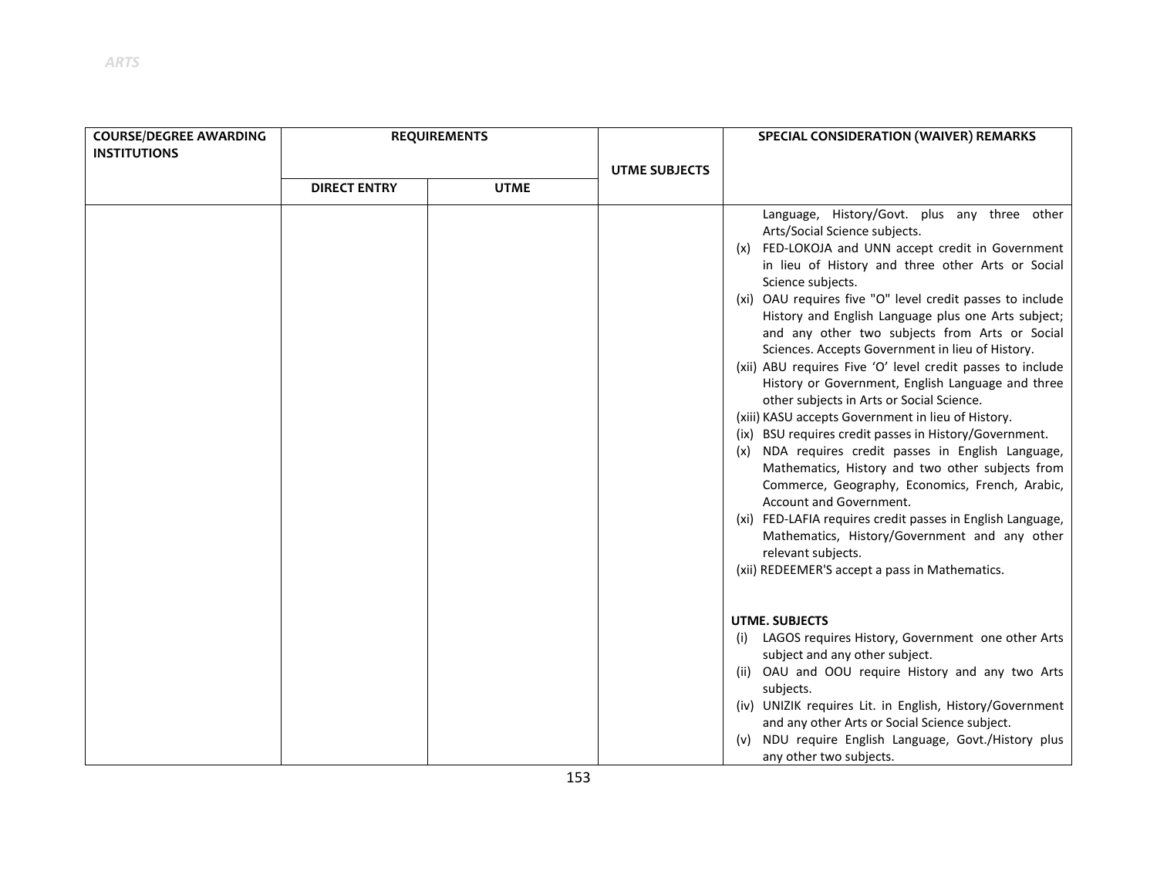| <b>COURSE/DEGREE AWARDING</b><br><b>INSTITUTIONS</b> | <b>REQUIREMENTS</b> | <b>UTME SUBJECTS</b> |  |
|------------------------------------------------------|---------------------|----------------------|--|
|                                                      | <b>DIRECT ENTRY</b> | <b>UTME</b>          |  |
|                                                      |                     |                      |  |

| <b>DIRECT ENTRY</b> | <b>UTME</b> |                                                                                                                                                                                                                                                                                                                                                                                                                                                                                                                                                                                                                                                                                                                                                                                                                                                                                                                                                                                                                                                                                                         |
|---------------------|-------------|---------------------------------------------------------------------------------------------------------------------------------------------------------------------------------------------------------------------------------------------------------------------------------------------------------------------------------------------------------------------------------------------------------------------------------------------------------------------------------------------------------------------------------------------------------------------------------------------------------------------------------------------------------------------------------------------------------------------------------------------------------------------------------------------------------------------------------------------------------------------------------------------------------------------------------------------------------------------------------------------------------------------------------------------------------------------------------------------------------|
|                     |             | Language, History/Govt. plus any three other<br>Arts/Social Science subjects.<br>(x) FED-LOKOJA and UNN accept credit in Government<br>in lieu of History and three other Arts or Social<br>Science subjects.<br>(xi) OAU requires five "O" level credit passes to include<br>History and English Language plus one Arts subject;<br>and any other two subjects from Arts or Social<br>Sciences. Accepts Government in lieu of History.<br>(xii) ABU requires Five 'O' level credit passes to include<br>History or Government, English Language and three<br>other subjects in Arts or Social Science.<br>(xiii) KASU accepts Government in lieu of History.<br>(ix) BSU requires credit passes in History/Government.<br>(x) NDA requires credit passes in English Language,<br>Mathematics, History and two other subjects from<br>Commerce, Geography, Economics, French, Arabic,<br>Account and Government.<br>(xi) FED-LAFIA requires credit passes in English Language,<br>Mathematics, History/Government and any other<br>relevant subjects.<br>(xii) REDEEMER'S accept a pass in Mathematics. |
|                     |             | <b>UTME. SUBJECTS</b><br>LAGOS requires History, Government one other Arts<br>(i)<br>subject and any other subject.<br>(ii) OAU and OOU require History and any two Arts<br>subjects.<br>(iv) UNIZIK requires Lit. in English, History/Government<br>and any other Arts or Social Science subject.<br>NDU require English Language, Govt./History plus<br>(v)<br>any other two subjects.                                                                                                                                                                                                                                                                                                                                                                                                                                                                                                                                                                                                                                                                                                                |

**SPECIAL CONSIDERATION (WAIVER) REMARKS**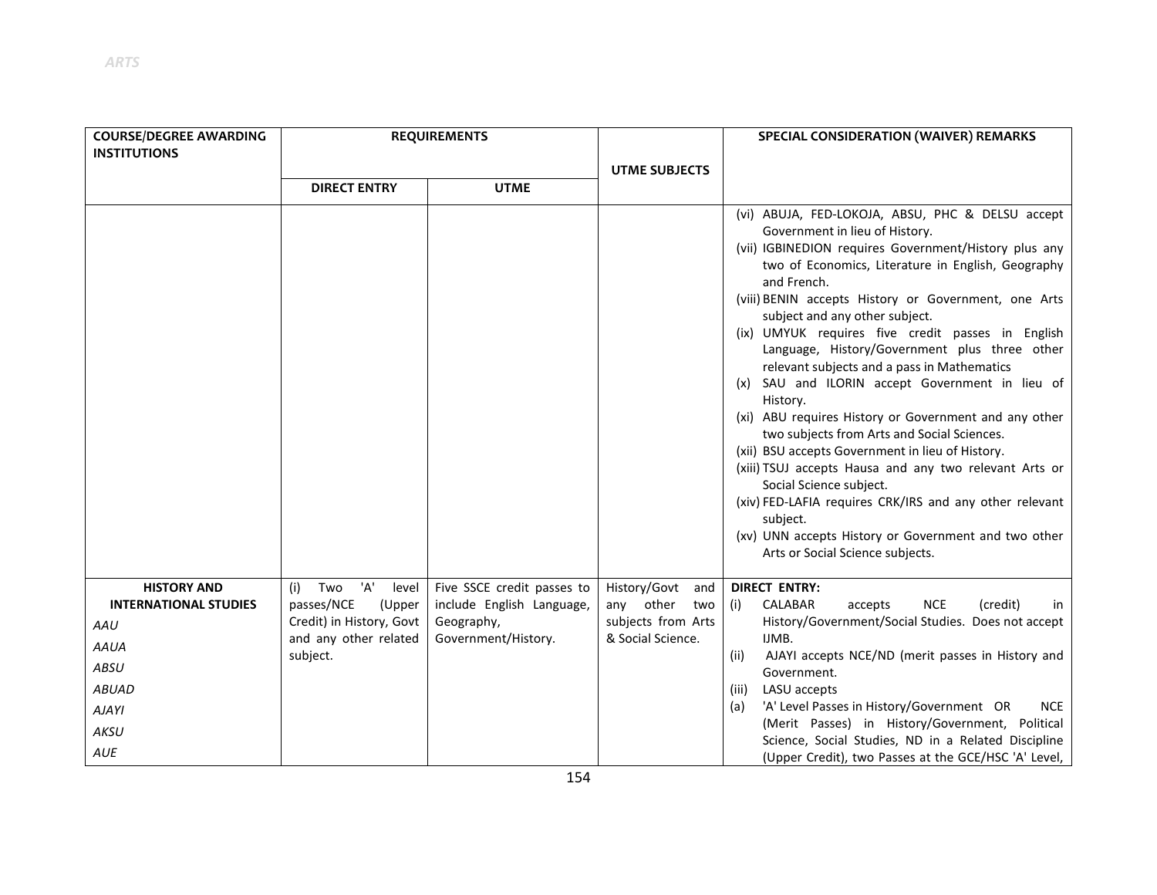| <b>COURSE/DEGREE AWARDING</b>                                                                                                   |                                                                                                                     | <b>REQUIREMENTS</b>                                                                          |                                                                                       | SPECIAL CONSIDERATION (WAIVER) REMARKS                                                                                                                                                                                                                                                                                                                                                                                                                                                                                                                                                                                                                                                                                                                                                                                                                                                                                                             |
|---------------------------------------------------------------------------------------------------------------------------------|---------------------------------------------------------------------------------------------------------------------|----------------------------------------------------------------------------------------------|---------------------------------------------------------------------------------------|----------------------------------------------------------------------------------------------------------------------------------------------------------------------------------------------------------------------------------------------------------------------------------------------------------------------------------------------------------------------------------------------------------------------------------------------------------------------------------------------------------------------------------------------------------------------------------------------------------------------------------------------------------------------------------------------------------------------------------------------------------------------------------------------------------------------------------------------------------------------------------------------------------------------------------------------------|
| <b>INSTITUTIONS</b>                                                                                                             |                                                                                                                     |                                                                                              |                                                                                       |                                                                                                                                                                                                                                                                                                                                                                                                                                                                                                                                                                                                                                                                                                                                                                                                                                                                                                                                                    |
|                                                                                                                                 |                                                                                                                     |                                                                                              | <b>UTME SUBJECTS</b>                                                                  |                                                                                                                                                                                                                                                                                                                                                                                                                                                                                                                                                                                                                                                                                                                                                                                                                                                                                                                                                    |
|                                                                                                                                 | <b>DIRECT ENTRY</b>                                                                                                 | <b>UTME</b>                                                                                  |                                                                                       |                                                                                                                                                                                                                                                                                                                                                                                                                                                                                                                                                                                                                                                                                                                                                                                                                                                                                                                                                    |
|                                                                                                                                 |                                                                                                                     |                                                                                              |                                                                                       | (vi) ABUJA, FED-LOKOJA, ABSU, PHC & DELSU accept<br>Government in lieu of History.<br>(vii) IGBINEDION requires Government/History plus any<br>two of Economics, Literature in English, Geography<br>and French.<br>(viii) BENIN accepts History or Government, one Arts<br>subject and any other subject.<br>(ix) UMYUK requires five credit passes in English<br>Language, History/Government plus three other<br>relevant subjects and a pass in Mathematics<br>(x) SAU and ILORIN accept Government in lieu of<br>History.<br>(xi) ABU requires History or Government and any other<br>two subjects from Arts and Social Sciences.<br>(xii) BSU accepts Government in lieu of History.<br>(xiii) TSUJ accepts Hausa and any two relevant Arts or<br>Social Science subject.<br>(xiv) FED-LAFIA requires CRK/IRS and any other relevant<br>subject.<br>(xv) UNN accepts History or Government and two other<br>Arts or Social Science subjects. |
| <b>HISTORY AND</b><br><b>INTERNATIONAL STUDIES</b><br>AAU<br><b>AAUA</b><br>ABSU<br><b>ABUAD</b><br><b>AJAYI</b><br>AKSU<br>AUE | 'A'<br>Two<br>(i)<br>level<br>passes/NCE<br>(Upper<br>Credit) in History, Govt<br>and any other related<br>subject. | Five SSCE credit passes to<br>include English Language,<br>Geography,<br>Government/History. | History/Govt<br>and<br>other<br>two<br>any<br>subjects from Arts<br>& Social Science. | <b>DIRECT ENTRY:</b><br>CALABAR<br><b>NCE</b><br>(credit)<br>accepts<br>(i)<br>in<br>History/Government/Social Studies. Does not accept<br>IJMB.<br>AJAYI accepts NCE/ND (merit passes in History and<br>(ii)<br>Government.<br>LASU accepts<br>(iii)<br>'A' Level Passes in History/Government OR<br><b>NCE</b><br>(a)<br>(Merit Passes) in History/Government, Political<br>Science, Social Studies, ND in a Related Discipline<br>(Upper Credit), two Passes at the GCE/HSC 'A' Level,                                                                                                                                                                                                                                                                                                                                                                                                                                                          |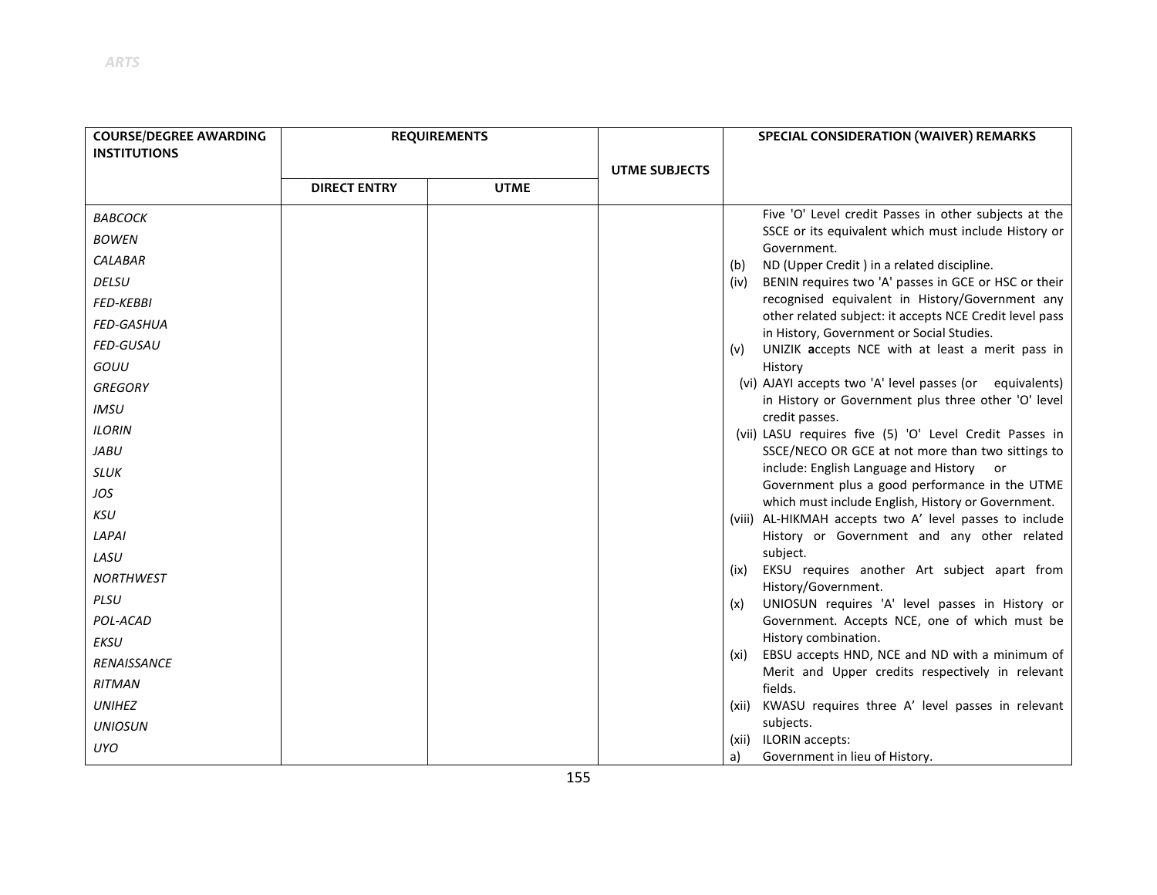| <b>COURSE/DEGREE AWARDING</b> |                     | <b>REQUIREMENTS</b> |                      | SPECIAL CONSIDERATION (WAIVER) REMARKS                                                                  |
|-------------------------------|---------------------|---------------------|----------------------|---------------------------------------------------------------------------------------------------------|
| <b>INSTITUTIONS</b>           |                     |                     |                      |                                                                                                         |
|                               |                     |                     | <b>UTME SUBJECTS</b> |                                                                                                         |
|                               | <b>DIRECT ENTRY</b> | <b>UTME</b>         |                      |                                                                                                         |
| <b>BABCOCK</b>                |                     |                     |                      | Five 'O' Level credit Passes in other subjects at the                                                   |
| <b>BOWEN</b>                  |                     |                     |                      | SSCE or its equivalent which must include History or<br>Government.                                     |
| <b>CALABAR</b>                |                     |                     |                      | ND (Upper Credit) in a related discipline.<br>(b)                                                       |
| <b>DELSU</b>                  |                     |                     |                      | BENIN requires two 'A' passes in GCE or HSC or their<br>(iv)                                            |
| <b>FED-KEBBI</b>              |                     |                     |                      | recognised equivalent in History/Government any                                                         |
| <b>FED-GASHUA</b>             |                     |                     |                      | other related subject: it accepts NCE Credit level pass<br>in History, Government or Social Studies.    |
| <b>FED-GUSAU</b>              |                     |                     |                      | UNIZIK accepts NCE with at least a merit pass in<br>(v)                                                 |
| GOUU                          |                     |                     |                      | History                                                                                                 |
| <b>GREGORY</b>                |                     |                     |                      | (vi) AJAYI accepts two 'A' level passes (or equivalents)                                                |
| <b>IMSU</b>                   |                     |                     |                      | in History or Government plus three other 'O' level                                                     |
| <b>ILORIN</b>                 |                     |                     |                      | credit passes.<br>(vii) LASU requires five (5) 'O' Level Credit Passes in                               |
| <b>JABU</b>                   |                     |                     |                      | SSCE/NECO OR GCE at not more than two sittings to                                                       |
| <b>SLUK</b>                   |                     |                     |                      | include: English Language and History<br>or                                                             |
| JOS                           |                     |                     |                      | Government plus a good performance in the UTME<br>which must include English, History or Government.    |
| KSU                           |                     |                     |                      | (viii) AL-HIKMAH accepts two A' level passes to include                                                 |
| LAPAI                         |                     |                     |                      | History or Government and any other related                                                             |
| LASU                          |                     |                     |                      | subject.                                                                                                |
| <b>NORTHWEST</b>              |                     |                     |                      | EKSU requires another Art subject apart from<br>(ix)<br>History/Government.                             |
| PLSU                          |                     |                     |                      | UNIOSUN requires 'A' level passes in History or<br>(x)                                                  |
| POL-ACAD                      |                     |                     |                      | Government. Accepts NCE, one of which must be                                                           |
| EKSU                          |                     |                     |                      | History combination.                                                                                    |
| RENAISSANCE                   |                     |                     |                      | (xi) EBSU accepts HND, NCE and ND with a minimum of<br>Merit and Upper credits respectively in relevant |
| <b>RITMAN</b>                 |                     |                     |                      | fields.                                                                                                 |
| <b>UNIHEZ</b>                 |                     |                     |                      | (xii) KWASU requires three A' level passes in relevant                                                  |
| <b>UNIOSUN</b>                |                     |                     |                      | subjects.                                                                                               |
| <b>UYO</b>                    |                     |                     |                      | (xii) ILORIN accepts:<br>Government in lieu of History.<br>a)                                           |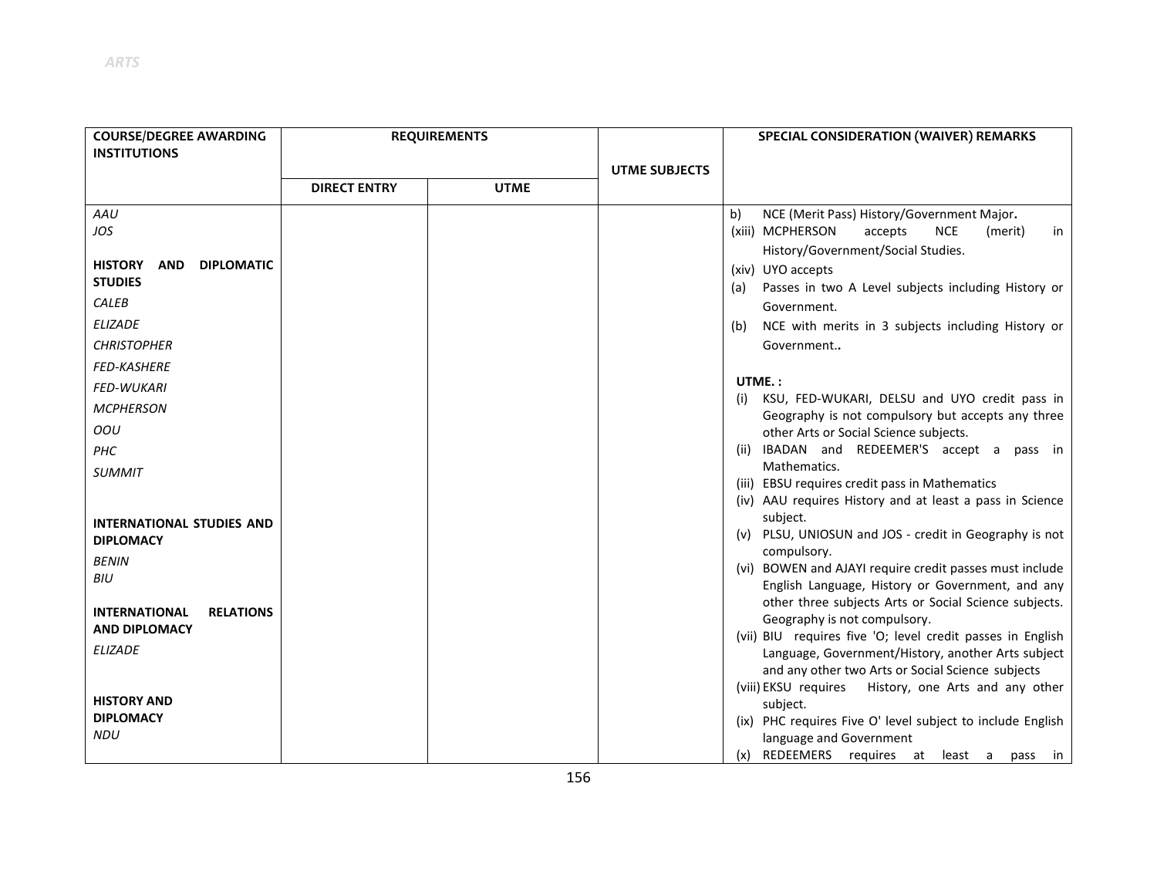| <b>COURSE/DEGREE AWARDING</b>            |                     | <b>REQUIREMENTS</b> |                      | SPECIAL CONSIDERATION (WAIVER) REMARKS                                                                    |
|------------------------------------------|---------------------|---------------------|----------------------|-----------------------------------------------------------------------------------------------------------|
| <b>INSTITUTIONS</b>                      |                     |                     |                      |                                                                                                           |
|                                          |                     |                     | <b>UTME SUBJECTS</b> |                                                                                                           |
|                                          | <b>DIRECT ENTRY</b> | <b>UTME</b>         |                      |                                                                                                           |
| AAU                                      |                     |                     |                      | NCE (Merit Pass) History/Government Major.<br>b)                                                          |
| JOS                                      |                     |                     |                      | (xiii) MCPHERSON<br>accepts<br><b>NCE</b><br>(merit)<br>in                                                |
| <b>HISTORY</b><br><b>DIPLOMATIC</b>      |                     |                     |                      | History/Government/Social Studies.                                                                        |
| <b>AND</b><br><b>STUDIES</b>             |                     |                     |                      | (xiv) UYO accepts<br>Passes in two A Level subjects including History or<br>(a)                           |
| <b>CALEB</b>                             |                     |                     |                      | Government.                                                                                               |
| <b>ELIZADE</b>                           |                     |                     |                      | NCE with merits in 3 subjects including History or<br>(b)                                                 |
| <b>CHRISTOPHER</b>                       |                     |                     |                      | Government                                                                                                |
| <b>FED-KASHERE</b>                       |                     |                     |                      |                                                                                                           |
| <b>FED-WUKARI</b>                        |                     |                     |                      | UTME.:                                                                                                    |
| <b>MCPHERSON</b>                         |                     |                     |                      | KSU, FED-WUKARI, DELSU and UYO credit pass in<br>(i)<br>Geography is not compulsory but accepts any three |
| OOU                                      |                     |                     |                      | other Arts or Social Science subjects.                                                                    |
| <b>PHC</b>                               |                     |                     |                      | (ii) IBADAN and REDEEMER'S accept a pass in                                                               |
| <b>SUMMIT</b>                            |                     |                     |                      | Mathematics.                                                                                              |
|                                          |                     |                     |                      | (iii) EBSU requires credit pass in Mathematics                                                            |
|                                          |                     |                     |                      | (iv) AAU requires History and at least a pass in Science<br>subject.                                      |
| <b>INTERNATIONAL STUDIES AND</b>         |                     |                     |                      | (v) PLSU, UNIOSUN and JOS - credit in Geography is not                                                    |
| <b>DIPLOMACY</b>                         |                     |                     |                      | compulsory.                                                                                               |
| <b>BENIN</b><br>BIU                      |                     |                     |                      | (vi) BOWEN and AJAYI require credit passes must include                                                   |
|                                          |                     |                     |                      | English Language, History or Government, and any                                                          |
| <b>INTERNATIONAL</b><br><b>RELATIONS</b> |                     |                     |                      | other three subjects Arts or Social Science subjects.                                                     |
| <b>AND DIPLOMACY</b>                     |                     |                     |                      | Geography is not compulsory.<br>(vii) BIU requires five 'O; level credit passes in English                |
| <b>ELIZADE</b>                           |                     |                     |                      | Language, Government/History, another Arts subject                                                        |
|                                          |                     |                     |                      | and any other two Arts or Social Science subjects                                                         |
|                                          |                     |                     |                      | (viii) EKSU requires History, one Arts and any other                                                      |
| <b>HISTORY AND</b>                       |                     |                     |                      | subject.                                                                                                  |
| <b>DIPLOMACY</b>                         |                     |                     |                      | (ix) PHC requires Five O' level subject to include English                                                |
| <b>NDU</b>                               |                     |                     |                      | language and Government                                                                                   |
|                                          |                     |                     |                      | (x) REDEEMERS requires at least a pass in                                                                 |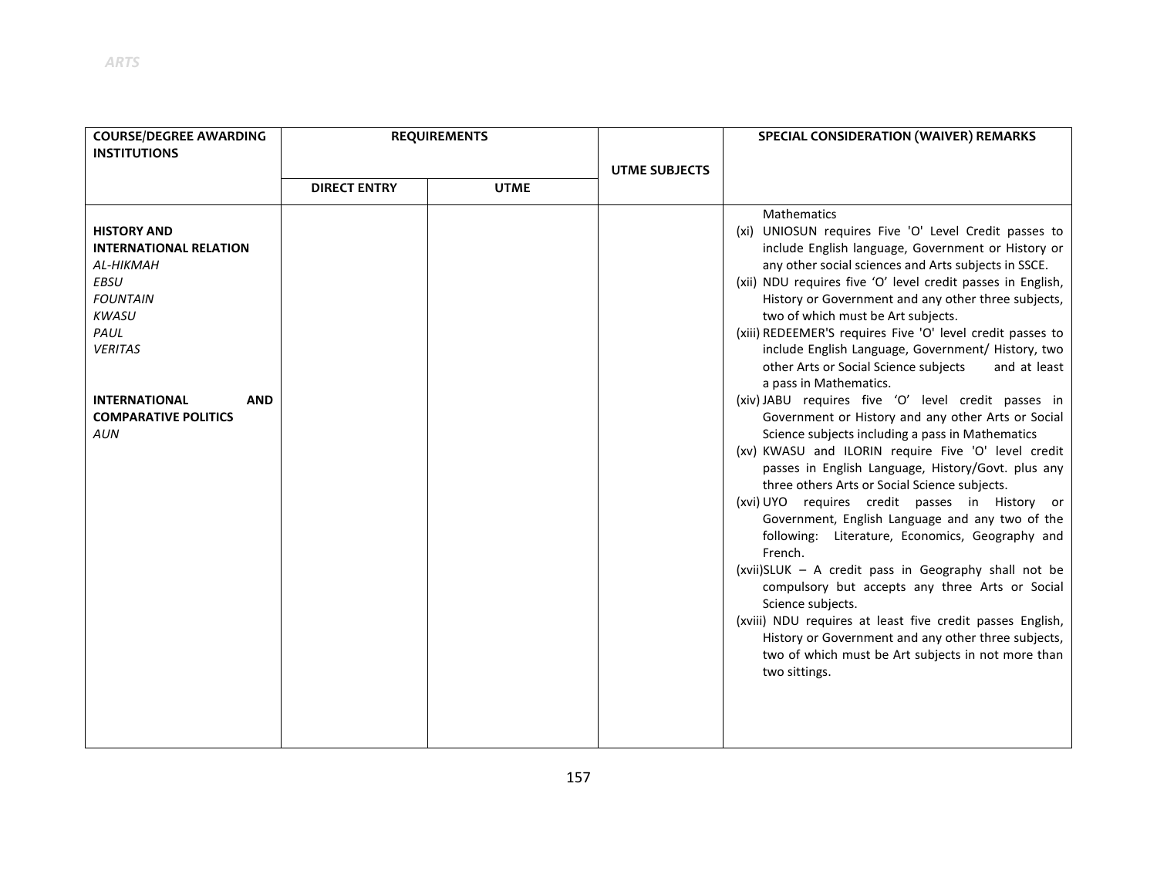| <b>COURSE/DEGREE AWARDING</b>                                                                                                                                                                                                          | <b>REQUIREMENTS</b> |             |                      | SPECIAL CONSIDERATION (WAIVER) REMARKS                                                                                                                                                                                                                                                                                                                                                                                                                                                                                                                                                                                                                                                                                                                                                                                                                                                                                                                                                                                                                                                                                                                                                  |
|----------------------------------------------------------------------------------------------------------------------------------------------------------------------------------------------------------------------------------------|---------------------|-------------|----------------------|-----------------------------------------------------------------------------------------------------------------------------------------------------------------------------------------------------------------------------------------------------------------------------------------------------------------------------------------------------------------------------------------------------------------------------------------------------------------------------------------------------------------------------------------------------------------------------------------------------------------------------------------------------------------------------------------------------------------------------------------------------------------------------------------------------------------------------------------------------------------------------------------------------------------------------------------------------------------------------------------------------------------------------------------------------------------------------------------------------------------------------------------------------------------------------------------|
| <b>INSTITUTIONS</b>                                                                                                                                                                                                                    |                     |             |                      |                                                                                                                                                                                                                                                                                                                                                                                                                                                                                                                                                                                                                                                                                                                                                                                                                                                                                                                                                                                                                                                                                                                                                                                         |
|                                                                                                                                                                                                                                        |                     |             | <b>UTME SUBJECTS</b> |                                                                                                                                                                                                                                                                                                                                                                                                                                                                                                                                                                                                                                                                                                                                                                                                                                                                                                                                                                                                                                                                                                                                                                                         |
|                                                                                                                                                                                                                                        | <b>DIRECT ENTRY</b> | <b>UTME</b> |                      |                                                                                                                                                                                                                                                                                                                                                                                                                                                                                                                                                                                                                                                                                                                                                                                                                                                                                                                                                                                                                                                                                                                                                                                         |
| <b>HISTORY AND</b><br><b>INTERNATIONAL RELATION</b><br><b>AL-HIKMAH</b><br><b>EBSU</b><br><b>FOUNTAIN</b><br><b>KWASU</b><br>PAUL<br><b>VERITAS</b><br><b>INTERNATIONAL</b><br><b>AND</b><br><b>COMPARATIVE POLITICS</b><br><b>AUN</b> |                     |             |                      | Mathematics<br>(xi) UNIOSUN requires Five 'O' Level Credit passes to<br>include English language, Government or History or<br>any other social sciences and Arts subjects in SSCE.<br>(xii) NDU requires five 'O' level credit passes in English,<br>History or Government and any other three subjects,<br>two of which must be Art subjects.<br>(xiii) REDEEMER'S requires Five 'O' level credit passes to<br>include English Language, Government/ History, two<br>other Arts or Social Science subjects<br>and at least<br>a pass in Mathematics.<br>(xiv) JABU requires five 'O' level credit passes in<br>Government or History and any other Arts or Social<br>Science subjects including a pass in Mathematics<br>(xv) KWASU and ILORIN require Five 'O' level credit<br>passes in English Language, History/Govt. plus any<br>three others Arts or Social Science subjects.<br>(xvi) UYO requires credit passes in History or<br>Government, English Language and any two of the<br>following: Literature, Economics, Geography and<br>French.<br>(xvii)SLUK - A credit pass in Geography shall not be<br>compulsory but accepts any three Arts or Social<br>Science subjects. |
|                                                                                                                                                                                                                                        |                     |             |                      | (xviii) NDU requires at least five credit passes English,<br>History or Government and any other three subjects,<br>two of which must be Art subjects in not more than<br>two sittings.                                                                                                                                                                                                                                                                                                                                                                                                                                                                                                                                                                                                                                                                                                                                                                                                                                                                                                                                                                                                 |
|                                                                                                                                                                                                                                        |                     |             |                      |                                                                                                                                                                                                                                                                                                                                                                                                                                                                                                                                                                                                                                                                                                                                                                                                                                                                                                                                                                                                                                                                                                                                                                                         |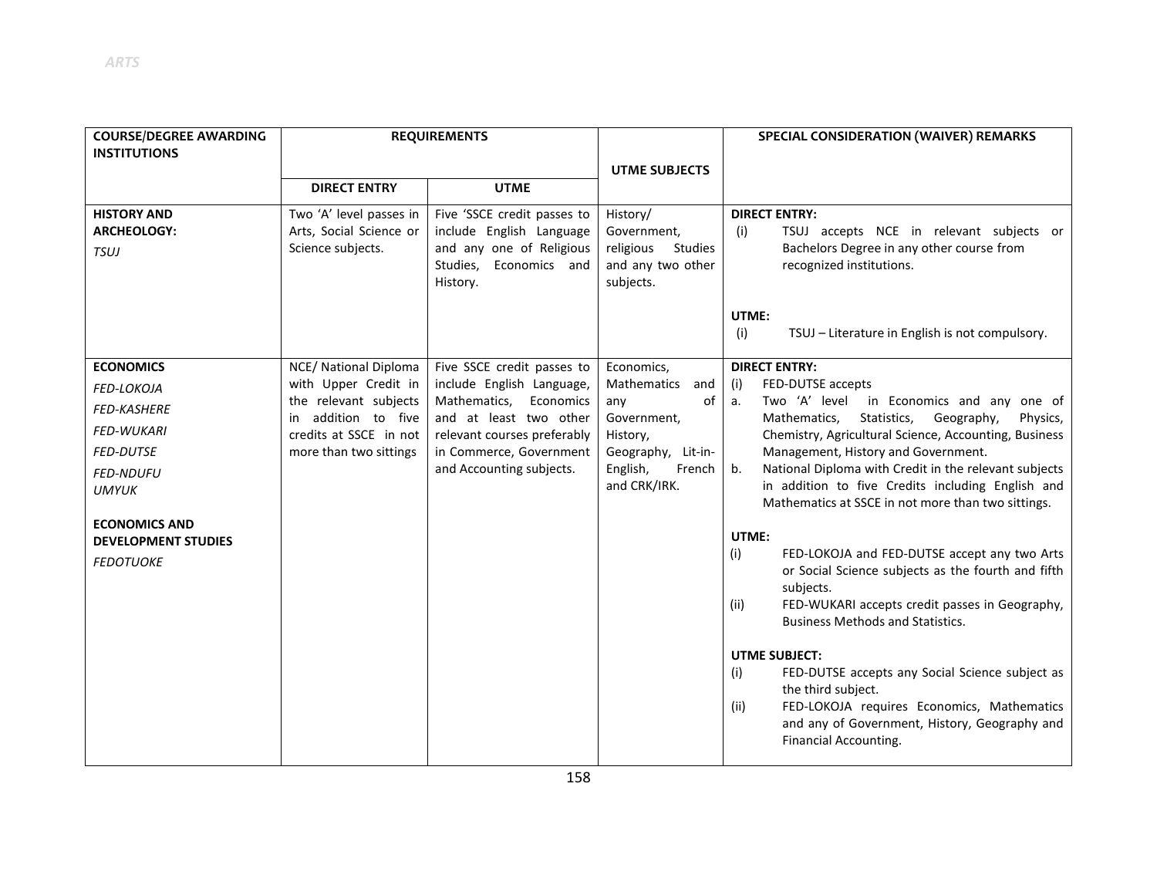| <b>COURSE/DEGREE AWARDING</b>                      |                                               | <b>REQUIREMENTS</b>                                   |                                            | SPECIAL CONSIDERATION (WAIVER) REMARKS                                                                         |
|----------------------------------------------------|-----------------------------------------------|-------------------------------------------------------|--------------------------------------------|----------------------------------------------------------------------------------------------------------------|
| <b>INSTITUTIONS</b>                                |                                               |                                                       |                                            |                                                                                                                |
|                                                    | <b>DIRECT ENTRY</b>                           | <b>UTME</b>                                           | <b>UTME SUBJECTS</b>                       |                                                                                                                |
|                                                    |                                               |                                                       |                                            |                                                                                                                |
| <b>HISTORY AND</b>                                 | Two 'A' level passes in                       | Five 'SSCE credit passes to                           | History/                                   | <b>DIRECT ENTRY:</b>                                                                                           |
| <b>ARCHEOLOGY:</b>                                 | Arts, Social Science or<br>Science subjects.  | include English Language<br>and any one of Religious  | Government,<br>religious<br><b>Studies</b> | TSUJ accepts NCE in relevant subjects or<br>(i)<br>Bachelors Degree in any other course from                   |
| <b>TSUJ</b>                                        |                                               | Studies,<br>Economics and                             | and any two other                          | recognized institutions.                                                                                       |
|                                                    |                                               | History.                                              | subjects.                                  |                                                                                                                |
|                                                    |                                               |                                                       |                                            |                                                                                                                |
|                                                    |                                               |                                                       |                                            | UTME:                                                                                                          |
|                                                    |                                               |                                                       |                                            | TSUJ - Literature in English is not compulsory.<br>(i)                                                         |
| <b>ECONOMICS</b>                                   | NCE/ National Diploma                         | Five SSCE credit passes to                            | Economics,                                 | <b>DIRECT ENTRY:</b>                                                                                           |
| FED-LOKOJA                                         | with Upper Credit in                          | include English Language,                             | Mathematics<br>and                         | FED-DUTSE accepts<br>(i)                                                                                       |
| <b>FED-KASHERE</b>                                 | the relevant subjects                         | Mathematics,<br>Economics                             | of<br>any                                  | Two 'A' level<br>in Economics and any one of<br>a.                                                             |
| <b>FED-WUKARI</b>                                  | in addition to five<br>credits at SSCE in not | and at least two other<br>relevant courses preferably | Government,<br>History,                    | Statistics,<br>Geography,<br>Mathematics,<br>Physics,<br>Chemistry, Agricultural Science, Accounting, Business |
| <b>FED-DUTSE</b>                                   | more than two sittings                        | in Commerce, Government                               | Geography, Lit-in-                         | Management, History and Government.                                                                            |
| <b>FED-NDUFU</b>                                   |                                               | and Accounting subjects.                              | English,<br>French                         | National Diploma with Credit in the relevant subjects<br>b.                                                    |
| <b>UMYUK</b>                                       |                                               |                                                       | and CRK/IRK.                               | in addition to five Credits including English and                                                              |
|                                                    |                                               |                                                       |                                            | Mathematics at SSCE in not more than two sittings.                                                             |
| <b>ECONOMICS AND</b><br><b>DEVELOPMENT STUDIES</b> |                                               |                                                       |                                            | UTME:                                                                                                          |
| <b>FEDOTUOKE</b>                                   |                                               |                                                       |                                            | (i)<br>FED-LOKOJA and FED-DUTSE accept any two Arts                                                            |
|                                                    |                                               |                                                       |                                            | or Social Science subjects as the fourth and fifth                                                             |
|                                                    |                                               |                                                       |                                            | subjects.                                                                                                      |
|                                                    |                                               |                                                       |                                            | FED-WUKARI accepts credit passes in Geography,<br>(ii)<br><b>Business Methods and Statistics.</b>              |
|                                                    |                                               |                                                       |                                            |                                                                                                                |
|                                                    |                                               |                                                       |                                            | <b>UTME SUBJECT:</b>                                                                                           |
|                                                    |                                               |                                                       |                                            | FED-DUTSE accepts any Social Science subject as<br>(i)                                                         |
|                                                    |                                               |                                                       |                                            | the third subject.<br>FED-LOKOJA requires Economics, Mathematics                                               |
|                                                    |                                               |                                                       |                                            | (ii)<br>and any of Government, History, Geography and                                                          |
|                                                    |                                               |                                                       |                                            | Financial Accounting.                                                                                          |
|                                                    |                                               |                                                       |                                            |                                                                                                                |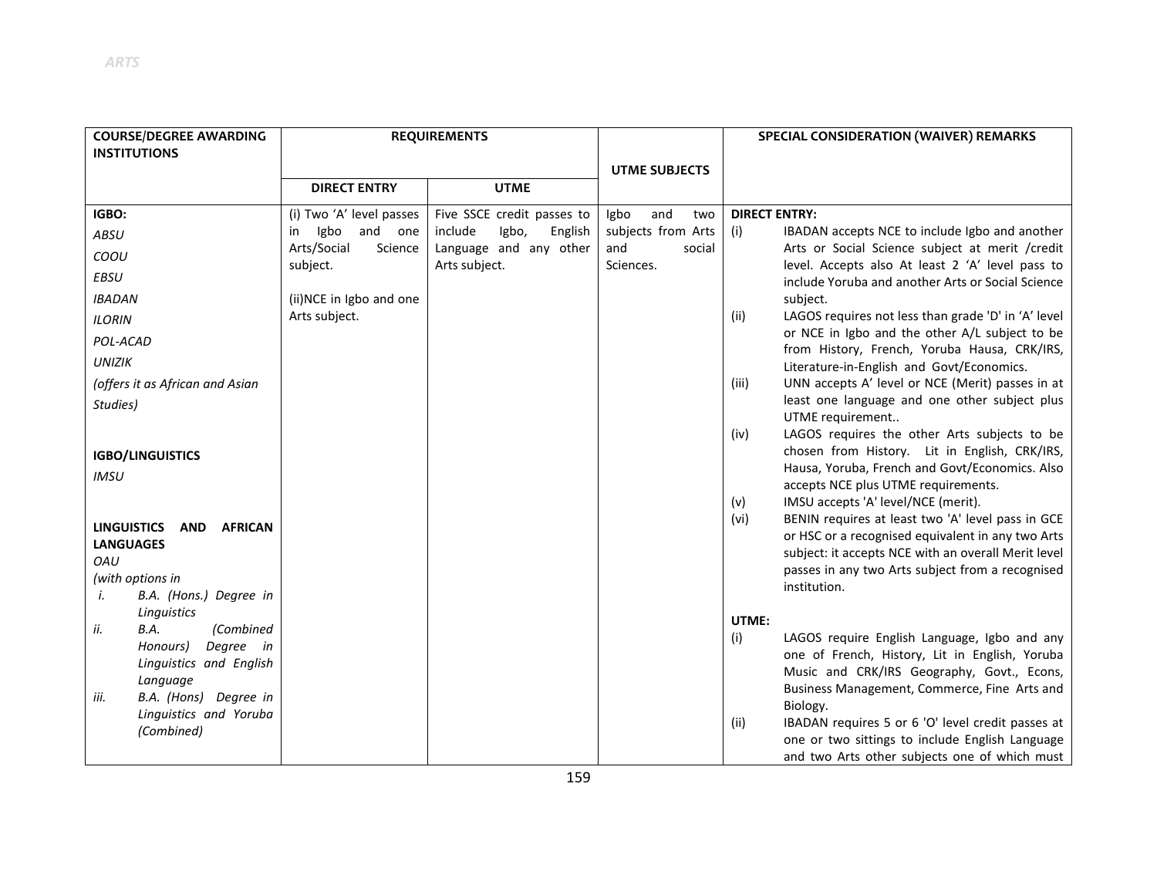| <b>COURSE/DEGREE AWARDING</b>               |                          | <b>REQUIREMENTS</b>         |                      | SPECIAL CONSIDERATION (WAIVER) REMARKS                                                                         |
|---------------------------------------------|--------------------------|-----------------------------|----------------------|----------------------------------------------------------------------------------------------------------------|
| <b>INSTITUTIONS</b>                         |                          |                             |                      |                                                                                                                |
|                                             |                          |                             | <b>UTME SUBJECTS</b> |                                                                                                                |
|                                             | <b>DIRECT ENTRY</b>      | <b>UTME</b>                 |                      |                                                                                                                |
| IGBO:                                       | (i) Two 'A' level passes | Five SSCE credit passes to  | and<br>Igbo<br>two   | <b>DIRECT ENTRY:</b>                                                                                           |
| ABSU                                        | Igbo<br>and one<br>in    | include<br>Igbo,<br>English | subjects from Arts   | (i)<br>IBADAN accepts NCE to include Igbo and another                                                          |
| COOU                                        | Arts/Social<br>Science   | Language and any other      | and<br>social        | Arts or Social Science subject at merit /credit                                                                |
| EBSU                                        | subject.                 | Arts subject.               | Sciences.            | level. Accepts also At least 2 'A' level pass to<br>include Yoruba and another Arts or Social Science          |
| <b>IBADAN</b>                               | (ii)NCE in Igbo and one  |                             |                      | subject.                                                                                                       |
| <b>ILORIN</b>                               | Arts subject.            |                             |                      | LAGOS requires not less than grade 'D' in 'A' level<br>(ii)                                                    |
| POL-ACAD                                    |                          |                             |                      | or NCE in Igbo and the other A/L subject to be<br>from History, French, Yoruba Hausa, CRK/IRS,                 |
| <b>UNIZIK</b>                               |                          |                             |                      | Literature-in-English and Govt/Economics.                                                                      |
| (offers it as African and Asian             |                          |                             |                      | UNN accepts A' level or NCE (Merit) passes in at<br>(iii)                                                      |
| Studies)                                    |                          |                             |                      | least one language and one other subject plus                                                                  |
|                                             |                          |                             |                      | UTME requirement<br>LAGOS requires the other Arts subjects to be<br>(iv)                                       |
| <b>IGBO/LINGUISTICS</b>                     |                          |                             |                      | chosen from History. Lit in English, CRK/IRS,                                                                  |
| <b>IMSU</b>                                 |                          |                             |                      | Hausa, Yoruba, French and Govt/Economics. Also                                                                 |
|                                             |                          |                             |                      | accepts NCE plus UTME requirements.                                                                            |
|                                             |                          |                             |                      | IMSU accepts 'A' level/NCE (merit).<br>(v)                                                                     |
| <b>LINGUISTICS</b><br>AND<br><b>AFRICAN</b> |                          |                             |                      | BENIN requires at least two 'A' level pass in GCE<br>(vi)<br>or HSC or a recognised equivalent in any two Arts |
| <b>LANGUAGES</b>                            |                          |                             |                      | subject: it accepts NCE with an overall Merit level                                                            |
| OAU                                         |                          |                             |                      | passes in any two Arts subject from a recognised                                                               |
| (with options in                            |                          |                             |                      | institution.                                                                                                   |
| B.A. (Hons.) Degree in<br>i.<br>Linguistics |                          |                             |                      |                                                                                                                |
| B.A.<br>(Combined<br>ii.                    |                          |                             |                      | UTME:                                                                                                          |
| Degree in<br>Honours)                       |                          |                             |                      | (i)<br>LAGOS require English Language, Igbo and any<br>one of French, History, Lit in English, Yoruba          |
| Linguistics and English                     |                          |                             |                      | Music and CRK/IRS Geography, Govt., Econs,                                                                     |
| Language                                    |                          |                             |                      | Business Management, Commerce, Fine Arts and                                                                   |
| B.A. (Hons) Degree in<br>İİІ.               |                          |                             |                      | Biology.                                                                                                       |
| Linguistics and Yoruba<br>(Combined)        |                          |                             |                      | IBADAN requires 5 or 6 'O' level credit passes at<br>(ii)                                                      |
|                                             |                          |                             |                      | one or two sittings to include English Language                                                                |
|                                             |                          |                             |                      | and two Arts other subjects one of which must                                                                  |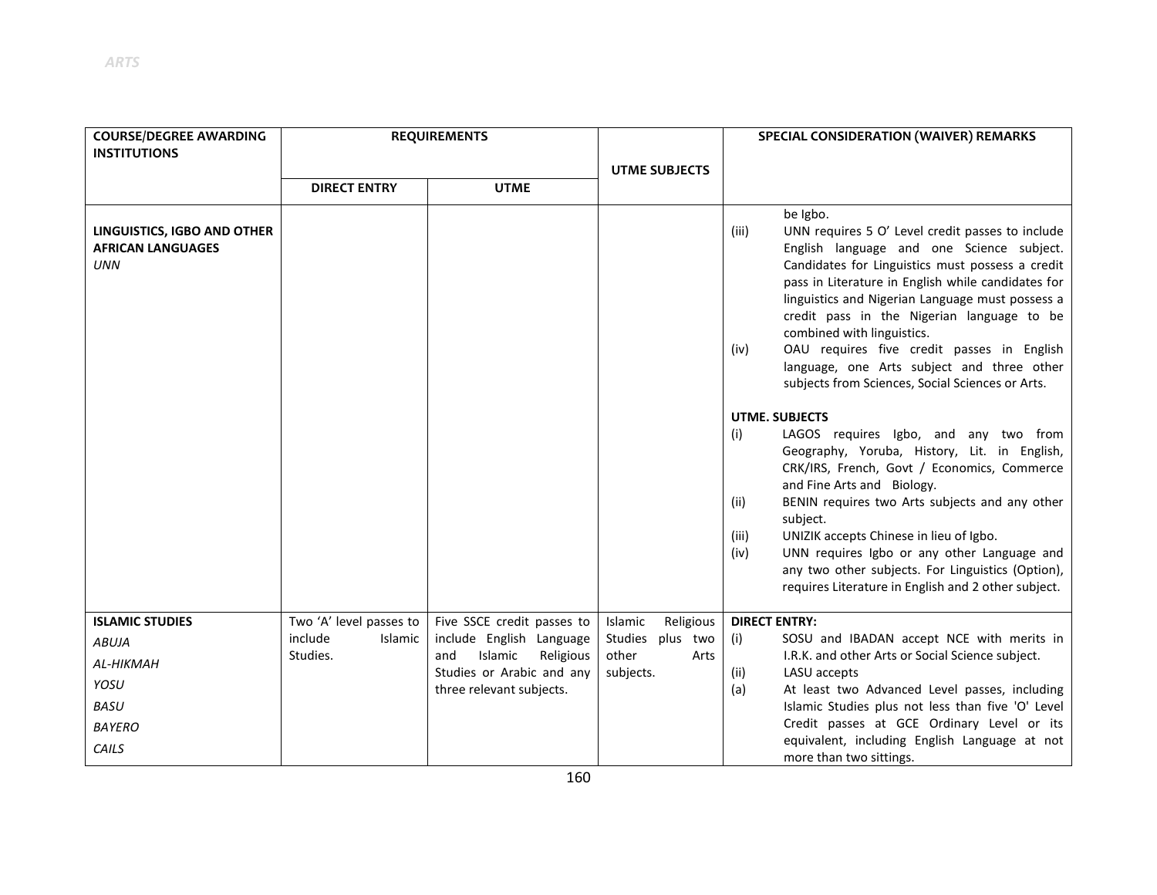| <b>COURSE/DEGREE AWARDING</b><br><b>INSTITUTIONS</b>                         | <b>REQUIREMENTS</b>     |                                                       |                      | SPECIAL CONSIDERATION (WAIVER) REMARKS                                                                                                                                                                                                                                                                                                                                                                                                                                                                               |
|------------------------------------------------------------------------------|-------------------------|-------------------------------------------------------|----------------------|----------------------------------------------------------------------------------------------------------------------------------------------------------------------------------------------------------------------------------------------------------------------------------------------------------------------------------------------------------------------------------------------------------------------------------------------------------------------------------------------------------------------|
|                                                                              |                         |                                                       | <b>UTME SUBJECTS</b> |                                                                                                                                                                                                                                                                                                                                                                                                                                                                                                                      |
|                                                                              | <b>DIRECT ENTRY</b>     | <b>UTME</b>                                           |                      |                                                                                                                                                                                                                                                                                                                                                                                                                                                                                                                      |
| <b>LINGUISTICS, IGBO AND OTHER</b><br><b>AFRICAN LANGUAGES</b><br><b>UNN</b> |                         |                                                       |                      | be Igbo.<br>UNN requires 5 O' Level credit passes to include<br>(iii)<br>English language and one Science subject.<br>Candidates for Linguistics must possess a credit<br>pass in Literature in English while candidates for<br>linguistics and Nigerian Language must possess a<br>credit pass in the Nigerian language to be<br>combined with linguistics.<br>OAU requires five credit passes in English<br>(iv)<br>language, one Arts subject and three other<br>subjects from Sciences, Social Sciences or Arts. |
|                                                                              |                         |                                                       |                      | <b>UTME, SUBJECTS</b>                                                                                                                                                                                                                                                                                                                                                                                                                                                                                                |
|                                                                              |                         |                                                       |                      | LAGOS requires Igbo, and any two from<br>(i)<br>Geography, Yoruba, History, Lit. in English,<br>CRK/IRS, French, Govt / Economics, Commerce<br>and Fine Arts and Biology.<br>BENIN requires two Arts subjects and any other<br>(ii)<br>subject.<br>UNIZIK accepts Chinese in lieu of Igbo.<br>(iii)<br>UNN requires Igbo or any other Language and<br>(iv)<br>any two other subjects. For Linguistics (Option),<br>requires Literature in English and 2 other subject.                                               |
| <b>ISLAMIC STUDIES</b>                                                       | Two 'A' level passes to | Five SSCE credit passes to                            | Islamic<br>Religious | <b>DIRECT ENTRY:</b>                                                                                                                                                                                                                                                                                                                                                                                                                                                                                                 |
| <b>ABUJA</b>                                                                 | include<br>Islamic      | include English Language                              | Studies plus two     | SOSU and IBADAN accept NCE with merits in<br>(i)                                                                                                                                                                                                                                                                                                                                                                                                                                                                     |
| AL-HIKMAH                                                                    | Studies.                | Islamic<br>Religious<br>and                           | other<br>Arts        | I.R.K. and other Arts or Social Science subject.                                                                                                                                                                                                                                                                                                                                                                                                                                                                     |
| YOSU                                                                         |                         | Studies or Arabic and any<br>three relevant subjects. | subjects.            | LASU accepts<br>(ii)<br>At least two Advanced Level passes, including<br>(a)                                                                                                                                                                                                                                                                                                                                                                                                                                         |
| BASU                                                                         |                         |                                                       |                      | Islamic Studies plus not less than five 'O' Level                                                                                                                                                                                                                                                                                                                                                                                                                                                                    |
| <b>BAYERO</b>                                                                |                         |                                                       |                      | Credit passes at GCE Ordinary Level or its                                                                                                                                                                                                                                                                                                                                                                                                                                                                           |
| CAILS                                                                        |                         |                                                       |                      | equivalent, including English Language at not<br>more than two sittings.                                                                                                                                                                                                                                                                                                                                                                                                                                             |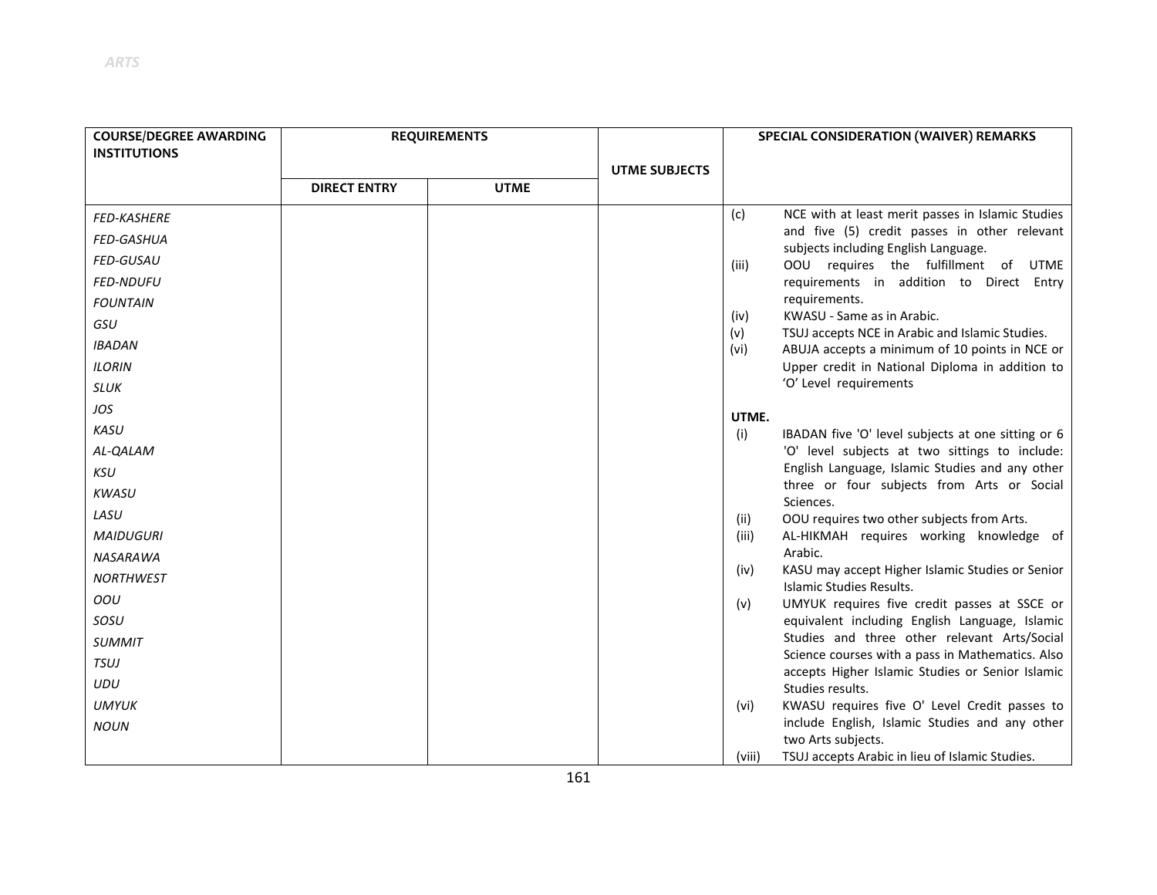| <b>COURSE/DEGREE AWARDING</b> |                     | <b>REQUIREMENTS</b> |                      |             | SPECIAL CONSIDERATION (WAIVER) REMARKS                                                               |
|-------------------------------|---------------------|---------------------|----------------------|-------------|------------------------------------------------------------------------------------------------------|
| <b>INSTITUTIONS</b>           |                     |                     |                      |             |                                                                                                      |
|                               | <b>DIRECT ENTRY</b> | <b>UTME</b>         | <b>UTME SUBJECTS</b> |             |                                                                                                      |
|                               |                     |                     |                      |             |                                                                                                      |
| <b>FED-KASHERE</b>            |                     |                     |                      | (c)         | NCE with at least merit passes in Islamic Studies                                                    |
| <b>FED-GASHUA</b>             |                     |                     |                      |             | and five (5) credit passes in other relevant<br>subjects including English Language.                 |
| <b>FED-GUSAU</b>              |                     |                     |                      | (iii)       | OOU requires the fulfillment of UTME                                                                 |
| <b>FED-NDUFU</b>              |                     |                     |                      |             | requirements in addition to Direct Entry                                                             |
| <b>FOUNTAIN</b>               |                     |                     |                      |             | requirements.                                                                                        |
| GSU                           |                     |                     |                      | (iv)        | KWASU - Same as in Arabic.                                                                           |
| <b>IBADAN</b>                 |                     |                     |                      | (v)<br>(vi) | TSUJ accepts NCE in Arabic and Islamic Studies.<br>ABUJA accepts a minimum of 10 points in NCE or    |
| <b>ILORIN</b>                 |                     |                     |                      |             | Upper credit in National Diploma in addition to                                                      |
| SLUK                          |                     |                     |                      |             | 'O' Level requirements                                                                               |
| JOS                           |                     |                     |                      | UTME.       |                                                                                                      |
| KASU                          |                     |                     |                      | (i)         | IBADAN five 'O' level subjects at one sitting or 6                                                   |
| AL-QALAM                      |                     |                     |                      |             | 'O' level subjects at two sittings to include:                                                       |
| <b>KSU</b>                    |                     |                     |                      |             | English Language, Islamic Studies and any other                                                      |
| <b>KWASU</b>                  |                     |                     |                      |             | three or four subjects from Arts or Social<br>Sciences.                                              |
| LASU                          |                     |                     |                      | (ii)        | OOU requires two other subjects from Arts.                                                           |
| <b>MAIDUGURI</b>              |                     |                     |                      | (iii)       | AL-HIKMAH requires working knowledge of                                                              |
| <b>NASARAWA</b>               |                     |                     |                      |             | Arabic.                                                                                              |
| <b>NORTHWEST</b>              |                     |                     |                      | (iv)        | KASU may accept Higher Islamic Studies or Senior<br>Islamic Studies Results.                         |
| OOU                           |                     |                     |                      | (v)         | UMYUK requires five credit passes at SSCE or                                                         |
| SOSU                          |                     |                     |                      |             | equivalent including English Language, Islamic                                                       |
| <b>SUMMIT</b>                 |                     |                     |                      |             | Studies and three other relevant Arts/Social                                                         |
| <b>TSUJ</b>                   |                     |                     |                      |             | Science courses with a pass in Mathematics. Also<br>accepts Higher Islamic Studies or Senior Islamic |
| <b>UDU</b>                    |                     |                     |                      |             | Studies results.                                                                                     |
| <b>UMYUK</b>                  |                     |                     |                      | (vi)        | KWASU requires five O' Level Credit passes to                                                        |
| <b>NOUN</b>                   |                     |                     |                      |             | include English, Islamic Studies and any other<br>two Arts subjects.                                 |
|                               |                     |                     |                      | (viii)      | TSUJ accepts Arabic in lieu of Islamic Studies.                                                      |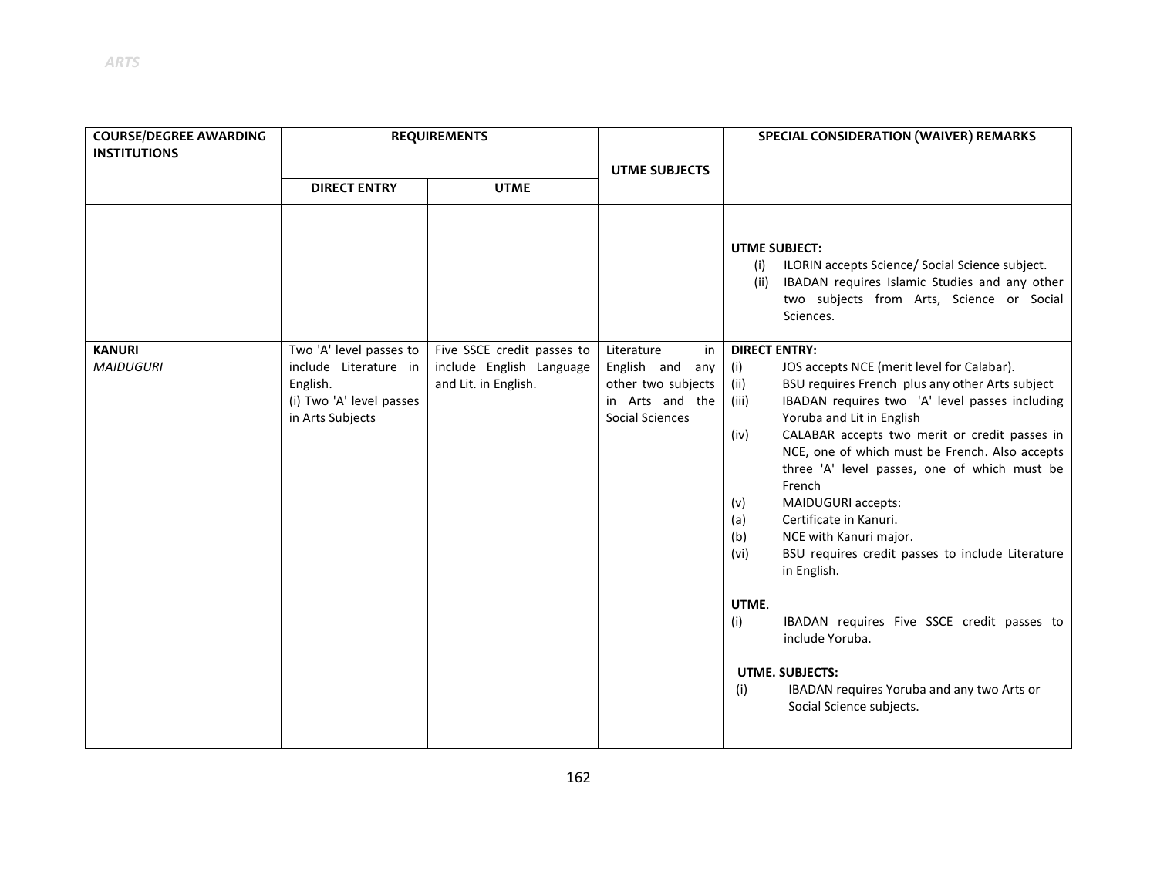| <b>COURSE/DEGREE AWARDING</b><br><b>INSTITUTIONS</b> | <b>REQUIREMENTS</b>                                                                                          |                                                                                |                                                                                                 | SPECIAL CONSIDERATION (WAIVER) REMARKS                                                                                                                                                                                                                                                                                                                                                                                                                                                                                                                                                                                                                                                                                                                                  |
|------------------------------------------------------|--------------------------------------------------------------------------------------------------------------|--------------------------------------------------------------------------------|-------------------------------------------------------------------------------------------------|-------------------------------------------------------------------------------------------------------------------------------------------------------------------------------------------------------------------------------------------------------------------------------------------------------------------------------------------------------------------------------------------------------------------------------------------------------------------------------------------------------------------------------------------------------------------------------------------------------------------------------------------------------------------------------------------------------------------------------------------------------------------------|
|                                                      | <b>DIRECT ENTRY</b>                                                                                          | <b>UTME</b>                                                                    | <b>UTME SUBJECTS</b>                                                                            |                                                                                                                                                                                                                                                                                                                                                                                                                                                                                                                                                                                                                                                                                                                                                                         |
|                                                      |                                                                                                              |                                                                                |                                                                                                 | <b>UTME SUBJECT:</b><br>ILORIN accepts Science/ Social Science subject.<br>(i)<br>IBADAN requires Islamic Studies and any other<br>(ii)<br>two subjects from Arts, Science or Social<br>Sciences.                                                                                                                                                                                                                                                                                                                                                                                                                                                                                                                                                                       |
| <b>KANURI</b><br><b>MAIDUGURI</b>                    | Two 'A' level passes to<br>include Literature in<br>English.<br>(i) Two 'A' level passes<br>in Arts Subjects | Five SSCE credit passes to<br>include English Language<br>and Lit. in English. | Literature<br>in<br>English and any<br>other two subjects<br>in Arts and the<br>Social Sciences | <b>DIRECT ENTRY:</b><br>JOS accepts NCE (merit level for Calabar).<br>(i)<br>BSU requires French plus any other Arts subject<br>(ii)<br>IBADAN requires two 'A' level passes including<br>(iii)<br>Yoruba and Lit in English<br>CALABAR accepts two merit or credit passes in<br>(iv)<br>NCE, one of which must be French. Also accepts<br>three 'A' level passes, one of which must be<br>French<br>MAIDUGURI accepts:<br>(v)<br>Certificate in Kanuri.<br>(a)<br>NCE with Kanuri major.<br>(b)<br>BSU requires credit passes to include Literature<br>(vi)<br>in English.<br>UTME.<br>(i)<br>IBADAN requires Five SSCE credit passes to<br>include Yoruba.<br><b>UTME. SUBJECTS:</b><br>IBADAN requires Yoruba and any two Arts or<br>(i)<br>Social Science subjects. |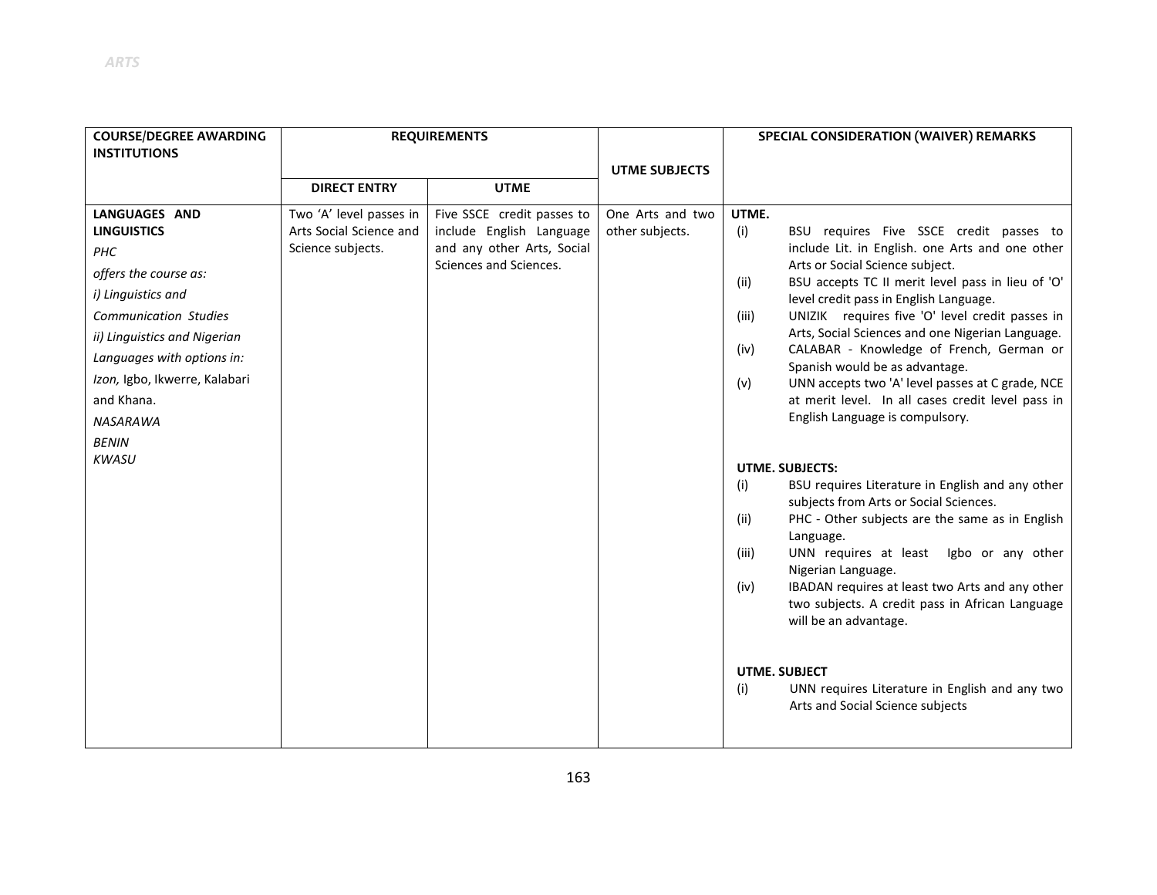| <b>COURSE/DEGREE AWARDING</b> |                                              | <b>REQUIREMENTS</b>                                    |                      | SPECIAL CONSIDERATION (WAIVER) REMARKS                                                                     |
|-------------------------------|----------------------------------------------|--------------------------------------------------------|----------------------|------------------------------------------------------------------------------------------------------------|
| <b>INSTITUTIONS</b>           |                                              |                                                        |                      |                                                                                                            |
|                               | <b>DIRECT ENTRY</b>                          | <b>UTME</b>                                            | <b>UTME SUBJECTS</b> |                                                                                                            |
|                               |                                              |                                                        |                      |                                                                                                            |
| <b>LANGUAGES AND</b>          | Two 'A' level passes in                      | Five SSCE credit passes to                             | One Arts and two     | UTME.                                                                                                      |
| <b>LINGUISTICS</b>            | Arts Social Science and<br>Science subjects. | include English Language<br>and any other Arts, Social | other subjects.      | (i)<br>BSU requires Five SSCE credit passes to<br>include Lit. in English. one Arts and one other          |
| PHC                           |                                              | Sciences and Sciences.                                 |                      | Arts or Social Science subject.                                                                            |
| offers the course as:         |                                              |                                                        |                      | BSU accepts TC II merit level pass in lieu of 'O'<br>(ii)                                                  |
| i) Linguistics and            |                                              |                                                        |                      | level credit pass in English Language.                                                                     |
| <b>Communication Studies</b>  |                                              |                                                        |                      | UNIZIK requires five 'O' level credit passes in<br>(iii)                                                   |
| ii) Linguistics and Nigerian  |                                              |                                                        |                      | Arts, Social Sciences and one Nigerian Language.                                                           |
| Languages with options in:    |                                              |                                                        |                      | CALABAR - Knowledge of French, German or<br>(iv)<br>Spanish would be as advantage.                         |
| Izon, Igbo, Ikwerre, Kalabari |                                              |                                                        |                      | UNN accepts two 'A' level passes at C grade, NCE<br>(v)                                                    |
| and Khana.                    |                                              |                                                        |                      | at merit level. In all cases credit level pass in                                                          |
| NASARAWA                      |                                              |                                                        |                      | English Language is compulsory.                                                                            |
| <b>BENIN</b>                  |                                              |                                                        |                      |                                                                                                            |
| <b>KWASU</b>                  |                                              |                                                        |                      |                                                                                                            |
|                               |                                              |                                                        |                      | <b>UTME. SUBJECTS:</b><br>(i)<br>BSU requires Literature in English and any other                          |
|                               |                                              |                                                        |                      | subjects from Arts or Social Sciences.                                                                     |
|                               |                                              |                                                        |                      | PHC - Other subjects are the same as in English<br>(ii)                                                    |
|                               |                                              |                                                        |                      | Language.                                                                                                  |
|                               |                                              |                                                        |                      | UNN requires at least<br>Igbo or any other<br>(iii)                                                        |
|                               |                                              |                                                        |                      | Nigerian Language.                                                                                         |
|                               |                                              |                                                        |                      | IBADAN requires at least two Arts and any other<br>(iv)<br>two subjects. A credit pass in African Language |
|                               |                                              |                                                        |                      | will be an advantage.                                                                                      |
|                               |                                              |                                                        |                      |                                                                                                            |
|                               |                                              |                                                        |                      |                                                                                                            |
|                               |                                              |                                                        |                      | <b>UTME. SUBJECT</b>                                                                                       |
|                               |                                              |                                                        |                      | (i)<br>UNN requires Literature in English and any two                                                      |
|                               |                                              |                                                        |                      | Arts and Social Science subjects                                                                           |
|                               |                                              |                                                        |                      |                                                                                                            |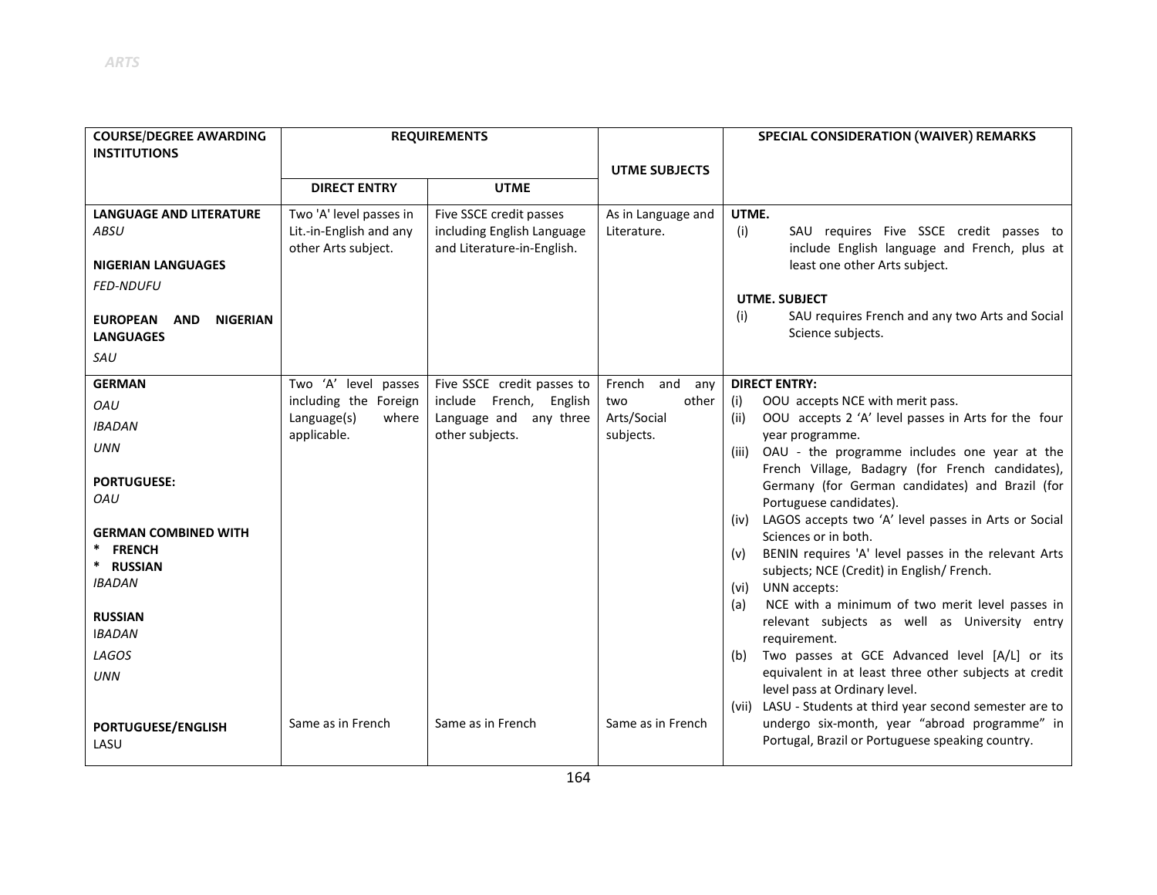| <b>COURSE/DEGREE AWARDING</b><br><b>INSTITUTIONS</b>                 |                                     | <b>REQUIREMENTS</b>                       |                          | SPECIAL CONSIDERATION (WAIVER) REMARKS                                                                        |
|----------------------------------------------------------------------|-------------------------------------|-------------------------------------------|--------------------------|---------------------------------------------------------------------------------------------------------------|
|                                                                      |                                     |                                           | <b>UTME SUBJECTS</b>     |                                                                                                               |
|                                                                      | <b>DIRECT ENTRY</b>                 | <b>UTME</b>                               |                          |                                                                                                               |
| <b>LANGUAGE AND LITERATURE</b>                                       | Two 'A' level passes in             | Five SSCE credit passes                   | As in Language and       | UTME.                                                                                                         |
| <b>ABSU</b>                                                          | Lit.-in-English and any             | including English Language                | Literature.              | (i)<br>SAU requires Five SSCE credit passes to                                                                |
| <b>NIGERIAN LANGUAGES</b>                                            | other Arts subject.                 | and Literature-in-English.                |                          | include English language and French, plus at<br>least one other Arts subject.                                 |
| <b>FED-NDUFU</b>                                                     |                                     |                                           |                          |                                                                                                               |
|                                                                      |                                     |                                           |                          | <b>UTME, SUBJECT</b>                                                                                          |
| <b>EUROPEAN</b><br><b>NIGERIAN</b><br><b>AND</b><br><b>LANGUAGES</b> |                                     |                                           |                          | SAU requires French and any two Arts and Social<br>(i)<br>Science subjects.                                   |
| SAU                                                                  |                                     |                                           |                          |                                                                                                               |
| <b>GERMAN</b>                                                        | Two 'A' level passes                | Five SSCE credit passes to                | French<br>and<br>any     | <b>DIRECT ENTRY:</b>                                                                                          |
| OAU                                                                  | including the Foreign               | include French, English                   | other<br>two             | OOU accepts NCE with merit pass.<br>(i)                                                                       |
| <b>IBADAN</b>                                                        | Language(s)<br>where<br>applicable. | Language and any three<br>other subjects. | Arts/Social<br>subjects. | OOU accepts 2 'A' level passes in Arts for the four<br>(ii)<br>year programme.                                |
| <b>UNN</b>                                                           |                                     |                                           |                          | OAU - the programme includes one year at the<br>(iii)                                                         |
| <b>PORTUGUESE:</b>                                                   |                                     |                                           |                          | French Village, Badagry (for French candidates),                                                              |
| OAU                                                                  |                                     |                                           |                          | Germany (for German candidates) and Brazil (for<br>Portuguese candidates).                                    |
|                                                                      |                                     |                                           |                          | LAGOS accepts two 'A' level passes in Arts or Social<br>(iv)                                                  |
| <b>GERMAN COMBINED WITH</b>                                          |                                     |                                           |                          | Sciences or in both.                                                                                          |
| <b>FRENCH</b><br>* RUSSIAN                                           |                                     |                                           |                          | BENIN requires 'A' level passes in the relevant Arts<br>(v)                                                   |
| <b>IBADAN</b>                                                        |                                     |                                           |                          | subjects; NCE (Credit) in English/ French.<br>UNN accepts:<br>(vi)                                            |
|                                                                      |                                     |                                           |                          | NCE with a minimum of two merit level passes in<br>(a)                                                        |
| <b>RUSSIAN</b>                                                       |                                     |                                           |                          | relevant subjects as well as University entry                                                                 |
| <b>IBADAN</b>                                                        |                                     |                                           |                          | requirement.                                                                                                  |
| LAGOS                                                                |                                     |                                           |                          | Two passes at GCE Advanced level [A/L] or its<br>(b)<br>equivalent in at least three other subjects at credit |
| <b>UNN</b>                                                           |                                     |                                           |                          | level pass at Ordinary level.                                                                                 |
|                                                                      |                                     |                                           |                          | (vii) LASU - Students at third year second semester are to                                                    |
| <b>PORTUGUESE/ENGLISH</b><br>LASU                                    | Same as in French                   | Same as in French                         | Same as in French        | undergo six-month, year "abroad programme" in<br>Portugal, Brazil or Portuguese speaking country.             |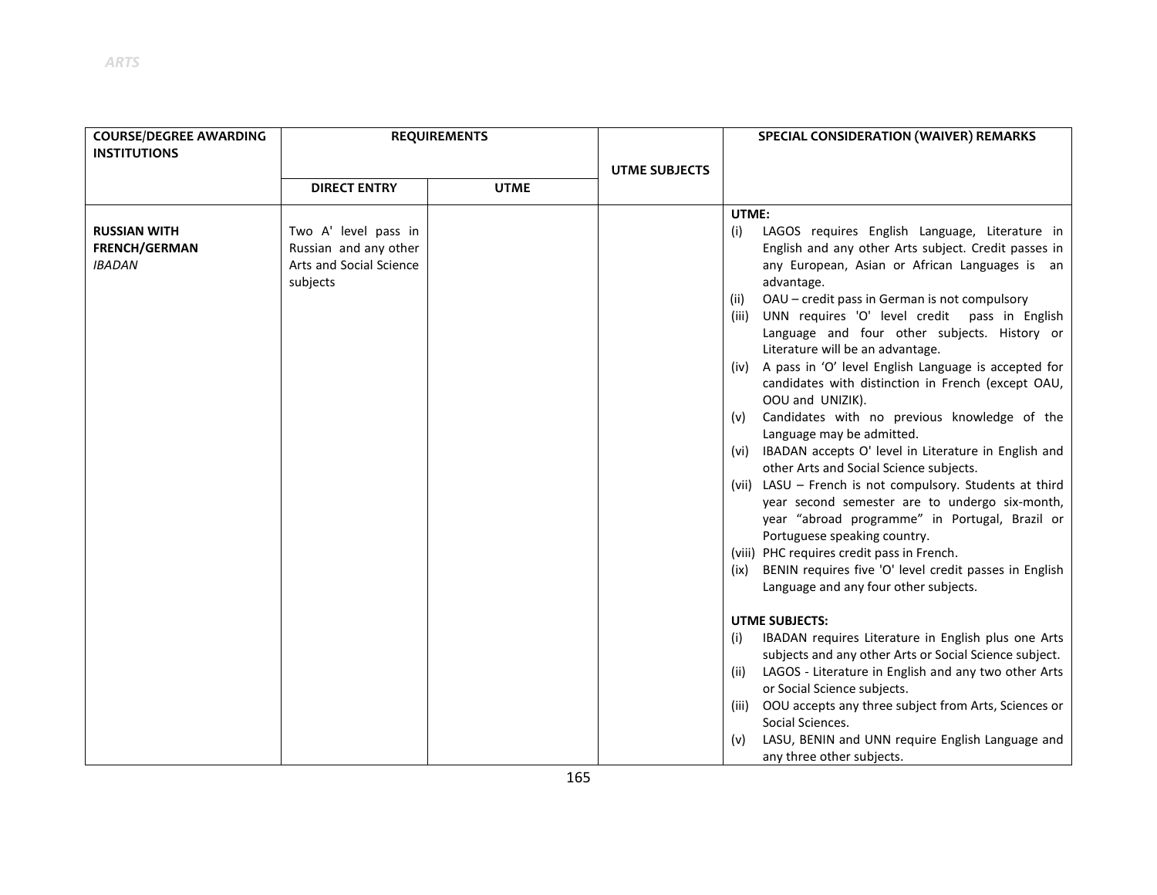| <b>COURSE/DEGREE AWARDING</b> | <b>REQUIREMENTS</b>     |             |                      | SPECIAL CONSIDERATION (WAIVER) REMARKS                                               |
|-------------------------------|-------------------------|-------------|----------------------|--------------------------------------------------------------------------------------|
| <b>INSTITUTIONS</b>           |                         |             |                      |                                                                                      |
|                               |                         |             | <b>UTME SUBJECTS</b> |                                                                                      |
|                               | <b>DIRECT ENTRY</b>     | <b>UTME</b> |                      |                                                                                      |
|                               |                         |             |                      | UTME:                                                                                |
| <b>RUSSIAN WITH</b>           | Two A' level pass in    |             |                      | LAGOS requires English Language, Literature in<br>(i)                                |
| <b>FRENCH/GERMAN</b>          | Russian and any other   |             |                      | English and any other Arts subject. Credit passes in                                 |
| <b>IBADAN</b>                 | Arts and Social Science |             |                      | any European, Asian or African Languages is an                                       |
|                               | subjects                |             |                      | advantage.                                                                           |
|                               |                         |             |                      | OAU - credit pass in German is not compulsory<br>(ii)                                |
|                               |                         |             |                      | UNN requires 'O' level credit pass in English<br>(iii)                               |
|                               |                         |             |                      | Language and four other subjects. History or<br>Literature will be an advantage.     |
|                               |                         |             |                      | A pass in 'O' level English Language is accepted for<br>(iv)                         |
|                               |                         |             |                      | candidates with distinction in French (except OAU,                                   |
|                               |                         |             |                      | OOU and UNIZIK).                                                                     |
|                               |                         |             |                      | Candidates with no previous knowledge of the<br>(v)                                  |
|                               |                         |             |                      | Language may be admitted.                                                            |
|                               |                         |             |                      | (vi) IBADAN accepts O' level in Literature in English and                            |
|                               |                         |             |                      | other Arts and Social Science subjects.                                              |
|                               |                         |             |                      | (vii) LASU - French is not compulsory. Students at third                             |
|                               |                         |             |                      | year second semester are to undergo six-month,                                       |
|                               |                         |             |                      | year "abroad programme" in Portugal, Brazil or                                       |
|                               |                         |             |                      | Portuguese speaking country.<br>(viii) PHC requires credit pass in French.           |
|                               |                         |             |                      | BENIN requires five 'O' level credit passes in English<br>(ix)                       |
|                               |                         |             |                      | Language and any four other subjects.                                                |
|                               |                         |             |                      |                                                                                      |
|                               |                         |             |                      | <b>UTME SUBJECTS:</b>                                                                |
|                               |                         |             |                      | IBADAN requires Literature in English plus one Arts<br>(i)                           |
|                               |                         |             |                      | subjects and any other Arts or Social Science subject.                               |
|                               |                         |             |                      | LAGOS - Literature in English and any two other Arts<br>(ii)                         |
|                               |                         |             |                      | or Social Science subjects.                                                          |
|                               |                         |             |                      | OOU accepts any three subject from Arts, Sciences or<br>(iii)                        |
|                               |                         |             |                      | Social Sciences.                                                                     |
|                               |                         |             |                      | LASU, BENIN and UNN require English Language and<br>(v)<br>any three other subjects. |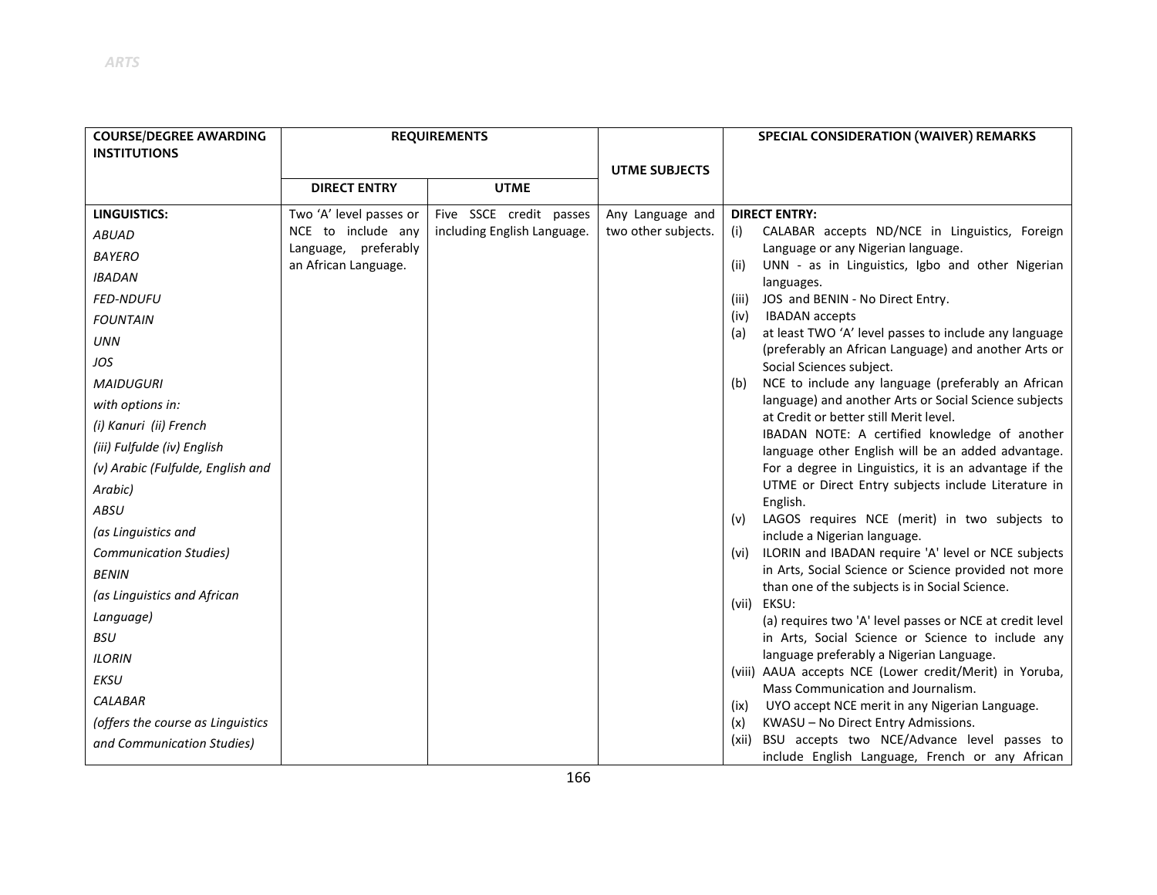| <b>COURSE/DEGREE AWARDING</b><br><b>INSTITUTIONS</b> | <b>REQUIREMENTS</b>     |                             |                      | SPECIAL CONSIDERATION (WAIVER) REMARKS                                                                               |
|------------------------------------------------------|-------------------------|-----------------------------|----------------------|----------------------------------------------------------------------------------------------------------------------|
|                                                      |                         |                             | <b>UTME SUBJECTS</b> |                                                                                                                      |
|                                                      | <b>DIRECT ENTRY</b>     | <b>UTME</b>                 |                      |                                                                                                                      |
| <b>LINGUISTICS:</b>                                  | Two 'A' level passes or | Five SSCE credit passes     | Any Language and     | <b>DIRECT ENTRY:</b>                                                                                                 |
| <b>ABUAD</b>                                         | NCE to include any      | including English Language. | two other subjects.  | CALABAR accepts ND/NCE in Linguistics, Foreign<br>(i)                                                                |
| <b>BAYERO</b>                                        | Language, preferably    |                             |                      | Language or any Nigerian language.                                                                                   |
| <b>IBADAN</b>                                        | an African Language.    |                             |                      | UNN - as in Linguistics, Igbo and other Nigerian<br>(ii)<br>languages.                                               |
| <b>FED-NDUFU</b>                                     |                         |                             |                      | JOS and BENIN - No Direct Entry.<br>(iii)                                                                            |
| <b>FOUNTAIN</b>                                      |                         |                             |                      | <b>IBADAN</b> accepts<br>(iv)                                                                                        |
| <b>UNN</b>                                           |                         |                             |                      | at least TWO 'A' level passes to include any language<br>(a)<br>(preferably an African Language) and another Arts or |
| JOS                                                  |                         |                             |                      | Social Sciences subject.                                                                                             |
| <b>MAIDUGURI</b>                                     |                         |                             |                      | NCE to include any language (preferably an African<br>(b)                                                            |
| with options in:                                     |                         |                             |                      | language) and another Arts or Social Science subjects                                                                |
| (i) Kanuri (ii) French                               |                         |                             |                      | at Credit or better still Merit level.<br>IBADAN NOTE: A certified knowledge of another                              |
| (iii) Fulfulde (iv) English                          |                         |                             |                      | language other English will be an added advantage.                                                                   |
| (v) Arabic (Fulfulde, English and                    |                         |                             |                      | For a degree in Linguistics, it is an advantage if the                                                               |
| Arabic)                                              |                         |                             |                      | UTME or Direct Entry subjects include Literature in                                                                  |
| <b>ABSU</b>                                          |                         |                             |                      | English.<br>LAGOS requires NCE (merit) in two subjects to<br>(v)                                                     |
| (as Linguistics and                                  |                         |                             |                      | include a Nigerian language.                                                                                         |
| <b>Communication Studies)</b>                        |                         |                             |                      | (vi) ILORIN and IBADAN require 'A' level or NCE subjects                                                             |
| <b>BENIN</b>                                         |                         |                             |                      | in Arts, Social Science or Science provided not more                                                                 |
| (as Linguistics and African                          |                         |                             |                      | than one of the subjects is in Social Science.<br>(vii) EKSU:                                                        |
| Language)                                            |                         |                             |                      | (a) requires two 'A' level passes or NCE at credit level                                                             |
| <b>BSU</b>                                           |                         |                             |                      | in Arts, Social Science or Science to include any                                                                    |
| <b>ILORIN</b>                                        |                         |                             |                      | language preferably a Nigerian Language.                                                                             |
| EKSU                                                 |                         |                             |                      | (viii) AAUA accepts NCE (Lower credit/Merit) in Yoruba,                                                              |
| <b>CALABAR</b>                                       |                         |                             |                      | Mass Communication and Journalism.<br>UYO accept NCE merit in any Nigerian Language.<br>(ix)                         |
| (offers the course as Linguistics                    |                         |                             |                      | KWASU - No Direct Entry Admissions.<br>(x)                                                                           |
| and Communication Studies)                           |                         |                             |                      | BSU accepts two NCE/Advance level passes to<br>(xii)                                                                 |
|                                                      |                         |                             |                      | include English Language, French or any African                                                                      |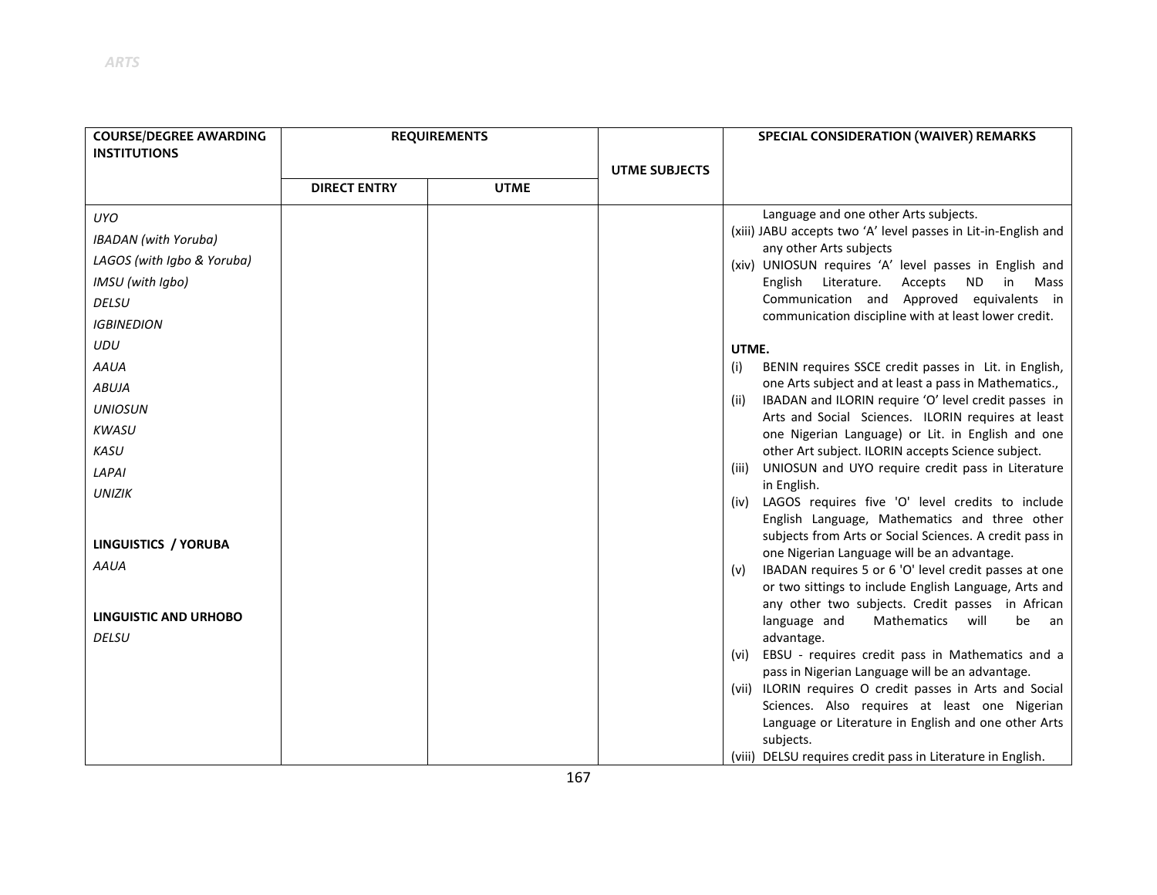| <b>COURSE/DEGREE AWARDING</b> |                     | <b>REQUIREMENTS</b> |                      | SPECIAL CONSIDERATION (WAIVER) REMARKS                                                                             |
|-------------------------------|---------------------|---------------------|----------------------|--------------------------------------------------------------------------------------------------------------------|
| <b>INSTITUTIONS</b>           |                     |                     |                      |                                                                                                                    |
|                               |                     |                     | <b>UTME SUBJECTS</b> |                                                                                                                    |
|                               | <b>DIRECT ENTRY</b> | <b>UTME</b>         |                      |                                                                                                                    |
| <b>UYO</b>                    |                     |                     |                      | Language and one other Arts subjects.                                                                              |
| <b>IBADAN</b> (with Yoruba)   |                     |                     |                      | (xiii) JABU accepts two 'A' level passes in Lit-in-English and<br>any other Arts subjects                          |
| LAGOS (with Igbo & Yoruba)    |                     |                     |                      | (xiv) UNIOSUN requires 'A' level passes in English and                                                             |
| IMSU (with Igbo)              |                     |                     |                      | <b>ND</b><br>English<br>Literature.<br>Accepts<br>in<br>Mass                                                       |
| <b>DELSU</b>                  |                     |                     |                      | Communication and Approved equivalents in                                                                          |
| <b>IGBINEDION</b>             |                     |                     |                      | communication discipline with at least lower credit.                                                               |
| UDU                           |                     |                     |                      | UTME.                                                                                                              |
| <b>AAUA</b>                   |                     |                     |                      | BENIN requires SSCE credit passes in Lit. in English,<br>(i)                                                       |
| <b>ABUJA</b>                  |                     |                     |                      | one Arts subject and at least a pass in Mathematics.,                                                              |
| <b>UNIOSUN</b>                |                     |                     |                      | IBADAN and ILORIN require 'O' level credit passes in<br>(ii)<br>Arts and Social Sciences. ILORIN requires at least |
| <b>KWASU</b>                  |                     |                     |                      | one Nigerian Language) or Lit. in English and one                                                                  |
| <b>KASU</b>                   |                     |                     |                      | other Art subject. ILORIN accepts Science subject.                                                                 |
| LAPAI                         |                     |                     |                      | UNIOSUN and UYO require credit pass in Literature<br>(iii)                                                         |
| <b>UNIZIK</b>                 |                     |                     |                      | in English.                                                                                                        |
|                               |                     |                     |                      | LAGOS requires five 'O' level credits to include<br>(iv)<br>English Language, Mathematics and three other          |
|                               |                     |                     |                      | subjects from Arts or Social Sciences. A credit pass in                                                            |
| LINGUISTICS / YORUBA          |                     |                     |                      | one Nigerian Language will be an advantage.                                                                        |
| AAUA                          |                     |                     |                      | IBADAN requires 5 or 6 'O' level credit passes at one<br>(v)                                                       |
|                               |                     |                     |                      | or two sittings to include English Language, Arts and<br>any other two subjects. Credit passes in African          |
| <b>LINGUISTIC AND URHOBO</b>  |                     |                     |                      | language and<br><b>Mathematics</b><br>will<br>be<br>- an                                                           |
| <b>DELSU</b>                  |                     |                     |                      | advantage.                                                                                                         |
|                               |                     |                     |                      | (vi) EBSU - requires credit pass in Mathematics and a                                                              |
|                               |                     |                     |                      | pass in Nigerian Language will be an advantage.                                                                    |
|                               |                     |                     |                      | (vii) ILORIN requires O credit passes in Arts and Social                                                           |
|                               |                     |                     |                      | Sciences. Also requires at least one Nigerian<br>Language or Literature in English and one other Arts              |
|                               |                     |                     |                      | subjects.                                                                                                          |
|                               |                     |                     |                      | (viii) DELSU requires credit pass in Literature in English.                                                        |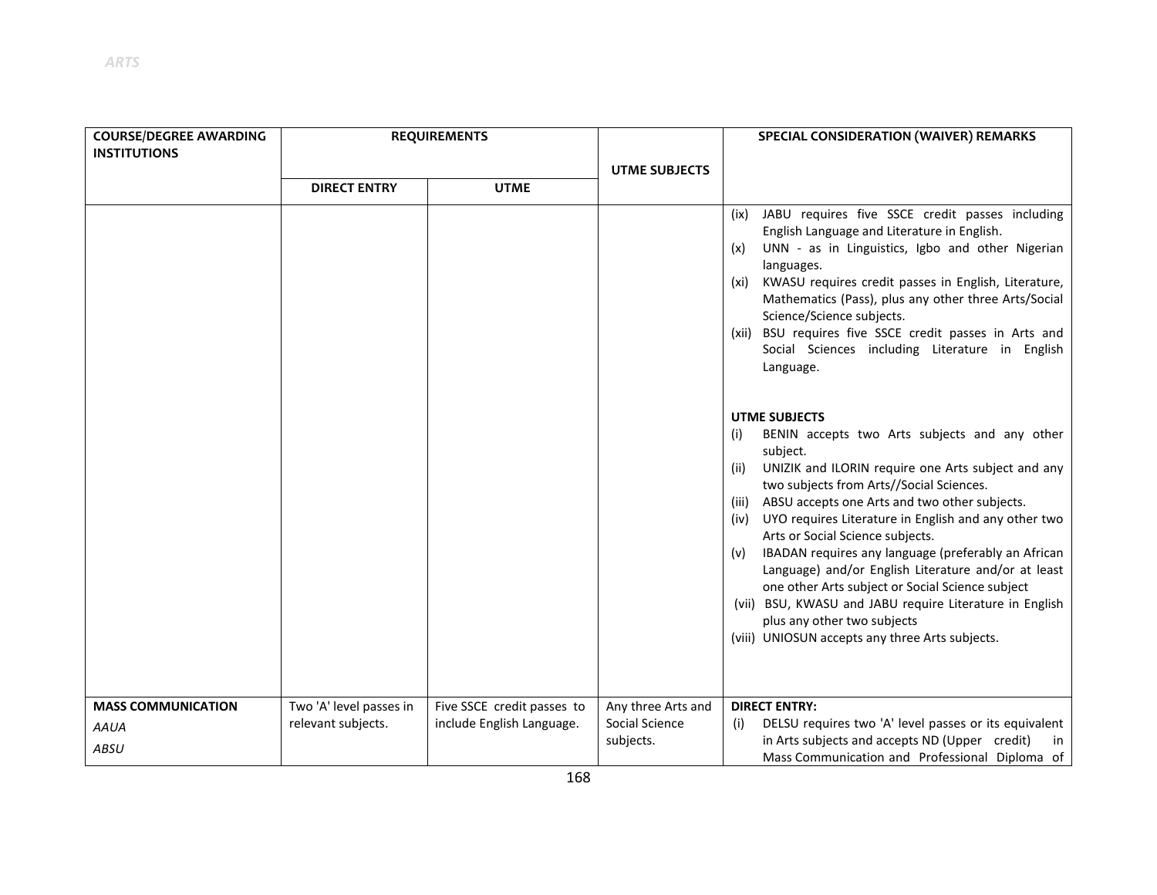| <b>COURSE/DEGREE AWARDING</b> | <b>REQUIREMENTS</b>     |                            |                             | SPECIAL CONSIDERATION (WAIVER) REMARKS                                                                                                                                                                                                                                                                                                                                                                                                                                                                                                                                                                       |
|-------------------------------|-------------------------|----------------------------|-----------------------------|--------------------------------------------------------------------------------------------------------------------------------------------------------------------------------------------------------------------------------------------------------------------------------------------------------------------------------------------------------------------------------------------------------------------------------------------------------------------------------------------------------------------------------------------------------------------------------------------------------------|
| <b>INSTITUTIONS</b>           |                         |                            | <b>UTME SUBJECTS</b>        |                                                                                                                                                                                                                                                                                                                                                                                                                                                                                                                                                                                                              |
|                               | <b>DIRECT ENTRY</b>     | <b>UTME</b>                |                             |                                                                                                                                                                                                                                                                                                                                                                                                                                                                                                                                                                                                              |
|                               |                         |                            |                             | (ix) JABU requires five SSCE credit passes including<br>English Language and Literature in English.<br>UNN - as in Linguistics, Igbo and other Nigerian<br>(x)<br>languages.<br>(xi) KWASU requires credit passes in English, Literature,<br>Mathematics (Pass), plus any other three Arts/Social<br>Science/Science subjects.<br>(xii) BSU requires five SSCE credit passes in Arts and<br>Social Sciences including Literature in English<br>Language.<br><b>UTME SUBJECTS</b><br>BENIN accepts two Arts subjects and any other<br>(i)<br>subject.                                                         |
| <b>MASS COMMUNICATION</b>     | Two 'A' level passes in | Five SSCE credit passes to | Any three Arts and          | UNIZIK and ILORIN require one Arts subject and any<br>(ii)<br>two subjects from Arts//Social Sciences.<br>(iii) ABSU accepts one Arts and two other subjects.<br>(iv) UYO requires Literature in English and any other two<br>Arts or Social Science subjects.<br>IBADAN requires any language (preferably an African<br>(v)<br>Language) and/or English Literature and/or at least<br>one other Arts subject or Social Science subject<br>(vii) BSU, KWASU and JABU require Literature in English<br>plus any other two subjects<br>(viii) UNIOSUN accepts any three Arts subjects.<br><b>DIRECT ENTRY:</b> |
| <b>AAUA</b><br><b>ABSU</b>    | relevant subjects.      | include English Language.  | Social Science<br>subjects. | DELSU requires two 'A' level passes or its equivalent<br>(i)<br>in Arts subjects and accepts ND (Upper credit)<br>in<br>Mass Communication and Professional Diploma of                                                                                                                                                                                                                                                                                                                                                                                                                                       |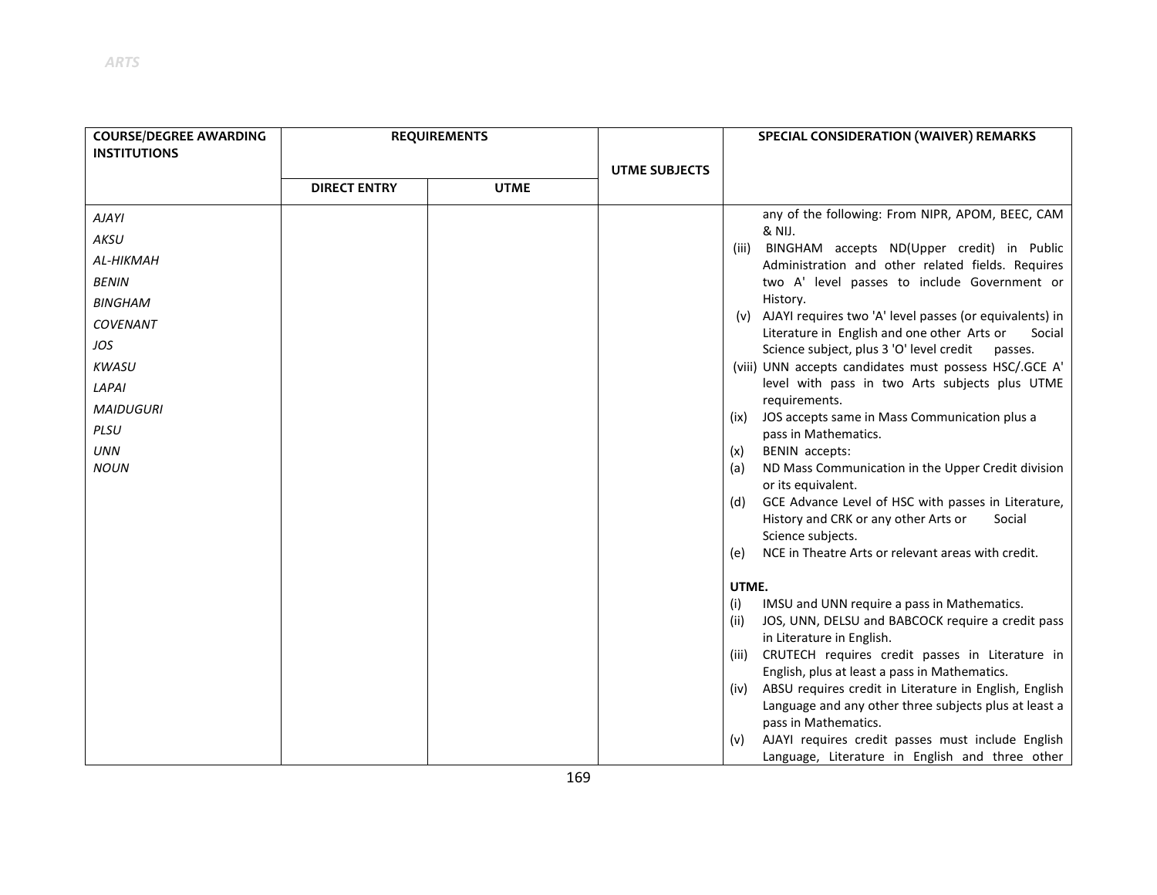| <b>COURSE/DEGREE AWARDING</b><br><b>INSTITUTIONS</b> | <b>REQUIREMENTS</b> |             |                      | SPECIAL CONSIDERATION (WAIVER) REMARKS                                                                               |
|------------------------------------------------------|---------------------|-------------|----------------------|----------------------------------------------------------------------------------------------------------------------|
|                                                      |                     |             | <b>UTME SUBJECTS</b> |                                                                                                                      |
|                                                      | <b>DIRECT ENTRY</b> | <b>UTME</b> |                      |                                                                                                                      |
| <b>AJAYI</b>                                         |                     |             |                      | any of the following: From NIPR, APOM, BEEC, CAM                                                                     |
| AKSU                                                 |                     |             |                      | & NIJ.<br>BINGHAM accepts ND(Upper credit) in Public                                                                 |
| AL-HIKMAH                                            |                     |             |                      | (iii)<br>Administration and other related fields. Requires                                                           |
| <b>BENIN</b>                                         |                     |             |                      | two A' level passes to include Government or                                                                         |
| <b>BINGHAM</b>                                       |                     |             |                      | History.                                                                                                             |
| <b>COVENANT</b>                                      |                     |             |                      | (v) AJAYI requires two 'A' level passes (or equivalents) in<br>Literature in English and one other Arts or<br>Social |
| JOS                                                  |                     |             |                      | Science subject, plus 3 'O' level credit<br>passes.                                                                  |
| <b>KWASU</b>                                         |                     |             |                      | (viii) UNN accepts candidates must possess HSC/.GCE A'                                                               |
| LAPAI                                                |                     |             |                      | level with pass in two Arts subjects plus UTME                                                                       |
| <b>MAIDUGURI</b>                                     |                     |             |                      | requirements.<br>JOS accepts same in Mass Communication plus a                                                       |
| PLSU                                                 |                     |             |                      | (ix)<br>pass in Mathematics.                                                                                         |
| <b>UNN</b>                                           |                     |             |                      | BENIN accepts:<br>(x)                                                                                                |
| <b>NOUN</b>                                          |                     |             |                      | ND Mass Communication in the Upper Credit division<br>(a)<br>or its equivalent.                                      |
|                                                      |                     |             |                      | GCE Advance Level of HSC with passes in Literature,<br>(d)                                                           |
|                                                      |                     |             |                      | History and CRK or any other Arts or<br>Social                                                                       |
|                                                      |                     |             |                      | Science subjects.                                                                                                    |
|                                                      |                     |             |                      | NCE in Theatre Arts or relevant areas with credit.<br>(e)                                                            |
|                                                      |                     |             |                      | UTME.                                                                                                                |
|                                                      |                     |             |                      | IMSU and UNN require a pass in Mathematics.<br>(i)                                                                   |
|                                                      |                     |             |                      | JOS, UNN, DELSU and BABCOCK require a credit pass<br>(iii)                                                           |
|                                                      |                     |             |                      | in Literature in English.<br>CRUTECH requires credit passes in Literature in<br>(iii)                                |
|                                                      |                     |             |                      | English, plus at least a pass in Mathematics.                                                                        |
|                                                      |                     |             |                      | ABSU requires credit in Literature in English, English<br>(iv)                                                       |
|                                                      |                     |             |                      | Language and any other three subjects plus at least a                                                                |
|                                                      |                     |             |                      | pass in Mathematics.                                                                                                 |
|                                                      |                     |             |                      | AJAYI requires credit passes must include English<br>(v)<br>Language, Literature in English and three other          |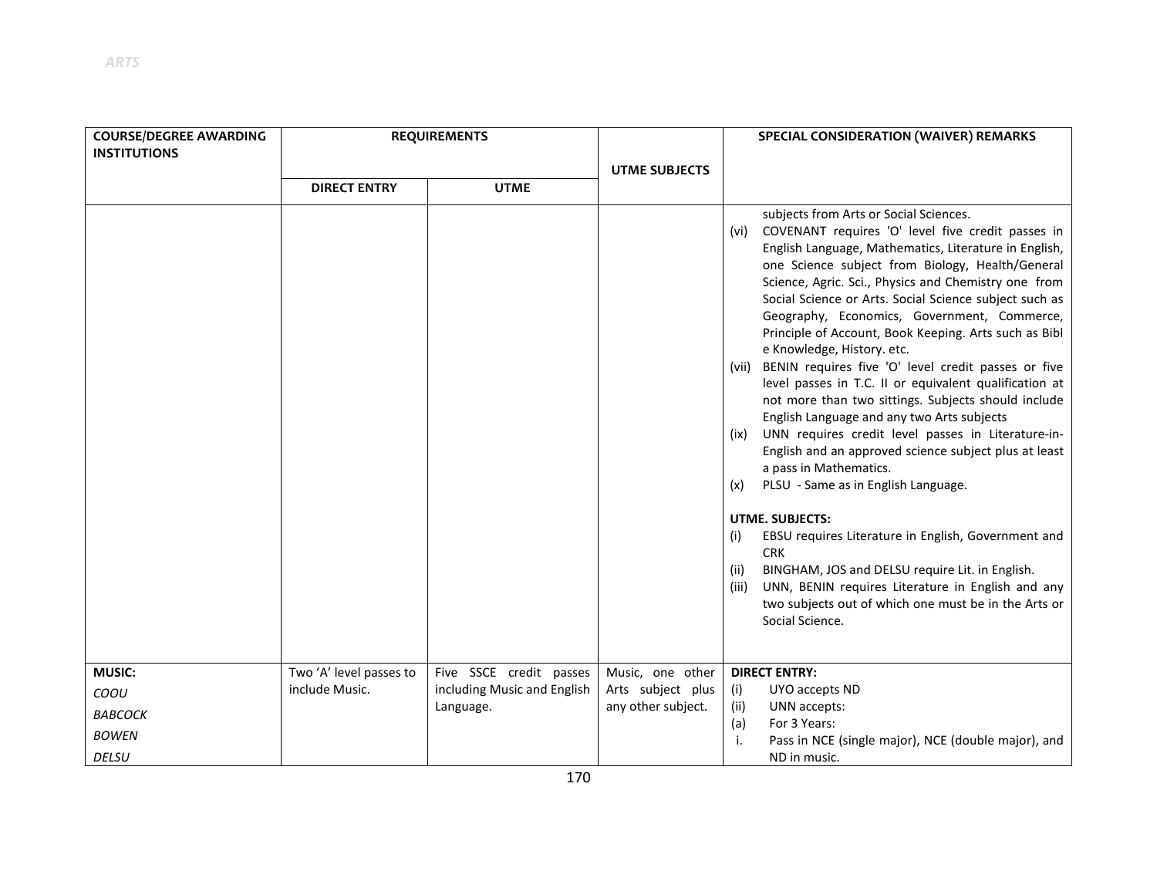| <b>COURSE/DEGREE AWARDING</b><br><b>INSTITUTIONS</b> | <b>REQUIREMENTS</b>     |                                          |                                         | <b>SPECIAL CONSIDERATION (WAIVER) REMARKS</b>                                                                                                                                                                                                                                                                                                                                                                                                                                                                                                                                                                                                                                                                                                                                                                                                                                                                                                                                                                                                                                                                                                                                                           |
|------------------------------------------------------|-------------------------|------------------------------------------|-----------------------------------------|---------------------------------------------------------------------------------------------------------------------------------------------------------------------------------------------------------------------------------------------------------------------------------------------------------------------------------------------------------------------------------------------------------------------------------------------------------------------------------------------------------------------------------------------------------------------------------------------------------------------------------------------------------------------------------------------------------------------------------------------------------------------------------------------------------------------------------------------------------------------------------------------------------------------------------------------------------------------------------------------------------------------------------------------------------------------------------------------------------------------------------------------------------------------------------------------------------|
|                                                      | <b>DIRECT ENTRY</b>     | <b>UTME</b>                              | <b>UTME SUBJECTS</b>                    |                                                                                                                                                                                                                                                                                                                                                                                                                                                                                                                                                                                                                                                                                                                                                                                                                                                                                                                                                                                                                                                                                                                                                                                                         |
|                                                      |                         |                                          |                                         | subjects from Arts or Social Sciences.<br>(vi) COVENANT requires 'O' level five credit passes in<br>English Language, Mathematics, Literature in English,<br>one Science subject from Biology, Health/General<br>Science, Agric. Sci., Physics and Chemistry one from<br>Social Science or Arts. Social Science subject such as<br>Geography, Economics, Government, Commerce,<br>Principle of Account, Book Keeping. Arts such as Bibl<br>e Knowledge, History. etc.<br>(vii) BENIN requires five 'O' level credit passes or five<br>level passes in T.C. II or equivalent qualification at<br>not more than two sittings. Subjects should include<br>English Language and any two Arts subjects<br>(ix) UNN requires credit level passes in Literature-in-<br>English and an approved science subject plus at least<br>a pass in Mathematics.<br>PLSU - Same as in English Language.<br>(x)<br><b>UTME. SUBJECTS:</b><br>EBSU requires Literature in English, Government and<br>(i)<br><b>CRK</b><br>BINGHAM, JOS and DELSU require Lit. in English.<br>(ii)<br>UNN, BENIN requires Literature in English and any<br>(iii)<br>two subjects out of which one must be in the Arts or<br>Social Science. |
| <b>MUSIC:</b>                                        | Two 'A' level passes to | Five SSCE credit passes                  | Music, one other                        | <b>DIRECT ENTRY:</b>                                                                                                                                                                                                                                                                                                                                                                                                                                                                                                                                                                                                                                                                                                                                                                                                                                                                                                                                                                                                                                                                                                                                                                                    |
| COOU                                                 | include Music.          | including Music and English<br>Language. | Arts subject plus<br>any other subject. | (i)<br>UYO accepts ND<br>UNN accepts:<br>(ii)                                                                                                                                                                                                                                                                                                                                                                                                                                                                                                                                                                                                                                                                                                                                                                                                                                                                                                                                                                                                                                                                                                                                                           |
| <b>BABCOCK</b>                                       |                         |                                          |                                         | For 3 Years:<br>(a)                                                                                                                                                                                                                                                                                                                                                                                                                                                                                                                                                                                                                                                                                                                                                                                                                                                                                                                                                                                                                                                                                                                                                                                     |
| <b>BOWEN</b>                                         |                         |                                          |                                         | Pass in NCE (single major), NCE (double major), and<br>j.                                                                                                                                                                                                                                                                                                                                                                                                                                                                                                                                                                                                                                                                                                                                                                                                                                                                                                                                                                                                                                                                                                                                               |
| <b>DELSU</b>                                         |                         |                                          |                                         | ND in music.                                                                                                                                                                                                                                                                                                                                                                                                                                                                                                                                                                                                                                                                                                                                                                                                                                                                                                                                                                                                                                                                                                                                                                                            |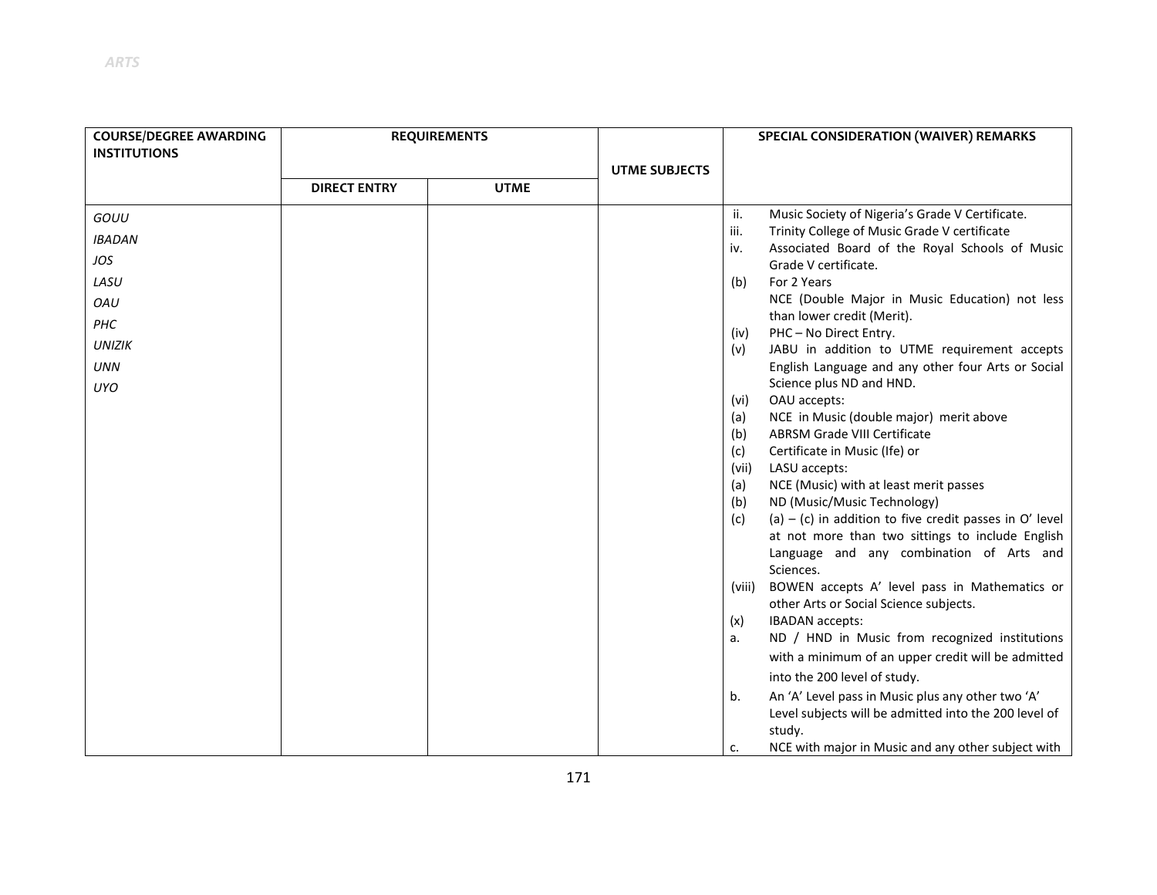| <b>COURSE/DEGREE AWARDING</b><br><b>INSTITUTIONS</b> | <b>REQUIREMENTS</b> |             |                      | SPECIAL CONSIDERATION (WAIVER) REMARKS |                                                                                                               |
|------------------------------------------------------|---------------------|-------------|----------------------|----------------------------------------|---------------------------------------------------------------------------------------------------------------|
|                                                      |                     |             | <b>UTME SUBJECTS</b> |                                        |                                                                                                               |
|                                                      | <b>DIRECT ENTRY</b> | <b>UTME</b> |                      |                                        |                                                                                                               |
| GOUU                                                 |                     |             |                      | ii.                                    | Music Society of Nigeria's Grade V Certificate.                                                               |
| <b>IBADAN</b>                                        |                     |             |                      | iii.                                   | Trinity College of Music Grade V certificate                                                                  |
| JOS                                                  |                     |             |                      | iv.                                    | Associated Board of the Royal Schools of Music<br>Grade V certificate.                                        |
| LASU                                                 |                     |             |                      | (b)                                    | For 2 Years                                                                                                   |
| OAU                                                  |                     |             |                      |                                        | NCE (Double Major in Music Education) not less                                                                |
| PHC                                                  |                     |             |                      |                                        | than lower credit (Merit).                                                                                    |
| <b>UNIZIK</b>                                        |                     |             |                      | (iv)<br>(v)                            | PHC-No Direct Entry.<br>JABU in addition to UTME requirement accepts                                          |
| <b>UNN</b>                                           |                     |             |                      |                                        | English Language and any other four Arts or Social                                                            |
| <b>UYO</b>                                           |                     |             |                      |                                        | Science plus ND and HND.                                                                                      |
|                                                      |                     |             |                      | (vi)                                   | OAU accepts:                                                                                                  |
|                                                      |                     |             |                      | (a)                                    | NCE in Music (double major) merit above                                                                       |
|                                                      |                     |             |                      | (b)                                    | <b>ABRSM Grade VIII Certificate</b>                                                                           |
|                                                      |                     |             |                      | (c)                                    | Certificate in Music (Ife) or                                                                                 |
|                                                      |                     |             |                      | (vii)                                  | LASU accepts:                                                                                                 |
|                                                      |                     |             |                      | (a)                                    | NCE (Music) with at least merit passes                                                                        |
|                                                      |                     |             |                      | (b)                                    | ND (Music/Music Technology)                                                                                   |
|                                                      |                     |             |                      | (c)                                    | (a) $-$ (c) in addition to five credit passes in O' level<br>at not more than two sittings to include English |
|                                                      |                     |             |                      |                                        | Language and any combination of Arts and                                                                      |
|                                                      |                     |             |                      |                                        | Sciences.                                                                                                     |
|                                                      |                     |             |                      | (viii)                                 | BOWEN accepts A' level pass in Mathematics or                                                                 |
|                                                      |                     |             |                      |                                        | other Arts or Social Science subjects.                                                                        |
|                                                      |                     |             |                      | (x)                                    | IBADAN accepts:                                                                                               |
|                                                      |                     |             |                      | a.                                     | ND / HND in Music from recognized institutions                                                                |
|                                                      |                     |             |                      |                                        | with a minimum of an upper credit will be admitted                                                            |
|                                                      |                     |             |                      |                                        | into the 200 level of study.                                                                                  |
|                                                      |                     |             |                      | b.                                     | An 'A' Level pass in Music plus any other two 'A'                                                             |
|                                                      |                     |             |                      |                                        | Level subjects will be admitted into the 200 level of                                                         |
|                                                      |                     |             |                      |                                        | study.                                                                                                        |
|                                                      |                     |             |                      | c.                                     | NCE with major in Music and any other subject with                                                            |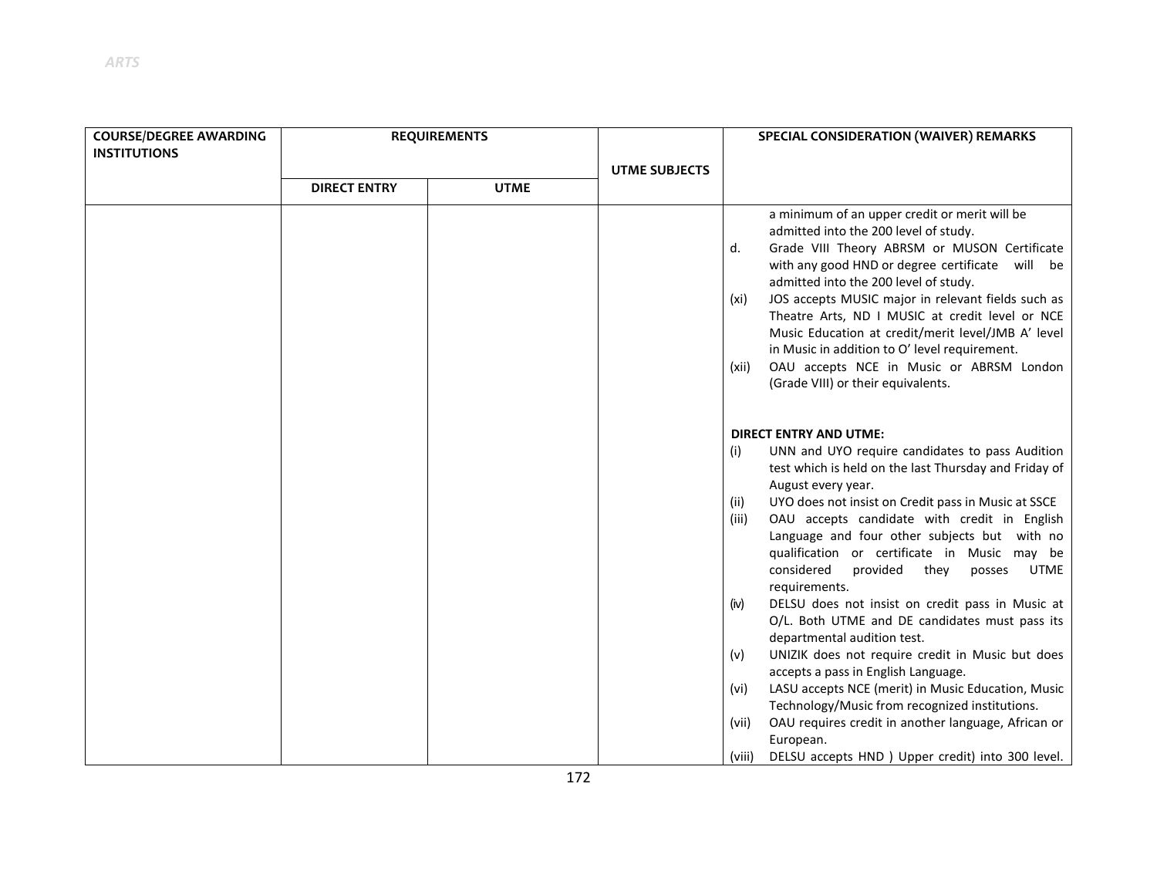| <b>COURSE/DEGREE AWARDING</b><br><b>INSTITUTIONS</b> | <b>REQUIREMENTS</b>                |  | <b>UTME SUBJECTS</b> | SPECIAL CONSIDERATION (WAIVER) REMARKS                                                                                                                                                                                                                                                                                                                                                                                                                                                                                                                                                                                                                                                                                    |  |
|------------------------------------------------------|------------------------------------|--|----------------------|---------------------------------------------------------------------------------------------------------------------------------------------------------------------------------------------------------------------------------------------------------------------------------------------------------------------------------------------------------------------------------------------------------------------------------------------------------------------------------------------------------------------------------------------------------------------------------------------------------------------------------------------------------------------------------------------------------------------------|--|
|                                                      | <b>UTME</b><br><b>DIRECT ENTRY</b> |  |                      |                                                                                                                                                                                                                                                                                                                                                                                                                                                                                                                                                                                                                                                                                                                           |  |
|                                                      |                                    |  |                      | a minimum of an upper credit or merit will be<br>admitted into the 200 level of study.<br>Grade VIII Theory ABRSM or MUSON Certificate<br>d.<br>with any good HND or degree certificate will be<br>admitted into the 200 level of study.<br>JOS accepts MUSIC major in relevant fields such as<br>(xi)<br>Theatre Arts, ND I MUSIC at credit level or NCE<br>Music Education at credit/merit level/JMB A' level<br>in Music in addition to O' level requirement.<br>OAU accepts NCE in Music or ABRSM London<br>(xii)<br>(Grade VIII) or their equivalents.                                                                                                                                                               |  |
|                                                      |                                    |  |                      | <b>DIRECT ENTRY AND UTME:</b><br>UNN and UYO require candidates to pass Audition<br>(i)<br>test which is held on the last Thursday and Friday of<br>August every year.<br>UYO does not insist on Credit pass in Music at SSCE<br>(ii)<br>OAU accepts candidate with credit in English<br>(iii)<br>Language and four other subjects but with no<br>qualification or certificate in Music may be<br>considered<br>provided<br>they<br>posses<br><b>UTME</b><br>requirements.<br>DELSU does not insist on credit pass in Music at<br>(iv)<br>O/L. Both UTME and DE candidates must pass its<br>departmental audition test.<br>UNIZIK does not require credit in Music but does<br>(v)<br>accepts a pass in English Language. |  |

- (vi) LASU accepts NCE (merit) in Music Education, Music Technology/Music from recognized institutions.
- (vii) OAU requires credit in another language, African or European.
- (viii) DELSU accepts HND ) Upper credit) into 300 level.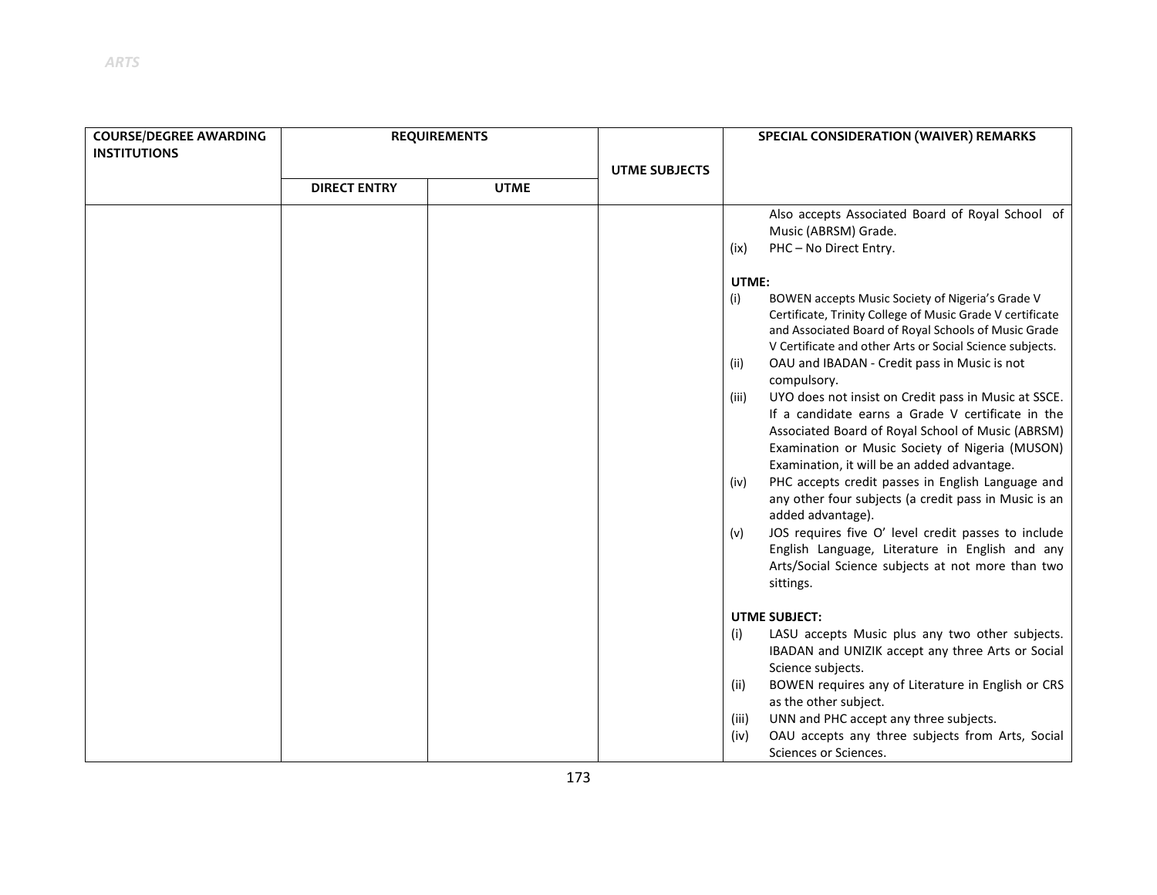| <b>COURSE/DEGREE AWARDING</b> | <b>REQUIREMENTS</b> |             |                      | <b>SPECIAL CONSIDERATION (WAIVER) REMARKS</b>                       |  |
|-------------------------------|---------------------|-------------|----------------------|---------------------------------------------------------------------|--|
| <b>INSTITUTIONS</b>           |                     |             |                      |                                                                     |  |
|                               |                     |             | <b>UTME SUBJECTS</b> |                                                                     |  |
|                               | <b>DIRECT ENTRY</b> | <b>UTME</b> |                      |                                                                     |  |
|                               |                     |             |                      | Also accepts Associated Board of Royal School of                    |  |
|                               |                     |             |                      | Music (ABRSM) Grade.                                                |  |
|                               |                     |             |                      | PHC-No Direct Entry.<br>(ix)                                        |  |
|                               |                     |             |                      | UTME:                                                               |  |
|                               |                     |             |                      | BOWEN accepts Music Society of Nigeria's Grade V<br>(i)             |  |
|                               |                     |             |                      | Certificate, Trinity College of Music Grade V certificate           |  |
|                               |                     |             |                      | and Associated Board of Royal Schools of Music Grade                |  |
|                               |                     |             |                      | V Certificate and other Arts or Social Science subjects.            |  |
|                               |                     |             |                      | OAU and IBADAN - Credit pass in Music is not<br>(ii)<br>compulsory. |  |
|                               |                     |             |                      | UYO does not insist on Credit pass in Music at SSCE.<br>(iii)       |  |
|                               |                     |             |                      | If a candidate earns a Grade V certificate in the                   |  |
|                               |                     |             |                      | Associated Board of Royal School of Music (ABRSM)                   |  |
|                               |                     |             |                      | Examination or Music Society of Nigeria (MUSON)                     |  |
|                               |                     |             |                      | Examination, it will be an added advantage.                         |  |
|                               |                     |             |                      | PHC accepts credit passes in English Language and<br>(iv)           |  |
|                               |                     |             |                      | any other four subjects (a credit pass in Music is an               |  |
|                               |                     |             |                      | added advantage).                                                   |  |
|                               |                     |             |                      | JOS requires five O' level credit passes to include<br>(v)          |  |
|                               |                     |             |                      | English Language, Literature in English and any                     |  |
|                               |                     |             |                      | Arts/Social Science subjects at not more than two                   |  |
|                               |                     |             |                      | sittings.                                                           |  |
|                               |                     |             |                      | <b>UTME SUBJECT:</b>                                                |  |
|                               |                     |             |                      | LASU accepts Music plus any two other subjects.<br>(i)              |  |
|                               |                     |             |                      | IBADAN and UNIZIK accept any three Arts or Social                   |  |
|                               |                     |             |                      | Science subjects.                                                   |  |
|                               |                     |             |                      | BOWEN requires any of Literature in English or CRS<br>(ii)          |  |
|                               |                     |             |                      | as the other subject.                                               |  |
|                               |                     |             |                      | UNN and PHC accept any three subjects.<br>(iii)                     |  |
|                               |                     |             |                      | OAU accepts any three subjects from Arts, Social<br>(iv)            |  |
|                               |                     |             |                      | Sciences or Sciences.                                               |  |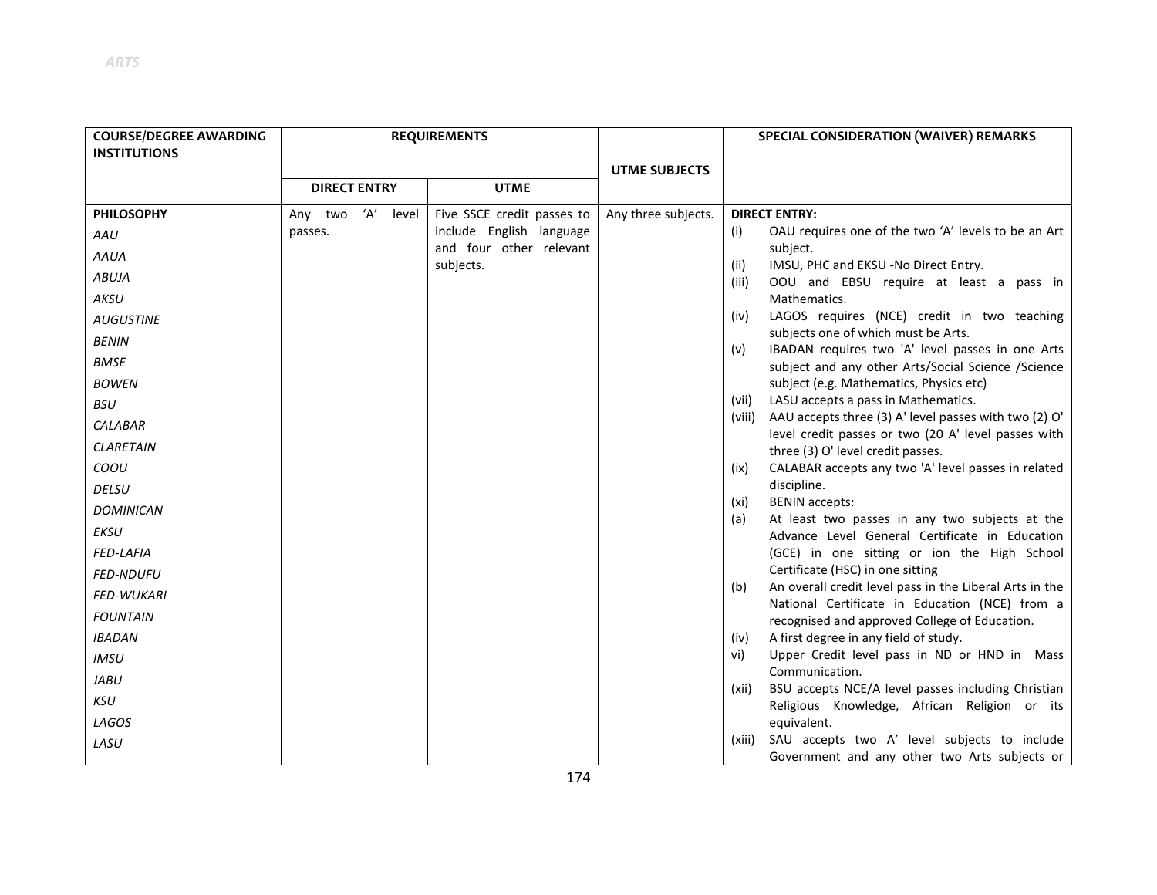| <b>COURSE/DEGREE AWARDING</b> | <b>REQUIREMENTS</b> |              |                                      | SPECIAL CONSIDERATION (WAIVER) REMARKS |                                                                                                         |
|-------------------------------|---------------------|--------------|--------------------------------------|----------------------------------------|---------------------------------------------------------------------------------------------------------|
| <b>INSTITUTIONS</b>           |                     |              |                                      |                                        |                                                                                                         |
|                               | <b>DIRECT ENTRY</b> |              | <b>UTME</b>                          | <b>UTME SUBJECTS</b>                   |                                                                                                         |
|                               |                     |              |                                      |                                        |                                                                                                         |
| <b>PHILOSOPHY</b>             | Any two             | 'A'<br>level | Five SSCE credit passes to           | Any three subjects.                    | <b>DIRECT ENTRY:</b>                                                                                    |
| AAU                           | passes.             |              | include English language             |                                        | OAU requires one of the two 'A' levels to be an Art<br>(i)                                              |
| <b>AAUA</b>                   |                     |              | and four other relevant<br>subjects. |                                        | subject.<br>IMSU, PHC and EKSU -No Direct Entry.<br>(ii)                                                |
| <b>ABUJA</b>                  |                     |              |                                      |                                        | OOU and EBSU require at least a pass in<br>(iii)                                                        |
| AKSU                          |                     |              |                                      |                                        | Mathematics.                                                                                            |
| <b>AUGUSTINE</b>              |                     |              |                                      |                                        | LAGOS requires (NCE) credit in two teaching<br>(iv)                                                     |
| <b>BENIN</b>                  |                     |              |                                      |                                        | subjects one of which must be Arts.<br>IBADAN requires two 'A' level passes in one Arts<br>(v)          |
| <b>BMSE</b>                   |                     |              |                                      |                                        | subject and any other Arts/Social Science /Science                                                      |
| <b>BOWEN</b>                  |                     |              |                                      |                                        | subject (e.g. Mathematics, Physics etc)                                                                 |
| <b>BSU</b>                    |                     |              |                                      |                                        | LASU accepts a pass in Mathematics.<br>(vii)                                                            |
| <b>CALABAR</b>                |                     |              |                                      |                                        | AAU accepts three (3) A' level passes with two (2) O'<br>(viii)                                         |
| <b>CLARETAIN</b>              |                     |              |                                      |                                        | level credit passes or two (20 A' level passes with<br>three (3) O' level credit passes.                |
| COOU                          |                     |              |                                      |                                        | CALABAR accepts any two 'A' level passes in related<br>(ix)                                             |
| <b>DELSU</b>                  |                     |              |                                      |                                        | discipline.                                                                                             |
| <b>DOMINICAN</b>              |                     |              |                                      |                                        | <b>BENIN</b> accepts:<br>(xi)                                                                           |
| <b>EKSU</b>                   |                     |              |                                      |                                        | At least two passes in any two subjects at the<br>(a)<br>Advance Level General Certificate in Education |
| <b>FED-LAFIA</b>              |                     |              |                                      |                                        | (GCE) in one sitting or ion the High School                                                             |
| <b>FED-NDUFU</b>              |                     |              |                                      |                                        | Certificate (HSC) in one sitting                                                                        |
| <b>FED-WUKARI</b>             |                     |              |                                      |                                        | An overall credit level pass in the Liberal Arts in the<br>(b)                                          |
| <b>FOUNTAIN</b>               |                     |              |                                      |                                        | National Certificate in Education (NCE) from a<br>recognised and approved College of Education.         |
| <b>IBADAN</b>                 |                     |              |                                      |                                        | A first degree in any field of study.<br>(iv)                                                           |
| <b>IMSU</b>                   |                     |              |                                      |                                        | Upper Credit level pass in ND or HND in Mass<br>vi)                                                     |
| JABU                          |                     |              |                                      |                                        | Communication.                                                                                          |
| KSU                           |                     |              |                                      |                                        | BSU accepts NCE/A level passes including Christian<br>(xii)                                             |
| LAGOS                         |                     |              |                                      |                                        | Religious Knowledge, African Religion or its<br>equivalent.                                             |
| LASU                          |                     |              |                                      |                                        | SAU accepts two A' level subjects to include<br>(xiii)                                                  |
|                               |                     |              |                                      |                                        | Government and any other two Arts subjects or                                                           |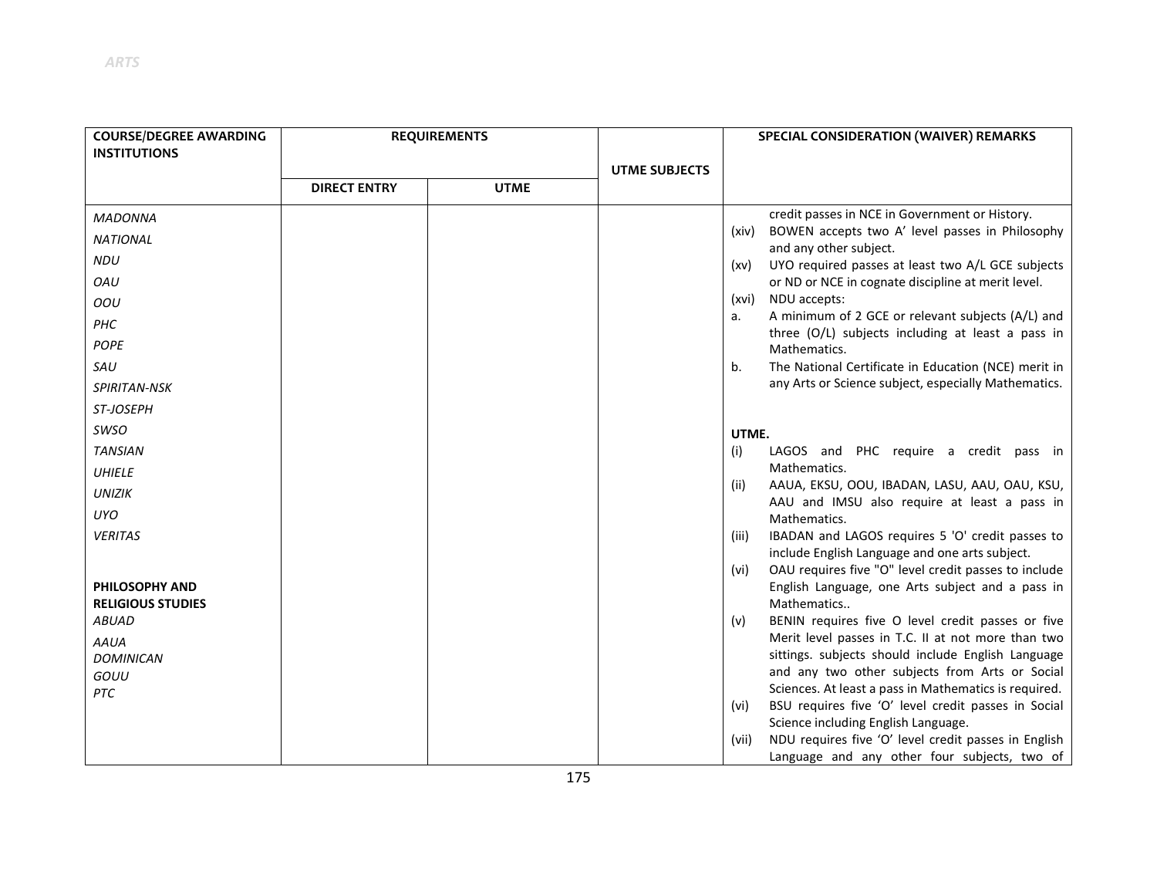| <b>COURSE/DEGREE AWARDING</b><br><b>INSTITUTIONS</b> | <b>REQUIREMENTS</b> |             |                      | SPECIAL CONSIDERATION (WAIVER) REMARKS                                                                         |
|------------------------------------------------------|---------------------|-------------|----------------------|----------------------------------------------------------------------------------------------------------------|
|                                                      |                     |             | <b>UTME SUBJECTS</b> |                                                                                                                |
|                                                      | <b>DIRECT ENTRY</b> | <b>UTME</b> |                      |                                                                                                                |
| <b>MADONNA</b>                                       |                     |             |                      | credit passes in NCE in Government or History.                                                                 |
| <b>NATIONAL</b>                                      |                     |             |                      | BOWEN accepts two A' level passes in Philosophy<br>(xiv)<br>and any other subject.                             |
| <b>NDU</b>                                           |                     |             |                      | UYO required passes at least two A/L GCE subjects<br>(xv)                                                      |
| OAU                                                  |                     |             |                      | or ND or NCE in cognate discipline at merit level.                                                             |
| OOU                                                  |                     |             |                      | NDU accepts:<br>(xvi)                                                                                          |
| PHC                                                  |                     |             |                      | A minimum of 2 GCE or relevant subjects (A/L) and<br>a.                                                        |
| <b>POPE</b>                                          |                     |             |                      | three (O/L) subjects including at least a pass in<br>Mathematics.                                              |
| SAU                                                  |                     |             |                      | The National Certificate in Education (NCE) merit in<br>b.                                                     |
| SPIRITAN-NSK                                         |                     |             |                      | any Arts or Science subject, especially Mathematics.                                                           |
| <b>ST-JOSEPH</b>                                     |                     |             |                      |                                                                                                                |
| <b>SWSO</b>                                          |                     |             |                      | UTME.                                                                                                          |
| <b>TANSIAN</b>                                       |                     |             |                      | LAGOS and PHC require a credit pass in<br>(i)                                                                  |
| <b>UHIELE</b>                                        |                     |             |                      | Mathematics.                                                                                                   |
| <b>UNIZIK</b>                                        |                     |             |                      | AAUA, EKSU, OOU, IBADAN, LASU, AAU, OAU, KSU,<br>(ii)<br>AAU and IMSU also require at least a pass in          |
| UYO                                                  |                     |             |                      | Mathematics.                                                                                                   |
| <b>VERITAS</b>                                       |                     |             |                      | IBADAN and LAGOS requires 5 'O' credit passes to<br>(iii)                                                      |
|                                                      |                     |             |                      | include English Language and one arts subject.<br>OAU requires five "O" level credit passes to include<br>(vi) |
| <b>PHILOSOPHY AND</b>                                |                     |             |                      | English Language, one Arts subject and a pass in                                                               |
| <b>RELIGIOUS STUDIES</b>                             |                     |             |                      | Mathematics                                                                                                    |
| ABUAD                                                |                     |             |                      | BENIN requires five O level credit passes or five<br>(v)                                                       |
| <b>AAUA</b>                                          |                     |             |                      | Merit level passes in T.C. II at not more than two                                                             |
| <b>DOMINICAN</b>                                     |                     |             |                      | sittings. subjects should include English Language                                                             |
| GOUU                                                 |                     |             |                      | and any two other subjects from Arts or Social                                                                 |
| <b>PTC</b>                                           |                     |             |                      | Sciences. At least a pass in Mathematics is required.                                                          |
|                                                      |                     |             |                      | BSU requires five 'O' level credit passes in Social<br>(vi)<br>Science including English Language.             |
|                                                      |                     |             |                      | NDU requires five 'O' level credit passes in English<br>(vii)                                                  |
|                                                      |                     |             |                      | Language and any other four subjects, two of                                                                   |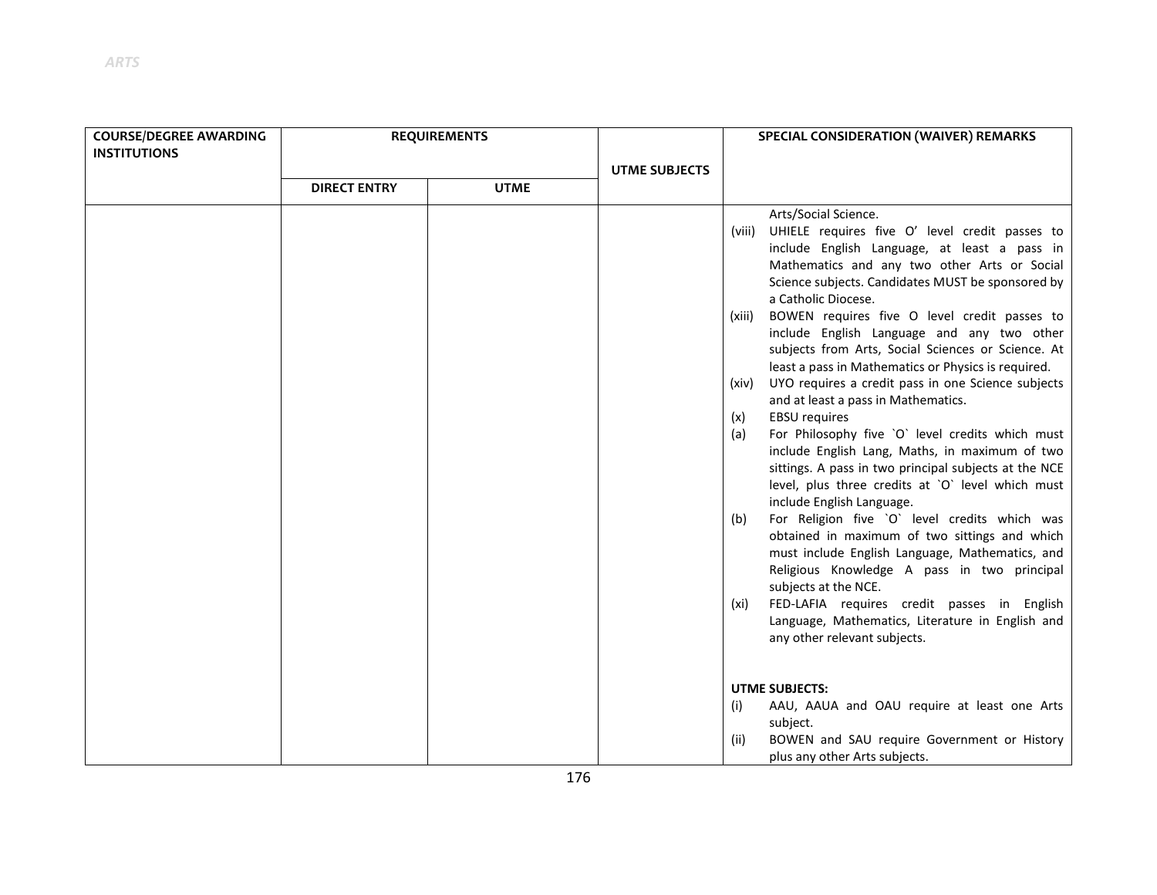| <b>COURSE/DEGREE AWARDING</b><br><b>INSTITUTIONS</b> | <b>REQUIREMENTS</b> |             |  |                                                                                                                                                                                                                                                                                                                                                                                                                                                                                                                                                                                                                                                                                                                                                                                                                                                                                                                                                                                                                                                                                                                                                                                                                                                              | <b>UTME SUBJECTS</b> | SPECIAL CONSIDERATION (WAIVER) REMARKS |  |
|------------------------------------------------------|---------------------|-------------|--|--------------------------------------------------------------------------------------------------------------------------------------------------------------------------------------------------------------------------------------------------------------------------------------------------------------------------------------------------------------------------------------------------------------------------------------------------------------------------------------------------------------------------------------------------------------------------------------------------------------------------------------------------------------------------------------------------------------------------------------------------------------------------------------------------------------------------------------------------------------------------------------------------------------------------------------------------------------------------------------------------------------------------------------------------------------------------------------------------------------------------------------------------------------------------------------------------------------------------------------------------------------|----------------------|----------------------------------------|--|
|                                                      | <b>DIRECT ENTRY</b> | <b>UTME</b> |  |                                                                                                                                                                                                                                                                                                                                                                                                                                                                                                                                                                                                                                                                                                                                                                                                                                                                                                                                                                                                                                                                                                                                                                                                                                                              |                      |                                        |  |
|                                                      |                     |             |  | Arts/Social Science.<br>UHIELE requires five O' level credit passes to<br>(viii)<br>include English Language, at least a pass in<br>Mathematics and any two other Arts or Social<br>Science subjects. Candidates MUST be sponsored by<br>a Catholic Diocese.<br>BOWEN requires five O level credit passes to<br>(xiii)<br>include English Language and any two other<br>subjects from Arts, Social Sciences or Science. At<br>least a pass in Mathematics or Physics is required.<br>UYO requires a credit pass in one Science subjects<br>(xiv)<br>and at least a pass in Mathematics.<br><b>EBSU</b> requires<br>(x)<br>For Philosophy five `O` level credits which must<br>(a)<br>include English Lang, Maths, in maximum of two<br>sittings. A pass in two principal subjects at the NCE<br>level, plus three credits at `O` level which must<br>include English Language.<br>For Religion five `O` level credits which was<br>(b)<br>obtained in maximum of two sittings and which<br>must include English Language, Mathematics, and<br>Religious Knowledge A pass in two principal<br>subjects at the NCE.<br>FED-LAFIA requires credit passes in English<br>(xi)<br>Language, Mathematics, Literature in English and<br>any other relevant subjects. |                      |                                        |  |
|                                                      |                     |             |  | <b>UTME SUBJECTS:</b>                                                                                                                                                                                                                                                                                                                                                                                                                                                                                                                                                                                                                                                                                                                                                                                                                                                                                                                                                                                                                                                                                                                                                                                                                                        |                      |                                        |  |

- (i) AAU, AAUA and OAU require at least one Arts subject.
- (ii) BOWEN and SAU require Government or History plus any other Arts subjects.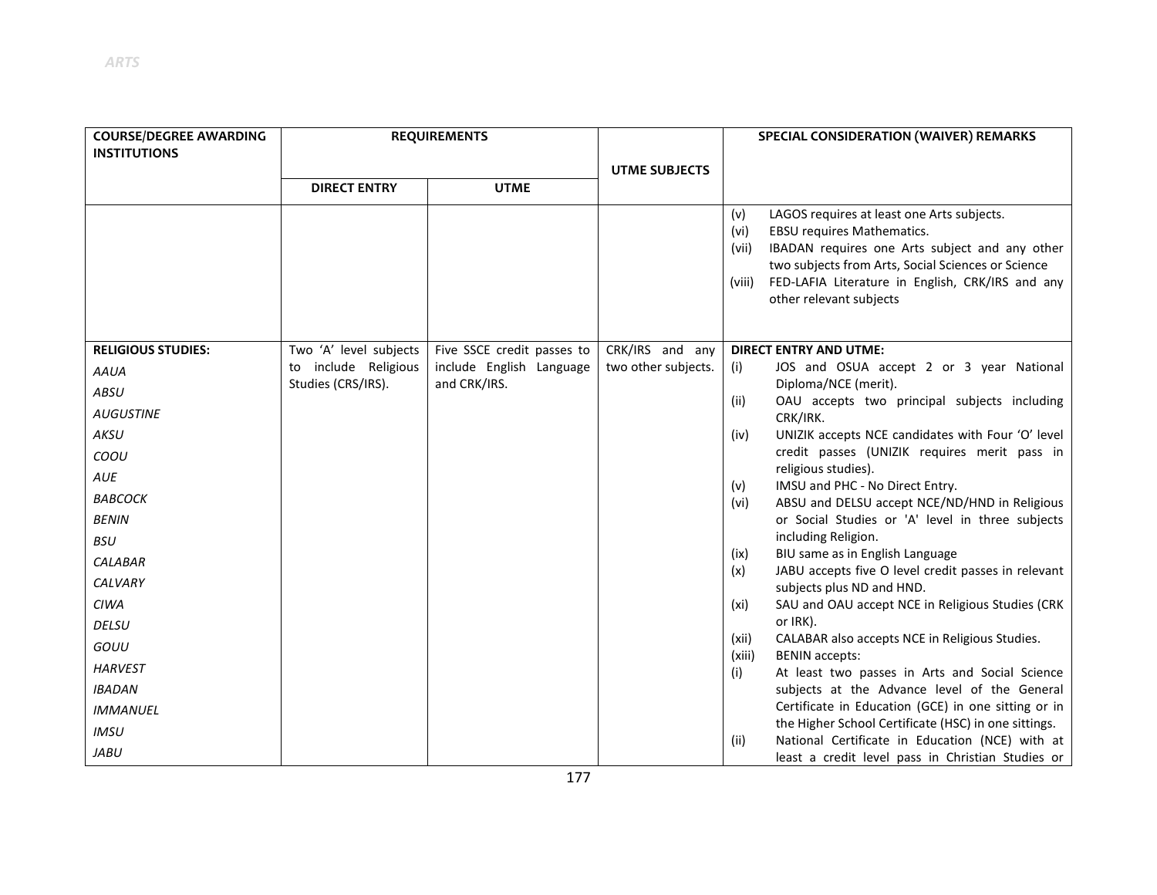| <b>COURSE/DEGREE AWARDING</b> | <b>REQUIREMENTS</b>    |                            |                      | SPECIAL CONSIDERATION (WAIVER) REMARKS                                                                                                             |
|-------------------------------|------------------------|----------------------------|----------------------|----------------------------------------------------------------------------------------------------------------------------------------------------|
| <b>INSTITUTIONS</b>           |                        |                            |                      |                                                                                                                                                    |
|                               | <b>DIRECT ENTRY</b>    | <b>UTME</b>                | <b>UTME SUBJECTS</b> |                                                                                                                                                    |
|                               |                        |                            |                      |                                                                                                                                                    |
|                               |                        |                            |                      | LAGOS requires at least one Arts subjects.<br>(v)<br>EBSU requires Mathematics.<br>(vi)<br>IBADAN requires one Arts subject and any other<br>(vii) |
|                               |                        |                            |                      | two subjects from Arts, Social Sciences or Science                                                                                                 |
|                               |                        |                            |                      | FED-LAFIA Literature in English, CRK/IRS and any<br>(viii)                                                                                         |
|                               |                        |                            |                      | other relevant subjects                                                                                                                            |
|                               |                        |                            |                      |                                                                                                                                                    |
| <b>RELIGIOUS STUDIES:</b>     | Two 'A' level subjects | Five SSCE credit passes to | CRK/IRS and any      | <b>DIRECT ENTRY AND UTME:</b>                                                                                                                      |
| AAUA                          | to include Religious   | include English Language   | two other subjects.  | JOS and OSUA accept 2 or 3 year National<br>(i)                                                                                                    |
| ABSU                          | Studies (CRS/IRS).     | and CRK/IRS.               |                      | Diploma/NCE (merit).                                                                                                                               |
| <b>AUGUSTINE</b>              |                        |                            |                      | OAU accepts two principal subjects including<br>(ii)                                                                                               |
| AKSU                          |                        |                            |                      | CRK/IRK.<br>UNIZIK accepts NCE candidates with Four 'O' level<br>(iv)                                                                              |
| COOU                          |                        |                            |                      | credit passes (UNIZIK requires merit pass in                                                                                                       |
|                               |                        |                            |                      | religious studies).                                                                                                                                |
| <b>AUE</b>                    |                        |                            |                      | IMSU and PHC - No Direct Entry.<br>(v)                                                                                                             |
| <b>BABCOCK</b>                |                        |                            |                      | ABSU and DELSU accept NCE/ND/HND in Religious<br>(vi)                                                                                              |
| <b>BENIN</b>                  |                        |                            |                      | or Social Studies or 'A' level in three subjects<br>including Religion.                                                                            |
| <b>BSU</b>                    |                        |                            |                      | BIU same as in English Language<br>(ix)                                                                                                            |
| <b>CALABAR</b>                |                        |                            |                      | JABU accepts five O level credit passes in relevant<br>(x)                                                                                         |
| CALVARY                       |                        |                            |                      | subjects plus ND and HND.                                                                                                                          |
| <b>CIWA</b>                   |                        |                            |                      | SAU and OAU accept NCE in Religious Studies (CRK<br>(xi)                                                                                           |
| <b>DELSU</b>                  |                        |                            |                      | or IRK).                                                                                                                                           |
| GOUU                          |                        |                            |                      | CALABAR also accepts NCE in Religious Studies.<br>(xii)<br>(xiii)<br><b>BENIN</b> accepts:                                                         |
| <b>HARVEST</b>                |                        |                            |                      | At least two passes in Arts and Social Science<br>(i)                                                                                              |
| <b>IBADAN</b>                 |                        |                            |                      | subjects at the Advance level of the General                                                                                                       |
| <b>IMMANUEL</b>               |                        |                            |                      | Certificate in Education (GCE) in one sitting or in                                                                                                |
| <b>IMSU</b>                   |                        |                            |                      | the Higher School Certificate (HSC) in one sittings.                                                                                               |
| JABU                          |                        |                            |                      | National Certificate in Education (NCE) with at<br>(ii)<br>least a credit level pass in Christian Studies or                                       |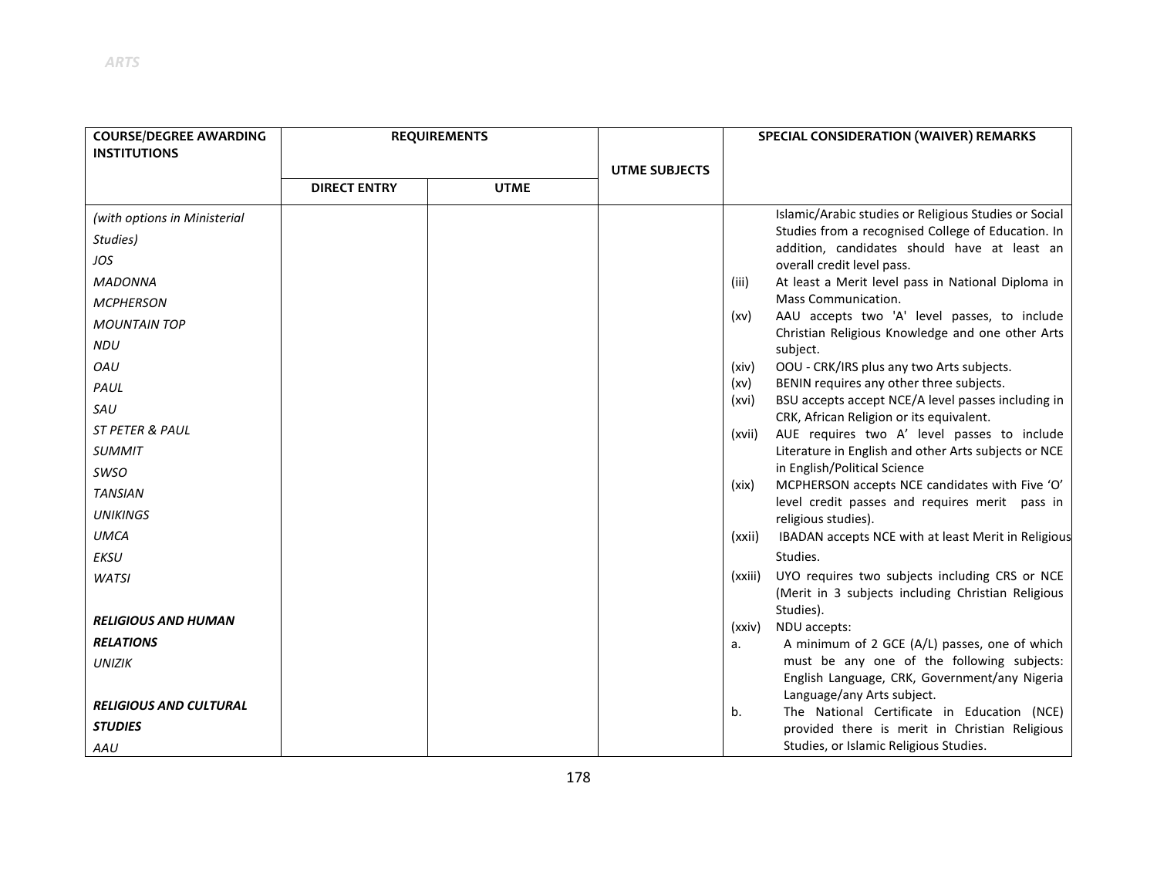| <b>COURSE/DEGREE AWARDING</b> | <b>REQUIREMENTS</b> |             |                      |                                     | SPECIAL CONSIDERATION (WAIVER) REMARKS                                                             |
|-------------------------------|---------------------|-------------|----------------------|-------------------------------------|----------------------------------------------------------------------------------------------------|
| <b>INSTITUTIONS</b>           |                     |             |                      |                                     |                                                                                                    |
|                               |                     |             | <b>UTME SUBJECTS</b> |                                     |                                                                                                    |
|                               | <b>DIRECT ENTRY</b> | <b>UTME</b> |                      |                                     |                                                                                                    |
| (with options in Ministerial  |                     |             |                      |                                     | Islamic/Arabic studies or Religious Studies or Social                                              |
| Studies)                      |                     |             |                      |                                     | Studies from a recognised College of Education. In<br>addition, candidates should have at least an |
| JOS                           |                     |             |                      |                                     | overall credit level pass.                                                                         |
| <b>MADONNA</b>                |                     |             |                      | (iii)                               | At least a Merit level pass in National Diploma in                                                 |
| <b>MCPHERSON</b>              |                     |             |                      |                                     | Mass Communication.                                                                                |
| <b>MOUNTAIN TOP</b>           |                     |             |                      | (xv)                                | AAU accepts two 'A' level passes, to include                                                       |
| <b>NDU</b>                    |                     |             |                      | subject.                            | Christian Religious Knowledge and one other Arts                                                   |
| OAU                           |                     |             |                      | (xiv)                               | OOU - CRK/IRS plus any two Arts subjects.                                                          |
| PAUL                          |                     |             |                      | (xv)                                | BENIN requires any other three subjects.                                                           |
| SAU                           |                     |             |                      | (xvi)                               | BSU accepts accept NCE/A level passes including in                                                 |
| <b>ST PETER &amp; PAUL</b>    |                     |             |                      | (xvii)                              | CRK, African Religion or its equivalent.<br>AUE requires two A' level passes to include            |
| <b>SUMMIT</b>                 |                     |             |                      |                                     | Literature in English and other Arts subjects or NCE                                               |
| <b>SWSO</b>                   |                     |             |                      |                                     | in English/Political Science                                                                       |
| <b>TANSIAN</b>                |                     |             |                      | (xix)                               | MCPHERSON accepts NCE candidates with Five 'O'                                                     |
| <b>UNIKINGS</b>               |                     |             |                      | religious studies).                 | level credit passes and requires merit pass in                                                     |
| <b>UMCA</b>                   |                     |             |                      | (xxii)                              | IBADAN accepts NCE with at least Merit in Religious                                                |
| EKSU                          |                     |             |                      | Studies.                            |                                                                                                    |
| <b>WATSI</b>                  |                     |             |                      | (xxiii)                             | UYO requires two subjects including CRS or NCE                                                     |
|                               |                     |             |                      |                                     | (Merit in 3 subjects including Christian Religious                                                 |
| <b>RELIGIOUS AND HUMAN</b>    |                     |             |                      | Studies).<br>NDU accepts:<br>(xxiv) |                                                                                                    |
| <b>RELATIONS</b>              |                     |             |                      | а.                                  | A minimum of 2 GCE (A/L) passes, one of which                                                      |
| <b>UNIZIK</b>                 |                     |             |                      |                                     | must be any one of the following subjects:                                                         |
|                               |                     |             |                      |                                     | English Language, CRK, Government/any Nigeria                                                      |
| <b>RELIGIOUS AND CULTURAL</b> |                     |             |                      | b.                                  | Language/any Arts subject.<br>The National Certificate in Education (NCE)                          |
| <b>STUDIES</b>                |                     |             |                      |                                     | provided there is merit in Christian Religious                                                     |
| AAU                           |                     |             |                      |                                     | Studies, or Islamic Religious Studies.                                                             |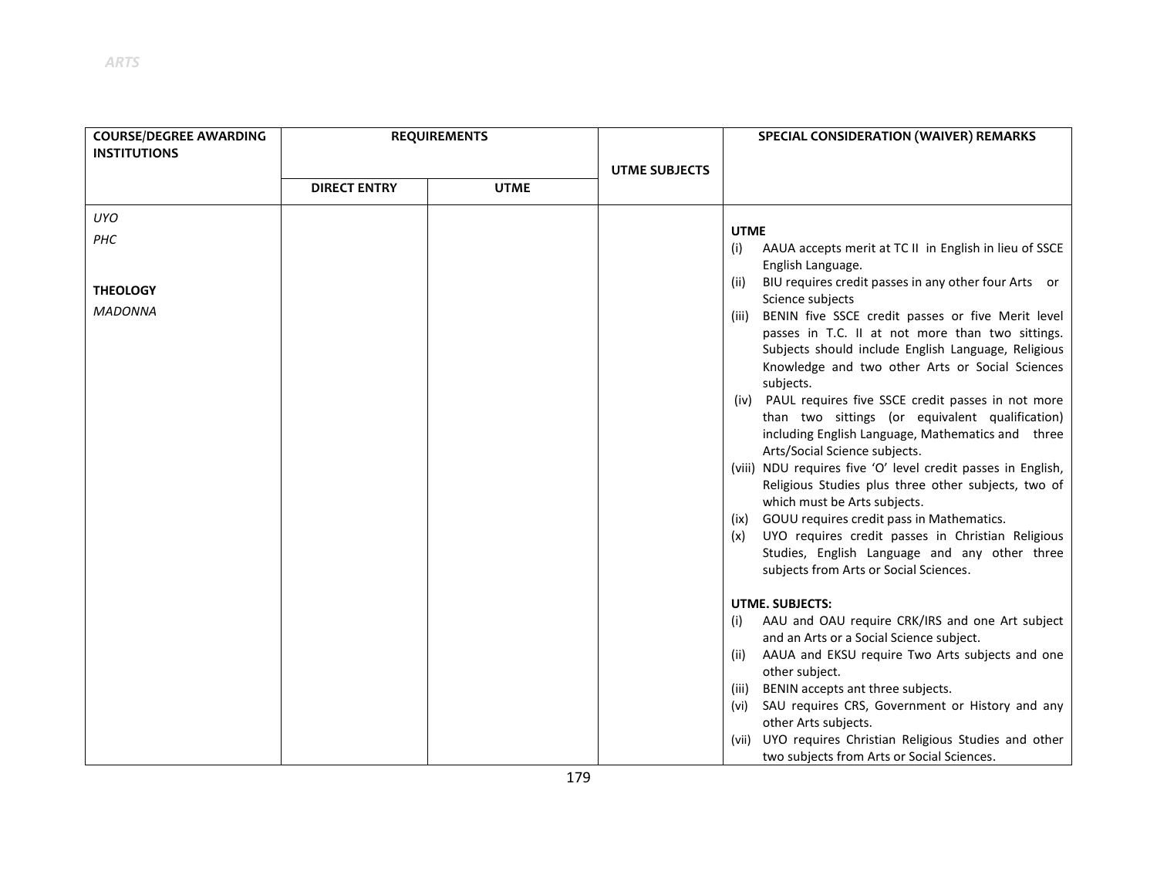| <b>COURSE/DEGREE AWARDING</b><br><b>INSTITUTIONS</b> | <b>REQUIREMENTS</b> |             |                      | SPECIAL CONSIDERATION (WAIVER) REMARKS                                                                                                                                                                                                                                                                                                                                                                                                                                                                                                                                                                                                                                                                                                                                                                                          |
|------------------------------------------------------|---------------------|-------------|----------------------|---------------------------------------------------------------------------------------------------------------------------------------------------------------------------------------------------------------------------------------------------------------------------------------------------------------------------------------------------------------------------------------------------------------------------------------------------------------------------------------------------------------------------------------------------------------------------------------------------------------------------------------------------------------------------------------------------------------------------------------------------------------------------------------------------------------------------------|
|                                                      | <b>DIRECT ENTRY</b> | <b>UTME</b> | <b>UTME SUBJECTS</b> |                                                                                                                                                                                                                                                                                                                                                                                                                                                                                                                                                                                                                                                                                                                                                                                                                                 |
| <b>UYO</b>                                           |                     |             |                      |                                                                                                                                                                                                                                                                                                                                                                                                                                                                                                                                                                                                                                                                                                                                                                                                                                 |
| PHC                                                  |                     |             |                      | <b>UTME</b><br>AAUA accepts merit at TC II in English in lieu of SSCE<br>(i)<br>English Language.                                                                                                                                                                                                                                                                                                                                                                                                                                                                                                                                                                                                                                                                                                                               |
| <b>THEOLOGY</b>                                      |                     |             |                      | BIU requires credit passes in any other four Arts or<br>(ii)                                                                                                                                                                                                                                                                                                                                                                                                                                                                                                                                                                                                                                                                                                                                                                    |
| <b>MADONNA</b>                                       |                     |             |                      | Science subjects<br>BENIN five SSCE credit passes or five Merit level<br>(iii)<br>passes in T.C. II at not more than two sittings.<br>Subjects should include English Language, Religious<br>Knowledge and two other Arts or Social Sciences<br>subjects.<br>(iv) PAUL requires five SSCE credit passes in not more<br>than two sittings (or equivalent qualification)<br>including English Language, Mathematics and three<br>Arts/Social Science subjects.<br>(viii) NDU requires five 'O' level credit passes in English,<br>Religious Studies plus three other subjects, two of<br>which must be Arts subjects.<br>GOUU requires credit pass in Mathematics.<br>(ix)<br>UYO requires credit passes in Christian Religious<br>(x)<br>Studies, English Language and any other three<br>subjects from Arts or Social Sciences. |
|                                                      |                     |             |                      | UTME. SUBJECTS:                                                                                                                                                                                                                                                                                                                                                                                                                                                                                                                                                                                                                                                                                                                                                                                                                 |
|                                                      |                     |             |                      | AAU and OAU require CRK/IRS and one Art subject<br>(i)<br>and an Arts or a Social Science subject.                                                                                                                                                                                                                                                                                                                                                                                                                                                                                                                                                                                                                                                                                                                              |
|                                                      |                     |             |                      | AAUA and EKSU require Two Arts subjects and one<br>(ii)<br>other subject.                                                                                                                                                                                                                                                                                                                                                                                                                                                                                                                                                                                                                                                                                                                                                       |
|                                                      |                     |             |                      | BENIN accepts ant three subjects.<br>(iii)                                                                                                                                                                                                                                                                                                                                                                                                                                                                                                                                                                                                                                                                                                                                                                                      |
|                                                      |                     |             |                      | SAU requires CRS, Government or History and any<br>(vi)<br>other Arts subjects.                                                                                                                                                                                                                                                                                                                                                                                                                                                                                                                                                                                                                                                                                                                                                 |
|                                                      |                     |             |                      | (vii) UYO requires Christian Religious Studies and other<br>two subjects from Arts or Social Sciences.                                                                                                                                                                                                                                                                                                                                                                                                                                                                                                                                                                                                                                                                                                                          |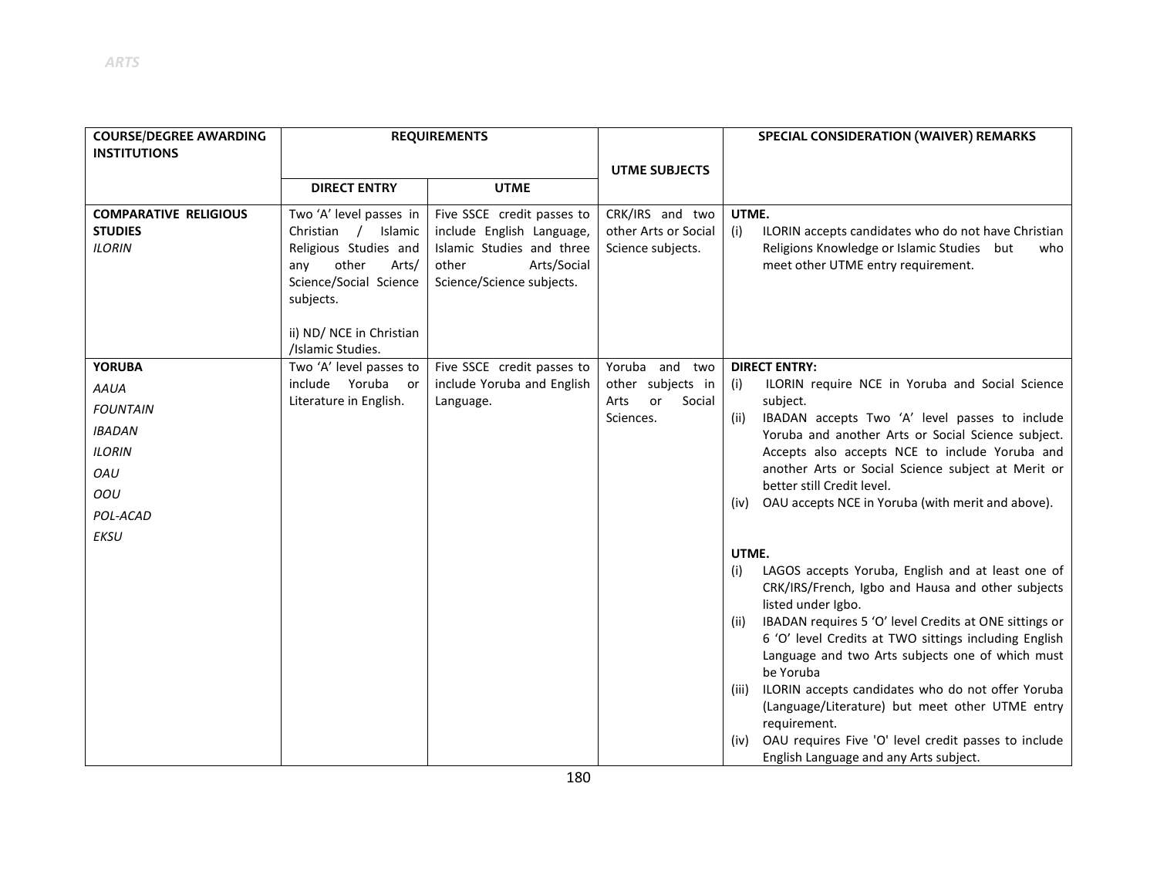| <b>COURSE/DEGREE AWARDING</b>         | <b>REQUIREMENTS</b>                      |                                         |                                   | SPECIAL CONSIDERATION (WAIVER) REMARKS                                                                                                                                                                                                                                                                                                                                                                                                                                                       |
|---------------------------------------|------------------------------------------|-----------------------------------------|-----------------------------------|----------------------------------------------------------------------------------------------------------------------------------------------------------------------------------------------------------------------------------------------------------------------------------------------------------------------------------------------------------------------------------------------------------------------------------------------------------------------------------------------|
| <b>INSTITUTIONS</b>                   |                                          |                                         |                                   |                                                                                                                                                                                                                                                                                                                                                                                                                                                                                              |
|                                       |                                          |                                         | <b>UTME SUBJECTS</b>              |                                                                                                                                                                                                                                                                                                                                                                                                                                                                                              |
|                                       | <b>DIRECT ENTRY</b>                      | <b>UTME</b>                             |                                   |                                                                                                                                                                                                                                                                                                                                                                                                                                                                                              |
| <b>COMPARATIVE RELIGIOUS</b>          | Two 'A' level passes in                  | Five SSCE credit passes to              | CRK/IRS and two                   | UTME.                                                                                                                                                                                                                                                                                                                                                                                                                                                                                        |
| <b>STUDIES</b>                        | Christian /<br>Islamic                   | include English Language,               | other Arts or Social              | ILORIN accepts candidates who do not have Christian<br>(i)                                                                                                                                                                                                                                                                                                                                                                                                                                   |
| <b>ILORIN</b>                         | Religious Studies and                    | Islamic Studies and three               | Science subjects.                 | Religions Knowledge or Islamic Studies<br>but<br>who                                                                                                                                                                                                                                                                                                                                                                                                                                         |
|                                       | other<br>Arts/<br>any                    | Arts/Social<br>other                    |                                   | meet other UTME entry requirement.                                                                                                                                                                                                                                                                                                                                                                                                                                                           |
|                                       | Science/Social Science<br>subjects.      | Science/Science subjects.               |                                   |                                                                                                                                                                                                                                                                                                                                                                                                                                                                                              |
|                                       |                                          |                                         |                                   |                                                                                                                                                                                                                                                                                                                                                                                                                                                                                              |
|                                       | ii) ND/ NCE in Christian                 |                                         |                                   |                                                                                                                                                                                                                                                                                                                                                                                                                                                                                              |
|                                       | /Islamic Studies.                        |                                         |                                   |                                                                                                                                                                                                                                                                                                                                                                                                                                                                                              |
| <b>YORUBA</b>                         | Two 'A' level passes to                  | Five SSCE credit passes to              | Yoruba and two                    | <b>DIRECT ENTRY:</b>                                                                                                                                                                                                                                                                                                                                                                                                                                                                         |
| <b>AAUA</b>                           | <b>or</b>                                |                                         | other subjects in                 | ILORIN require NCE in Yoruba and Social Science<br>(i)                                                                                                                                                                                                                                                                                                                                                                                                                                       |
| <b>FOUNTAIN</b>                       |                                          |                                         |                                   |                                                                                                                                                                                                                                                                                                                                                                                                                                                                                              |
| <b>IBADAN</b>                         |                                          |                                         |                                   |                                                                                                                                                                                                                                                                                                                                                                                                                                                                                              |
| <b>ILORIN</b>                         |                                          |                                         |                                   | Accepts also accepts NCE to include Yoruba and                                                                                                                                                                                                                                                                                                                                                                                                                                               |
|                                       |                                          |                                         |                                   | another Arts or Social Science subject at Merit or                                                                                                                                                                                                                                                                                                                                                                                                                                           |
|                                       |                                          |                                         |                                   | better still Credit level.                                                                                                                                                                                                                                                                                                                                                                                                                                                                   |
|                                       |                                          |                                         |                                   |                                                                                                                                                                                                                                                                                                                                                                                                                                                                                              |
|                                       |                                          |                                         |                                   |                                                                                                                                                                                                                                                                                                                                                                                                                                                                                              |
|                                       |                                          |                                         |                                   | UTME.                                                                                                                                                                                                                                                                                                                                                                                                                                                                                        |
|                                       |                                          |                                         |                                   | LAGOS accepts Yoruba, English and at least one of<br>(i)                                                                                                                                                                                                                                                                                                                                                                                                                                     |
|                                       |                                          |                                         |                                   | CRK/IRS/French, Igbo and Hausa and other subjects                                                                                                                                                                                                                                                                                                                                                                                                                                            |
|                                       |                                          |                                         |                                   |                                                                                                                                                                                                                                                                                                                                                                                                                                                                                              |
|                                       |                                          |                                         |                                   |                                                                                                                                                                                                                                                                                                                                                                                                                                                                                              |
|                                       |                                          |                                         |                                   |                                                                                                                                                                                                                                                                                                                                                                                                                                                                                              |
|                                       |                                          |                                         |                                   | be Yoruba                                                                                                                                                                                                                                                                                                                                                                                                                                                                                    |
|                                       |                                          |                                         |                                   | (iii) ILORIN accepts candidates who do not offer Yoruba                                                                                                                                                                                                                                                                                                                                                                                                                                      |
|                                       |                                          |                                         |                                   | (Language/Literature) but meet other UTME entry                                                                                                                                                                                                                                                                                                                                                                                                                                              |
|                                       |                                          |                                         |                                   | requirement.                                                                                                                                                                                                                                                                                                                                                                                                                                                                                 |
|                                       |                                          |                                         |                                   | (iv)                                                                                                                                                                                                                                                                                                                                                                                                                                                                                         |
| OAU<br>OOU<br>POL-ACAD<br><b>EKSU</b> | include Yoruba<br>Literature in English. | include Yoruba and English<br>Language. | or<br>Social<br>Arts<br>Sciences. | subject.<br>IBADAN accepts Two 'A' level passes to include<br>(ii)<br>Yoruba and another Arts or Social Science subject.<br>OAU accepts NCE in Yoruba (with merit and above).<br>(iv)<br>listed under Igbo.<br>IBADAN requires 5 'O' level Credits at ONE sittings or<br>(ii)<br>6 'O' level Credits at TWO sittings including English<br>Language and two Arts subjects one of which must<br>OAU requires Five 'O' level credit passes to include<br>English Language and any Arts subject. |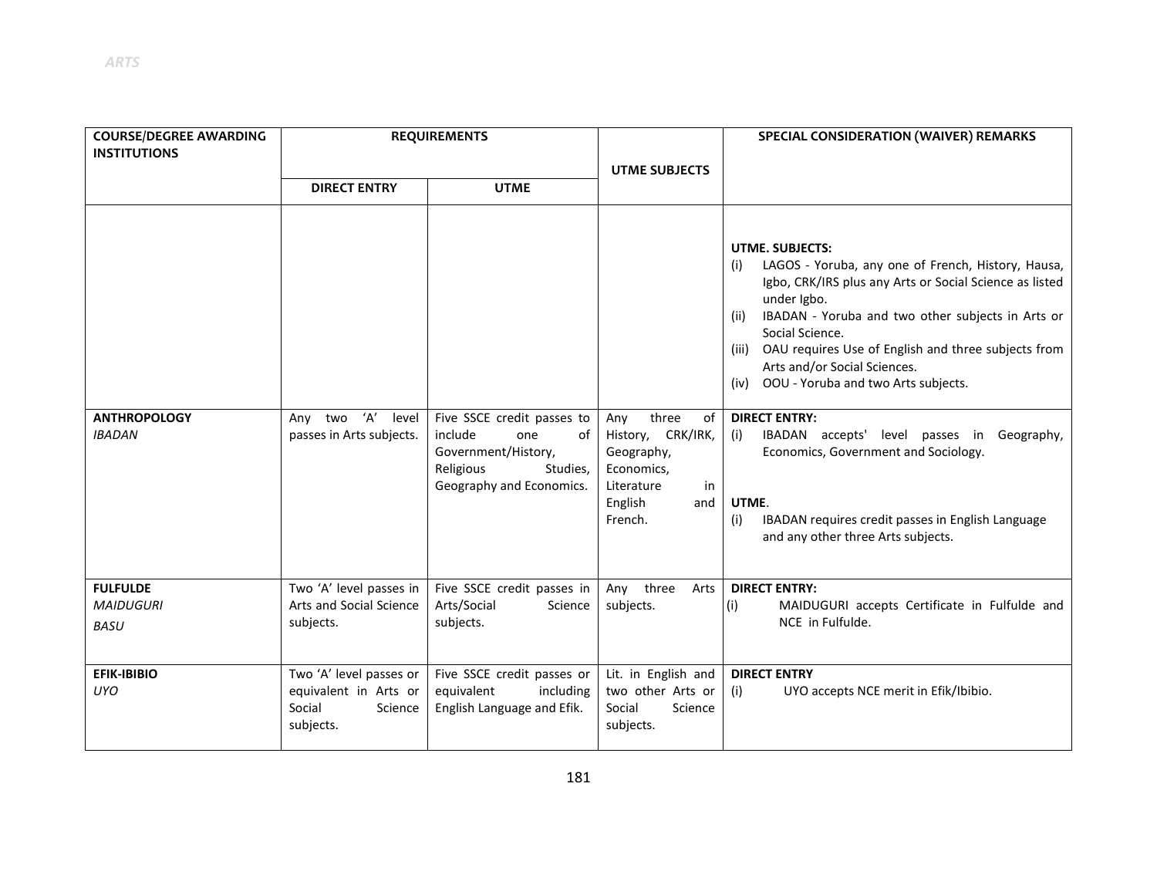| <b>COURSE/DEGREE AWARDING</b><br><b>INSTITUTIONS</b> | <b>REQUIREMENTS</b>                                                                |                                                                                     |                                                                            | SPECIAL CONSIDERATION (WAIVER) REMARKS                                                                                                                                                                                                                                                                                                                                                                                                                                                                         |
|------------------------------------------------------|------------------------------------------------------------------------------------|-------------------------------------------------------------------------------------|----------------------------------------------------------------------------|----------------------------------------------------------------------------------------------------------------------------------------------------------------------------------------------------------------------------------------------------------------------------------------------------------------------------------------------------------------------------------------------------------------------------------------------------------------------------------------------------------------|
|                                                      | <b>DIRECT ENTRY</b>                                                                | <b>UTME</b>                                                                         | <b>UTME SUBJECTS</b>                                                       |                                                                                                                                                                                                                                                                                                                                                                                                                                                                                                                |
| <b>ANTHROPOLOGY</b><br><b>IBADAN</b>                 | Any two 'A'<br>level<br>passes in Arts subjects.                                   | Five SSCE credit passes to<br>include<br>one<br>οf<br>Government/History,           | three<br>Any<br>of<br>History, CRK/IRK,<br>Geography,                      | <b>UTME. SUBJECTS:</b><br>LAGOS - Yoruba, any one of French, History, Hausa,<br>(i)<br>Igbo, CRK/IRS plus any Arts or Social Science as listed<br>under Igbo.<br>IBADAN - Yoruba and two other subjects in Arts or<br>(ii)<br>Social Science.<br>(iii) OAU requires Use of English and three subjects from<br>Arts and/or Social Sciences.<br>OOU - Yoruba and two Arts subjects.<br>(iv)<br><b>DIRECT ENTRY:</b><br>IBADAN accepts' level passes in Geography,<br>(i)<br>Economics, Government and Sociology. |
|                                                      |                                                                                    | Religious<br>Studies,<br>Geography and Economics.                                   | Economics,<br>Literature<br>in<br>English<br>and<br>French.                | UTME.<br>IBADAN requires credit passes in English Language<br>(i)<br>and any other three Arts subjects.                                                                                                                                                                                                                                                                                                                                                                                                        |
| <b>FULFULDE</b><br><b>MAIDUGURI</b><br><b>BASU</b>   | Two 'A' level passes in<br>Arts and Social Science<br>subjects.                    | Five SSCE credit passes in<br>Arts/Social<br>Science<br>subjects.                   | three<br>Any<br>Arts<br>subjects.                                          | <b>DIRECT ENTRY:</b><br>(i)<br>MAIDUGURI accepts Certificate in Fulfulde and<br>NCE in Fulfulde.                                                                                                                                                                                                                                                                                                                                                                                                               |
| <b>EFIK-IBIBIO</b><br>UYO                            | Two 'A' level passes or<br>equivalent in Arts or<br>Social<br>Science<br>subjects. | Five SSCE credit passes or<br>equivalent<br>including<br>English Language and Efik. | Lit. in English and<br>two other Arts or<br>Social<br>Science<br>subjects. | <b>DIRECT ENTRY</b><br>(i)<br>UYO accepts NCE merit in Efik/Ibibio.                                                                                                                                                                                                                                                                                                                                                                                                                                            |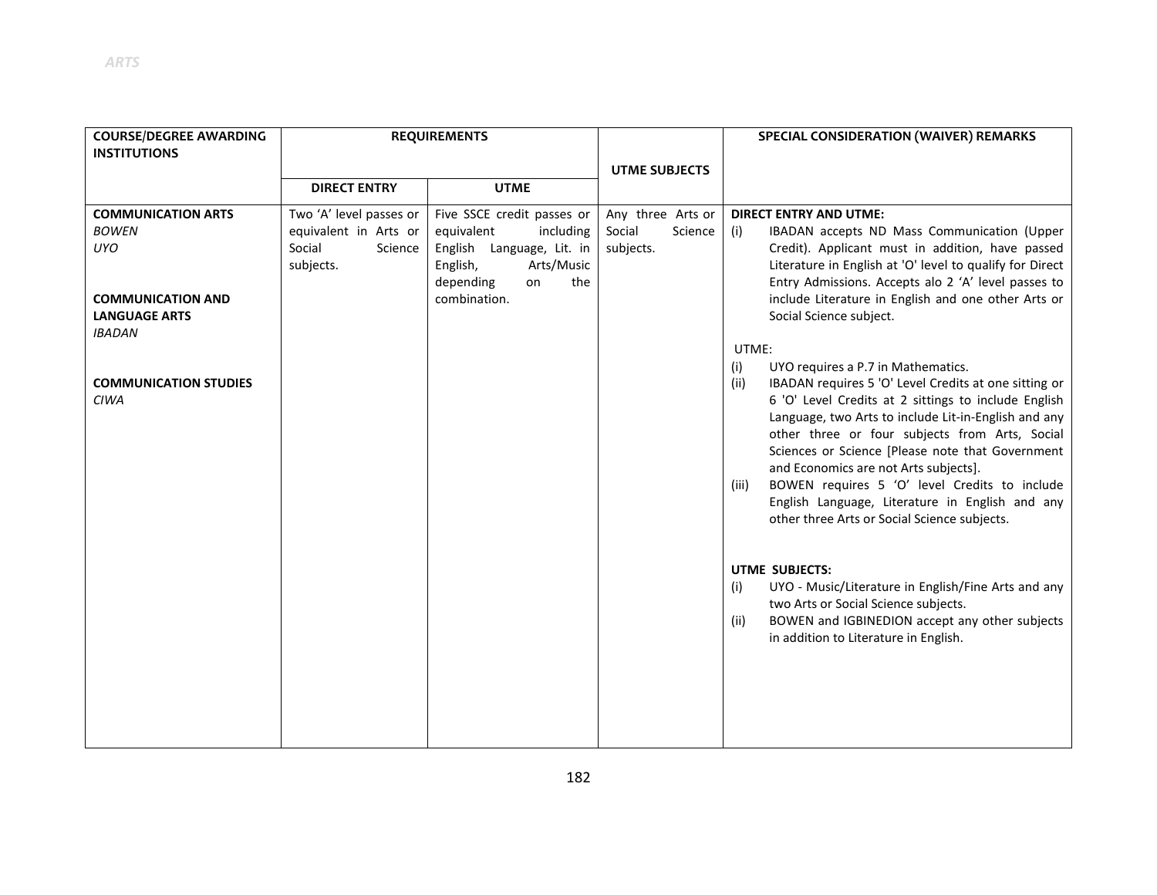| <b>COURSE/DEGREE AWARDING</b>               | <b>REQUIREMENTS</b>     |                                        |                      | SPECIAL CONSIDERATION (WAIVER) REMARKS                                                                                                                                                                                                                                                                                                                                                                                                                                                    |
|---------------------------------------------|-------------------------|----------------------------------------|----------------------|-------------------------------------------------------------------------------------------------------------------------------------------------------------------------------------------------------------------------------------------------------------------------------------------------------------------------------------------------------------------------------------------------------------------------------------------------------------------------------------------|
| <b>INSTITUTIONS</b>                         |                         |                                        |                      |                                                                                                                                                                                                                                                                                                                                                                                                                                                                                           |
|                                             |                         |                                        | <b>UTME SUBJECTS</b> |                                                                                                                                                                                                                                                                                                                                                                                                                                                                                           |
|                                             | <b>DIRECT ENTRY</b>     | <b>UTME</b>                            |                      |                                                                                                                                                                                                                                                                                                                                                                                                                                                                                           |
| <b>COMMUNICATION ARTS</b>                   | Two 'A' level passes or | Five SSCE credit passes or             | Any three Arts or    | <b>DIRECT ENTRY AND UTME:</b>                                                                                                                                                                                                                                                                                                                                                                                                                                                             |
| <b>BOWEN</b>                                | equivalent in Arts or   | equivalent<br>including                | Science<br>Social    | IBADAN accepts ND Mass Communication (Upper<br>(i)                                                                                                                                                                                                                                                                                                                                                                                                                                        |
| UYO                                         | Social<br>Science       | English Language, Lit. in              | subjects.            | Credit). Applicant must in addition, have passed                                                                                                                                                                                                                                                                                                                                                                                                                                          |
|                                             | subjects.               | Arts/Music<br>English,                 |                      | Literature in English at 'O' level to qualify for Direct                                                                                                                                                                                                                                                                                                                                                                                                                                  |
| <b>COMMUNICATION AND</b>                    |                         | the<br>depending<br>on<br>combination. |                      | Entry Admissions. Accepts alo 2 'A' level passes to<br>include Literature in English and one other Arts or                                                                                                                                                                                                                                                                                                                                                                                |
| <b>LANGUAGE ARTS</b>                        |                         |                                        |                      | Social Science subject.                                                                                                                                                                                                                                                                                                                                                                                                                                                                   |
| <b>IBADAN</b>                               |                         |                                        |                      |                                                                                                                                                                                                                                                                                                                                                                                                                                                                                           |
|                                             |                         |                                        |                      | UTME:                                                                                                                                                                                                                                                                                                                                                                                                                                                                                     |
|                                             |                         |                                        |                      | UYO requires a P.7 in Mathematics.<br>(i)                                                                                                                                                                                                                                                                                                                                                                                                                                                 |
| <b>COMMUNICATION STUDIES</b><br><b>CIWA</b> |                         |                                        |                      | IBADAN requires 5 'O' Level Credits at one sitting or<br>(ii)<br>6 'O' Level Credits at 2 sittings to include English<br>Language, two Arts to include Lit-in-English and any<br>other three or four subjects from Arts, Social<br>Sciences or Science [Please note that Government<br>and Economics are not Arts subjects].<br>BOWEN requires 5 'O' level Credits to include<br>(iii)<br>English Language, Literature in English and any<br>other three Arts or Social Science subjects. |
|                                             |                         |                                        |                      | UTME SUBJECTS:<br>UYO - Music/Literature in English/Fine Arts and any<br>(i)<br>two Arts or Social Science subjects.<br>BOWEN and IGBINEDION accept any other subjects<br>(ii)<br>in addition to Literature in English.                                                                                                                                                                                                                                                                   |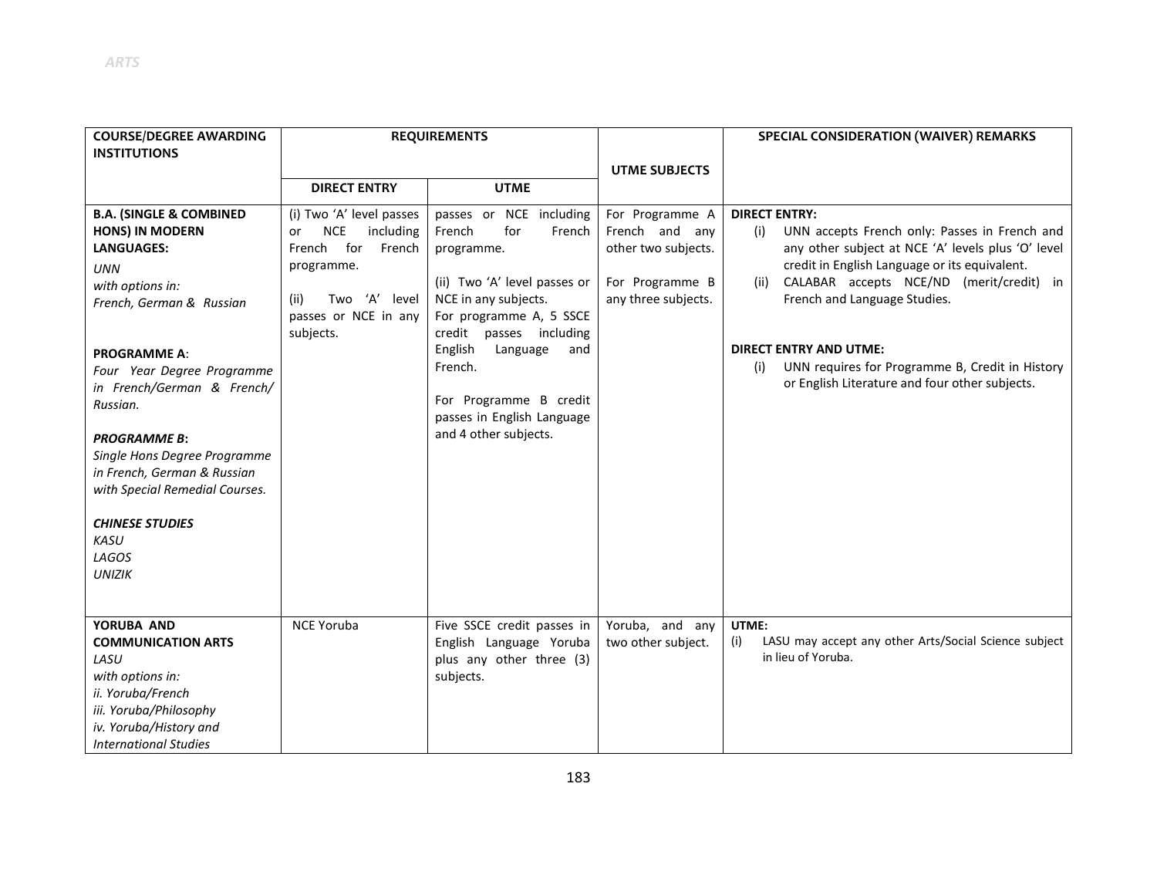| <b>COURSE/DEGREE AWARDING</b><br><b>INSTITUTIONS</b>                                                                                                                                                                                                                                                                                                                                                                               | <b>REQUIREMENTS</b>                                                                                                                                              |                                                                                                                                                                                                                                                                                                          |                                                                                                    | <b>SPECIAL CONSIDERATION (WAIVER) REMARKS</b>                                                                                                                                                                                                                                                                                                                                                                        |
|------------------------------------------------------------------------------------------------------------------------------------------------------------------------------------------------------------------------------------------------------------------------------------------------------------------------------------------------------------------------------------------------------------------------------------|------------------------------------------------------------------------------------------------------------------------------------------------------------------|----------------------------------------------------------------------------------------------------------------------------------------------------------------------------------------------------------------------------------------------------------------------------------------------------------|----------------------------------------------------------------------------------------------------|----------------------------------------------------------------------------------------------------------------------------------------------------------------------------------------------------------------------------------------------------------------------------------------------------------------------------------------------------------------------------------------------------------------------|
|                                                                                                                                                                                                                                                                                                                                                                                                                                    | <b>DIRECT ENTRY</b>                                                                                                                                              | <b>UTME</b>                                                                                                                                                                                                                                                                                              | <b>UTME SUBJECTS</b>                                                                               |                                                                                                                                                                                                                                                                                                                                                                                                                      |
| <b>B.A. (SINGLE &amp; COMBINED</b><br><b>HONS) IN MODERN</b><br><b>LANGUAGES:</b><br><b>UNN</b><br>with options in:<br>French, German & Russian<br><b>PROGRAMME A:</b><br>Four Year Degree Programme<br>in French/German & French/<br>Russian.<br><b>PROGRAMME B:</b><br>Single Hons Degree Programme<br>in French, German & Russian<br>with Special Remedial Courses.<br><b>CHINESE STUDIES</b><br>KASU<br>LAGOS<br><b>UNIZIK</b> | (i) Two 'A' level passes<br><b>NCE</b><br>including<br>or<br>for<br>French<br>French<br>programme.<br>Two 'A' level<br>(ii)<br>passes or NCE in any<br>subjects. | passes or NCE including<br>for<br>French<br>French<br>programme.<br>(ii) Two 'A' level passes or<br>NCE in any subjects.<br>For programme A, 5 SSCE<br>credit passes including<br>English<br>Language<br>and<br>French.<br>For Programme B credit<br>passes in English Language<br>and 4 other subjects. | For Programme A<br>French and any<br>other two subjects.<br>For Programme B<br>any three subjects. | <b>DIRECT ENTRY:</b><br>UNN accepts French only: Passes in French and<br>(i)<br>any other subject at NCE 'A' levels plus 'O' level<br>credit in English Language or its equivalent.<br>CALABAR accepts NCE/ND (merit/credit) in<br>(ii)<br>French and Language Studies.<br><b>DIRECT ENTRY AND UTME:</b><br>UNN requires for Programme B, Credit in History<br>(i)<br>or English Literature and four other subjects. |
| YORUBA AND<br><b>COMMUNICATION ARTS</b><br>LASU<br>with options in:<br>ii. Yoruba/French<br>iii. Yoruba/Philosophy<br>iv. Yoruba/History and<br><b>International Studies</b>                                                                                                                                                                                                                                                       | <b>NCE Yoruba</b>                                                                                                                                                | Five SSCE credit passes in<br>English Language Yoruba<br>plus any other three (3)<br>subjects.                                                                                                                                                                                                           | Yoruba, and any<br>two other subject.                                                              | UTME:<br>LASU may accept any other Arts/Social Science subject<br>(i)<br>in lieu of Yoruba.                                                                                                                                                                                                                                                                                                                          |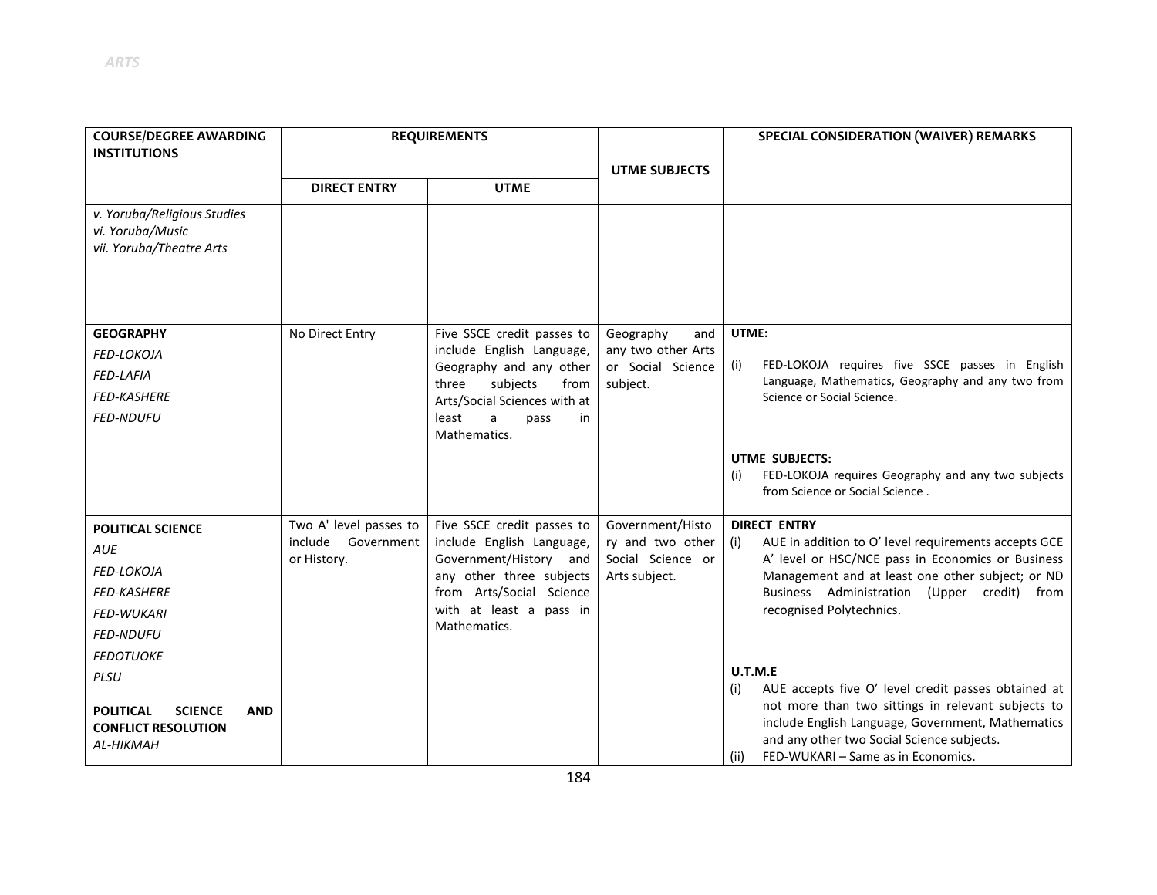| <b>COURSE/DEGREE AWARDING</b><br><b>INSTITUTIONS</b>                                                | <b>REQUIREMENTS</b>               |                                                                          | <b>UTME SUBJECTS</b>                    | SPECIAL CONSIDERATION (WAIVER) REMARKS                                                                                                                                                                                                                            |
|-----------------------------------------------------------------------------------------------------|-----------------------------------|--------------------------------------------------------------------------|-----------------------------------------|-------------------------------------------------------------------------------------------------------------------------------------------------------------------------------------------------------------------------------------------------------------------|
|                                                                                                     | <b>DIRECT ENTRY</b>               | <b>UTME</b>                                                              |                                         |                                                                                                                                                                                                                                                                   |
| v. Yoruba/Religious Studies<br>vi. Yoruba/Music<br>vii. Yoruba/Theatre Arts                         |                                   |                                                                          |                                         |                                                                                                                                                                                                                                                                   |
| <b>GEOGRAPHY</b>                                                                                    | No Direct Entry                   | Five SSCE credit passes to                                               | Geography<br>and                        | UTME:                                                                                                                                                                                                                                                             |
| FED-LOKOJA                                                                                          |                                   | include English Language,<br>Geography and any other                     | any two other Arts<br>or Social Science | FED-LOKOJA requires five SSCE passes in English<br>(i)                                                                                                                                                                                                            |
| <b>FED-LAFIA</b>                                                                                    |                                   | subjects<br>three<br>from                                                | subject.                                | Language, Mathematics, Geography and any two from                                                                                                                                                                                                                 |
| <b>FED-KASHERE</b><br><b>FED-NDUFU</b>                                                              |                                   | Arts/Social Sciences with at<br>least<br>a<br>in<br>pass<br>Mathematics. |                                         | Science or Social Science.                                                                                                                                                                                                                                        |
|                                                                                                     |                                   |                                                                          |                                         | <b>UTME SUBJECTS:</b><br>FED-LOKOJA requires Geography and any two subjects<br>(i)<br>from Science or Social Science.                                                                                                                                             |
| <b>POLITICAL SCIENCE</b>                                                                            | Two A' level passes to            | Five SSCE credit passes to                                               | Government/Histo                        | <b>DIRECT ENTRY</b>                                                                                                                                                                                                                                               |
| <b>AUE</b>                                                                                          | include Government<br>or History. | include English Language,<br>Government/History and                      | ry and two other<br>Social Science or   | AUE in addition to O' level requirements accepts GCE<br>(i)<br>A' level or HSC/NCE pass in Economics or Business                                                                                                                                                  |
| FED-LOKOJA                                                                                          |                                   | any other three subjects                                                 | Arts subject.                           | Management and at least one other subject; or ND                                                                                                                                                                                                                  |
| <b>FED-KASHERE</b>                                                                                  |                                   | from Arts/Social Science                                                 |                                         | Business Administration (Upper credit) from                                                                                                                                                                                                                       |
| <b>FED-WUKARI</b>                                                                                   |                                   | with at least a pass in<br>Mathematics.                                  |                                         | recognised Polytechnics.                                                                                                                                                                                                                                          |
| <b>FED-NDUFU</b>                                                                                    |                                   |                                                                          |                                         |                                                                                                                                                                                                                                                                   |
| <b>FEDOTUOKE</b>                                                                                    |                                   |                                                                          |                                         | U.T.M.E                                                                                                                                                                                                                                                           |
| PLSU<br><b>POLITICAL</b><br><b>SCIENCE</b><br><b>AND</b><br><b>CONFLICT RESOLUTION</b><br>AL-HIKMAH |                                   |                                                                          |                                         | AUE accepts five O' level credit passes obtained at<br>(i)<br>not more than two sittings in relevant subjects to<br>include English Language, Government, Mathematics<br>and any other two Social Science subjects.<br>FED-WUKARI - Same as in Economics.<br>(ii) |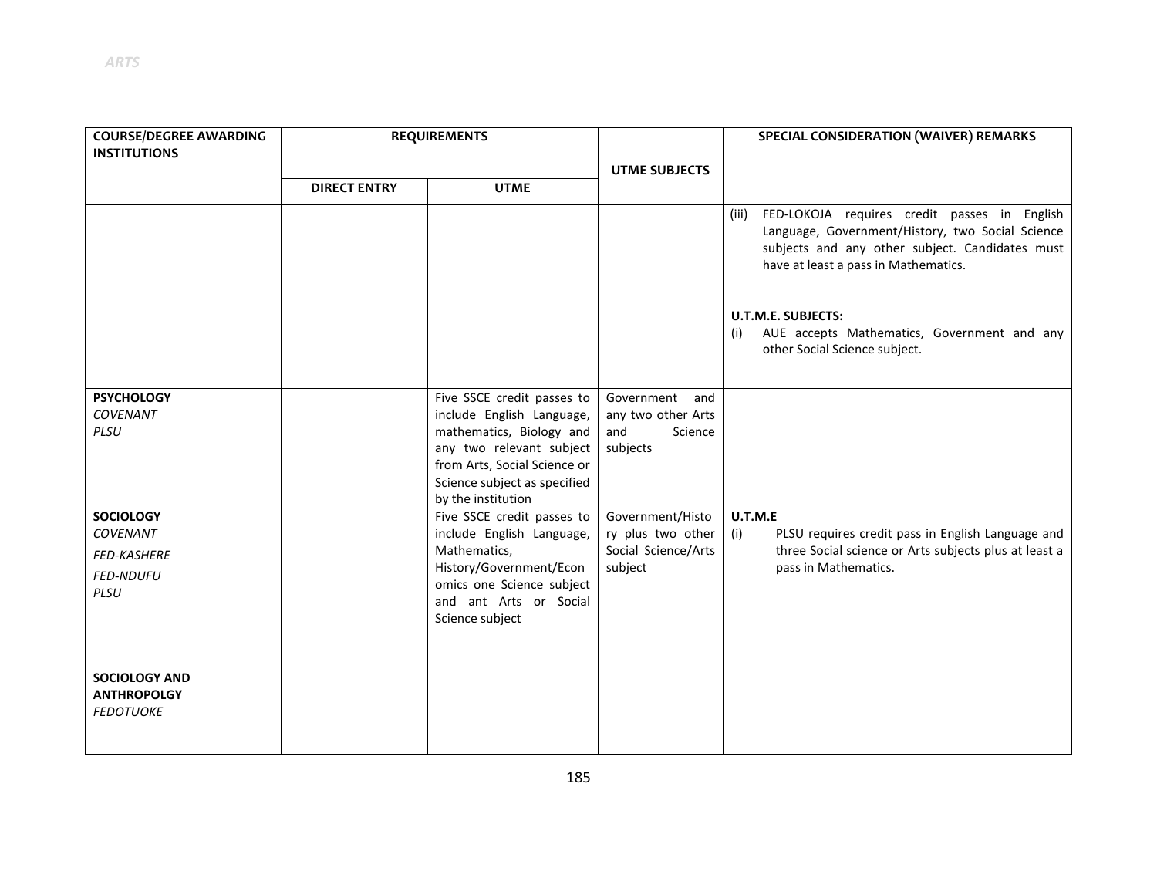| <b>COURSE/DEGREE AWARDING</b>                                  | <b>REQUIREMENTS</b> |                                                                                                   |                                         | SPECIAL CONSIDERATION (WAIVER) REMARKS                                                                                                                                                                                            |
|----------------------------------------------------------------|---------------------|---------------------------------------------------------------------------------------------------|-----------------------------------------|-----------------------------------------------------------------------------------------------------------------------------------------------------------------------------------------------------------------------------------|
| <b>INSTITUTIONS</b>                                            |                     |                                                                                                   |                                         |                                                                                                                                                                                                                                   |
|                                                                | <b>DIRECT ENTRY</b> | <b>UTME</b>                                                                                       | <b>UTME SUBJECTS</b>                    |                                                                                                                                                                                                                                   |
|                                                                |                     |                                                                                                   |                                         | FED-LOKOJA requires credit passes in English<br>(iii)<br>Language, Government/History, two Social Science<br>subjects and any other subject. Candidates must<br>have at least a pass in Mathematics.<br><b>U.T.M.E. SUBJECTS:</b> |
|                                                                |                     |                                                                                                   |                                         | AUE accepts Mathematics, Government and any<br>(i)<br>other Social Science subject.                                                                                                                                               |
| <b>PSYCHOLOGY</b><br><b>COVENANT</b>                           |                     | Five SSCE credit passes to<br>include English Language,                                           | Government<br>and<br>any two other Arts |                                                                                                                                                                                                                                   |
| PLSU                                                           |                     | mathematics, Biology and<br>any two relevant subject                                              | and<br>Science<br>subjects              |                                                                                                                                                                                                                                   |
|                                                                |                     | from Arts, Social Science or<br>Science subject as specified                                      |                                         |                                                                                                                                                                                                                                   |
|                                                                |                     | by the institution                                                                                |                                         |                                                                                                                                                                                                                                   |
| <b>SOCIOLOGY</b><br><b>COVENANT</b>                            |                     | Five SSCE credit passes to<br>include English Language,                                           | Government/Histo<br>ry plus two other   | U.T.M.E<br>(i)<br>PLSU requires credit pass in English Language and                                                                                                                                                               |
| <b>FED-KASHERE</b>                                             |                     | Mathematics,                                                                                      | Social Science/Arts                     | three Social science or Arts subjects plus at least a                                                                                                                                                                             |
| <b>FED-NDUFU</b><br>PLSU                                       |                     | History/Government/Econ<br>omics one Science subject<br>and ant Arts or Social<br>Science subject | subject                                 | pass in Mathematics.                                                                                                                                                                                                              |
| <b>SOCIOLOGY AND</b><br><b>ANTHROPOLGY</b><br><b>FEDOTUOKE</b> |                     |                                                                                                   |                                         |                                                                                                                                                                                                                                   |